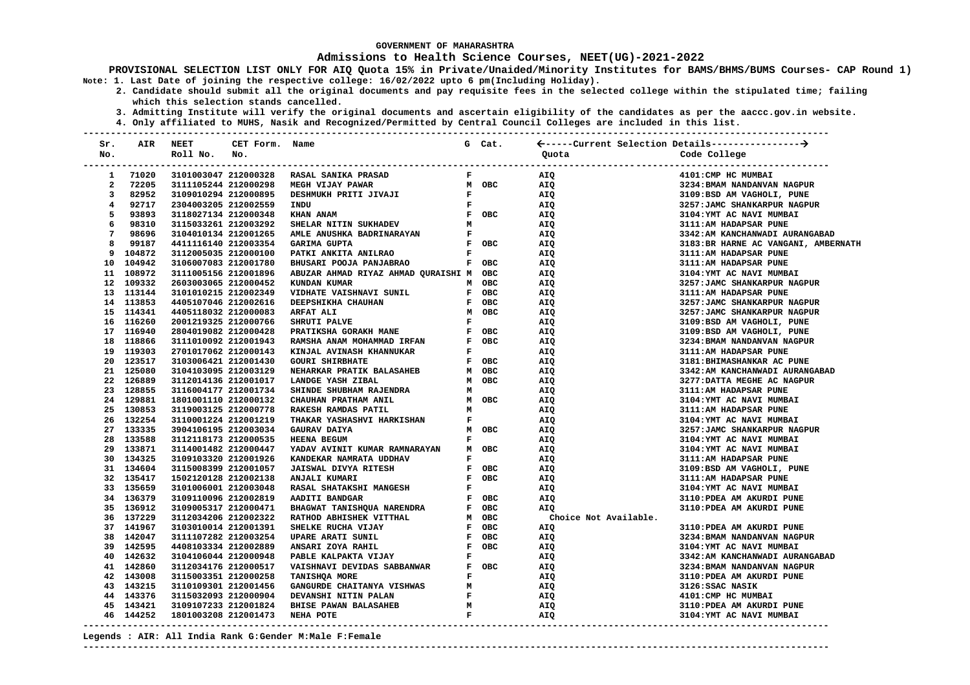### **Admissions to Health Science Courses, NEET(UG)-2021-2022**

**PROVISIONAL SELECTION LIST ONLY FOR AIQ Quota 15% in Private/Unaided/Minority Institutes for BAMS/BHMS/BUMS Courses- CAP Round 1) Note: 1. Last Date of joining the respective college: 16/02/2022 upto 6 pm(Including Holiday).**

 **2. Candidate should submit all the original documents and pay requisite fees in the selected college within the stipulated time; failing which this selection stands cancelled.**

 **3. Admitting Institute will verify the original documents and ascertain eligibility of the candidates as per the aaccc.gov.in website.**

 **4. Only affiliated to MUHS, Nasik and Recognized/Permitted by Central Council Colleges are included in this list. ---------------------------------------------------------------------------------------------------------------------------------------**

| Sr.            | AIR                    | <b>NEET</b>                                  | CET Form. Name |                                                             |              | G Cat. |                       |                                                        |
|----------------|------------------------|----------------------------------------------|----------------|-------------------------------------------------------------|--------------|--------|-----------------------|--------------------------------------------------------|
| No.            |                        | Roll No.                                     | No.            |                                                             |              |        | Ouota                 | Code College                                           |
|                |                        |                                              |                |                                                             |              |        |                       |                                                        |
| 1              | 71020                  | 3101003047 212000328                         |                | <b>RASAL SANIKA PRASAD</b>                                  | F.           |        | AIQ                   | 4101: CMP HC MUMBAI                                    |
| $\overline{2}$ | 72205                  | 3111105244 212000298                         |                | MEGH VIJAY PAWAR                                            |              | м овс  | AIQ                   | 3234: BMAM NANDANVAN NAGPUR                            |
| 3              | 82952                  | 3109010294 212000895                         |                | DESHMUKH PRITI JIVAJI                                       | $\mathbf{F}$ |        | AIQ                   | 3109:BSD AM VAGHOLI, PUNE                              |
| $\overline{4}$ | 92717                  | 2304003205 212002559                         |                | INDU                                                        | $\mathbf{F}$ |        | AIQ                   | 3257: JAMC SHANKARPUR NAGPUR                           |
| 5              | 93893                  | 3118027134 212000348                         |                | KHAN ANAM                                                   |              | F OBC  | AIQ                   | 3104: YMT AC NAVI MUMBAI                               |
| 6              | 98310                  | 3115033261 212003292                         |                | SHELAR NITIN SUKHADEV                                       | M            |        | AIQ                   | 3111:AM HADAPSAR PUNE                                  |
| 7              | 98696                  | 3104010134 212001265                         |                | AMLE ANUSHKA BADRINARAYAN                                   | $\mathbf{F}$ |        | AIQ                   | 3342:AM KANCHANWADI AURANGABAD                         |
| 8              | 99187                  | 4411116140 212003354                         |                | <b>GARIMA GUPTA</b>                                         |              | F OBC  | AIQ                   | 3183: BR HARNE AC VANGANI, AMBERNATH                   |
|                | 9 104872               | 3112005035 212000100                         |                | PATKI ANKITA ANILRAO                                        | $\mathbf{F}$ |        | AIQ                   | 3111:AM HADAPSAR PUNE                                  |
|                | 10 104942              | 3106007083 212001780                         |                | BHUSARI POOJA PANJABRAO                                     |              | F OBC  | AIQ                   | 3111:AM HADAPSAR PUNE                                  |
|                | 11 108972              | 3111005156 212001896                         |                | ABUZAR AHMAD RIYAZ AHMAD QURAISHI M OBC                     |              |        | AIQ                   | 3104: YMT AC NAVI MUMBAI                               |
|                | 12 109332              | 2603003065 212000452                         |                | KUNDAN KUMAR                                                |              | M OBC  | AIQ                   | 3257: JAMC SHANKARPUR NAGPUR                           |
|                | 13 113144              | 3101010215 212002349                         |                | VIDHATE VAISHNAVI SUNIL                                     |              | F OBC  | AIQ                   | 3111:AM HADAPSAR PUNE                                  |
|                | 14 113853              | 4405107046 212002616                         |                | DEEPSHIKHA CHAUHAN                                          |              | F OBC  | AIQ                   | 3257: JAMC SHANKARPUR NAGPUR                           |
|                | 15 114341              | 4405118032 212000083                         |                | <b>ARFAT ALI</b>                                            |              | M OBC  | AIQ                   | 3257: JAMC SHANKARPUR NAGPUR                           |
|                | 16 116260              | 2001219325 212000766                         |                | SHRUTI PALVE                                                | $\mathbf{F}$ |        | AIQ                   | 3109:BSD AM VAGHOLI, PUNE                              |
|                | 17 116940              | 2804019082 212000428                         |                | PRATIKSHA GORAKH MANE                                       |              | F OBC  | AIQ                   | 3109:BSD AM VAGHOLI, PUNE                              |
|                | 18 118866              | 3111010092 212001943                         |                | RAMSHA ANAM MOHAMMAD IRFAN                                  |              | F OBC  | AIQ                   | 3234: BMAM NANDANVAN NAGPUR                            |
|                | 19 119303              | 2701017062 212000143                         |                | KINJAL AVINASH KHANNUKAR                                    | $\mathbf{F}$ |        | AIQ                   | 3111:AM HADAPSAR PUNE                                  |
|                | 20 123517              | 3103006421 212001430                         |                | <b>GOURI SHIRBHATE</b>                                      |              | F OBC  | AIQ                   | 3181: BHIMASHANKAR AC PUNE                             |
|                | 21 125080              | 3104103095 212003129                         |                | NEHARKAR PRATIK BALASAHEB                                   |              | M OBC  | AIQ                   | 3342:AM KANCHANWADI AURANGABAD                         |
|                | 22 126889              | 3112014136 212001017                         |                | LANDGE YASH ZIBAL                                           |              | M OBC  | AIQ                   | 3277: DATTA MEGHE AC NAGPUR                            |
|                | 23 128855              | 3116004177 212001734                         |                | SHINDE SHUBHAM RAJENDRA                                     | м            |        | AIQ                   | 3111:AM HADAPSAR PUNE                                  |
|                | 24 129881              | 1801001110 212000132                         |                | CHAUHAN PRATHAM ANIL                                        |              | м овс  | AIQ                   | 3104: YMT AC NAVI MUMBAI                               |
|                | 25 130853              | 3119003125 212000778                         |                | RAKESH RAMDAS PATIL                                         | M            |        | AIQ                   | 3111:AM HADAPSAR PUNE                                  |
|                | 26 132254              | 3110001224 212001219                         |                | THAKAR YASHASHVI HARKISHAN                                  | $\mathbf{F}$ |        | AIQ                   | 3104: YMT AC NAVI MUMBAI                               |
|                | 27 133335              | 3904106195 212003034                         |                | GAURAV DAIYA                                                |              | M OBC  | AIQ                   | 3257: JAMC SHANKARPUR NAGPUR                           |
|                | 28 133588              | 3112118173 212000535                         |                | HEENA BEGUM                                                 | F            |        | AIQ                   | 3104: YMT AC NAVI MUMBAI                               |
|                | 29 133871              | 3114001482 212000447                         |                | YADAV AVINIT KUMAR RAMNARAYAN                               |              | M OBC  | AIQ                   | 3104: YMT AC NAVI MUMBAI                               |
|                | 30 134325              | 3109103320 212001926                         |                | KANDEKAR NAMRATA UDDHAV                                     | F            |        | AIQ                   | 3111:AM HADAPSAR PUNE                                  |
|                | 31 134604              | 3115008399 212001057                         |                | <b>JAISWAL DIVYA RITESH</b>                                 |              | F OBC  | AIQ                   | 3109:BSD AM VAGHOLI, PUNE                              |
|                | 32 135417              | 1502120128 212002138                         |                | ANJALI KUMARI                                               |              | F OBC  | AIQ                   | 3111:AM HADAPSAR PUNE                                  |
|                | 33 135659              | 3101006001 212003048                         |                | RASAL SHATAKSHI MANGESH                                     | F            |        | AIQ                   | 3104:YMT AC NAVI MUMBAI                                |
|                | 34 136379              | 3109110096 212002819                         |                | AADITI BANDGAR                                              |              | F OBC  | AIQ                   |                                                        |
|                | 35 136912              | 3109005317 212000471                         |                | BHAGWAT TANISHQUA NARENDRA                                  | $\mathbf{F}$ | OBC    | AIQ                   | 3110: PDEA AM AKURDI PUNE<br>3110: PDEA AM AKURDI PUNE |
|                | 36 137229              | 3112034206 212002322                         |                | RATHOD ABHISHEK VITTHAL                                     |              | M OBC  | Choice Not Available. |                                                        |
|                | 37 141967              |                                              |                |                                                             |              | F OBC  |                       |                                                        |
|                | 38 142047              | 3103010014 212001391<br>3111107282 212003254 |                | SHELKE RUCHA VIJAY                                          |              | F OBC  | AIQ                   | 3110: PDEA AM AKURDI PUNE                              |
|                | 39 142595              |                                              |                | UPARE ARATI SUNIL                                           |              | F OBC  | AIQ                   | 3234: BMAM NANDANVAN NAGPUR                            |
|                | 40 142632              | 4408103334 212002889                         |                | ANSARI ZOYA RAHIL                                           |              |        | AIQ                   | 3104: YMT AC NAVI MUMBAI                               |
|                |                        | 3104106044 212000948                         |                | PABLE KALPAKTA VIJAY                                        | $\mathbf{F}$ |        | AIQ                   | 3342:AM KANCHANWADI AURANGABAD                         |
|                | 41 142860<br>42 143008 | 3112034176 212000517                         |                | VAISHNAVI DEVIDAS SABBANWAR F OBC                           |              |        | AIQ                   | 3234: BMAM NANDANVAN NAGPUR                            |
|                |                        | 3115003351 212000258                         |                | TANISHOA MORE                                               | F            |        | AIQ                   | 3110: PDEA AM AKURDI PUNE                              |
|                | 43 143215              | 3110109301 212001456                         |                | GANGURDE CHAITANYA VISHWAS                                  | M            |        | AIQ                   | 3126:SSAC NASIK                                        |
|                | 44 143376              | 3115032093 212000904                         |                | DEVANSHI NITIN PALAN                                        | $\mathbf{F}$ |        | AIQ                   | 4101: CMP HC MUMBAI                                    |
|                | 45 143421              | 3109107233 212001824                         |                | $\overline{M}$<br><b>BHISE PAWAN BALASAHEB</b><br>NEHA POTE | $\mathbf{F}$ |        | AIQ                   | 3110: PDEA AM AKURDI PUNE                              |
|                | 46 144252              | 1801003208 212001473                         |                |                                                             |              |        | AIQ                   | 3104: YMT AC NAVI MUMBAI                               |
|                |                        |                                              |                |                                                             |              |        |                       |                                                        |

**Legends : AIR: All India Rank G:Gender M:Male F:Female**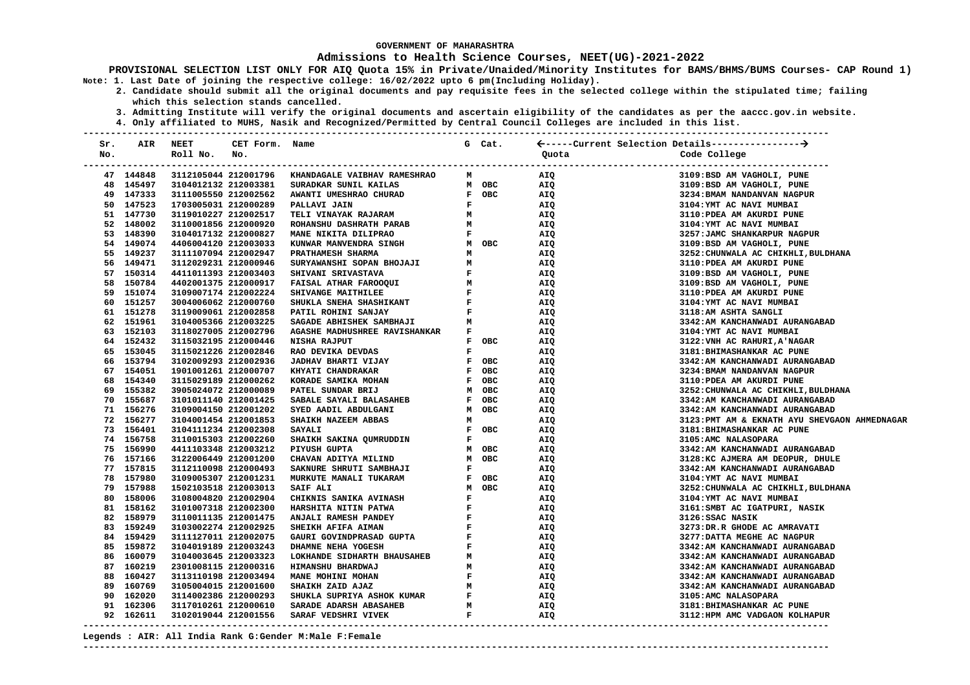### **Admissions to Health Science Courses, NEET(UG)-2021-2022**

**PROVISIONAL SELECTION LIST ONLY FOR AIQ Quota 15% in Private/Unaided/Minority Institutes for BAMS/BHMS/BUMS Courses- CAP Round 1) Note: 1. Last Date of joining the respective college: 16/02/2022 upto 6 pm(Including Holiday).**

 **2. Candidate should submit all the original documents and pay requisite fees in the selected college within the stipulated time; failing which this selection stands cancelled.**

 **3. Admitting Institute will verify the original documents and ascertain eligibility of the candidates as per the aaccc.gov.in website.**

 **4. Only affiliated to MUHS, Nasik and Recognized/Permitted by Central Council Colleges are included in this list.**

| Sr. |                        | <b>AIR NEET</b>                              | CET Form. Name       |                                                        |                               |                               |       |                                               |
|-----|------------------------|----------------------------------------------|----------------------|--------------------------------------------------------|-------------------------------|-------------------------------|-------|-----------------------------------------------|
| No. |                        | Roll No. No.                                 |                      |                                                        |                               |                               | Quota | Code College                                  |
|     | 47 144848              |                                              |                      | 3112105044 212001796 KHANDAGALE VAIBHAV RAMESHRAO      |                               | $M$ and $M$                   | AIQ   | 3109:BSD AM VAGHOLI, PUNE                     |
|     | 48 145497              | 3104012132 212003381                         |                      | SURADKAR SUNIL KAILAS                                  |                               | M OBC                         | AIQ   | 3109:BSD AM VAGHOLI, PUNE                     |
|     | 49 147333              | 3111005550 212002562                         |                      | AWANTI UMESHRAO CHURAD                                 |                               | F OBC                         | AIQ   | 3234: BMAM NANDANVAN NAGPUR                   |
|     | 50 147523              | 1703005031 212000289                         |                      | PALLAVI JAIN                                           | F                             |                               | AIQ   | 3104: YMT AC NAVI MUMBAI                      |
|     | 51 147730              | 3119010227 212002517                         |                      | TELI VINAYAK RAJARAM                                   | M                             |                               | AIQ   | 3110: PDEA AM AKURDI PUNE                     |
|     | 52 148002              | 3110001856 212000920                         |                      | <b>ROHANSHU DASHRATH PARAB</b>                         | м                             |                               | AIQ   | 3104: YMT AC NAVI MUMBAI                      |
|     | 53 148390              | 3104017132 212000827                         |                      | MANE NIKITA DILIPRAO                                   | $\mathbf{F}$                  |                               | AIQ   | 3257: JAMC SHANKARPUR NAGPUR                  |
|     | 54 149074              | 4406004120 212003033                         |                      | KUNWAR MANVENDRA SINGH                                 |                               | M OBC                         | AIQ   | 3109:BSD AM VAGHOLI, PUNE                     |
|     | 55 149237              | 3111107094 212002947                         |                      | PRATHAMESH SHARMA                                      | M                             |                               | AIQ   | 3252: CHUNWALA AC CHIKHLI, BULDHANA           |
|     | 56 149471              | 3112029231 212000946                         |                      | SURYAWANSHI SOPAN BHOJAJI                              | M                             |                               | AIQ   | 3110: PDEA AM AKURDI PUNE                     |
|     | 57 150314              | 4411011393 212003403                         |                      | SHIVANI SRIVASTAVA                                     | $\mathbf{F}$                  |                               | AIQ   | 3109:BSD AM VAGHOLI, PUNE                     |
|     | 58 150784              | 4402001375 212000917                         |                      |                                                        |                               |                               | AIQ   | 3109:BSD AM VAGHOLI, PUNE                     |
|     | 59 151074              | 3109007174 212002224                         |                      |                                                        |                               |                               | AIQ   | 3110: PDEA AM AKURDI PUNE                     |
|     | 60 151257              | 3004006062 212000760                         |                      | SHUKLA SNEHA SHASHIKANT                                | $\mathbf{F}$                  |                               | AIQ   | 3104: YMT AC NAVI MUMBAI                      |
|     | 61 151278              | 3119009061 212002858                         |                      | PATIL ROHINI SANJAY                                    | $\mathbf{F}$                  |                               | AIQ   | 3118:AM ASHTA SANGLI                          |
|     | 62 151961              | 3104005366 212003225                         |                      | SAGADE ABHISHEK SAMBHAJI                               | $\mathbf{M}$                  |                               | AIQ   | 3342:AM KANCHANWADI AURANGABAD                |
|     | 63 152103              | 3118027005 212002796                         |                      |                                                        |                               |                               | AIQ   | 3104: YMT AC NAVI MUMBAI                      |
|     | 64 152432              |                                              |                      | AGASHE MADHUSHREE RAVISHANKAR F<br><b>EXECUTE: OBC</b> |                               |                               |       |                                               |
|     |                        | 3115032195 212000446                         |                      | NISHA RAJPUT                                           |                               |                               | AIQ   | 3122: VNH AC RAHURI, A' NAGAR                 |
|     | 65 153045<br>66 153794 | 3115021226 212002846<br>3102009293 212002936 |                      | RAO DEVIKA DEVDAS                                      | $\mathbf{F}$                  | F OBC                         | AIQ   | 3181: BHIMASHANKAR AC PUNE                    |
|     |                        |                                              |                      | <b>JADHAV BHARTI VIJAY</b>                             |                               |                               | AIQ   | 3342:AM KANCHANWADI AURANGABAD                |
|     | 67 154051              | 1901001261 212000707                         |                      | KHYATI CHANDRAKAR                                      |                               | F OBC                         | AIQ   | 3234: BMAM NANDANVAN NAGPUR                   |
|     | 68 154340              | 3115029189 212000262                         |                      | KORADE SAMIKA MOHAN                                    |                               | F OBC                         | AIQ   | 3110: PDEA AM AKURDI PUNE                     |
|     | 69 155382              | 3905024072 212000089                         |                      | PATEL SUNDAR BRIJ                                      |                               | M OBC                         | AIQ   | 3252: CHUNWALA AC CHIKHLI, BULDHANA           |
|     | 70 155687              | 3101011140 212001425                         |                      | SABALE SAYALI BALASAHEB                                |                               | F OBC                         | AIQ   | 3342:AM KANCHANWADI AURANGABAD                |
|     | 71 156276              | 3109004150 212001202                         |                      | SYED AADIL ABDULGANI                                   | M OBC                         |                               | AIQ   | 3342:AM KANCHANWADI AURANGABAD                |
|     | 72 156277              | 3104001454 212001853                         |                      | SHAIKH NAZEEM ABBAS                                    | M                             |                               | AIQ   | 3123: PMT AM & EKNATH AYU SHEVGAON AHMEDNAGAR |
|     | 73 156401              | 3104111234 212002308                         |                      | <b>SAYALI</b>                                          |                               | F OBC                         | AIQ   | 3181: BHIMASHANKAR AC PUNE                    |
|     | 74 156758              | 3110015303 212002260                         |                      | SHAIKH SAKINA QUMRUDDIN                                |                               | $\mathbf{F}$ and $\mathbf{F}$ | AIQ   | 3105:AMC NALASOPARA                           |
|     | 75 156990              | 4411103348 212003212                         |                      | PIYUSH GUPTA                                           |                               | M OBC                         | AIQ   | 3342:AM KANCHANWADI AURANGABAD                |
|     | 76 157166              | 3122006449 212001200                         |                      | CHAVAN ADITYA MILIND                                   |                               | M OBC                         | AIQ   | 3128:KC AJMERA AM DEOPUR, DHULE               |
|     | 77 157815              | 3112110098 212000493                         |                      | SAKNURE SHRUTI SAMBHAJI                                | $\mathbf{F}$                  |                               | AIQ   | 3342:AM KANCHANWADI AURANGABAD                |
|     | 78 157980              | 3109005307 212001231                         |                      | MURKUTE MANALI TUKARAM                                 | <b>F</b> OBC                  |                               | AIQ   | 3104: YMT AC NAVI MUMBAI                      |
|     | 79 157988              | 1502103518 212003013                         |                      | SAIF ALI                                               |                               | M OBC                         | AIQ   | 3252: CHUNWALA AC CHIKHLI, BULDHANA           |
|     | 80 158006              | 3108004820 212002904                         |                      | CHIKNIS SANIKA AVINASH                                 | $\mathbf{F}$                  |                               | AIQ   | 3104: YMT AC NAVI MUMBAI                      |
|     | 81 158162              | 3101007318 212002300                         |                      | <b>HARSHITA NITIN PATWA</b>                            | $\mathbf{F}$ and $\mathbf{F}$ |                               | AIQ   | 3161:SMBT AC IGATPURI, NASIK                  |
|     | 82 158979              | 3110011135 212001475                         |                      | ANJALI RAMESH PANDEY                                   |                               | $\mathbf{F}$ and $\mathbf{F}$ | AIQ   | 3126:SSAC NASIK                               |
|     | 83 159249              | 3103002274 212002925                         |                      | SHEIKH AFIFA AIMAN                                     | $\mathbf{F}$                  |                               | AIQ   | 3273:DR.R GHODE AC AMRAVATI                   |
|     | 84 159429              | 3111127011 212002075                         |                      | GAURI GOVINDPRASAD GUPTA<br>DHAMNE NEHA YOGESH         | $\mathbf{F}$                  |                               | AIQ   | 3277: DATTA MEGHE AC NAGPUR                   |
|     | 85 159872              | 3104019189 212003243                         |                      |                                                        | $\mathbf{F}$                  |                               | AIQ   | 3342:AM KANCHANWADI AURANGABAD                |
|     | 86 160079              | 3104003645 212003323                         |                      | LOKHANDE SIDHARTH BHAUSAHEB                            | M                             |                               | AIQ   | 3342:AM KANCHANWADI AURANGABAD                |
|     | 87 160219              | 2301008115 212000316                         |                      | HIMANSHU BHARDWAJ                                      | M                             |                               | AIQ   | 3342:AM KANCHANWADI AURANGABAD                |
|     | 88 160427              | 3113110198 212003494                         |                      | MANE MOHINI MOHAN                                      | $\mathbf{F}$                  |                               | AIQ   | 3342:AM KANCHANWADI AURANGABAD                |
|     | 89 160769              | 3105004015 212001600                         |                      | SHAIKH ZAID AJAZ                                       | M                             |                               | AIQ   | 3342:AM KANCHANWADI AURANGABAD                |
|     | 90 162020              | 3114002386 212000293                         |                      | SHUKLA SUPRIYA ASHOK KUMAR                             | $\mathbf{F}$                  |                               | AIQ   | 3105:AMC NALASOPARA                           |
|     | 91 162306              | 3117010261 212000610                         |                      | $M$ $M$<br>SARADE ADARSH ABASAHEB                      |                               |                               | AIQ   | 3181: BHIMASHANKAR AC PUNE                    |
|     | 92 162611              |                                              | 3102019044 212001556 | SARAF VEDSHRI VIVEK                                    |                               |                               | AIQ   | 3112: HPM AMC VADGAON KOLHAPUR                |

#### **Legends : AIR: All India Rank G:Gender M:Male F:Female**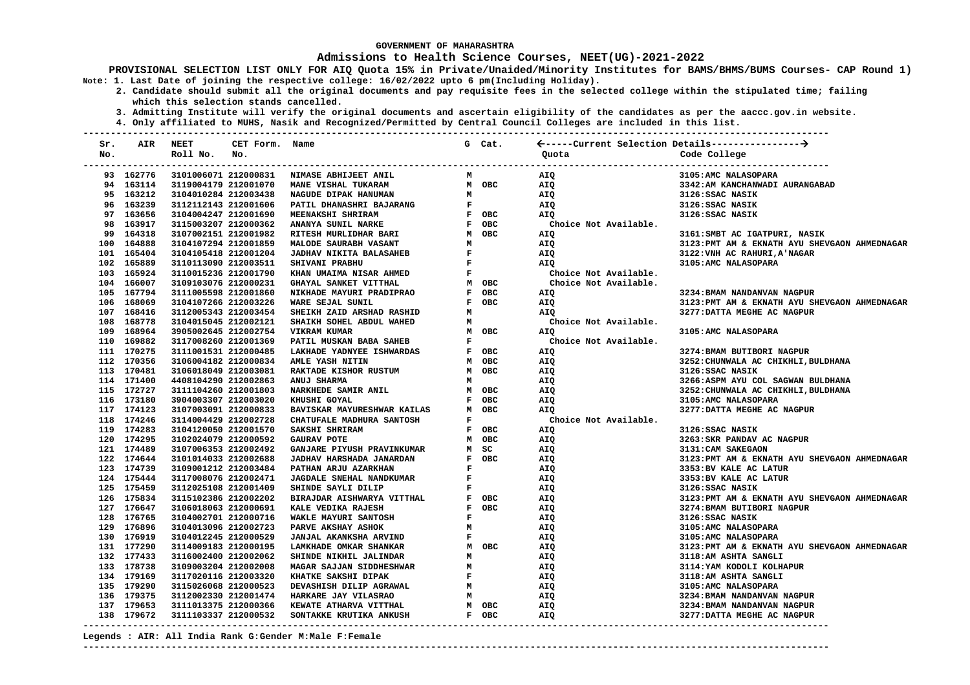### **Admissions to Health Science Courses, NEET(UG)-2021-2022**

**PROVISIONAL SELECTION LIST ONLY FOR AIQ Quota 15% in Private/Unaided/Minority Institutes for BAMS/BHMS/BUMS Courses- CAP Round 1) Note: 1. Last Date of joining the respective college: 16/02/2022 upto 6 pm(Including Holiday).**

 **2. Candidate should submit all the original documents and pay requisite fees in the selected college within the stipulated time; failing which this selection stands cancelled.**

 **3. Admitting Institute will verify the original documents and ascertain eligibility of the candidates as per the aaccc.gov.in website.**

 **4. Only affiliated to MUHS, Nasik and Recognized/Permitted by Central Council Colleges are included in this list.**

| Sr. |            | <b>AIR NEET</b>      | CET Form. Name       |                                 |                                                | G Cat. |                       |                                               |
|-----|------------|----------------------|----------------------|---------------------------------|------------------------------------------------|--------|-----------------------|-----------------------------------------------|
| No. |            | Roll No. No.         |                      |                                 |                                                |        | Quota                 | Code College                                  |
|     | 93 162776  |                      | 3101006071 212000831 | NIMASE ABHIJEET ANIL            | M                                              |        | AIQ                   | 3105:AMC NALASOPARA                           |
|     | 94 163114  | 3119004179 212001070 |                      | <b>MANE VISHAL TUKARAM</b>      |                                                | M OBC  | AIQ                   | 3342:AM KANCHANWADI AURANGABAD                |
|     | 95 163212  | 3104010284 212003438 |                      | NAGUDE DIPAK HANUMAN            | M                                              |        | AIQ                   | 3126:SSAC NASIK                               |
|     | 96 163239  | 3112112143 212001606 |                      | PATIL DHANASHRI BAJARANG        | $\mathbf{F}$ and $\mathbf{F}$                  |        | AIQ                   | 3126:SSAC NASIK                               |
|     | 97 163656  | 3104004247 212001690 |                      | MEENAKSHI SHRIRAM               | F OBC                                          |        | <b>AIQ</b>            | 3126:SSAC NASIK                               |
|     | 98 163917  | 3115003207 212000362 |                      | ANANYA SUNIL NARKE              |                                                | F OBC  | Choice Not Available. |                                               |
|     | 99 164318  | 3107002151 212001982 |                      | RITESH MURLIDHAR BARI           |                                                | M OBC  | AIQ                   | 3161: SMBT AC IGATPURI, NASIK                 |
|     | 100 164888 | 3104107294 212001859 |                      | MALODE SAURABH VASANT           | M                                              |        | AIQ                   | 3123: PMT AM & EKNATH AYU SHEVGAON AHMEDNAGAR |
|     | 101 165404 | 3104105418 212001204 |                      | <b>JADHAV NIKITA BALASAHEB</b>  | $\mathbf{F}$                                   |        | AIQ                   | 3122: VNH AC RAHURI, A' NAGAR                 |
|     | 102 165889 | 3110113090 212003511 |                      | SHIVANI PRABHU                  | $\mathbf{F}$ and $\mathbf{F}$                  |        | <b>AIO</b>            | 3105:AMC NALASOPARA                           |
|     | 103 165924 | 3110015236 212001790 |                      | KHAN UMAIMA NISAR AHMED         | $\mathbf{F}$ and $\mathbf{F}$ and $\mathbf{F}$ |        | Choice Not Available. |                                               |
|     | 104 166007 | 3109103076 212000231 |                      | GHAYAL SANKET VITTHAL           | M OBC                                          |        | Choice Not Available. |                                               |
|     | 105 167794 | 3111005598 212001860 |                      | NIKHADE MAYURI PRADIPRAO        |                                                | F OBC  | AIQ                   | 3234: BMAM NANDANVAN NAGPUR                   |
|     | 106 168069 | 3104107266 212003226 |                      | WARE SEJAL SUNIL                |                                                | F OBC  | AIQ                   | 3123: PMT AM & EKNATH AYU SHEVGAON AHMEDNAGAR |
|     | 107 168416 | 3112005343 212003454 |                      | SHEIKH ZAID ARSHAD RASHID       | M                                              |        | AIQ                   | 3277: DATTA MEGHE AC NAGPUR                   |
|     | 108 168778 | 3104015045 212002121 |                      | SHAIKH SOHEL ABDUL WAHED        | M                                              |        | Choice Not Available. |                                               |
|     | 109 168964 | 3905002645 212002754 |                      | <b>VIKRAM KUMAR</b>             |                                                | м овс  | AIQ                   | 3105: AMC NALASOPARA                          |
|     | 110 169882 | 3117008260 212001369 |                      | PATIL MUSKAN BABA SAHEB         | $\mathbf{F}$                                   |        | Choice Not Available. |                                               |
|     | 111 170275 | 3111001531 212000485 |                      | LAKHADE YADNYEE ISHWARDAS       | F OBC                                          |        | AIQ                   | 3274: BMAM BUTIBORI NAGPUR                    |
|     | 112 170356 | 3106004182 212000834 |                      | AMLE YASH NITIN                 |                                                | м овс  | AIQ                   | 3252: CHUNWALA AC CHIKHLI, BULDHANA           |
|     | 113 170481 | 3106018049 212003081 |                      | RAKTADE KISHOR RUSTUM           |                                                | M OBC  | AIQ                   | 3126:SSAC NASIK                               |
|     | 114 171400 | 4408104290 212002863 |                      | ANUJ SHARMA                     | M                                              |        | AIQ                   | 3266:ASPM AYU COL SAGWAN BULDHANA             |
|     | 115 172727 | 3111104260 212001803 |                      | NARKHEDE SAMIR ANIL             |                                                | M OBC  | AIQ                   | 3252: CHUNWALA AC CHIKHLI, BULDHANA           |
|     | 116 173180 | 3904003307 212003020 |                      | KHUSHI GOYAL                    |                                                | F OBC  | <b>AIQ</b>            | 3105:AMC NALASOPARA                           |
|     | 117 174123 | 3107003091 212000833 |                      | BAVISKAR MAYURESHWAR KAILAS     |                                                | м овс  | AIQ                   | 3277: DATTA MEGHE AC NAGPUR                   |
|     | 118 174246 | 3114004429 212002728 |                      | CHATUFALE MADHURA SANTOSH       | $\mathbf{F}$                                   |        | Choice Not Available. |                                               |
|     | 119 174283 | 3104120050 212001570 |                      | SAKSHI SHRIRAM                  |                                                | F OBC  | AIQ                   | 3126:SSAC NASIK                               |
|     | 120 174295 | 3102024079 212000592 |                      | <b>GAURAV POTE</b>              |                                                | M OBC  | AIQ                   | 3263: SKR PANDAV AC NAGPUR                    |
|     | 121 174489 | 3107006353 212002492 |                      | GANJARE PIYUSH PRAVINKUMAR      |                                                | M SC   | AIQ                   | 3131: CAM SAKEGAON                            |
|     | 122 174644 | 3101014033 212002688 |                      | <b>JADHAV HARSHADA JANARDAN</b> |                                                | F OBC  | AIQ                   | 3123: PMT AM & EKNATH AYU SHEVGAON AHMEDNAGAR |
|     | 123 174739 | 3109001212 212003484 |                      | PATHAN ARJU AZARKHAN            | F                                              |        | AIQ                   | 3353: BV KALE AC LATUR                        |
|     | 124 175444 | 3117008076 212002471 |                      | <b>JAGDALE SNEHAL NANDKUMAR</b> | $\mathbf{F}$ . The $\mathbf{F}$                |        | AIQ                   | 3353: BV KALE AC LATUR                        |
|     | 125 175459 | 3112025108 212001409 |                      | SHINDE SAYLI DILIP              | $\mathbf{F}$                                   |        | AIQ                   | 3126:SSAC NASIK                               |
|     | 126 175834 | 3115102386 212002202 |                      |                                 |                                                |        | <b>AIQ</b>            | 3123: PMT AM & EKNATH AYU SHEVGAON AHMEDNAGAR |
|     | 127 176647 | 3106018063 212000691 |                      |                                 |                                                |        | <b>AIQ</b>            | 3274: BMAM BUTIBORI NAGPUR                    |
|     | 128 176765 | 3104002701 212000716 |                      | WAKLE MAYURI SANTOSH            | $\mathbf{F}$                                   |        | AIQ                   | 3126:SSAC NASIK                               |
|     | 129 176896 | 3104013096 212002723 |                      | PARVE AKSHAY ASHOK              | M                                              |        | AIQ                   | 3105:AMC NALASOPARA                           |
|     | 130 176919 | 3104012245 212000529 |                      | <b>JANJAL AKANKSHA ARVIND</b>   | $\mathbf{F}$                                   |        | AIQ                   | 3105:AMC NALASOPARA                           |
|     | 131 177290 | 3114009183 212000195 |                      | LAMKHADE OMKAR SHANKAR          |                                                | M OBC  | <b>AIQ</b>            | 3123: PMT AM & EKNATH AYU SHEVGAON AHMEDNAGAR |
|     | 132 177433 | 3116002400 212002062 |                      | SHINDE NIKHIL JALINDAR          | M                                              |        | AIQ                   | 3118:AM ASHTA SANGLI                          |
|     | 133 178738 | 3109003204 212002008 |                      | <b>MAGAR SAJJAN SIDDHESHWAR</b> | M                                              |        | <b>AIQ</b>            | 3114: YAM KODOLI KOLHAPUR                     |
|     | 134 179169 | 3117020116 212003320 |                      | KHATKE SAKSHI DIPAK             | $\mathbf{F}$                                   |        | AIQ                   | 3118:AM ASHTA SANGLI                          |
|     | 135 179290 | 3115026068 212000523 |                      | DEVASHISH DILIP AGRAWAL         | M                                              |        | AIQ                   | 3105:AMC NALASOPARA                           |
|     | 136 179375 | 3112002330 212001474 |                      | <b>HARKARE JAY VILASRAO</b>     | $\mathbf{M}$                                   |        | AIQ                   | 3234: BMAM NANDANVAN NAGPUR                   |
|     | 137 179653 | 3111013375 212000366 |                      | KEWATE ATHARVA VITTHAL          |                                                | M OBC  | AIQ                   | 3234: BMAM NANDANVAN NAGPUR                   |
|     | 138 179672 | 3111103337 212000532 |                      | SONTAKKE KRUTIKA ANKUSH         |                                                | F OBC  | AIQ                   | 3277: DATTA MEGHE AC NAGPUR                   |
|     |            |                      |                      |                                 |                                                |        |                       |                                               |

#### **Legends : AIR: All India Rank G:Gender M:Male F:Female**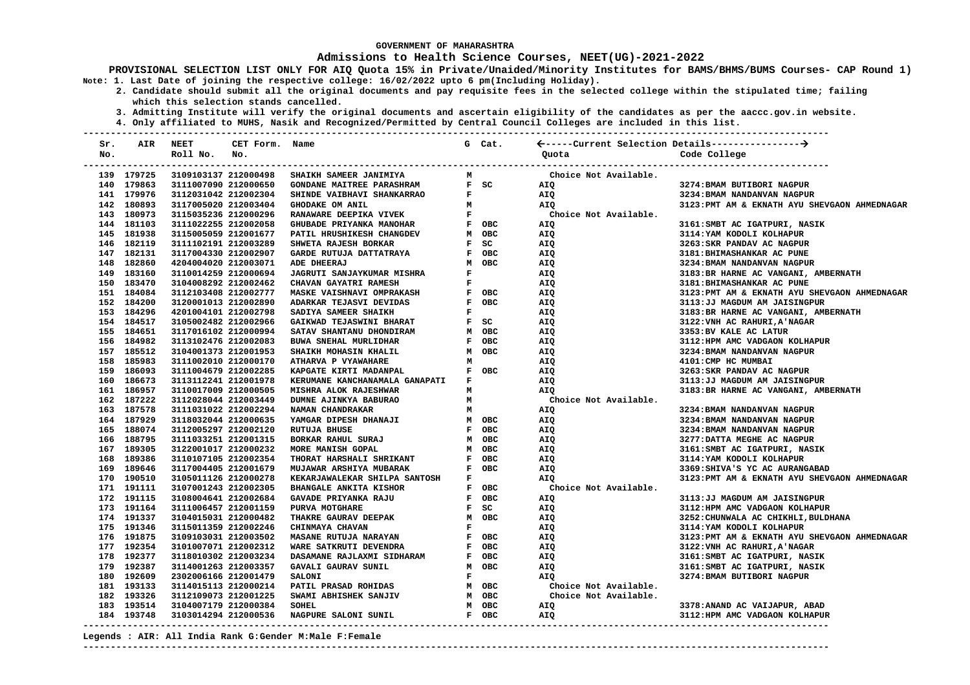### **Admissions to Health Science Courses, NEET(UG)-2021-2022**

**PROVISIONAL SELECTION LIST ONLY FOR AIQ Quota 15% in Private/Unaided/Minority Institutes for BAMS/BHMS/BUMS Courses- CAP Round 1) Note: 1. Last Date of joining the respective college: 16/02/2022 upto 6 pm(Including Holiday).**

 **2. Candidate should submit all the original documents and pay requisite fees in the selected college within the stipulated time; failing which this selection stands cancelled.**

 **3. Admitting Institute will verify the original documents and ascertain eligibility of the candidates as per the aaccc.gov.in website.**

 **4. Only affiliated to MUHS, Nasik and Recognized/Permitted by Central Council Colleges are included in this list.**

| Sr. |            | AIR NEET             | CET Form. Name |                                            |              |        |                       |                                               |
|-----|------------|----------------------|----------------|--------------------------------------------|--------------|--------|-----------------------|-----------------------------------------------|
| No. |            | Roll No. No.         |                |                                            |              |        | Quota                 | Code College                                  |
|     | 139 179725 | 3109103137 212000498 |                | SHAIKH SAMEER JANIMIYA                     | м            |        | Choice Not Available. |                                               |
|     | 140 179863 | 3111007090 212000650 |                | GONDANE MAITREE PARASHRAM                  |              | $F$ SC | AIQ                   | 3274: BMAM BUTIBORI NAGPUR                    |
|     | 141 179976 | 3112031042 212002304 |                | SHINDE VAIBHAVI SHANKARRAO                 | F            |        | AIQ                   | 3234: BMAM NANDANVAN NAGPUR                   |
|     | 142 180893 | 3117005020 212003404 |                | GHODAKE OM ANIL                            | M            |        | <b>AIO</b>            | 3123: PMT AM & EKNATH AYU SHEVGAON AHMEDNAGAR |
|     | 143 180973 | 3115035236 212000296 |                | RANAWARE DEEPIKA VIVEK                     | $\mathbf{F}$ |        | Choice Not Available. |                                               |
|     | 144 181103 | 3111022255 212002058 |                | GHUBADE PRIYANKA MANOHAR                   |              | F OBC  | AIQ                   | 3161: SMBT AC IGATPURI, NASIK                 |
|     | 145 181938 | 3115005059 212001677 |                | PATIL HRUSHIKESH CHANGDEV                  |              | M OBC  | AIQ                   | 3114: YAM KODOLI KOLHAPUR                     |
|     | 146 182119 | 3111102191 212003289 |                | SHWETA RAJESH BORKAR                       |              | $F$ SC | AIQ                   | 3263: SKR PANDAV AC NAGPUR                    |
|     | 147 182131 | 3117004330 212002907 |                | GARDE RUTUJA DATTATRAYA                    |              | F OBC  | <b>AIQ</b>            | 3181: BHIMASHANKAR AC PUNE                    |
|     | 148 182860 | 4204004020 212003071 |                | ADE DHEERAJ                                |              | M OBC  | AIQ                   | 3234: BMAM NANDANVAN NAGPUR                   |
|     | 149 183160 | 3110014259 212000694 |                | <b>JAGRUTI SANJAYKUMAR MISHRA</b>          | F            |        | AIQ                   | 3183: BR HARNE AC VANGANI, AMBERNATH          |
|     | 150 183470 | 3104008292 212002462 |                | CHAVAN GAYATRI RAMESH                      | F            |        | AIQ                   | 3181: BHIMASHANKAR AC PUNE                    |
|     | 151 184084 | 3112103408 212002777 |                | <b>MASKE VAISHNAVI OMPRAKASH</b>           |              | F OBC  | AIQ                   | 3123: PMT AM & EKNATH AYU SHEVGAON AHMEDNAGAR |
|     | 152 184200 | 3120001013 212002890 |                | ADARKAR TEJASVI DEVIDAS                    |              | F OBC  | AIQ                   | 3113:JJ MAGDUM AM JAISINGPUR                  |
|     | 153 184296 | 4201004101 212002798 |                | SADIYA SAMEER SHAIKH                       | F            |        | AIQ                   | 3183: BR HARNE AC VANGANI, AMBERNATH          |
|     | 154 184517 | 3105002482 212002966 |                | GAIKWAD TEJASWINI BHARAT                   |              | F SC   | AIQ                   | 3122: VNH AC RAHURI, A' NAGAR                 |
|     | 155 184651 | 3117016102 212000994 |                | SATAV SHANTANU DHONDIRAM                   |              | M OBC  | AIQ                   | 3353: BV KALE AC LATUR                        |
|     | 156 184982 | 3113102476 212002083 |                | BUWA SNEHAL MURLIDHAR                      |              | F OBC  | AIQ                   | 3112: HPM AMC VADGAON KOLHAPUR                |
|     | 157 185512 | 3104001373 212001953 |                | SHAIKH MOHASIN KHALIL                      |              | M OBC  | AIQ                   | 3234: BMAM NANDANVAN NAGPUR                   |
|     | 158 185983 | 3111002010 212000170 |                | ATHARVA P VYAWAHARE                        | M            |        | AIQ                   | 4101: CMP HC MUMBAI                           |
|     | 159 186093 | 3111004679 212002285 |                | KAPGATE KIRTI MADANPAL                     |              | F OBC  | AIQ                   | 3263: SKR PANDAV AC NAGPUR                    |
|     | 160 186673 | 3113112241 212001978 |                | KERUMANE KANCHANAMALA GANAPATI             | $\mathbf{F}$ |        | AIQ                   | 3113:JJ MAGDUM AM JAISINGPUR                  |
|     | 161 186957 | 3110017009 212000505 |                | MISHRA ALOK RAJESHWAR                      | M            |        | AIQ                   | 3183: BR HARNE AC VANGANI, AMBERNATH          |
|     | 162 187222 | 3112028044 212003449 |                | DUMNE AJINKYA BABURAO                      | M            |        | Choice Not Available. |                                               |
|     | 163 187578 | 3111031022 212002294 |                | NAMAN CHANDRAKAR                           | M            |        | AIQ                   | 3234: BMAM NANDANVAN NAGPUR                   |
|     | 164 187929 | 3118032044 212000635 |                | YAMGAR DIPESH DHANAJI                      |              | M OBC  | AIQ                   | 3234: BMAM NANDANVAN NAGPUR                   |
|     | 165 188074 | 3112005297 212002120 |                | <b>RUTUJA BHUSE</b>                        |              | F OBC  | AIQ                   | 3234: BMAM NANDANVAN NAGPUR                   |
|     | 166 188795 | 3111033251 212001315 |                | BORKAR RAHUL SURAJ                         |              | M OBC  | AIQ                   | 3277: DATTA MEGHE AC NAGPUR                   |
|     | 167 189305 | 3122001017 212000232 |                | MORE MANISH GOPAL                          |              | M OBC  | AIQ                   | 3161: SMBT AC IGATPURI, NASIK                 |
|     | 168 189386 | 3110107105 212002354 |                | THORAT HARSHALI SHRIKANT                   |              | F OBC  | AIQ                   | 3114: YAM KODOLI KOLHAPUR                     |
|     | 169 189646 | 3117004405 212001679 |                | MUJAWAR ARSHIYA MUBARAK                    |              | F OBC  | AIQ                   | 3369: SHIVA'S YC AC AURANGABAD                |
|     | 170 190510 | 3105011126 212000278 |                | KEKARJAWALEKAR SHILPA SANTOSH              | F            |        | AIQ                   | 3123: PMT AM & EKNATH AYU SHEVGAON AHMEDNAGAR |
|     | 171 191111 | 3107001243 212002305 |                | <b>BHANGALE ANKITA KISHOR</b>              |              | F OBC  | Choice Not Available. |                                               |
|     | 172 191115 | 3108004641 212002684 |                | GAVADE PRIYANKA RAJU                       |              | F OBC  | AIQ                   | 3113:JJ MAGDUM AM JAISINGPUR                  |
|     | 173 191164 | 3111006457 212001159 |                | PURVA MOTGHARE                             |              | $F$ SC | AIQ                   | 3112: HPM AMC VADGAON KOLHAPUR                |
|     | 174 191337 | 3104015031 212000482 |                | THAKRE GAURAV DEEPAK                       |              | M OBC  | AIQ                   | 3252: CHUNWALA AC CHIKHLI, BULDHANA           |
|     | 175 191346 | 3115011359 212002246 |                | CHINMAYA CHAVAN                            | $\mathbf{F}$ |        | AIO                   | 3114: YAM KODOLI KOLHAPUR                     |
|     | 176 191875 | 3109103031 212003502 |                | <b>MASANE RUTUJA NARAYAN</b>               |              | F OBC  | AIQ                   | 3123: PMT AM & EKNATH AYU SHEVGAON AHMEDNAGAR |
|     | 177 192354 | 3101007071 212002312 |                | WARE SATKRUTI DEVENDRA                     |              | F OBC  | AIQ                   | 3122: VNH AC RAHURI, A' NAGAR                 |
|     | 178 192377 | 3118010302 212003234 |                | DASAMANE RAJLAXMI SIDHARAM                 |              | F OBC  | AIQ                   | 3161:SMBT AC IGATPURI, NASIK                  |
|     | 179 192387 | 3114001263 212003357 |                | GAVALI GAURAV SUNIL                        |              | M OBC  | AIQ                   | 3161: SMBT AC IGATPURI, NASIK                 |
|     | 180 192609 | 2302006166 212001479 |                | <b>SALONI</b>                              | $\mathbf{F}$ |        | <b>AIO</b>            | 3274: BMAM BUTIBORI NAGPUR                    |
|     | 181 193133 | 3114015113 212000214 |                | PATIL PRASAD ROHIDAS                       |              | M OBC  | Choice Not Available. |                                               |
|     | 182 193326 | 3112109073 212001225 |                | SWAMI ABHISHEK SANJIV                      |              | M OBC  | Choice Not Available. |                                               |
|     | 183 193514 | 3104007179 212000384 |                | SOHEL                                      |              | M OBC  | AIQ                   | 3378: ANAND AC VAIJAPUR, ABAD                 |
|     | 184 193748 |                      |                | 3103014294 212000536  NAGPURE SALONI SUNIL |              | F OBC  | AIQ                   | 3112: HPM AMC VADGAON KOLHAPUR                |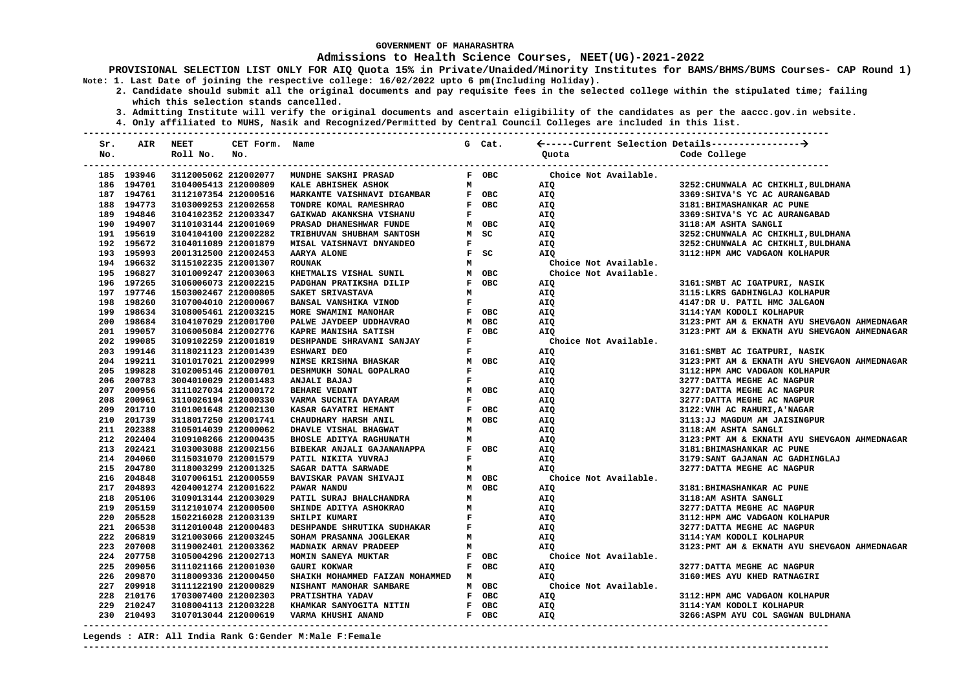#### **Admissions to Health Science Courses, NEET(UG)-2021-2022**

**PROVISIONAL SELECTION LIST ONLY FOR AIQ Quota 15% in Private/Unaided/Minority Institutes for BAMS/BHMS/BUMS Courses- CAP Round 1) Note: 1. Last Date of joining the respective college: 16/02/2022 upto 6 pm(Including Holiday).**

 **2. Candidate should submit all the original documents and pay requisite fees in the selected college within the stipulated time; failing which this selection stands cancelled.**

 **3. Admitting Institute will verify the original documents and ascertain eligibility of the candidates as per the aaccc.gov.in website.**

 **4. Only affiliated to MUHS, Nasik and Recognized/Permitted by Central Council Colleges are included in this list.**

**--------------------------------------------------------------------------------------------------------------------------------------- Sr. AIR NEET CET Form. Name G Cat. -----Current Selection Details---------------- No. Roll No. No. Quota Code College --------------------------------------------------------------------------------------------------------------------------------------- --------------------------------------------------------------------------------------------------------------------------------------- 185 193946 3112005062 212002077 MUNDHE SAKSHI PRASAD F OBC Choice Not Available. 186 194701 3104005413 212000809 KALE ABHISHEK ASHOK M AIQ 3252:CHUNWALA AC CHIKHLI,BULDHANA 187 194761 3112107354 212000516 MARKANTE VAISHNAVI DIGAMBAR F OBC AIQ 3369:SHIVA'S YC AC AURANGABAD 188 194773 3103009253 212002658 TONDRE KOMAL RAMESHRAO F OBC AIQ 3181:BHIMASHANKAR AC PUNE 189 194846 3104102352 212003347 GAIKWAD AKANKSHA VISHANU F AIQ 3369:SHIVA'S YC AC AURANGABAD 190 194907 3110103144 212001069 PRASAD DHANESHWAR FUNDE M OBC AIO 191 195619 3104104100 212002282 TRIBHUVAN SHUBHAM SANTOSH M SC AIQ 3252:CHUNWALA AC CHIKHLI,BULDHANA 192 195672 3104011089 212001879 MISAL VAISHNAVI DNYANDEO F AIQ 3252:CHUNWALA AC CHIKHLI,BULDHANA**  193 195993 2001312500 212002453 194 196632 3115102235 212001307 ROUNAK **M** M Choice Not Available.<br>195 196827 3101009247 212003063 KHETMALIS VISHAL SUNIL M OBC Choice Not Available. 195 196827 3101009247 212003063 KHETMALIS VISHAL SUNIL M OBC Choice Not Available.<br>196 197265 3106006073 212002215 PADGHAN PRATIKSHA DILIP F OBC AIO  **196 197265 3106006073 212002215 PADGHAN PRATIKSHA DILIP F OBC AIQ 3161:SMBT AC IGATPURI, NASIK 197 197746 1503002467 212000805 SAKET SRIVASTAVA 197 197746 1503002467 212000805 SAKET SRIVASTAVA 198 198260 3107004010 212000067 BANSAL VANSHIKA VINOD F AIQ 4147:DR U. PATIL HMC JALGAON**  199 198634 3108005461 212003215  **200 198684 3104107029 212001700 PALWE JAYDEEP UDDHAVRAO M OBC AIQ 3123:PMT AM & EKNATH AYU SHEVGAON AHMEDNAGAR 201 1991 XAPRE MANISHA SATISH SATISH ARE OBC** AIQ 3123:PMT AM & EKNATH AYU SHEVGAON AHMEDNAGAR <br>DESHPANDE SHRAVANI SANJAY F Choice Not Available.  **202 199085 3109102259 212001819 DESHPANDE SHRAVANI SANJAY F Choice Not Available. 203 199146 3118021123 212001439 ESHWARI DEO F AIQ 3161:SMBT AC IGATPURI, NASIK 204 1992 NIMSE KRISHNA BHASKAR M OBC** AIQ COMPOUNT AN SIZOSIPMT AM & EKNATH AYU SHEVGAON AHMEDNAGAR MEDINAGAR MEDINAGAR AN SHEVGAON AHMEDNAGAR AN SHEVGAON SOLHAPUR  **205 199828 3102005146 212000701 DESHMUKH SONAL GOPALRAO B R AIQ 206 200783 3004010029 212001483 ANJALI BAJAJ F AIQ 3277:DATTA MEGHE AC NAGPUR 207 200956 3111027034 212000172 BEHARE VEDANT M OBC AIQ 3277:DATTA MEGHE AC NAGPUR**  208 200961 3110026194 212000330  **209 201710 3101001648 212002130 KASAR GAYATRI HEMANT F OBC AIQ 3122:VNH AC RAHURI,A'NAGAR 210 201739 3118017250 212001741 CHAUDHARY HARSH ANIL M OBC AIQ 3113:JJ MAGDUM AM JAISINGPUR 211 202388 3105014039 212000062 DHAVLE VISHAL BHAGWAT M AIQ 3118:AM ASHTA SANGLI 212 202404 3109108266 212000435 BHOSLE ADITYA RAGHUNATH M AIQ 3123:PMT AM & EKNATH AYU SHEVGAON AHMEDNAGAR 213 202421 3103003088 212002156 BIBEKAR ANJALI GAJANANAPPA F OBC AIQ 3181:BHIMASHANKAR AC PUNE 214 204060 3115031070 212001579 PATIL NIKITA YUVRAJ F AIQ 3179:SANT GAJANAN AC GADHINGLAJ 215 204780 3118003299 212001325 SAGAR DATTA SARWADE M AIQ 3277:DATTA MEGHE AC NAGPUR**  216 204848 3107006151 212000559 BAVISKAR PAVAN SHIVAJI M OBC Choice Not Available.<br>217 204893 4204001274 212001622 PAWAR NANDU M OBC AIO  **217 204893 4204001274 212001622 PAWAR NANDU M OBC AIQ 3181:BHIMASHANKAR AC PUNE 218 205106 3109013144 212003029 PATIL SURAJ BHALCHANDRA M AIQ 3118:AM ASHTA SANGLI**  FRAMBER ADITYA ASHOKRAO M AIQ AIQ 3277:DATTA MEGHE AC NAGPUR AT AIGHER AC NAGPUR AT AIQ AIGHER AC NAGPUR AT AIGHER AC MAGPUR AT AIGHER AC MAGPUR AT AIGHER AC MAGES AT AIGHER AC MAGES AT AIGHER AC MAGES AT AIGHER AC MAGES A  **220 205528 1502216028 212003139 SHILPI KUMARI F AIQ 3112:HPM AMC VADGAON KOLHAPUR 221 206538 3112010048 212000483 DESHPANDE SHRUTIKA SUDHAKAR F AIQ 3277:DATTA MEGHE AC NAGPUR 222 206819 3121003066 212003245 SOHAM PRASANNA JOGLEKAR M AIQ 3114:YAM KODOLI KOLHAPUR 223 207008 3119002401 212003362 MADNAIK ARNAV PRADEEP M 224 207758 3105004296 212002713 MOMIN SANEYA MUKTAR F OBC Choice Not Available. 225 209056 3111021166 212001030 GAURI KOKWAR F OBC AIQ 3277:DATTA MEGHE AC NAGPUR**  SHAIKH MOHAMMED FAIZAN MOHAMMED M  **227 209918 3111122190 212000829 NISHANT MANOHAR SAMBARE M OBC Choice Not Available. 228 210176 1703007400 212002303 PRATISHTHA YADAV F OBC AIQ 3112:HPM AMC VADGAON KOLHAPUR 229 210247 3108004113 212003228 KHAMKAR SANYOGITA NITIN F OBC AIQ 3114:YAM KODOLI KOLHAPUR 230 210493 3107013044 212000619 VARMA KHUSHI ANAND F OBC AIQ 3266:ASPM AYU COL SAGWAN BULDHANA** 

#### **Legends : AIR: All India Rank G:Gender M:Male F:Female**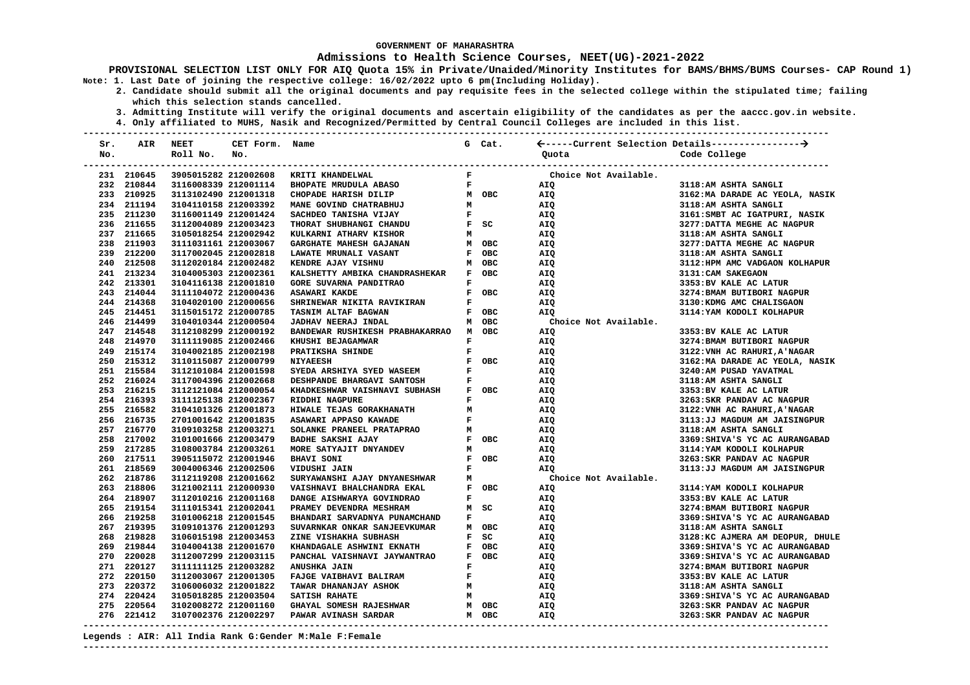### **Admissions to Health Science Courses, NEET(UG)-2021-2022**

**PROVISIONAL SELECTION LIST ONLY FOR AIQ Quota 15% in Private/Unaided/Minority Institutes for BAMS/BHMS/BUMS Courses- CAP Round 1) Note: 1. Last Date of joining the respective college: 16/02/2022 upto 6 pm(Including Holiday).**

 **2. Candidate should submit all the original documents and pay requisite fees in the selected college within the stipulated time; failing which this selection stands cancelled.**

 **3. Admitting Institute will verify the original documents and ascertain eligibility of the candidates as per the aaccc.gov.in website.**

 **4. Only affiliated to MUHS, Nasik and Recognized/Permitted by Central Council Colleges are included in this list.**

| Sr. | AIR        | <b>NEET</b>                                            | CET Form. Name |                                       |              |                |                       |                                 |
|-----|------------|--------------------------------------------------------|----------------|---------------------------------------|--------------|----------------|-----------------------|---------------------------------|
| No. |            | Roll No.                                               | No.            |                                       |              |                | Quota                 | Code College                    |
|     | 231 210645 | ------------------------------<br>3905015282 212002608 |                | KRITI KHANDELWAL                      | $\mathbf{F}$ |                | Choice Not Available. |                                 |
|     | 232 210844 | 3116008339 212001114                                   |                | BHOPATE MRUDULA ABASO                 | F            |                | AIQ                   | 3118:AM ASHTA SANGLI            |
|     | 233 210925 | 3113102490 212001318                                   |                | CHOPADE HARISH DILIP                  |              | M OBC          | AIQ                   | 3162: MA DARADE AC YEOLA, NASIK |
|     | 234 211194 | 3104110158 212003392                                   |                | MANE GOVIND CHATRABHUJ                | M            |                | AIQ                   | 3118:AM ASHTA SANGLI            |
|     | 235 211230 | 3116001149 212001424                                   |                | SACHDEO TANISHA VIJAY                 | $\mathbf{F}$ |                | AIQ                   | 3161: SMBT AC IGATPURI, NASIK   |
|     | 236 211655 | 3112004089 212003423                                   |                | THORAT SHUBHANGI CHANDU               |              | F SC           | AIQ                   | 3277: DATTA MEGHE AC NAGPUR     |
|     | 237 211665 | 3105018254 212002942                                   |                | KULKARNI ATHARV KISHOR                | M            |                | AIQ                   | 3118:AM ASHTA SANGLI            |
|     | 238 211903 | 3111031161 212003067                                   |                | GARGHATE MAHESH GAJANAN               |              | M OBC          | AIQ                   | 3277: DATTA MEGHE AC NAGPUR     |
|     | 239 212200 | 3117002045 212002818                                   |                | LAWATE MRUNALI VASANT                 |              | F OBC          | AIQ                   | 3118:AM ASHTA SANGLI            |
|     | 240 212508 | 3112020184 212002482                                   |                | KENDRE AJAY VISHNU                    |              | M OBC          | AIQ                   | 3112: HPM AMC VADGAON KOLHAPUR  |
|     | 241 213234 | 3104005303 212002361                                   |                | KALSHETTY AMBIKA CHANDRASHEKAR        |              | F OBC          | AIQ                   | 3131: CAM SAKEGAON              |
|     | 242 213301 | 3104116138 212001810                                   |                | GORE SUVARNA PANDITRAO                | $\mathbf{F}$ |                | AIQ                   | 3353: BV KALE AC LATUR          |
|     | 243 214044 | 3111104072 212000436                                   |                | <b>ASAWARI KAKDE</b>                  |              | F OBC          | AIQ                   | 3274: BMAM BUTIBORI NAGPUR      |
|     | 244 214368 | 3104020100 212000656                                   |                | SHRINEWAR NIKITA RAVIKIRAN            | $\mathbf F$  |                | AIQ                   | 3130: KDMG AMC CHALISGAON       |
|     | 245 214451 | 3115015172 212000785                                   |                | TASNIM ALTAF BAGWAN                   |              | F OBC          | <b>AIQ</b>            | 3114: YAM KODOLI KOLHAPUR       |
|     | 246 214499 | 3104010344 212000504                                   |                | JADHAV NEERAJ INDAL                   |              | M OBC          | Choice Not Available. |                                 |
|     | 247 214548 | 3112108299 212000192                                   |                | BANDEWAR RUSHIKESH PRABHAKARRAO M OBC |              |                | AIQ                   | 3353: BV KALE AC LATUR          |
|     | 248 214970 | 3111119085 212002466                                   |                | KHUSHI BEJAGAMWAR                     | $\mathbf F$  |                | AIQ                   | 3274: BMAM BUTIBORI NAGPUR      |
|     | 249 215174 | 3104002185 212002198                                   |                | PRATIKSHA SHINDE                      | $\mathbf{F}$ |                | AIQ                   | 3122: VNH AC RAHURI, A' NAGAR   |
|     | 250 215312 | 3110115087 212000799                                   |                | <b>NIYAEESH</b>                       |              | F OBC          | AIQ                   | 3162: MA DARADE AC YEOLA, NASIK |
|     | 251 215584 | 3112101084 212001598                                   |                | SYEDA ARSHIYA SYED WASEEM             | $\mathbf{F}$ |                | AIQ                   | 3240:AM PUSAD YAVATMAL          |
|     | 252 216024 | 3117004396 212002668                                   |                | DESHPANDE BHARGAVI SANTOSH            | $\mathbf{F}$ |                | <b>AIQ</b>            | 3118:AM ASHTA SANGLI            |
|     | 253 216215 | 3112121084 212000054                                   |                | KHADKESHWAR VAISHNAVI SUBHASH         |              | F OBC          | AIQ                   | 3353:BV KALE AC LATUR           |
|     | 254 216393 | 3111125138 212002367                                   |                | RIDDHI NAGPURE                        | F            |                | AIQ                   | 3263: SKR PANDAV AC NAGPUR      |
|     | 255 216582 | 3104101326 212001873                                   |                | HIWALE TEJAS GORAKHANATH              | М            |                | AIQ                   | 3122: VNH AC RAHURI, A' NAGAR   |
|     | 256 216735 | 2701001642 212001835                                   |                | ASAWARI APPASO KAWADE                 | $\mathbf{F}$ |                | AIQ                   | 3113:JJ MAGDUM AM JAISINGPUR    |
|     | 257 216770 | 3109103258 212003271                                   |                | SOLANKE PRANEEL PRATAPRAO             | м            |                | AIQ                   | 3118:AM ASHTA SANGLI            |
|     | 258 217002 | 3101001666 212003479                                   |                | BADHE SAKSHI AJAY                     |              | F OBC          | AIQ                   | 3369: SHIVA'S YC AC AURANGABAD  |
|     | 259 217285 | 3108003784 212003261                                   |                | MORE SATYAJIT DNYANDEV                | M            |                | AIQ                   | 3114: YAM KODOLI KOLHAPUR       |
|     | 260 217511 | 3905115072 212001946                                   |                | <b>BHAVI SONI</b>                     |              | F OBC          | <b>AIQ</b>            | 3263: SKR PANDAV AC NAGPUR      |
|     | 261 218569 | 3004006346 212002506                                   |                | VIDUSHI JAIN                          | F            |                | <b>AIO</b>            | 3113:JJ MAGDUM AM JAISINGPUR    |
|     | 262 218786 | 3112119208 212001662                                   |                | SURYAWANSHI AJAY DNYANESHWAR          | M            |                | Choice Not Available. |                                 |
|     | 263 218806 | 3121002111 212000930                                   |                | VAISHNAVI BHALCHANDRA EKAL            |              | F OBC          | AIQ                   | 3114: YAM KODOLI KOLHAPUR       |
|     | 264 218907 | 3112010216 212001168                                   |                | DANGE AISHWARYA GOVINDRAO             | $\mathbf F$  |                | AIQ                   | 3353: BV KALE AC LATUR          |
|     | 265 219154 | 3111015341 212002041                                   |                | PRAMEY DEVENDRA MESHRAM               |              | M SC           | AIQ                   | 3274: BMAM BUTIBORI NAGPUR      |
|     | 266 219258 | 3101006218 212001545                                   |                | BHANDARI SARVADNYA PUNAMCHAND         | $\mathbf{F}$ |                | AIQ                   | 3369: SHIVA'S YC AC AURANGABAD  |
|     | 267 219395 | 3109101376 212001293                                   |                | SUVARNKAR ONKAR SANJEEVKUMAR          |              | M OBC          | <b>AIQ</b>            | 3118:AM ASHTA SANGLI            |
|     | 268 219828 | 3106015198 212003453                                   |                | ZINE VISHAKHA SUBHASH                 |              | $F$ SC         | <b>AIQ</b>            | 3128:KC AJMERA AM DEOPUR, DHULE |
|     | 269 219844 | 3104004138 212001670                                   |                | KHANDAGALE ASHWINI EKNATH             |              | F OBC          | AIQ                   | 3369: SHIVA'S YC AC AURANGABAD  |
|     | 270 220028 | 3112007299 212003115                                   |                | PANCHAL VAISHNAVI JAYWANTRAO          |              | F OBC          | AIQ                   | 3369: SHIVA'S YC AC AURANGABAD  |
|     | 271 220127 | 31111111125 212003282                                  |                | ANUSHKA JAIN                          | $\mathbf{F}$ |                | <b>AIQ</b>            | 3274: BMAM BUTIBORI NAGPUR      |
|     | 272 220150 | 3112003067 212001305                                   |                | FAJGE VAIBHAVI BALIRAM                | $\mathbf{F}$ |                | AIQ                   | 3353: BV KALE AC LATUR          |
|     | 273 220372 | 3106006032 212001822                                   |                | TAWAR DHANANJAY ASHOK                 | M            |                | AIQ                   | 3118:AM ASHTA SANGLI            |
|     | 274 220424 | 3105018285 212003504                                   |                | SATISH RAHATE                         | M            |                | AIQ                   | 3369: SHIVA'S YC AC AURANGABAD  |
|     | 275 220564 | 3102008272 212001160                                   |                | <b>GHAYAL SOMESH RAJESHWAR</b>        |              | M OBC<br>M OBC | AIQ                   | 3263: SKR PANDAV AC NAGPUR      |
|     | 276 221412 | 3107002376 212002297                                   |                | PAWAR AVINASH SARDAR                  |              |                | <b>AIQ</b>            | 3263: SKR PANDAV AC NAGPUR      |
|     |            |                                                        |                |                                       |              |                |                       |                                 |

#### **Legends : AIR: All India Rank G:Gender M:Male F:Female**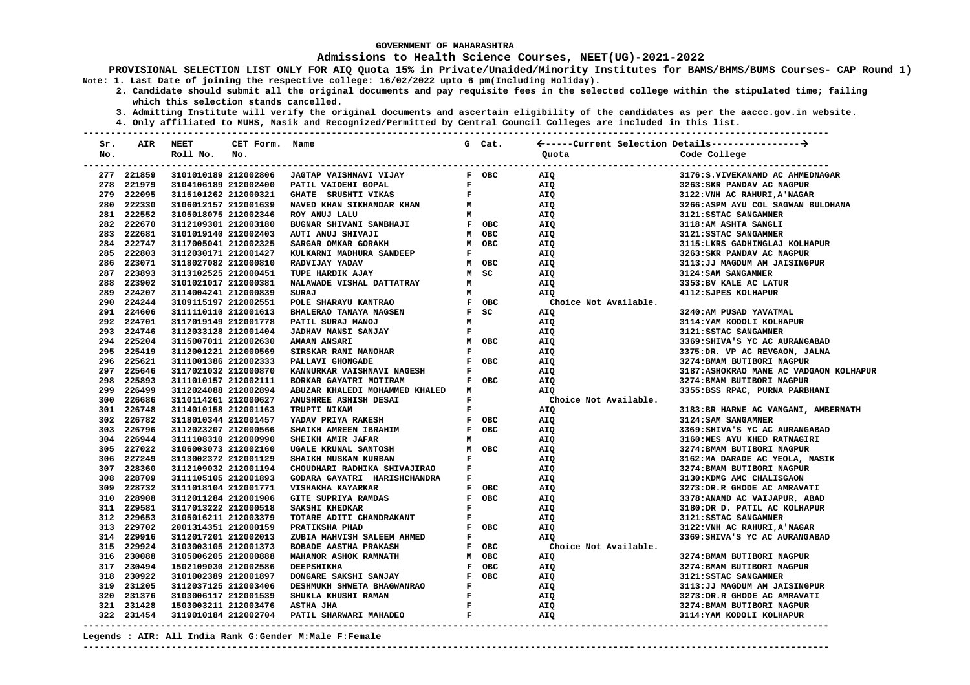### **Admissions to Health Science Courses, NEET(UG)-2021-2022**

**PROVISIONAL SELECTION LIST ONLY FOR AIQ Quota 15% in Private/Unaided/Minority Institutes for BAMS/BHMS/BUMS Courses- CAP Round 1) Note: 1. Last Date of joining the respective college: 16/02/2022 upto 6 pm(Including Holiday).**

 **2. Candidate should submit all the original documents and pay requisite fees in the selected college within the stipulated time; failing which this selection stands cancelled.**

 **3. Admitting Institute will verify the original documents and ascertain eligibility of the candidates as per the aaccc.gov.in website.**

 **4. Only affiliated to MUHS, Nasik and Recognized/Permitted by Central Council Colleges are included in this list.**

| Sr.<br>No. |            | AIR NEET<br>Roll No. No. | CET Form. Name |                                             |              | G Cat. | Quota                 | Code College                            |
|------------|------------|--------------------------|----------------|---------------------------------------------|--------------|--------|-----------------------|-----------------------------------------|
|            |            |                          |                |                                             |              |        |                       |                                         |
|            | 277 221859 | 3101010189 212002806     |                | JAGTAP VAISHNAVI VIJAY                      |              | F OBC  | AIQ                   | 3176: S. VIVEKANAND AC AHMEDNAGAR       |
|            | 278 221979 | 3104106189 212002400     |                | PATIL VAIDEHI GOPAL                         | F            |        | AIQ                   | 3263: SKR PANDAV AC NAGPUR              |
|            | 279 222095 | 3115101262 212000321     |                | GHATE SRUSHTI VIKAS                         | $\mathbf{F}$ |        | AIQ                   | 3122: VNH AC RAHURI, A' NAGAR           |
|            | 280 222330 | 3106012157 212001639     |                | NAVED KHAN SIKHANDAR KHAN                   | м            |        | AIQ                   | 3266:ASPM AYU COL SAGWAN BULDHANA       |
|            | 281 222552 | 3105018075 212002346     |                | ROY ANUJ LALU                               | м            |        | AIQ                   | 3121: SSTAC SANGAMNER                   |
|            | 282 222670 | 3112109301 212003180     |                | BUGNAR SHIVANI SAMBHAJI                     |              | F OBC  | AIQ                   | 3118:AM ASHTA SANGLI                    |
|            | 283 222681 | 3101019140 212002403     |                | AUTI ANUJ SHIVAJI                           |              | M OBC  | AIQ                   | 3121: SSTAC SANGAMNER                   |
|            | 284 222747 | 3117005041 212002325     |                | SARGAR OMKAR GORAKH                         |              | M OBC  | AIQ                   | 3115:LKRS GADHINGLAJ KOLHAPUR           |
|            | 285 222803 | 3112030171 212001427     |                | KULKARNI MADHURA SANDEEP                    | F            |        | AIQ                   | 3263: SKR PANDAV AC NAGPUR              |
|            | 286 223071 | 3118027082 212000810     |                | RADVIJAY YADAV                              |              | M OBC  | <b>AIQ</b>            | 3113:JJ MAGDUM AM JAISINGPUR            |
|            | 287 223893 | 3113102525 212000451     |                | TUPE HARDIK AJAY                            |              | M SC   | AIQ                   | 3124: SAM SANGAMNER                     |
|            | 288 223902 | 3101021017 212000381     |                | NALAWADE VISHAL DATTATRAY                   | м            |        | <b>AIQ</b>            | 3353: BV KALE AC LATUR                  |
|            | 289 224207 | 3114004241 212000839     |                | <b>SURAJ</b>                                | М            |        | <b>AIQ</b>            | 4112: SJPES KOLHAPUR                    |
|            | 290 224244 | 3109115197 212002551     |                | POLE SHARAYU KANTRAO                        |              | F OBC  | Choice Not Available. |                                         |
|            | 291 224606 | 3111110110 212001613     |                | BHALERAO TANAYA NAGSEN                      |              | F SC   | <b>AIQ</b>            | 3240:AM PUSAD YAVATMAL                  |
|            | 292 224701 | 3117019149 212001778     |                | PATIL SURAJ MANOJ                           | м            |        | AIQ                   | 3114: YAM KODOLI KOLHAPUR               |
|            | 293 224746 | 3112033128 212001404     |                | <b>JADHAV MANSI SANJAY</b>                  | F            |        | AIQ                   | 3121: SSTAC SANGAMNER                   |
|            | 294 225204 | 3115007011 212002630     |                | <b>AMAAN ANSARI</b>                         |              | M OBC  | AIQ                   | 3369: SHIVA'S YC AC AURANGABAD          |
|            | 295 225419 | 3112001221 212000569     |                | SIRSKAR RANI MANOHAR                        | $\mathbf F$  |        | <b>AIQ</b>            | 3375:DR. VP AC REVGAON, JALNA           |
|            | 296 225621 | 3111001386 212002333     |                | PALLAVI GHONGADE                            | F            | OBC    | AIQ                   | 3274: BMAM BUTIBORI NAGPUR              |
|            | 297 225646 | 3117021032 212000870     |                | KANNURKAR VAISHNAVI NAGESH                  | F            |        | <b>AIQ</b>            | 3187: ASHOKRAO MANE AC VADGAON KOLHAPUR |
|            | 298 225893 | 3111010157 212002111     |                | BORKAR GAYATRI MOTIRAM                      |              | F OBC  | AIQ                   | 3274: BMAM BUTIBORI NAGPUR              |
|            | 299 226499 | 3112024088 212002894     |                | ABUZAR KHALEDI MOHAMMED KHALED              | М            |        | <b>AIQ</b>            | 3355:BSS RPAC, PURNA PARBHANI           |
|            | 300 226686 | 3110114261 212000627     |                | ANUSHREE ASHISH DESAI                       | F            |        | Choice Not Available. |                                         |
|            | 301 226748 | 3114010158 212001163     |                | TRUPTI NIKAM                                | F            |        | AIQ                   | 3183: BR HARNE AC VANGANI, AMBERNATH    |
|            | 302 226782 | 3118010344 212001457     |                | YADAV PRIYA RAKESH                          |              | F OBC  | AIQ                   | 3124: SAM SANGAMNER                     |
|            | 303 226796 | 3112023207 212000566     |                | SHAIKH AMREEN IBRAHIM                       | $\mathbf{F}$ | OBC    | <b>AIQ</b>            | 3369: SHIVA'S YC AC AURANGABAD          |
|            | 304 226944 | 3111108310 212000990     |                | SHEIKH AMIR JAFAR                           | М            |        | AIQ                   | 3160:MES AYU KHED RATNAGIRI             |
|            | 305 227022 | 3106003073 212002160     |                | UGALE KRUNAL SANTOSH                        |              | M OBC  | AIQ                   | 3274: BMAM BUTIBORI NAGPUR              |
|            | 306 227249 | 3113002372 212001129     |                | SHAIKH MUSKAN KURBAN                        | F            |        | AIQ                   | 3162: MA DARADE AC YEOLA, NASIK         |
|            | 307 228360 | 3112109032 212001194     |                | CHOUDHARI RADHIKA SHIVAJIRAO                | F            |        | <b>AIQ</b>            | 3274: BMAM BUTIBORI NAGPUR              |
|            | 308 228709 | 3111105105 212001893     |                | GODARA GAYATRI HARISHCHANDRA                | F            |        | AIQ                   | 3130: KDMG AMC CHALISGAON               |
|            | 309 228732 | 3111018104 212001771     |                | VISHAKHA KAYARKAR                           |              | F OBC  | AIQ                   | 3273:DR.R GHODE AC AMRAVATI             |
|            | 310 228908 | 3112011284 212001906     |                | GITE SUPRIYA RAMDAS                         |              | F OBC  | <b>AIQ</b>            | 3378: ANAND AC VAIJAPUR, ABAD           |
|            | 311 229581 | 3117013222 212000518     |                | SAKSHI KHEDKAR                              | F            |        | <b>AIQ</b>            | 3180:DR D. PATIL AC KOLHAPUR            |
|            | 312 229653 | 3105016211 212003379     |                | TOTARE ADITI CHANDRAKANT                    | F            |        | <b>AIQ</b>            | 3121: SSTAC SANGAMNER                   |
|            | 313 229702 | 2001314351 212000159     |                | PRATIKSHA PHAD                              | F            | OBC    | <b>AIQ</b>            | 3122: VNH AC RAHURI, A' NAGAR           |
|            | 314 229916 | 3112017201 212002013     |                | ZUBIA MAHVISH SALEEM AHMED                  | $\mathbf F$  |        | <b>AIQ</b>            | 3369: SHIVA'S YC AC AURANGABAD          |
|            | 315 229924 | 3103003105 212001373     |                | <b>BOBADE AASTHA PRAKASH</b>                |              | F OBC  | Choice Not Available. |                                         |
|            | 316 230088 | 3105006205 212000888     |                | MAHANOR ASHOK RAMNATH                       |              | M OBC  | AIQ                   | 3274: BMAM BUTIBORI NAGPUR              |
|            | 317 230494 | 1502109030 212002586     |                | <b>DEEPSHIKHA</b>                           |              | F OBC  | AIQ                   | 3274: BMAM BUTIBORI NAGPUR              |
|            | 318 230922 | 3101002389 212001897     |                | DONGARE SAKSHI SANJAY                       | F            | OBC    | <b>AIQ</b>            | 3121: SSTAC SANGAMNER                   |
|            | 319 231205 | 3112037125 212003406     |                | DESHMUKH SHWETA BHAGWANRAO                  | F            |        | AIQ                   | 3113:JJ MAGDUM AM JAISINGPUR            |
|            | 320 231376 | 3103006117 212001539     |                | SHUKLA KHUSHI RAMAN                         | $\mathbf{F}$ |        | AIQ                   | 3273:DR.R GHODE AC AMRAVATI             |
|            | 321 231428 | 1503003211 212003476     |                | <b>ASTHA JHA</b>                            | $\mathbf{F}$ |        | AIQ                   | 3274: BMAM BUTIBORI NAGPUR              |
|            | 322 231454 |                          |                | 3119010184 212002704 PATIL SHARWARI MAHADEO | $\mathbf{F}$ |        | <b>AIQ</b>            | 3114: YAM KODOLI KOLHAPUR               |
|            |            |                          |                |                                             |              |        |                       |                                         |

#### **Legends : AIR: All India Rank G:Gender M:Male F:Female**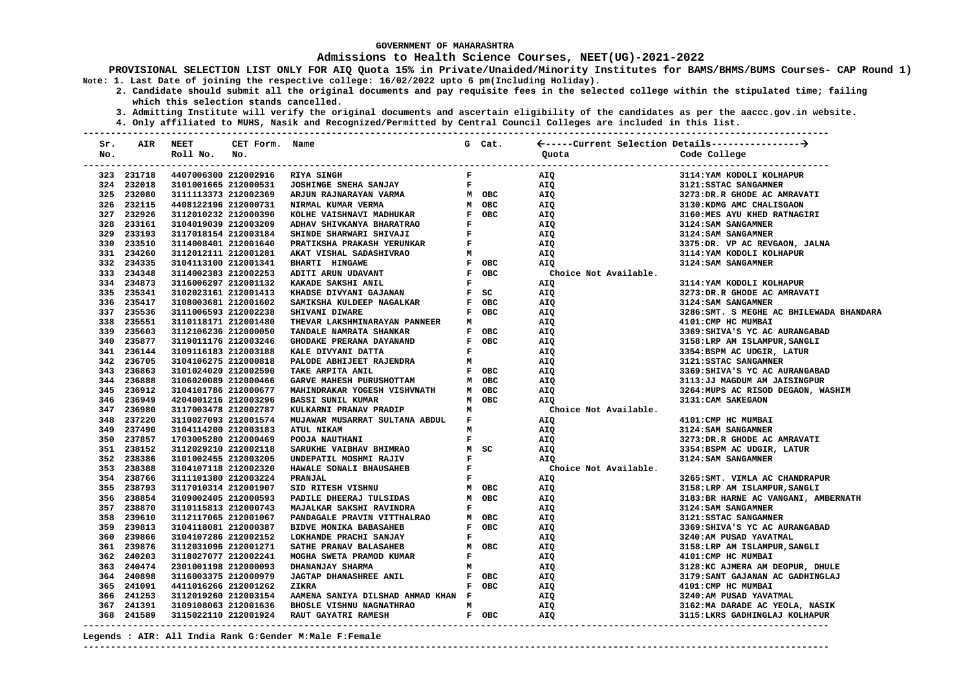#### **Admissions to Health Science Courses, NEET(UG)-2021-2022**

**PROVISIONAL SELECTION LIST ONLY FOR AIQ Quota 15% in Private/Unaided/Minority Institutes for BAMS/BHMS/BUMS Courses- CAP Round 1) Note: 1. Last Date of joining the respective college: 16/02/2022 upto 6 pm(Including Holiday).**

 **2. Candidate should submit all the original documents and pay requisite fees in the selected college within the stipulated time; failing which this selection stands cancelled.**

 **3. Admitting Institute will verify the original documents and ascertain eligibility of the candidates as per the aaccc.gov.in website.**

 **4. Only affiliated to MUHS, Nasik and Recognized/Permitted by Central Council Colleges are included in this list.**

**--------------------------------------------------------------------------------------------------------------------------------------- Sr. AIR NEET CET Form. Name G Cat. -----Current Selection Details---------------- No. Roll No. No. Quota Code College --------------------------------------------------------------------------------------------------------------------------------------- --------------------------------------------------------------------------------------------------------------------------------------- 323 231718 4407006300 212002916 RIYA SINGH AIQ REPAIR REPAIRMENT REPAIRMENT REPAIRMENT REPAIRMENT REPAIRMENT REPAIRMENT REPAIRMENT REPAIRMENT REPAIRMENT REPAIRMENT REPAIRMENT REPAIRMENT REPAIRMENT REPAIRMENT REPAIRMENT R 324 232018 3101001665 212000531 JOSHINGE SNEHA SANJAY F AIQ 3121:SSTAC SANGAMNER 325 232080 3111113373 212002369 ARJUN RAJNARAYAN VARMA M OBC AIQ 3273:DR.R GHODE AC AMRAVATI 326 232115 4408122196 212000731 NIRMAL KUMAR VERMA M OBC AIQ 3130:KDMG AMC CHALISGAON 327 232926 3112010232 212000390 KOLHE VAISHNAVI MADHUKAR F OBC AIQ 3160:MES AYU KHED RATNAGIRI 328 233161 3104019039 212003209 ADHAV SHIVKANYA BHARATRAO F AIQ 3124:SAM SANGAMNER 329 233193 3117018154 212003184 SHINDE SHARWARI SHIVAJI F AIQ 3124:SAM SANGAMNER 330 233510 3114008401 212001640 PRATIKSHA PRAKASH YERUNKAR F BRANG AIQ AIQ 3375:DR. VP AC REVGAON, JALNA AIQ<br>331 234260 3112012111 212001281 AKAT VISHAL SADASHIVRAO M AIO AIO 3114:YAM KODOLI KOLHAPUR 331 234260 3112012111 212001281 AKAT VISHAL SADASHIVRAO M AIQ 3114:YAM KODOLI KOLHAPUR 332 234335 3104113100 212001341 BHARTI HINGAWE F OBC AIQ ATQ**<br>333 234348 3114002383 212002253 ADITI ARUN UDAVANT F OBC Ch  **333 234348 3114002383 212002253 ADITI ARUN UDAVANT F OBC Choice Not Available. 334 234873 3116006297 212001132 KAKADE SAKSHI ANIL F AIQ 3114:YAM KODOLI KOLHAPUR 335 235341 3102023161 212001413 KHADSE DIVYANI GAJANAN BE SC BAIQ 336 235417 3108003681 212001602 SAMIKSHA KULDEEP NAGALKAR F OBC AIQ 3124:SAM SANGAMNER 337 235536 3111006593 212002238 SHIVANI DIWARE F OBC AIQ 3286:SMT. S MEGHE AC BHILEWADA BHANDARA 338 235551 3110118171 212001480 THEVAR LAKSHMINARAYAN PANNEER M AIQ 4101:CMP HC MUMBAI 339 235603 3112106236 212000050 TANDALE NAMRATA SHANKAR F OBC AIQ 3369:SHIVA'S YC AC AURANGABAD**  340 235877 3119011176 212003246 GHODAKE PRERANA DAYANAND F OBC AIQ  **341 236144 3109116183 212003188 KALE DIVYANI DATTA F AIQ 3354:BSPM AC UDGIR, LATUR 342 236705 3104106275 212000818 PALODE ABHIJEET RAJENDRA M AIQ 3121:SSTAC SANGAMNER**  343 236863 3101024020 212002590  **344 236888 3106020089 212000466 GARVE MAHESH PURUSHOTTAM M OBC AIQ 3113:JJ MAGDUM AM JAISINGPUR 345 236912 3104101786 212000677 MAHINDRAKAR YOGESH VISHVNATH M OBC AIQ 3264:MUPS AC RISON AT AT AT AT AT AT A<br>346 236949 4204001216 212003296 BASSI SUNIL KUMAR M OBC AIO AT AT AT AT 3131:CAM SAKEGAON 346 236949 4204001216 212003296 BASSI SUNIL KUMAR 347 236980 3117003478 212002787 KULKARNI PRANAV PRADIP M Choice Not Available. 348 237220 3110027093 212001574 MUJAWAR MUSARRAT SULTANA ABDUL F AIQ 4101:CMP HC MUMBAI 349 237490 3104114200 212003183 ATUL NIKAM M AIQ 3124:SAM SANGAMNER**  350 237857 1703005280 212000469 POOJA NAUTHANI  **351 238152 3112029210 212002118 SARUKHE VAIBHAV BHIMRAO M SC AIQ 3354:BSPM AC UDGIR, LATUR 352 238386 3101002455 212003205 UNDEPATIL MOSHMI RAJIV F AIQ 3124:SAM SANGAMNER 353 238388 3104107118 212002320 HAWALE SONALI BHAUSAHEB F Choice Not Available. 354 238766 3111101380 212003224 PRANJAL F AIQ 3265:SMT. VIMLA AC CHANDRAPUR 355 238793 3117010314 212001907 SID RITESH VISHNU M OBC AIQ 3158:LRP AM ISLAMPUR,SANGLI 356 238854 3109002405 212000593 PADILE DHEERAJ TULSIDAS M OBC AIQ 3183:BR HARNE AC VANGANI, AMBERNATH 357 238870 3110115813 212000743 MAJALKAR SAKSHI RAVINDRA F AIQ 3124:SAM SANGAMNER**  358 239610 3112117065 212001067 PANDAGALE PRAVIN VITTHALRAO M OBC AIQ  **359 239813 3104118081 212000387 BIDVE MONIKA BABASAHEB F OBC AIQ 3369:SHIVA'S YC AC AURANGABAD 360 239866 3104107286 212002152 LOKHANDE PRACHI SANJAY F AIQ 3240:AM PUSAD YAVATMAL**  361 239876 3112031096 212001271 SATHE PRANAV BALASAHEB ation 1340203 3118027077 212002241 MOGHA SWETA PRAMOD KUMAR RESORT BY ATRIPER MOMBAT ATRIPER AN DEOPUR, DHULE<br>Alimation 2301001198 212000093 DHANANJAY SHARMA MARA MARA AIQ AIQ AIQ 3128:KC AJMERA AM DEOPUR, DHULE  **363 240474 2301001198 212000093 DHANANJAY SHARMA M AIQ 3128:KC AJMERA AM DEOPUR, DHULE**  364 240898 3116003375 212000979  **365 241091 4411016266 212001262 ZIKRA F OBC AIQ 4101:CMP HC MUMBAI 366 241253 3112019260 212003154 AAMENA SANIYA DILSHAD AHMAD KHAN F AIQ 3240:AM PUSAD YAVATMAL 367 241391 3109108063 212001636 BHOSLE VISHNU NAGNATHRAO M AIQ 3162:MA DARADE AC YEOLA, NASIK 368 241589 3115022110 212001924 RAUT GAYATRI RAMESH F OBC AIQ 3115:LKRS GADHINGLAJ KOLHAPUR** 

#### **Legends : AIR: All India Rank G:Gender M:Male F:Female**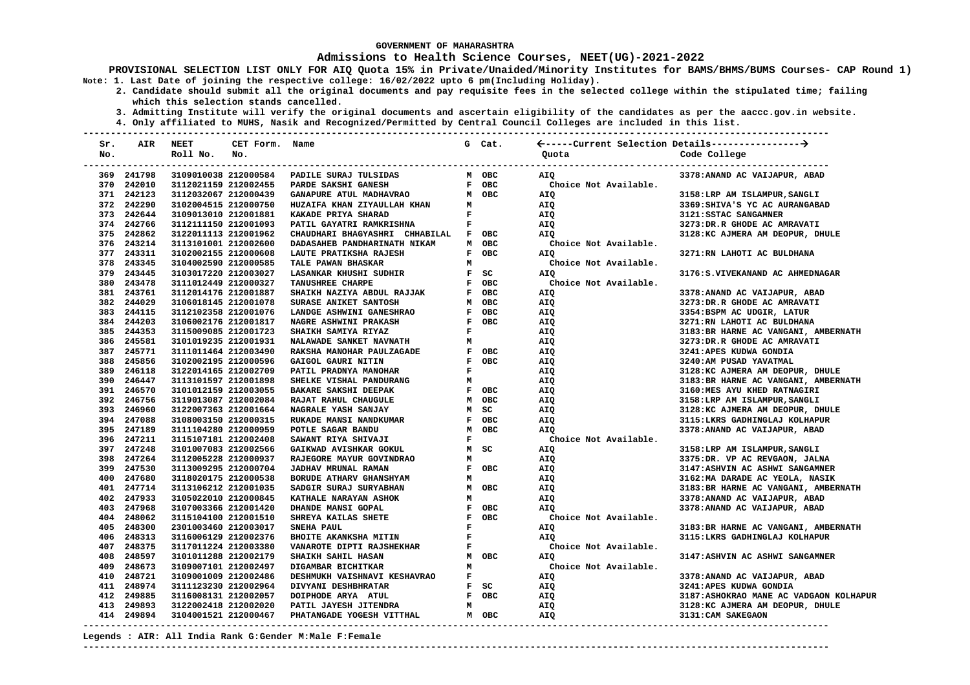#### **Admissions to Health Science Courses, NEET(UG)-2021-2022**

**PROVISIONAL SELECTION LIST ONLY FOR AIQ Quota 15% in Private/Unaided/Minority Institutes for BAMS/BHMS/BUMS Courses- CAP Round 1) Note: 1. Last Date of joining the respective college: 16/02/2022 upto 6 pm(Including Holiday).**

 **2. Candidate should submit all the original documents and pay requisite fees in the selected college within the stipulated time; failing which this selection stands cancelled.**

 **3. Admitting Institute will verify the original documents and ascertain eligibility of the candidates as per the aaccc.gov.in website.**

 **4. Only affiliated to MUHS, Nasik and Recognized/Permitted by Central Council Colleges are included in this list.**

**--------------------------------------------------------------------------------------------------------------------------------------- Sr. AIR NEET CET Form. Name G Cat. -----Current Selection Details---------------- No. Roll No. No. Quota Code College --------------------------------------------------------------------------------------------------------------------------------------- --------------------------------------------------------------------------------------------------------------------------------------- 369 241798 3109010038 212000584 PADILE SURAJ TULSIDAS M OBC AIQ 3378:ANAND AC VAIJAPUR, ABAD 370 242010 3112021159 212002455 PARDE SAKSHI GANESH F OBC Choice Not Available. 371 242123 3112032067 212000439 GANAPURE ATUL MADHAVRAO M OBC AIQ 3158:LRP AM ISLAMPUR,SANGLI 372 242290 3102004515 212000750 HUZAIFA KHAN ZIYAULLAH KHAN M AIQ 3369:SHIVA'S YC AC AURANGABAD 373 242644 3109013010 212001881 KAKADE PRIYA SHARAD F AIQ 3121:SSTAC SANGAMNER 374 242766 3112111150 212001093 PATIL GAYATRI RAMKRISHNA F AIQ 3273:DR.R GHODE AC AMRAVATI 375 242862 3122011113 212001962 CHAUDHARI BHAGYASHRI CHHABILAL F OBC AIQ 3128:KC AJMERA AM DEOPUR, DHULE 376 243214 3113101001 212002600 DADASAHEB PANDHARINATH NIKAM M OBC Choice Not Available. 377 243311 3102002155 212000608 LAUTE PRATIKSHA RAJESH F OBC AIQ 3271:RN LAHOTI AC BULDHANA 378 243345 3104002590 212000585 TALE PAWAN BHASKAR M Choice Not Available. 379 243445 3103017220 212003027 LASANKAR KHUSHI SUDHIR F SC AIQ 3176:S.VIVEKANAND AC AHMEDNAGAR 380 243478 3111012449 212000327 TANUSHREE CHARPE F OBC** Choice Not Available.<br> **381 243761 3112014176 212001887 SHAIKH NAZIYA ABDUL RAJJAK** F OBC AIO  **381 243761 3112014176 212001887 SHAIKH NAZIYA ABDUL RAJJAK F OBC AIQ 3378:ANAND AC VAIJAPUR, ABAD 382 244029 3106018145 212001078 SURASE ANIKET SANTOSH M OBC AIQ 3273:DR.R GHODE AC AMRAVATI 383 244115 3112102358 212001076 LANDGE ASHWINI GANESHRAO B P OBC AIO** at 244203 3106002176 212001817 NAGRE ASHWINI PRAKASH **F** OBC AIQ 3271:RN LAHOTI AC BULDHANA ANG ATA ATA ATA ATA A<br>385 244353 3115009085 212001723 SHAIKH SAMIYA RIYAZ F AIO AIO 3183:BR HARNE AC VANGANI,  **385 244353 3115009085 212001723 SHAIKH SAMIYA RIYAZ F AIQ 3183:BR HARNE AC VANGANI, AMBERNATH 386 245581 3101019235 212001931 NALAWADE SANKET NAVNATH M AIQ 3273:DR.R GHODE AC AMRAVATI 387 245771 3111011464 212003490 RAKSHA MANOHAR PAULZAGADE F OBC AIQ 3241:APES KUDWA GONDIA 388 245856 3102002195 212000596 GAIGOL GAURI NITIN F OBC AIQ 3240:AM PUSAD YAVATMAL 389 246118 3122014165 212002709 PATIL PRADNYA MANOHAR F B** AIQ ad 246447 3113101597 212001898 SHELKE VISHAL PANDURANG M AIQ AIQ 3183:BR HARNE AC VANGANI, AMBERNATH **3181. AMBERNATH AND SANGANI, AMBERNATH** BARNE AC VANGANI, AMBERNATH AND SANGANI, AMBERNATH ISLA AND SANGANI, AMBERNATH I  **391 246570 3101012159 212003055 BAKARE SAKSHI DEEPAK F OBC AIQ 3160:MES AYU KHED RATNAGIRI**  392 246756 3119013087 212002084 RAJAT RAHUL CHAUGULE  **393 246960 3122007363 212001664 NAGRALE YASH SANJAY M SC AIQ 3128:KC AJMERA AM DEOPUR, DHULE 394 247088 3108003150 212000315 RUKADE MANSI NANDKUMAR F OBC AIQ 3115:LKRS GADHINGLAJ KOLHAPUR**  1995 247189 3111104280 212000959 POTLE SAGAR BANDU MOBC AIQ at and an and all serves and a serves and the serve<br>196 247211 3115107181 212002408 SAWANT RIYA SHIVAJI R Choice Not Available. 396 247211 3115107181 212002408  **397 247248 3101007083 212002566 GAIKWAD AVISHKAR GOKUL M SC AIQ 3158:LRP AM ISLAMPUR,SANGLI 398 247264 3112005228 212000937 RAJEGORE MAYUR GOVINDRAO M AIQ 3375:DR. VP AC REVGAON, JALNA 399 247530 3113009295 212000704 JADHAV MRUNAL RAMAN F OBC AIQ 3147:ASHVIN AC ASHWI SANGAMNER 400 247680 3118020175 212000538 BORUDE ATHARV GHANSHYAM M AIQ 3162:MA DARADE AC YEOLA, NASIK AIO** 2183:BR HARNE AC VANGANI, AMBERNATH  **402 247933 3105022010 212000845 KATHALE NARAYAN ASHOK M AIQ 3378:ANAND AC VAIJAPUR, ABAD 403 247968 3107003366 212001420 DHANDE MANSI GOPAL F OBC AIQ 3378:ANAND AC VAIJAPUR, ABAD 404 248062 3115104100 212001510 SHREYA KAILAS SHETE F OBC Choice Not Available. 405 248300 2301003460 212003017 SNEHA PAUL F AIQ 3183:BR HARNE AC VANGANI, AMBERNATH 406 248313 3116006129 212002376 BHOITE AKANKSHA MITIN F BROIT BAIQ**<br>107 248375 3117011224 212003380 VANAROTE DIPTI RAJSHEKHAR R F Choice Not Available.  **407 248375 3117011224 212003380 VANAROTE DIPTI RAJSHEKHAR F Choice Not Available. 408 248597 3101011288 212002179 SHAIKH SAHIL HASAN M OBC AIQ 3147:ASHVIN AC ASHWI SANGAMNER 409 248673 3109007101 212002497 DIGAMBAR BICHITKAR M** M Choice Not Available.<br> **410 248721 3109001009 212002486 DESHMUKH VAISHNAVI KESHAVRAO** F AIO  **410 248721 3109001009 212002486 DESHMUKH VAISHNAVI KESHAVRAO F AIQ 3378:ANAND AC VAIJAPUR, ABAD 411 248974 3111123230 212002964 DIVYANI DESHBHRATAR F SC AIQ 3241:APES KUDWA GONDIA 412 249885 3116008131 212002057 DOIPHODE ARYA ATUL F OBC AIQ 3187:ASHOKRAO MANE AC VADGAON KOLHAPUR 413 249893 3122002418 212002020 PATIL JAYESH JITENDRA M AIQ 3128:KC AJMERA AM DEOPUR, DHULE 414 249894 3104001521 212000467 PHATANGADE YOGESH VITTHAL M OBC AIQ 3131:CAM SAKEGAON** 

#### **Legends : AIR: All India Rank G:Gender M:Male F:Female**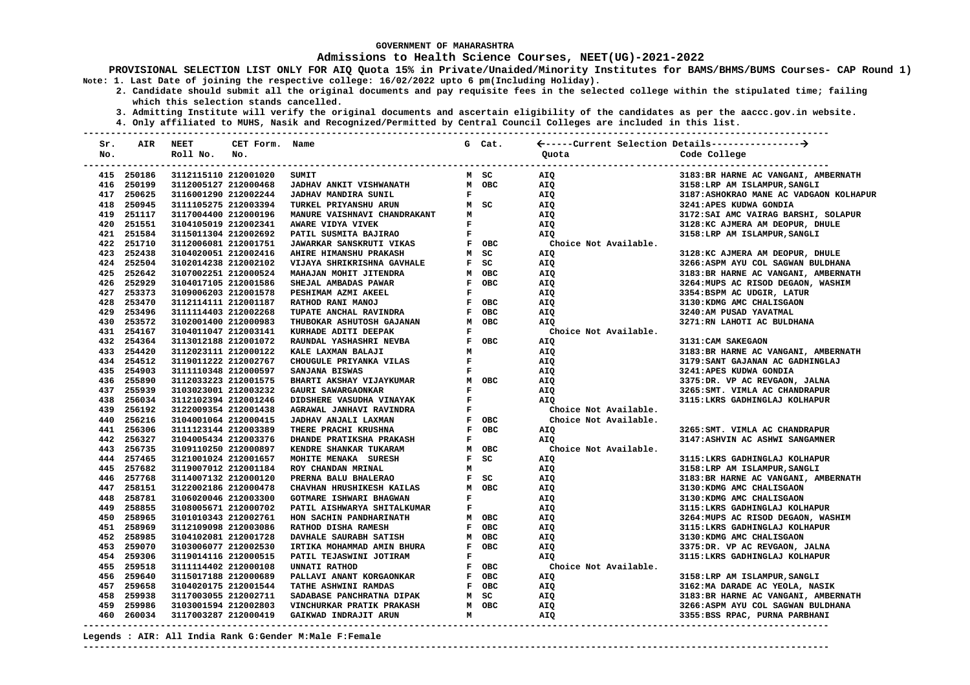### **Admissions to Health Science Courses, NEET(UG)-2021-2022**

**PROVISIONAL SELECTION LIST ONLY FOR AIQ Quota 15% in Private/Unaided/Minority Institutes for BAMS/BHMS/BUMS Courses- CAP Round 1) Note: 1. Last Date of joining the respective college: 16/02/2022 upto 6 pm(Including Holiday).**

 **2. Candidate should submit all the original documents and pay requisite fees in the selected college within the stipulated time; failing which this selection stands cancelled.**

 **3. Admitting Institute will verify the original documents and ascertain eligibility of the candidates as per the aaccc.gov.in website.**

 **4. Only affiliated to MUHS, Nasik and Recognized/Permitted by Central Council Colleges are included in this list.**

| Sr.<br>No. |            | AIR NEET<br>Roll No.<br>-------------------- | CET Form. Name<br>No. | ------------------------                                                                              |              | G Cat. | Ouota                 | Code College<br>----------------------------- |
|------------|------------|----------------------------------------------|-----------------------|-------------------------------------------------------------------------------------------------------|--------------|--------|-----------------------|-----------------------------------------------|
|            | 415 250186 | 3112115110 212001020                         |                       | SUMIT                                                                                                 |              | M SC   | <b>AIQ</b>            | 3183: BR HARNE AC VANGANI, AMBERNATH          |
|            | 416 250199 | 3112005127 212000468                         |                       | <b>JADHAV ANKIT VISHWANATH</b>                                                                        |              | M OBC  | AIQ                   | 3158:LRP AM ISLAMPUR, SANGLI                  |
|            | 417 250625 | 3116001290 212002244                         |                       | JADHAV MANDIRA SUNIL                                                                                  | F            |        | AIQ                   | 3187: ASHOKRAO MANE AC VADGAON KOLHAPUR       |
|            | 418 250945 | 3111105275 212003394                         |                       | TURKEL PRIYANSHU ARUN                                                                                 |              | M SC   | AIQ                   | 3241:APES KUDWA GONDIA                        |
|            | 419 251117 | 3117004400 212000196                         |                       | MANURE VAISHNAVI CHANDRAKANT                                                                          | м            |        | <b>AIQ</b>            | 3172: SAI AMC VAIRAG BARSHI, SOLAPUR          |
|            | 420 251551 | 3104105019 212002341                         |                       | AWARE VIDYA VIVEK                                                                                     | $\mathbf{F}$ |        | AIQ                   | 3128:KC AJMERA AM DEOPUR, DHULE               |
|            | 421 251584 | 3115011304 212002692                         |                       | PATIL SUSMITA BAJIRAO                                                                                 | $\mathbf F$  |        | <b>AIQ</b>            | 3158:LRP AM ISLAMPUR, SANGLI                  |
|            | 422 251710 | 3112006081 212001751                         |                       | <b>JAWARKAR SANSKRUTI VIKAS</b>                                                                       |              | F OBC  | Choice Not Available. |                                               |
|            | 423 252438 | 3104020051 212002416                         |                       | <b>AHIRE HIMANSHU PRAKASH</b>                                                                         |              | M SC   | <b>AIO</b>            | 3128:KC AJMERA AM DEOPUR, DHULE               |
|            | 424 252504 | 3102014238 212002102                         |                       | VIJAYA SHRIKRISHNA GAVHALE<br>MAHAJAN MOHIT JITENDRA                                                  |              | $F$ SC | AIQ                   | 3266:ASPM AYU COL SAGWAN BULDHANA             |
|            | 425 252642 | 3107002251 212000524                         |                       |                                                                                                       |              | M OBC  | AIQ                   | 3183: BR HARNE AC VANGANI, AMBERNATH          |
|            | 426 252929 | 3104017105 212001586                         |                       | SHEJAL AMBADAS PAWAR                                                                                  |              | F OBC  | <b>AIQ</b>            | 3264: MUPS AC RISOD DEGAON, WASHIM            |
|            | 427 253373 | 3109006203 212001578                         |                       | PESHIMAM AZMI AKEEL                                                                                   | F            |        | AIQ                   | 3354:BSPM AC UDGIR, LATUR                     |
|            | 428 253470 | 3112114111 212001187                         |                       | RATHOD RANI MANOJ<br>TUPATE ANCHAL RAVINDRA<br>THUBOKAR ASHUTOSH GAJANAN<br>THUBOKAR ASHUTOSH GAJANAN |              | F OBC  | <b>AIO</b>            | 3130: KDMG AMC CHALISGAON                     |
|            | 429 253496 | 3111114403 212002268                         |                       |                                                                                                       |              | F OBC  | <b>AIQ</b>            | 3240:AM PUSAD YAVATMAL                        |
|            | 430 253572 | 3102001400 212000983                         |                       |                                                                                                       |              | M OBC  | <b>AIO</b>            | 3271:RN LAHOTI AC BULDHANA                    |
|            | 431 254167 | 3104011047 212003141                         |                       | KURHADE ADITI DEEPAK                                                                                  | F            |        | Choice Not Available. |                                               |
|            | 432 254364 | 3113012188 212001072                         |                       | RAUNDAL YASHASHRI NEVBA                                                                               |              | F OBC  | <b>AIQ</b>            | 3131: CAM SAKEGAON                            |
|            | 433 254420 | 3112023111 212000122                         |                       | KALE LAXMAN BALAJI                                                                                    | м            |        | AIQ                   | 3183: BR HARNE AC VANGANI, AMBERNATH          |
|            | 434 254512 | 3119011222 212002767                         |                       | CHOUGULE PRIYANKA VILAS                                                                               | $\mathbf{F}$ |        | AIQ                   | 3179: SANT GAJANAN AC GADHINGLAJ              |
|            | 435 254903 | 3111110348 212000597                         |                       | SANJANA BISWAS                                                                                        | $\mathbf{F}$ |        | AIQ                   | 3241: APES KUDWA GONDIA                       |
|            | 436 255890 | 3112033223 212001575                         |                       | <b>BHARTI AKSHAY VIJAYKUMAR</b>                                                                       |              | M OBC  | <b>AIQ</b>            | 3375:DR. VP AC REVGAON, JALNA                 |
|            | 437 255939 | 3103023001 212003232                         |                       | GAURI SAWARGAONKAR                                                                                    | $\mathbf F$  |        | <b>AIQ</b>            | 3265: SMT. VIMLA AC CHANDRAPUR                |
|            | 438 256034 | 3112102394 212001246                         |                       | DIDSHERE VASUDHA VINAYAK                                                                              | $\mathbf{F}$ |        | <b>AIO</b>            | 3115: LKRS GADHINGLAJ KOLHAPUR                |
|            | 439 256192 | 3122009354 212001438                         |                       | AGRAWAL JANHAVI RAVINDRA                                                                              | $\mathbf F$  |        | Choice Not Available. |                                               |
|            | 440 256216 | 3104001064 212000415                         |                       | JADHAV ANJALI LAXMAN                                                                                  |              | F OBC  | Choice Not Available. |                                               |
|            | 441 256306 | 3111123144 212003389                         |                       | THERE PRACHI KRUSHNA                                                                                  | F            | овс    | AIO                   | 3265: SMT. VIMLA AC CHANDRAPUR                |
|            | 442 256327 | 3104005434 212003376                         |                       | <b>DHANDE PRATIKSHA PRAKASH</b>                                                                       | F            |        | <b>AIO</b>            | 3147: ASHVIN AC ASHWI SANGAMNER               |
|            | 443 256735 | 3109110250 212000897                         |                       | KENDRE SHANKAR TUKARAM                                                                                |              | M OBC  | Choice Not Available. |                                               |
|            | 444 257465 | 3121001024 212001657                         |                       | MOHITE MENAKA SURESH                                                                                  |              | $F$ SC | AIQ                   | 3115:LKRS GADHINGLAJ KOLHAPUR                 |
|            | 445 257682 | 3119007012 212001184                         |                       | ROY CHANDAN MRINAL                                                                                    | м            |        | AIQ                   | 3158:LRP AM ISLAMPUR, SANGLI                  |
|            | 446 257768 | 3114007132 212000120                         |                       | PRERNA BALU BHALERAO                                                                                  |              | $F$ SC | AIQ                   | 3183: BR HARNE AC VANGANI, AMBERNATH          |
|            | 447 258151 | 3122002186 212000478                         |                       | CHAVHAN HRUSHIKESH KAILAS                                                                             |              | M OBC  | <b>AIQ</b>            | 3130: KDMG AMC CHALISGAON                     |
|            | 448 258781 | 3106020046 212003300                         |                       | GOTMARE ISHWARI BHAGWAN                                                                               | $\mathbf F$  |        | <b>AIQ</b>            | 3130: KDMG AMC CHALISGAON                     |
|            | 449 258855 | 3108005671 212000702                         |                       | PATIL AISHWARYA SHITALKUMAR                                                                           | F            |        | <b>AIQ</b>            | 3115: LKRS GADHINGLAJ KOLHAPUR                |
|            | 450 258965 | 3101010343 212002761                         |                       | HON SACHIN PANDHARINATH                                                                               |              | M OBC  | AIQ                   | 3264: MUPS AC RISOD DEGAON, WASHIM            |
|            | 451 258969 | 3112109098 212003086                         |                       | RATHOD DISHA RAMESH                                                                                   |              | F OBC  | <b>AIQ</b>            | 3115:LKRS GADHINGLAJ KOLHAPUR                 |
|            | 452 258985 | 3104102081 212001728                         |                       | DAVHALE SAURABH SATISH                                                                                |              | M OBC  | <b>AIQ</b>            | 3130: KDMG AMC CHALISGAON                     |
|            | 453 259070 | 3103006077 212002530                         |                       | IRTIKA MOHAMMAD AMIN BHURA                                                                            |              | F OBC  | <b>AIO</b>            | 3375:DR. VP AC REVGAON, JALNA                 |
|            | 454 259306 | 3119014116 212000515                         |                       | PATIL TEJASWINI JOTIRAM                                                                               | $\mathbf F$  |        | <b>AIQ</b>            | 3115: LKRS GADHINGLAJ KOLHAPUR                |
|            | 455 259518 | 3111114402 212000108                         |                       | UNNATI RATHOD                                                                                         |              | F OBC  | Choice Not Available. |                                               |
|            | 456 259640 | 3115017188 212000689                         |                       | PALLAVI ANANT KORGAONKAR                                                                              |              | F OBC  | <b>AIO</b>            | 3158:LRP AM ISLAMPUR, SANGLI                  |
|            | 457 259658 | 3104020175 212001544                         |                       | TATHE ASHWINI RAMDAS                                                                                  |              | F OBC  | AIQ                   | 3162: MA DARADE AC YEOLA, NASIK               |
|            | 458 259938 | 3117003055 212002711                         |                       | SADABASE PANCHRATNA DIPAK                                                                             |              | M SC   | <b>AIQ</b>            | 3183: BR HARNE AC VANGANI, AMBERNATH          |
|            | 459 259986 | 3103001594 212002803                         |                       | VINCHURKAR PRATIK PRAKASH                                                                             |              | M OBC  | AIQ                   | 3266:ASPM AYU COL SAGWAN BULDHANA             |
|            | 460 260034 | 3117003287 212000419                         |                       | GAIKWAD INDRAJIT ARUN                                                                                 | M            |        | AIQ                   | 3355:BSS RPAC, PURNA PARBHANI                 |
|            |            |                                              |                       |                                                                                                       |              |        |                       |                                               |

**Legends : AIR: All India Rank G:Gender M:Male F:Female**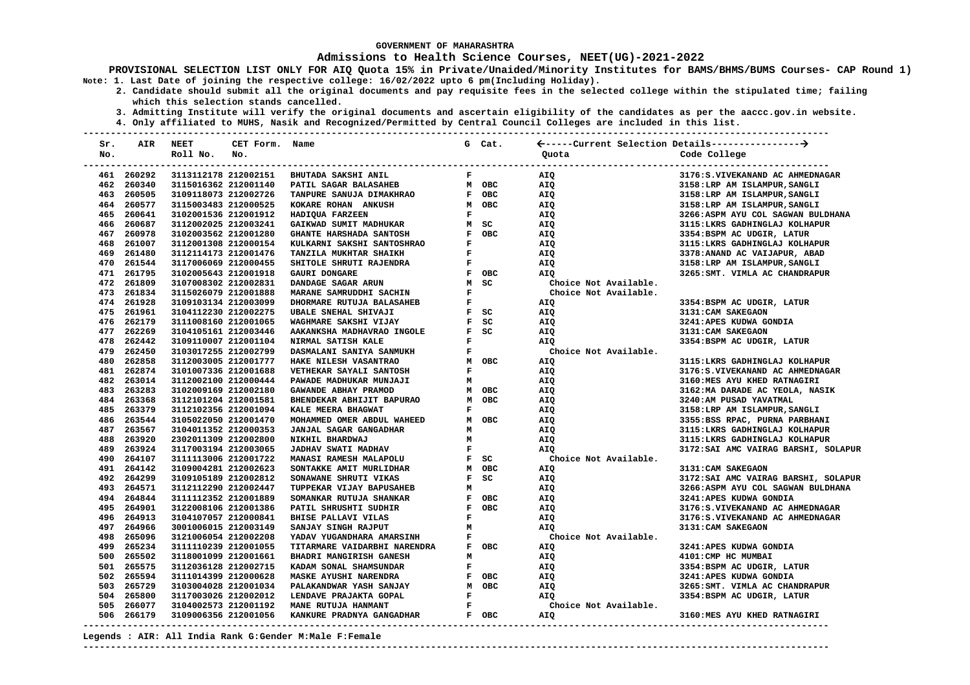### **Admissions to Health Science Courses, NEET(UG)-2021-2022**

**PROVISIONAL SELECTION LIST ONLY FOR AIQ Quota 15% in Private/Unaided/Minority Institutes for BAMS/BHMS/BUMS Courses- CAP Round 1) Note: 1. Last Date of joining the respective college: 16/02/2022 upto 6 pm(Including Holiday).**

 **2. Candidate should submit all the original documents and pay requisite fees in the selected college within the stipulated time; failing which this selection stands cancelled.**

 **3. Admitting Institute will verify the original documents and ascertain eligibility of the candidates as per the aaccc.gov.in website.**

 **4. Only affiliated to MUHS, Nasik and Recognized/Permitted by Central Council Colleges are included in this list.**

| Sr. | AIR        | <b>NEET</b>                             | CET Form. Name |                                |              |        | G Cat.     |                       |                                                         |
|-----|------------|-----------------------------------------|----------------|--------------------------------|--------------|--------|------------|-----------------------|---------------------------------------------------------|
| No. |            | Roll No. No.                            |                |                                |              |        |            | Quota                 | Code College                                            |
|     | 461 260292 | ---------------<br>3113112178 212002151 |                | BHUTADA SAKSHI ANIL            | $\mathbf{F}$ |        | AIQ        |                       | -------------------<br>3176: S.VIVEKANAND AC AHMEDNAGAR |
|     | 462 260340 | 3115016362 212001140                    |                | PATIL SAGAR BALASAHEB          |              | M OBC  | AIQ        |                       | 3158:LRP AM ISLAMPUR, SANGLI                            |
|     | 463 260505 | 3109118073 212002726                    |                | TANPURE SANUJA DIMAKHRAO       |              | F OBC  | AIQ        |                       | 3158:LRP AM ISLAMPUR, SANGLI                            |
|     | 464 260577 | 3115003483 212000525                    |                | KOKARE ROHAN ANKUSH            |              | M OBC  | AIQ        |                       | 3158:LRP AM ISLAMPUR, SANGLI                            |
|     | 465 260641 | 3102001536 212001912                    |                | HADIQUA FARZEEN                | $\mathbf{F}$ |        | AIQ        |                       | 3266:ASPM AYU COL SAGWAN BULDHANA                       |
|     | 466 260687 | 3112002025 212003241                    |                | GAIKWAD SUMIT MADHUKAR         |              | M SC   | AIQ        |                       | 3115:LKRS GADHINGLAJ KOLHAPUR                           |
|     | 467 260978 | 3102003562 212001280                    |                | <b>GHANTE HARSHADA SANTOSH</b> |              | F OBC  | AIQ        |                       | 3354:BSPM AC UDGIR, LATUR                               |
|     | 468 261007 | 3112001308 212000154                    |                | KULKARNI SAKSHI SANTOSHRAO     | $\mathbf{F}$ |        | AIQ        |                       | 3115:LKRS GADHINGLAJ KOLHAPUR                           |
|     | 469 261480 | 3112114173 212001476                    |                | TANZILA MUKHTAR SHAIKH         | F            |        | AIQ        |                       | 3378: ANAND AC VAIJAPUR, ABAD                           |
|     | 470 261544 | 3117006069 212000455                    |                | SHITOLE SHRUTI RAJENDRA        | $\mathbf{F}$ |        | AIQ        |                       | 3158:LRP AM ISLAMPUR, SANGLI                            |
|     | 471 261795 | 3102005643 212001918                    |                | GAURI DONGARE                  |              | F OBC  | AIO        |                       | 3265: SMT. VIMLA AC CHANDRAPUR                          |
|     | 472 261809 | 3107008302 212002831                    |                | DANDAGE SAGAR ARUN             |              | M SC   |            | Choice Not Available. |                                                         |
|     | 473 261834 | 3115026079 212001888                    |                | MARANE SAMRUDDHI SACHIN        | $\mathbf{F}$ |        |            | Choice Not Available. |                                                         |
|     | 474 261928 | 3109103134 212003099                    |                | DHORMARE RUTUJA BALASAHEB      | $\mathbf{F}$ |        | AIQ        |                       | 3354:BSPM AC UDGIR, LATUR                               |
|     | 475 261961 | 3104112230 212002275                    |                | <b>UBALE SNEHAL SHIVAJI</b>    |              | F SC   | AIQ        |                       | 3131: CAM SAKEGAON                                      |
|     | 476 262179 | 3111008160 212001065                    |                | WAGHMARE SAKSHI VIJAY          |              | F SC   | AIQ        |                       | 3241:APES KUDWA GONDIA                                  |
|     | 477 262269 | 3104105161 212003446                    |                | AAKANKSHA MADHAVRAO INGOLE     |              | $F$ SC | AIQ        |                       | 3131: CAM SAKEGAON                                      |
|     | 478 262442 | 3109110007 212001104                    |                | NIRMAL SATISH KALE             | F            |        | AIQ        |                       | 3354:BSPM AC UDGIR, LATUR                               |
|     | 479 262450 | 3103017255 212002799                    |                | DASMALANI SANIYA SANMUKH       | $\mathbf{F}$ |        |            | Choice Not Available. |                                                         |
|     | 480 262858 | 3112003005 212001777                    |                | HAKE NILESH VASANTRAO          |              | M OBC  | AIO        |                       | 3115:LKRS GADHINGLAJ KOLHAPUR                           |
|     | 481 262874 | 3101007336 212001688                    |                | VETHEKAR SAYALI SANTOSH        | $\mathbf{F}$ |        | AIQ        |                       | 3176: S. VIVEKANAND AC AHMEDNAGAR                       |
|     | 482 263014 | 3112002100 212000444                    |                | PAWADE MADHUKAR MUNJAJI        | м            |        | AIQ        |                       | 3160:MES AYU KHED RATNAGIRI                             |
|     | 483 263283 | 3102009169 212002180                    |                | GAWANDE ABHAY PRAMOD           |              | M OBC  | AIQ        |                       | 3162: MA DARADE AC YEOLA, NASIK                         |
|     | 484 263368 | 3112101204 212001581                    |                | BHENDEKAR ABHIJIT BAPURAO      |              | M OBC  | AIQ        |                       | 3240:AM PUSAD YAVATMAL                                  |
|     | 485 263379 | 3112102356 212001094                    |                | KALE MEERA BHAGWAT             | $\mathbf{F}$ |        | AIQ        |                       | 3158:LRP AM ISLAMPUR, SANGLI                            |
|     | 486 263544 | 3105022050 212001470                    |                | MOHAMMED OMER ABDUL WAHEED     |              | M OBC  | AIQ        |                       | 3355:BSS RPAC, PURNA PARBHANI                           |
|     | 487 263567 | 3104011352 212000353                    |                | JANJAL SAGAR GANGADHAR         | М            |        | AIQ        |                       | 3115: LKRS GADHINGLAJ KOLHAPUR                          |
|     | 488 263920 | 2302011309 212002800                    |                | NIKHIL BHARDWAJ                | M            |        | AIQ        |                       | 3115:LKRS GADHINGLAJ KOLHAPUR                           |
|     | 489 263924 | 3117003194 212003065                    |                | <b>JADHAV SWATI MADHAV</b>     | $\mathbf F$  |        | AIQ        |                       | 3172: SAI AMC VAIRAG BARSHI, SOLAPUR                    |
|     | 490 264107 | 3111113006 212001722                    |                | MANASI RAMESH MALAPOLU         |              | $F$ SC |            | Choice Not Available. |                                                         |
|     | 491 264142 | 3109004281 212002623                    |                | SONTAKKE AMIT MURLIDHAR        |              | M OBC  | AIQ        |                       | 3131: CAM SAKEGAON                                      |
|     | 492 264299 | 3109105189 212002812                    |                | SONAWANE SHRUTI VIKAS          |              | $F$ SC | AIQ        |                       | 3172: SAI AMC VAIRAG BARSHI, SOLAPUR                    |
|     | 493 264571 | 3112112290 212002447                    |                | TUPPEKAR VIJAY BAPUSAHEB       | м            |        | AIQ        |                       | 3266:ASPM AYU COL SAGWAN BULDHANA                       |
|     | 494 264844 | 3111112352 212001889                    |                | SOMANKAR RUTUJA SHANKAR        |              | F OBC  | AIQ        |                       | 3241:APES KUDWA GONDIA                                  |
|     | 495 264901 | 3122008106 212001386                    |                | PATIL SHRUSHTI SUDHIR          |              | F OBC  | AIQ        |                       | 3176: S. VIVEKANAND AC AHMEDNAGAR                       |
|     | 496 264913 | 3104107057 212000841                    |                | BHISE PALLAVI VILAS            | $\mathbf{F}$ |        | AIQ        |                       | 3176:S.VIVEKANAND AC AHMEDNAGAR                         |
|     | 497 264966 | 3001006015 212003149                    |                | SANJAY SINGH RAJPUT            | м            |        | <b>AIO</b> |                       | 3131: CAM SAKEGAON                                      |
|     | 498 265096 | 3121006054 212002208                    |                | YADAV YUGANDHARA AMARSINH      | F            |        |            | Choice Not Available. |                                                         |
|     | 499 265234 | 3111110239 212001055                    |                | TITARMARE VAIDARBHI NARENDRA   |              | F OBC  | AIQ        |                       | 3241:APES KUDWA GONDIA                                  |
|     | 500 265502 | 3118001099 212001661                    |                | <b>BHADRI MANGIRISH GANESH</b> | М            |        | AIQ        |                       | 4101: CMP HC MUMBAI                                     |
|     | 501 265575 | 3112036128 212002715                    |                | KADAM SONAL SHAMSUNDAR         | ${\bf F}$    |        | AIQ        |                       | 3354:BSPM AC UDGIR, LATUR                               |
|     | 502 265594 | 3111014399 212000628                    |                | <b>MASKE AYUSHI NARENDRA</b>   |              | F OBC  | AIQ        |                       | 3241:APES KUDWA GONDIA                                  |
|     | 503 265729 | 3103004028 212001034                    |                | PALAKANDWAR YASH SANJAY        |              | M OBC  | AIQ        |                       | 3265: SMT. VIMLA AC CHANDRAPUR                          |
|     | 504 265800 | 3117003026 212002012                    |                | LENDAVE PRAJAKTA GOPAL         | $\mathbf{F}$ |        | AIO        |                       | 3354:BSPM AC UDGIR, LATUR                               |
|     | 505 266077 | 3104002573 212001192                    |                | MANE RUTUJA HANMANT            | $\mathbf{F}$ |        |            | Choice Not Available. |                                                         |
|     | 506 266179 | 3109006356 212001056                    |                | KANKURE PRADNYA GANGADHAR      |              | F OBC  | AIO        |                       | 3160:MES AYU KHED RATNAGIRI                             |
|     |            |                                         |                |                                |              |        |            |                       |                                                         |

#### **Legends : AIR: All India Rank G:Gender M:Male F:Female**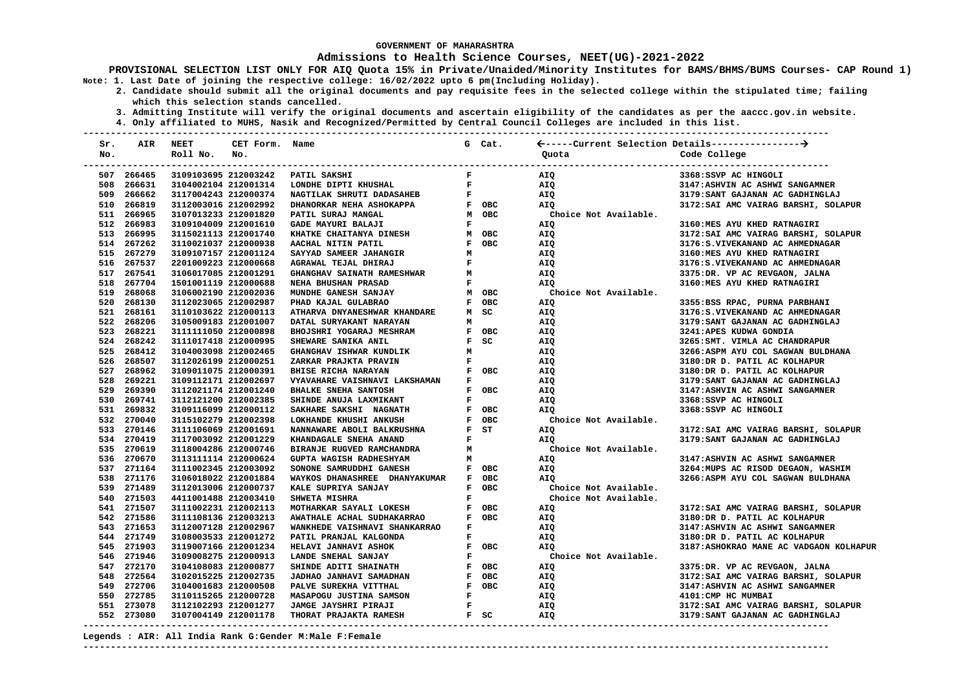### **Admissions to Health Science Courses, NEET(UG)-2021-2022**

**PROVISIONAL SELECTION LIST ONLY FOR AIQ Quota 15% in Private/Unaided/Minority Institutes for BAMS/BHMS/BUMS Courses- CAP Round 1) Note: 1. Last Date of joining the respective college: 16/02/2022 upto 6 pm(Including Holiday).**

 **2. Candidate should submit all the original documents and pay requisite fees in the selected college within the stipulated time; failing which this selection stands cancelled.**

 **3. Admitting Institute will verify the original documents and ascertain eligibility of the candidates as per the aaccc.gov.in website.**

 **4. Only affiliated to MUHS, Nasik and Recognized/Permitted by Central Council Colleges are included in this list.**

| Sr. |            | AIR NEET                                       | CET Form. Name |                                     |                    | G Cat. |                       |                                         |
|-----|------------|------------------------------------------------|----------------|-------------------------------------|--------------------|--------|-----------------------|-----------------------------------------|
| No. |            | Roll No.                                       | No.            |                                     |                    |        | Ouota                 | Code College                            |
|     | 507 266465 | ----------------------<br>3109103695 212003242 |                | PATIL SAKSHI                        | ${\bf F}$          |        | <b>AIO</b>            | 3368:SSVP AC HINGOLI                    |
|     | 508 266631 | 3104002104 212001314                           |                | LONDHE DIPTI KHUSHAL                | F                  |        | AIQ                   | 3147: ASHVIN AC ASHWI SANGAMNER         |
|     | 509 266662 | 3117004243 212000374                           |                | NAGTILAK SHRUTI DADASAHEB           | F                  |        | <b>AIQ</b>            | 3179: SANT GAJANAN AC GADHINGLAJ        |
|     | 510 266819 | 3112003016 212002992                           |                | DHANORKAR NEHA ASHOKAPPA            |                    | F OBC  | <b>AIQ</b>            | 3172: SAI AMC VAIRAG BARSHI, SOLAPUR    |
|     | 511 266965 | 3107013233 212001820                           |                | PATIL SURAJ MANGAL                  |                    | M OBC  | Choice Not Available. |                                         |
|     | 512 266983 | 3109104009 212001610                           |                | GADE MAYURI BALAJI                  | $\mathbf{F}$       |        | AIO                   | 3160:MES AYU KHED RATNAGIRI             |
|     | 513 266995 | 3115021113 212001740                           |                | KHATKE CHAITANYA DINESH             |                    | M OBC  | AIQ                   | 3172: SAI AMC VAIRAG BARSHI, SOLAPUR    |
|     | 514 267262 | 3110021037 212000938                           |                | AACHAL NITIN PATIL                  |                    | F OBC  | <b>AIQ</b>            | 3176: S. VIVEKANAND AC AHMEDNAGAR       |
|     | 515 267279 | 3109107157 212001124                           |                | SAYYAD SAMEER JAHANGIR              | M                  |        | AIQ                   | 3160:MES AYU KHED RATNAGIRI             |
|     | 516 267537 | 2201009223 212000668                           |                | AGRAWAL TEJAL DHIRAJ                | $\mathbf{F}$       |        | AIQ                   | 3176: S. VIVEKANAND AC AHMEDNAGAR       |
|     | 517 267541 | 3106017085 212001291                           |                | GHANGHAV SAINATH RAMESHWAR          | M                  |        | <b>AIQ</b>            | 3375:DR. VP AC REVGAON, JALNA           |
|     | 518 267704 | 1501001119 212000688                           |                | NEHA BHUSHAN PRASAD                 | $\mathbf{F}$       |        | <b>AIO</b>            | 3160:MES AYU KHED RATNAGIRI             |
|     | 519 268068 | 3106002190 212002036                           |                | MUNDHE GANESH SANJAY                |                    | M OBC  | Choice Not Available. |                                         |
|     | 520 268130 | 3112023065 212002987                           |                | PHAD KAJAL GULABRAO                 |                    | F OBC  | <b>AIO</b>            | 3355:BSS RPAC, PURNA PARBHANI           |
|     | 521 268161 | 3110103622 212000113                           |                | ATHARVA DNYANESHWAR KHANDARE        |                    | M SC   | <b>AIQ</b>            | 3176: S.VIVEKANAND AC AHMEDNAGAR        |
|     | 522 268206 | 3105009183 212001007                           |                | DATAL SURYAKANT NARAYAN             | M                  |        | AIQ                   | 3179: SANT GAJANAN AC GADHINGLAJ        |
|     | 523 268221 | 3111111050 212000898                           |                | BHOJSHRI YOGARAJ MESHRAM            |                    | F OBC  | AIQ                   | 3241:APES KUDWA GONDIA                  |
|     | 524 268242 | 3111017418 212000995                           |                | SHEWARE SANIKA ANIL                 |                    | $F$ SC | AIQ                   | 3265: SMT. VIMLA AC CHANDRAPUR          |
|     | 525 268412 | 3104003098 212002465                           |                | GHANGHAV ISHWAR KUNDLIK             | M                  |        | <b>AIQ</b>            | 3266:ASPM AYU COL SAGWAN BULDHANA       |
|     | 526 268507 | 3112026199 212000251                           |                | ZARKAR PRAJKTA PRAVIN               | $\mathbf F$        |        | AIQ                   | 3180:DR D. PATIL AC KOLHAPUR            |
|     | 527 268962 | 3109011075 212000391                           |                | BHISE RICHA NARAYAN                 |                    | F OBC  | <b>AIQ</b>            | 3180:DR D. PATIL AC KOLHAPUR            |
|     | 528 269221 | 3109112171 212002697                           |                | VYAVAHARE VAISHNAVI LAKSHAMAN       | $\mathbf F$        |        | <b>AIQ</b>            | 3179: SANT GAJANAN AC GADHINGLAJ        |
|     | 529 269390 | 3112021174 212001240                           |                | BHALKE SNEHA SANTOSH                |                    | F OBC  | <b>AIQ</b>            | 3147: ASHVIN AC ASHWI SANGAMNER         |
|     | 530 269741 | 3112121200 212002385                           |                | SHINDE ANUJA LAXMIKANT              | $\mathbf F$        |        | <b>AIQ</b>            | 3368:SSVP AC HINGOLI                    |
|     | 531 269832 | 3109116099 212000112                           |                | SAKHARE SAKSHI NAGNATH              |                    | F OBC  | AIQ                   | 3368:SSVP AC HINGOLI                    |
|     | 532 270040 | 3115102279 212002398                           |                | LOKHANDE KHUSHI ANKUSH              |                    | F OBC  | Choice Not Available. |                                         |
|     | 533 270146 | 3111106069 212001691                           |                | NANNAWARE ABOLI BALKRUSHNA          |                    | $F$ ST | <b>AIO</b>            | 3172: SAI AMC VAIRAG BARSHI, SOLAPUR    |
|     | 534 270419 | 3117003092 212001229                           |                | KHANDAGALE SNEHA ANAND              | $\mathbf{F}$       |        | <b>AIO</b>            | 3179: SANT GAJANAN AC GADHINGLAJ        |
|     | 535 270619 | 3118004286 212000746                           |                | BIRANJE RUGVED RAMCHANDRA           | М                  |        | Choice Not Available. |                                         |
|     | 536 270670 | 3113111114 212000624                           |                | GUPTA WAGISH RADHESHYAM             | M                  |        | AIQ                   | 3147: ASHVIN AC ASHWI SANGAMNER         |
|     | 537 271164 | 3111002345 212003092                           |                | SONONE SAMRUDDHI GANESH             |                    | F OBC  | AIQ                   | 3264: MUPS AC RISOD DEGAON, WASHIM      |
|     | 538 271176 | 3106018022 212001884                           |                | WAYKOS DHANASHREE DHANYAKUMAR F OBC |                    |        | <b>AIQ</b>            | 3266:ASPM AYU COL SAGWAN BULDHANA       |
|     | 539 271489 | 3112013006 212000737                           |                | KALE SUPRIYA SANJAY                 |                    | F OBC  | Choice Not Available. |                                         |
|     | 540 271503 | 4411001488 212003410                           |                | SHWETA MISHRA                       | $\mathbf F$        |        | Choice Not Available. |                                         |
|     | 541 271507 | 3111002231 212002113                           |                | MOTHARKAR SAYALI LOKESH             |                    | F OBC  | <b>AIO</b>            | 3172: SAI AMC VAIRAG BARSHI, SOLAPUR    |
|     | 542 271586 | 3111108136 212003213                           |                | AWATHALE ACHAL SUDHAKARRAO          |                    | F OBC  | AIQ                   | 3180:DR D. PATIL AC KOLHAPUR            |
|     | 543 271653 | 3112007128 212002967                           |                | WANKHEDE VAISHNAVI SHANKARRAO       | ${\bf F}$          |        | <b>AIQ</b>            | 3147: ASHVIN AC ASHWI SANGAMNER         |
|     | 544 271749 | 3108003533 212001272                           |                | PATIL PRANJAL KALGONDA              | $\mathbf F$        |        | AIQ                   | 3180:DR D. PATIL AC KOLHAPUR            |
|     | 545 271903 | 3119007166 212001234                           |                | HELAVI JANHAVI ASHOK                |                    | F OBC  | <b>AIO</b>            | 3187: ASHOKRAO MANE AC VADGAON KOLHAPUR |
|     | 546 271946 | 3109008275 212000913                           |                | LANDE SNEHAL SANJAY                 | $\mathbf F$        |        | Choice Not Available. |                                         |
|     | 547 272170 | 3104108083 212000877                           |                | SHINDE ADITI SHAINATH               |                    | F OBC  | AIQ                   | 3375:DR. VP AC REVGAON, JALNA           |
|     | 548 272564 | 3102015225 212002735                           |                | JADHAO JANHAVI SAMADHAN             |                    | F OBC  | AIQ                   | 3172: SAI AMC VAIRAG BARSHI, SOLAPUR    |
|     | 549 272706 | 3104001683 212000508                           |                | PALVE SUREKHA VITTHAL               |                    | F OBC  | AIQ                   | 3147: ASHVIN AC ASHWI SANGAMNER         |
|     | 550 272785 | 3110115265 212000728                           |                | MASAPOGU JUSTINA SAMSON             | $\mathbf{F}% _{0}$ |        | AIQ                   | 4101: CMP HC MUMBAI                     |
|     | 551 273078 | 3112102293 212001277                           |                | JAMGE JAYSHRI PIRAJI                | $\mathbf{F}$       |        | AIQ                   | 3172: SAI AMC VAIRAG BARSHI, SOLAPUR    |
|     | 552 273080 | 3107004149 212001178                           |                | THORAT PRAJAKTA RAMESH              |                    | F SC   | <b>AIO</b>            | 3179: SANT GAJANAN AC GADHINGLAJ        |
|     |            |                                                |                |                                     |                    |        |                       |                                         |

#### **Legends : AIR: All India Rank G:Gender M:Male F:Female**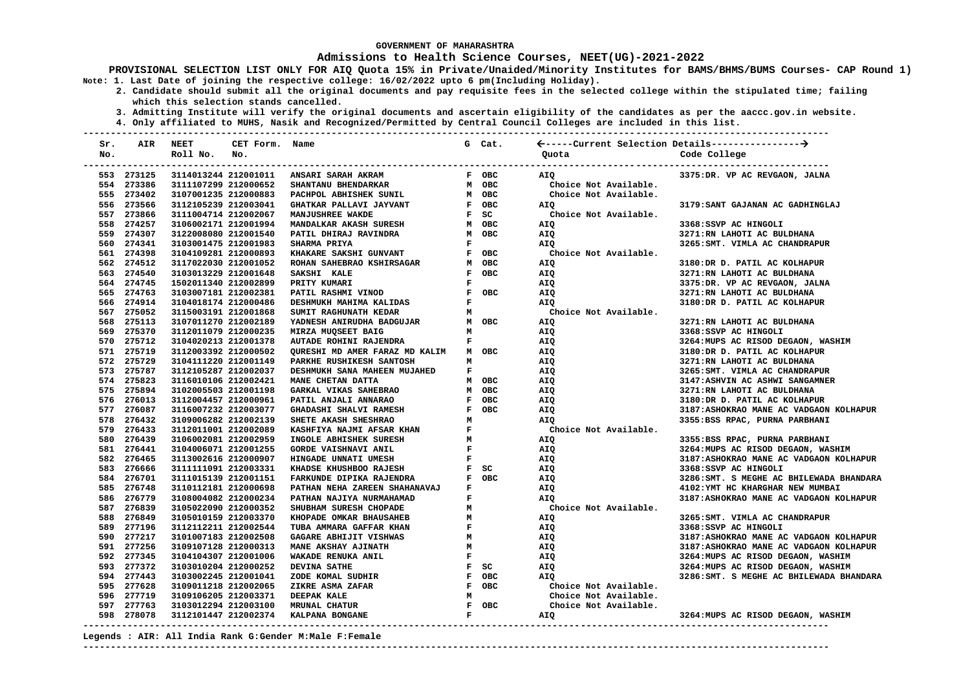#### **Admissions to Health Science Courses, NEET(UG)-2021-2022**

**PROVISIONAL SELECTION LIST ONLY FOR AIQ Quota 15% in Private/Unaided/Minority Institutes for BAMS/BHMS/BUMS Courses- CAP Round 1) Note: 1. Last Date of joining the respective college: 16/02/2022 upto 6 pm(Including Holiday).**

 **2. Candidate should submit all the original documents and pay requisite fees in the selected college within the stipulated time; failing which this selection stands cancelled.**

 **3. Admitting Institute will verify the original documents and ascertain eligibility of the candidates as per the aaccc.gov.in website.**

 **4. Only affiliated to MUHS, Nasik and Recognized/Permitted by Central Council Colleges are included in this list.**

**--------------------------------------------------------------------------------------------------------------------------------------- Sr. AIR NEET CET Form. Name G Cat. -----Current Selection Details---------------- No. Roll No. No. Quota Code College --------------------------------------------------------------------------------------------------------------------------------------- --------------------------------------------------------------------------------------------------------------------------------------- 553 273125 3114013244 212001011 ANSARI SARAH AKRAM F OBC AIQ 3375:DR. VP AC REVGAON, JALNA**  554 273386 3111107299 212000652 SHANTANU BHENDARKAR M OBC Choice Not Available.<br>555 273402 3107001235 212000883 PACHPOL ABHISHEK SUNIL M OBC Choice Not Available.  **555 273402 3107001235 212000883 PACHPOL ABHISHEK SUNIL M OBC Choice Not Available. 556 273566 3112105239 212003041 GHATKAR PALLAVI JAYVANT F OBC AIQ 3179:SANT GAJANAN AC GADHINGLAJ**  557 273866 3111004714 212002067  **558 274257 3106002171 212001994 MANDALKAR AKASH SURESH M OBC AIQ 3368:SSVP AC HINGOLI 559 274307 3122008080 212001540 PATIL DHIRAJ RAVINDRA M OBC AIQ 3271:RN LAHOTI AC BULDHANA**  560 274341 3103001475 212001983 SHARMA PRIYA F B ROSE P BIQ 3265:SMT. VIMLA AC CHANDRAPUR<br>561 274398 3104109281 212000893 KHAKARE SAKSHI GUNVANT F OBC Choice Not Available.  **561 274398 3104109281 212000893 KHAKARE SAKSHI GUNVANT F OBC Choice Not Available. 562 274512 3117022030 212001052 ROHAN SAHEBRAO KSHIRSAGAR M OBC AIQ 3180:DR D. PATIL AC KOLHAPUR 563 274540 3103013229 212001648 SAKSHI KALE F OBC AIQ 3271:RN LAHOTI AC BULDHANA 564 274745 1502011340 212002899 PRITY KUMARI F AIQ 3375:DR. VP AC REVGAON, JALNA 565 274763 3103007181 212002381 PATIL RASHMI VINOD F OBC AIQ AT AT AT AT ALC** BOBC AT ALC 566 274914 3104018174 212000486 DESHMUKH MAHIMA KALIDAS F BAIQ AIQ AIQ 3180:DR D. PATIL AC KOLHAPUR<br>567 275052 3115003191 212001868 SUMIT RAGHUNATH KEDAR M M Choice Not Available. 567 275052 3115003191 212001868 568 275113 3107011270 212002189 YADNESH ANIRUDHA BADGUJAR MOBC AIQ 3271:RN LAHOTI AC BULDHANA ANIRUDHANA ANIRU<br>569 275370 3112011079 212000235 MIRZA MUOSEET BAIG MAN AIO AIO 3368:SSVP AC HINGOLI  **569 275370 3112011079 212000235 MIRZA MUQSEET BAIG M AIQ 3368:SSVP AC HINGOLI F 570 270 270 2764: AIQ 3264: MUPS AC RISOD DEGAON, WASHIM 571 275719 3112003392 212000502 QURESHI MD AMER FARAZ MD KALIM M OBC AIQ 3180:DR D. PATIL AC KOLHAPUR 572 275729 3104111220 212001149 PARKHE RUSHIKESH SANTOSH M AIQ 3271:RN LAHOTI AC BULDHANA**  573 275787 3112105287 212002037 DESHMUKH SANA MAHEEN MUJAHED F **AIQ 574 275823 3116010106 212002421 MANE CHETAN DATTA M OBC AIQ 3147:ASHVIN AC ASHWI SANGAMNER 575 275894 3102005503 212001198 GARKAL VIKAS SAHEBRAO M OBC AIQ 3271:RN LAHOTI AC BULDHANA 576 276013 3112004457 212000961 PATIL ANJALI ANNARAO F OBC AIQ 3180:DR D. PATIL AC KOLHAPUR 577 276087 3116007232 212003077 GHADASHI SHALVI RAMESH F OBC AIQ 3187:ASHOKRAO MANE AC VADGAON KOLHAPUR 578 276432 3109006282 212002139 SHETE AKASH SHESHRAO M AIQ 3355:BSS RPAC, PURNA PARBHANI 579 276433 3112011001 212002089 KASHFIYA NAJMI AFSAR KHAN F Choice Not Available.**  3355:BSS RPAC, PURNA PARBHANI  **581 276441 3104006071 212001255 GORDE VAISHNAVI ANIL F AIQ 3264:MUPS AC RISOD DEGAON, WASHIM 582 276465 3113002616 212000907 HINGADE UNNATI UMESH F AIQ 3187:ASHOKRAO MANE AC VADGAON KOLHAPUR 583 276666 3111111091 212003331 KHADSE KHUSHBOO RAJESH F SC AIQ 3368:SSVP AC HINGOLI 584 584 594 3120 FARKUNDE DIPIKA RAJENDRA FOBC** AIQ 3286:SMT. S MEGHE AC BHILEWADA BHANDARA F OBC<br>PATHAN NEHA ZAREEN SHAHANAVAJ F AIO AIO 4102:YMT HC KHARGHAR NEW MUMBAI  **585 276748 3110112181 212000698 PATHAN NEHA ZAREEN SHAHANAVAJ F AIQ 4102:YMT HC KHARGHAR NEW MUMBAI 586 276779 3108004082 212000234 PATHAN NAJIYA NURMAHAMAD F AIQ 3187:ASHOKRAO MANE AC VADGAON KOLHAPUR 587 587 587 587 587 587 587 587 587 58839 31050 112000352 112000352 SHUBHAM SURESH CHOPADE M** Choice Not Available.  **588 276849 3105010159 212003370 KHOPADE OMKAR BHAUSAHEB M AIQ 3265:SMT. VIMLA AC CHANDRAPUR 589 277196 3112112211 212002544 TUBA AMMARA GAFFAR KHAN F AIQ 3368:SSVP AC HINGOLI 590 3187:ASHOKRAO MANE AC VADGAON KOLHAPUR AIQ 3187:ASHOKRAO MANE AC VADGAON KOLHAPUR M 591 277256 3109107128 212000313 MANE AKSHAY AJINATH M AIQ 3187:ASHOKRAO MANE AC VADGAON KOLHAPUR 592 277345 3104104307 212001006 WAKADE RENUKA ANIL F AIQ 3264:MUPS AC RISOD DEGAON, WASHIM 593 277372 3103010204 212000252 DEVINA SATHE F SC AIQ 3264:MUPS AC RISOD DEGAON, WASHIM**  594 277443 3103002245 212001041 ZODE KOMAL SUDHIR  **595 277628 3109011218 212002065 ZIKRE ASMA ZAFAR F OBC Choice Not Available. 596 277719 3109106205 212003371 DEEPAK KALE M Choice Not Available. 597 277763 3103012294 212003100 MRUNAL CHATUR F OBC Choice Not Available. 598 278078 3112101447 212002374 KALPANA BONGANE F AIQ 3264:MUPS AC RISOD DEGAON, WASHIM** 

**Legends : AIR: All India Rank G:Gender M:Male F:Female**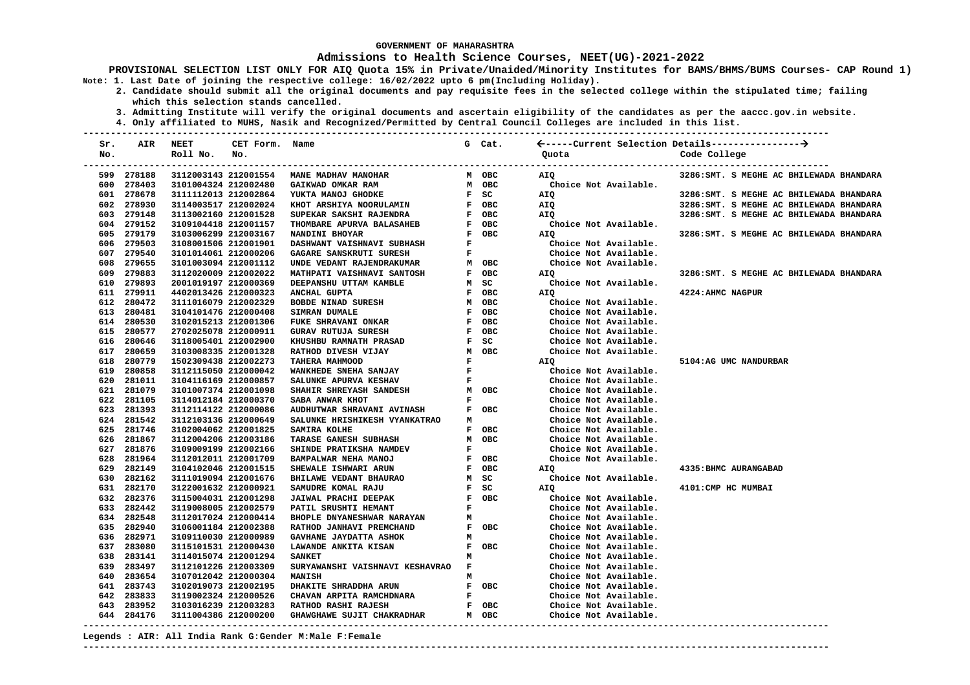#### **Admissions to Health Science Courses, NEET(UG)-2021-2022**

**PROVISIONAL SELECTION LIST ONLY FOR AIQ Quota 15% in Private/Unaided/Minority Institutes for BAMS/BHMS/BUMS Courses- CAP Round 1) Note: 1. Last Date of joining the respective college: 16/02/2022 upto 6 pm(Including Holiday).**

 **2. Candidate should submit all the original documents and pay requisite fees in the selected college within the stipulated time; failing which this selection stands cancelled.**

 **3. Admitting Institute will verify the original documents and ascertain eligibility of the candidates as per the aaccc.gov.in website.**

 **4. Only affiliated to MUHS, Nasik and Recognized/Permitted by Central Council Colleges are included in this list.**

**--------------------------------------------------------------------------------------------------------------------------------------- Sr. AIR NEET CET Form. Name G Cat. -----Current Selection Details---------------- No. Roll No. No. Quota Code College --------------------------------------------------------------------------------------------------------------------------------------- --------------------------------------------------------------------------------------------------------------------------------------- 599 278188 3112003143 212001554 MANE MADHAV MANOHAR M M OBC AIO 600 278403 3101004324 212002480 GAIKWAD OMKAR RAM M OBC Choice Not Available.**<br>
601 278678 3111112013 212002864 YUKTA MANOJ GHODKE R SC AIO  **601 278678 3111112013 212002864 YUKTA MANOJ GHODKE F SC AIQ 3286:SMT. S MEGHE AC BHILEWADA BHANDARA 602 278930 3114003517 212002024 KHOT ARSHIYA NOORULAMIN F OBC AIQ 3286:SMT. S MEGHE AC BHILEWADA BHANDARA 603 603 3286: SMT. S MEGHE AC BHILEWADA BHANDARA 604 279152 3109104418 212001157 THOMBARE APURVA BALASAHEB F OBC Choice Not Available. 605 279179 3103006299 212003167 NANDINI BHOYAR F OBC AIQ 3286:SMT. S MEGHE AC BHILEWADA BHANDARA 606 279503 3108001506 212001901 DASHWANT VAISHNAVI SUBHASH F Choice Not Available. 607 279540 3101014061 212000206 GAGARE SANSKRUTI SURESH F Choice Not Available. 608 279655 3101003094 212001112 UNDE VEDANT RAJENDRAKUMAR M OBC Choice Not Available. 609 279883 3112020009 212002022 MATHPATI VAISHNAVI SANTOSH F OBC AIQ 3286:SMT. S MEGHE AC BHILEWADA BHANDARA 610 279893 2001019197 212000369 DEEPANSHU UTTAM KAMBLE M SC Choice Not Available. 611 279911 4402013426 212000323 ANCHAL GUPTA F OBC AIQ 4224:AHMC NAGPUR**  612 280472 3111016079 212002329 BOBDE NINAD SURESH M OBC Choice Not Available.<br>613 280481 3104101476 212000408 SIMRAN DUMALE **BRANGE R** OBC Choice Not Available.  $613$  280481 3104101476 212000408  **614 280530 3102015213 212001306 FUKE SHRAVANI ONKAR F OBC Choice Not Available. 615 280577 2702025078 212000911 GURAV RUTUJA SURESH F OBC Choice Not Available.**   $616$  280646 3118005401 212002900 617 280659 3103008335 212001328 RATHOD DIVESH VIJAY **M** OBC Choice Not Available.<br>**618 280779 1502309438 212002273 TAHERA MAHMOOD <b>F** AIO 1502309438 212002273 TAHERA MAHMOOD **F** AIQ AIQ 5104:AG UMC NANDURBAR 3ANTAR AT STATES AT STATES AND STATES AT STA<br>References and the state of the state of the state of the state of the state of the state of the state of t  **619 280858 3112115050 212000042 WANKHEDE SNEHA SANJAY F Choice Not Available. 620 281011 3104116169 212000857 SALUNKE APURVA KESHAV F Choice Not Available. 621 281079 3101007374 212001098 SHAHIR SHREYASH SANDESH M OBC Choice Not Available. 622 281105 3114012184 212000370 SABA ANWAR KHOT F Choice Not Available. 623 281393 3112114122 212000086 AUDHUTWAR SHRAVANI AVINASH F OBC Choice Not Available. 624 281542 3112103136 212000649 SALUNKE HRISHIKESH VYANKATRAO M Choice Not Available. 625 281746 3102004062 212001825 SAMIRA KOLHE F OBC Choice Not Available. TARASE GANESH SUBHASH 627 281876 3109009199 212002166 SHINDE PRATIKSHA NAMDEV F Choice Not Available. 628 281964 3112012011 212001709 BAMPALWAR NEHA MANOJ F OBC Choice Not Available. 629 282149 3104102046 212001515 SHEWALE ISHWARI ARUN F OBC AIQ 4335:BHMC AURANGABAD**  630 282162 3111019094 212001676 BHILAWE VEDANT BHAURAO M SC Choice Not Available.<br>**631 282170 3122001632 212000921 SAMUDRE KOMAL RAJU** F SC AIQ  **631 282170 3122001632 212000921 SAMUDRE KOMAL RAJU F SC AIQ 4101:CMP HC MUMBAI 632 282376 3115004031 212001298 JAIWAL PRACHI DEEPAK F OBC Choice Not Available.**  Choice Not Available.  **634 282548 3112017024 212000414 BHOPLE DNYANESHWAR NARAYAN M Choice Not Available. 635 282940 3106001184 212002388 RATHOD JANHAVI PREMCHAND F OBC Choice Not Available. 636 282971 3109110030 212000989 GAVHANE JAYDATTA ASHOK M Choice Not Available. 637 283080 3115101531 212000430 LAWANDE ANKITA KISAN F OBC Choice Not Available. 638 283141 3114015074 212001294 SANKET M Choice Not Available. 639 283497 3112101226 212003309 SURYAWANSHI VAISHNAVI KESHAVRAO F Choice Not Available. 640 283654 3107012042 212000304 MANISH M Choice Not Available. 641 283743 3102019073 212002195 DHAKITE SHRADDHA ARUN F OBC Choice Not Available. 642 283833 3119002324 212000526 CHAVAN ARPITA RAMCHDNARA F Choice Not Available. 643 283952 3103016239 212003283 RATHOD RASHI RAJESH F OBC Choice Not Available. 644 284176 3111004386 212000200 GHAWGHAWE SUJIT CHAKRADHAR M OBC Choice Not Available.** 

#### **Legends : AIR: All India Rank G:Gender M:Male F:Female**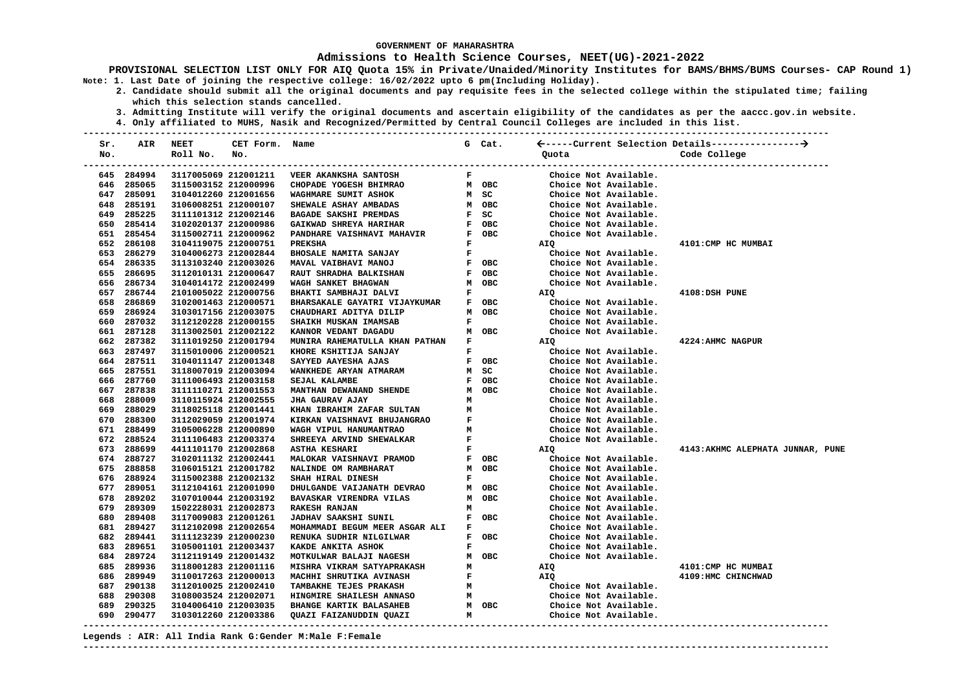### **Admissions to Health Science Courses, NEET(UG)-2021-2022**

**PROVISIONAL SELECTION LIST ONLY FOR AIQ Quota 15% in Private/Unaided/Minority Institutes for BAMS/BHMS/BUMS Courses- CAP Round 1) Note: 1. Last Date of joining the respective college: 16/02/2022 upto 6 pm(Including Holiday).**

 **2. Candidate should submit all the original documents and pay requisite fees in the selected college within the stipulated time; failing which this selection stands cancelled.**

 **3. Admitting Institute will verify the original documents and ascertain eligibility of the candidates as per the aaccc.gov.in website. 4. Only affiliated to MUHS, Nasik and Recognized/Permitted by Central Council Colleges are included in this list.**

| Sr.<br>No. | AIR        | <b>NEET</b><br>Roll No. | CET Form. Name<br>No. |                                     |                                         | G Cat.        | Quota                 | Code College                      |
|------------|------------|-------------------------|-----------------------|-------------------------------------|-----------------------------------------|---------------|-----------------------|-----------------------------------|
|            |            |                         |                       | ----------------------------------  |                                         |               |                       |                                   |
|            | 645 284994 | 3117005069 212001211    |                       | VEER AKANKSHA SANTOSH               | $\mathbf{F}% _{0}$                      |               | Choice Not Available. |                                   |
|            | 646 285065 | 3115003152 212000996    |                       | CHOPADE YOGESH BHIMRAO              |                                         |               | Choice Not Available. |                                   |
|            | 647 285091 | 3104012260 212001656    |                       | WAGHMARE SUMIT ASHOK                |                                         | M OBC<br>M SC | Choice Not Available. |                                   |
|            | 648 285191 | 3106008251 212000107    |                       | SHEWALE ASHAY AMBADAS               |                                         |               | Choice Not Available. |                                   |
|            | 649 285225 | 3111101312 212002146    |                       | <b>BAGADE SAKSHI PREMDAS</b>        |                                         | M OBC<br>F SC | Choice Not Available. |                                   |
|            | 650 285414 | 3102020137 212000986    |                       | GAIKWAD SHREYA HARIHAR              |                                         | F OBC         | Choice Not Available. |                                   |
|            | 651 285454 | 3115002711 212000962    |                       | PANDHARE VAISHNAVI MAHAVIR          |                                         | F OBC         | Choice Not Available. |                                   |
|            | 652 286108 | 3104119075 212000751    |                       | <b>PREKSHA</b>                      | F                                       |               | AIQ                   | 4101: CMP HC MUMBAI               |
|            | 653 286279 | 3104006273 212002844    |                       | BHOSALE NAMITA SANJAY               | $\mathbf{F}$                            |               | Choice Not Available. |                                   |
|            | 654 286335 | 3113103240 212003026    |                       | MAVAL VAIBHAVI MANOJ                |                                         | F OBC         | Choice Not Available. |                                   |
|            | 655 286695 | 3112010131 212000647    |                       | RAUT SHRADHA BALKISHAN              |                                         | F OBC         | Choice Not Available. |                                   |
|            | 656 286734 | 3104014172 212002499    |                       | WAGH SANKET BHAGWAN                 |                                         | м овс         | Choice Not Available. |                                   |
|            | 657 286744 | 2101005022 212000756    |                       | BHAKTI SAMBHAJI DALVI               | F                                       |               | AIQ                   | 4108:DSH PUNE                     |
|            | 658 286869 | 3102001463 212000571    |                       | BHARSAKALE GAYATRI VIJAYKUMAR F OBC |                                         |               | Choice Not Available. |                                   |
|            | 659 286924 | 3103017156 212003075    |                       | CHAUDHARI ADITYA DILIP              |                                         | M OBC         | Choice Not Available. |                                   |
|            | 660 287032 | 3112120228 212000155    |                       | SHAIKH MUSKAN IMAMSAB               | F                                       |               | Choice Not Available. |                                   |
|            | 661 287128 | 3113002501 212002122    |                       | KANNOR VEDANT DAGADU                |                                         | M OBC         | Choice Not Available. |                                   |
|            | 662 287382 | 3111019250 212001794    |                       | MUNIRA RAHEMATULLA KHAN PATHAN F    |                                         |               | AIQ                   | 4224: AHMC NAGPUR                 |
|            | 663 287497 | 3115010006 212000521    |                       | KHORE KSHITIJA SANJAY               | F                                       |               | Choice Not Available. |                                   |
|            | 664 287511 | 3104011147 212001348    |                       | SAYYED AAYESHA AJAS                 |                                         | F OBC         | Choice Not Available. |                                   |
|            | 665 287551 | 3118007019 212003094    |                       | WANKHEDE ARYAN ATMARAM              |                                         | M SC          | Choice Not Available. |                                   |
|            | 666 287760 | 3111006493 212003158    |                       | SEJAL KALAMBE                       |                                         | F OBC         | Choice Not Available. |                                   |
|            | 667 287838 | 3111110271 212001553    |                       | MANTHAN DEWANAND SHENDE             |                                         | M OBC         | Choice Not Available. |                                   |
|            | 668 288009 | 3110115924 212002555    |                       | <b>JHA GAURAV AJAY</b>              | M                                       |               | Choice Not Available. |                                   |
|            | 669 288029 | 3118025118 212001441    |                       | KHAN IBRAHIM ZAFAR SULTAN           | М                                       |               | Choice Not Available. |                                   |
|            | 670 288300 | 3112029059 212001974    |                       | KIRKAN VAISHNAVI BHUJANGRAO         | F                                       |               | Choice Not Available. |                                   |
|            | 671 288499 | 3105006228 212000890    |                       | WAGH VIPUL HANUMANTRAO              | м                                       |               | Choice Not Available. |                                   |
|            | 672 288524 | 3111106483 212003374    |                       | SHREEYA ARVIND SHEWALKAR            | F                                       |               | Choice Not Available. |                                   |
|            | 673 288699 | 4411101170 212002868    |                       | ASTHA KESHARI                       | $\mathbf{F}$                            |               | AIQ                   | 4143: AKHMC ALEPHATA JUNNAR, PUNE |
|            | 674 288727 | 3102011132 212002441    |                       | MALOKAR VAISHNAVI PRAMOD            |                                         | F OBC         | Choice Not Available. |                                   |
|            | 675 288858 | 3106015121 212001782    |                       | NALINDE OM RAMBHARAT                |                                         | M OBC         | Choice Not Available. |                                   |
|            | 676 288924 | 3115002388 212002132    |                       | SHAH HIRAL DINESH                   | F                                       |               | Choice Not Available. |                                   |
|            | 677 289051 | 3112104161 212001090    |                       | DHULGANDE VAIJANATH DEVRAO          |                                         | M OBC         | Choice Not Available. |                                   |
|            | 678 289202 | 3107010044 212003192    |                       | <b>BAVASKAR VIRENDRA VILAS</b>      |                                         | M OBC         | Choice Not Available. |                                   |
|            | 679 289309 | 1502228031 212002873    |                       | <b>RAKESH RANJAN</b>                | M                                       |               | Choice Not Available. |                                   |
|            | 680 289408 | 3117009083 212001261    |                       | <b>JADHAV SAAKSHI SUNIL</b>         |                                         | F OBC         | Choice Not Available. |                                   |
|            | 681 289427 | 3112102098 212002654    |                       | MOHAMMADI BEGUM MEER ASGAR ALI      | F                                       |               | Choice Not Available. |                                   |
|            | 682 289441 | 3111123239 212000230    |                       | RENUKA SUDHIR NILGILWAR             |                                         | F OBC         | Choice Not Available. |                                   |
|            | 683 289651 | 3105001101 212003437    |                       | KAKDE ANKITA ASHOK                  | $\mathbf F$                             |               | Choice Not Available. |                                   |
|            | 684 289724 | 3112119149 212001432    |                       | MOTKULWAR BALAJI NAGESH             |                                         | M OBC         | Choice Not Available. |                                   |
|            | 685 289936 | 3118001283 212001116    |                       | MISHRA VIKRAM SATYAPRAKASH          | м                                       |               | AIQ                   | 4101: CMP HC MUMBAI               |
|            | 686 289949 | 3110017263 212000013    |                       | MACHHI SHRUTIKA AVINASH             | F                                       |               | <b>AIQ</b>            | 4109: HMC CHINCHWAD               |
|            | 687 290138 | 3112010025 212002410    |                       | TAMBAKHE TEJES PRAKASH              | M                                       |               | Choice Not Available. |                                   |
|            | 688 290308 | 3108003524 212002071    |                       | HINGMIRE SHAILESH ANNASO            |                                         |               | Choice Not Available. |                                   |
|            | 689 290325 | 3104006410 212003035    |                       | <b>BHANGE KARTIK BALASAHEB</b>      | $\begin{array}{c}\nM \\ M\n\end{array}$ | M OBC         | Choice Not Available. |                                   |
|            | 690 290477 |                         | 3103012260 212003386  | QUAZI FAIZANUDDIN QUAZI             | м                                       |               | Choice Not Available. |                                   |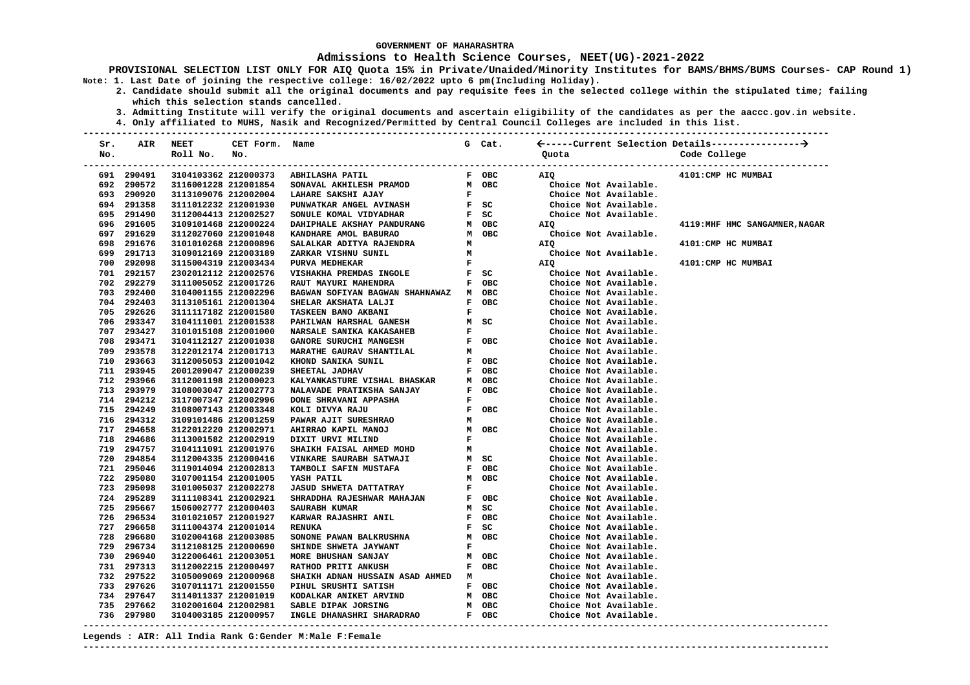### **Admissions to Health Science Courses, NEET(UG)-2021-2022**

**PROVISIONAL SELECTION LIST ONLY FOR AIQ Quota 15% in Private/Unaided/Minority Institutes for BAMS/BHMS/BUMS Courses- CAP Round 1) Note: 1. Last Date of joining the respective college: 16/02/2022 upto 6 pm(Including Holiday).**

 **2. Candidate should submit all the original documents and pay requisite fees in the selected college within the stipulated time; failing which this selection stands cancelled.**

 **3. Admitting Institute will verify the original documents and ascertain eligibility of the candidates as per the aaccc.gov.in website.**

 **4. Only affiliated to MUHS, Nasik and Recognized/Permitted by Central Council Colleges are included in this list.**

| Sr.<br>No. | AIR        | <b>NEET</b><br>Roll No. | CET Form. Name<br>No. |                                                                                                                                                                                                                                          |              |       | Quota                 | Code College<br>--------------- |
|------------|------------|-------------------------|-----------------------|------------------------------------------------------------------------------------------------------------------------------------------------------------------------------------------------------------------------------------------|--------------|-------|-----------------------|---------------------------------|
|            | 691 290491 |                         |                       | 3104103362 212000373 ABHILASHA PATIL                                                                                                                                                                                                     |              | F OBC | <b>AIQ</b>            | 4101: CMP HC MUMBAI             |
|            | 692 290572 | 3116001228 212001854    |                       | SONAVAL AKHILESH PRAMOD<br>LAHARE SAKSHI AJAY                                                                                                                                                                                            |              | м овс | Choice Not Available. |                                 |
|            | 693 290920 | 3113109076 212002004    |                       |                                                                                                                                                                                                                                          | $\mathbf{F}$ |       | Choice Not Available. |                                 |
|            | 694 291358 | 3111012232 212001930    |                       | PUNWATKAR ANGEL AVINASH F SC<br>SONULE KOMAL VIDYADHAR F SC                                                                                                                                                                              |              |       | Choice Not Available. |                                 |
|            | 695 291490 | 3112004413 212002527    |                       |                                                                                                                                                                                                                                          |              |       | Choice Not Available. |                                 |
|            | 696 291605 | 3109101468 212000224    |                       | DAHIPHALE AKSHAY PANDURANG MOBC<br>KANDHARE AMOL BABURANG MOBC<br>SALALKAR ADITYA RAJENDRA MOBC<br>ZARKAR VISHNU SUNIL M<br>PIIRVA MEDHEKAR                                                                                              |              |       | AIQ                   | 4119: MHF HMC SANGAMNER, NAGAR  |
|            | 697 291629 | 3112027060 212001048    |                       |                                                                                                                                                                                                                                          |              |       | Choice Not Available. |                                 |
|            | 698 291676 | 3101010268 212000896    |                       |                                                                                                                                                                                                                                          |              |       | AIQ                   | 4101: CMP HC MUMBAI             |
|            | 699 291713 | 3109012169 212003189    |                       |                                                                                                                                                                                                                                          |              |       | Choice Not Available. |                                 |
|            | 700 292098 | 3115004319 212003434    |                       | PURVA MEDHEKAR                                                                                                                                                                                                                           | $\mathbf{F}$ |       | <b>AIQ</b>            | 4101: CMP HC MUMBAI             |
|            | 701 292157 | 2302012112 212002576    |                       | VISHAKHA PREMDAS INGOLE F SC<br>RAUT MAYURI MAHENDRA F OBC                                                                                                                                                                               |              |       | Choice Not Available. |                                 |
|            | 702 292279 | 3111005052 212001726    |                       |                                                                                                                                                                                                                                          |              | F OBC | Choice Not Available. |                                 |
|            | 703 292400 | 3104001155 212002296    |                       | BAGWAN SOFIYAN BAGWAN SHAHNAWAZ M OBC                                                                                                                                                                                                    |              |       | Choice Not Available. |                                 |
|            | 704 292403 | 3113105161 212001304    |                       | SHELAR AKSHATA LALJI                                                                                                                                                                                                                     |              | F OBC | Choice Not Available. |                                 |
|            | 705 292626 | 3111117182 212001580    |                       | TASKEEN BANO AKBANI<br>PAHILWAN HARSHAL GANESH                                                                                                                                                                                           | F            |       | Choice Not Available. |                                 |
|            | 706 293347 | 3104111001 212001538    |                       |                                                                                                                                                                                                                                          |              | M SC  | Choice Not Available. |                                 |
|            | 707 293427 | 3101015108 212001000    |                       | NARSALE SANIKA KAKASAHEB                                                                                                                                                                                                                 | F            |       | Choice Not Available. |                                 |
|            | 708 293471 | 3104112127 212001038    |                       | <b>NARSALE SANIKA KAKASAHEB<br/>GANORE SURUCHI MANGESH</b>                                                                                                                                                                               |              | F OBC | Choice Not Available. |                                 |
|            | 709 293578 | 3122012174 212001713    |                       |                                                                                                                                                                                                                                          |              |       | Choice Not Available. |                                 |
|            | 710 293663 | 3112005053 212001042    |                       | MARATHE GAURAV SHANTILAL M<br>KHOND SANIKA SUNIL MHT P OBC<br>SHEETAL JADHAV MHT P OBC                                                                                                                                                   |              |       | Choice Not Available. |                                 |
|            | 711 293945 | 2001209047 212000239    |                       |                                                                                                                                                                                                                                          |              |       | Choice Not Available. |                                 |
|            | 712 293966 | 3112001198 212000023    |                       |                                                                                                                                                                                                                                          |              |       | Choice Not Available. |                                 |
|            | 713 293979 | 3108003047 212002773    |                       |                                                                                                                                                                                                                                          |              |       | Choice Not Available. |                                 |
|            | 714 294212 | 3117007347 212002996    |                       |                                                                                                                                                                                                                                          |              |       | Choice Not Available. |                                 |
|            | 715 294249 | 3108007143 212003348    |                       | EMITANKASTURE VISHAL BHASKAR MOBC<br>KALTANKASTURE VISHAL BHASKAR MOBC<br>NALAVADE PRATIKSHA SANJAY FOBC<br>DONE SHRAVANI APPASHA F<br>KOLI DIVYA RAJU FOBC<br>PAWAR AJIT SURESHRAO M<br>AHIRRAO KAPIL MANOJ MOBC<br>DIXIT URVI MILIND F |              |       | Choice Not Available. |                                 |
|            | 716 294312 | 3109101486 212001259    |                       |                                                                                                                                                                                                                                          |              |       | Choice Not Available. |                                 |
|            | 717 294658 | 3122012220 212002971    |                       |                                                                                                                                                                                                                                          |              |       | Choice Not Available. |                                 |
|            | 718 294686 | 3113001582 212002919    |                       |                                                                                                                                                                                                                                          |              |       | Choice Not Available. |                                 |
|            | 719 294757 | 3104111091 212001976    |                       |                                                                                                                                                                                                                                          | м            |       | Choice Not Available. |                                 |
|            | 720 294854 | 3112004335 212000416    |                       | SHAIKH FAISAL AHMED MOHD<br>VINKARE SAURABH SATWAJI                                                                                                                                                                                      |              | M SC  | Choice Not Available. |                                 |
|            | 721 295046 | 3119014094 212002813    |                       |                                                                                                                                                                                                                                          |              |       | Choice Not Available. |                                 |
|            | 722 295080 | 3107001154 212001005    |                       |                                                                                                                                                                                                                                          |              |       | Choice Not Available. |                                 |
|            | 723 295098 | 3101005037 212002278    |                       |                                                                                                                                                                                                                                          |              |       | Choice Not Available. |                                 |
|            | 724 295289 | 3111108341 212002921    |                       |                                                                                                                                                                                                                                          |              |       | Choice Not Available. |                                 |
|            | 725 295667 | 1506002777 212000403    |                       | <b>SAURABH KUMAR</b>                                                                                                                                                                                                                     |              | M SC  | Choice Not Available. |                                 |
|            | 726 296534 | 3101021057 212001927    |                       |                                                                                                                                                                                                                                          |              | F OBC | Choice Not Available. |                                 |
|            | 727 296658 | 3111004374 212001014    |                       | KARWAR RAJASHRI ANIL<br>RENUKA                                                                                                                                                                                                           |              | F SC  | Choice Not Available. |                                 |
|            | 728 296680 | 3102004168 212003085    |                       |                                                                                                                                                                                                                                          |              | M OBC | Choice Not Available. |                                 |
|            | 729 296734 | 3112108125 212000690    |                       | SONONE PAWAN BALKRUSHNA<br>SHINDE SHWETA JAYWANT                                                                                                                                                                                         | $\mathbf{F}$ |       | Choice Not Available. |                                 |
|            | 730 296940 | 3122006461 212003051    |                       | MORE BHUSHAN SANJAY                                                                                                                                                                                                                      |              | M OBC | Choice Not Available. |                                 |
|            | 731 297313 | 3112002215 212000497    |                       | RATHOD PRITI ANKUSH                                                                                                                                                                                                                      |              | F OBC | Choice Not Available. |                                 |
|            | 732 297522 | 3105009069 212000968    |                       | SHAIKH ADNAN HUSSAIN ASAD AHMED M                                                                                                                                                                                                        |              |       | Choice Not Available. |                                 |
|            | 733 297626 | 3107011171 212001550    |                       |                                                                                                                                                                                                                                          |              | F OBC | Choice Not Available. |                                 |
|            | 734 297647 | 3114011337 212001019    |                       |                                                                                                                                                                                                                                          |              | м овс | Choice Not Available. |                                 |
|            | 735 297662 | 3102001604 212002981    |                       |                                                                                                                                                                                                                                          |              | м овс | Choice Not Available. |                                 |
|            | 736 297980 | 3104003185 212000957    |                       | PIHUL SRUSHTI SATISH<br>KODALKAR ANIKET ARVIND<br>SABLE DIPAK JORSING<br>INGLE DHANASHRI SHARADRAO                                                                                                                                       |              | F OBC | Choice Not Available. |                                 |
|            |            |                         |                       | Legends : AIR: All India Rank G:Gender M:Male F:Female                                                                                                                                                                                   |              |       |                       |                                 |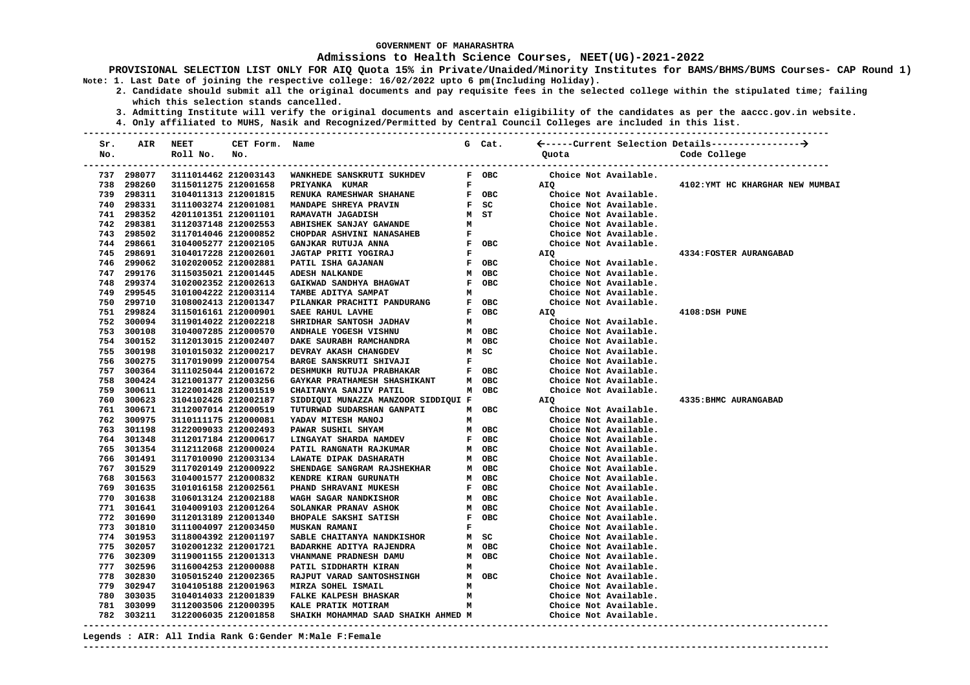### **Admissions to Health Science Courses, NEET(UG)-2021-2022**

**PROVISIONAL SELECTION LIST ONLY FOR AIQ Quota 15% in Private/Unaided/Minority Institutes for BAMS/BHMS/BUMS Courses- CAP Round 1) Note: 1. Last Date of joining the respective college: 16/02/2022 upto 6 pm(Including Holiday).**

 **2. Candidate should submit all the original documents and pay requisite fees in the selected college within the stipulated time; failing which this selection stands cancelled.**

 **3. Admitting Institute will verify the original documents and ascertain eligibility of the candidates as per the aaccc.gov.in website.**

 **4. Only affiliated to MUHS, Nasik and Recognized/Permitted by Central Council Colleges are included in this list.**

| Sr.<br>No. | AIR        | <b>NEET</b><br>Roll No. | CET Form. Name<br>No. |                                                                                                                                                                                                                         |              |                               | Quota                 | Code College                     |
|------------|------------|-------------------------|-----------------------|-------------------------------------------------------------------------------------------------------------------------------------------------------------------------------------------------------------------------|--------------|-------------------------------|-----------------------|----------------------------------|
|            | 737 298077 | 3111014462 212003143    |                       | WANKHEDE SANSKRUTI SUKHDEV                                                                                                                                                                                              |              | F OBC                         | Choice Not Available. |                                  |
|            | 738 298260 | 3115011275 212001658    |                       | PRIYANKA KUMAR                                                                                                                                                                                                          |              | $\mathbf{F}$ and $\mathbf{F}$ | AIQ                   | 4102: YMT HC KHARGHAR NEW MUMBAI |
|            | 739 298311 | 3104011313 212001815    |                       | RENUKA RAMESHWAR SHAHANE                                                                                                                                                                                                |              | F OBC                         | Choice Not Available. |                                  |
|            | 740 298331 | 3111003274 212001081    |                       | MANDAPE SHREYA PRAVIN                                                                                                                                                                                                   |              | F SC                          | Choice Not Available. |                                  |
|            | 741 298352 | 4201101351 212001101    |                       | RAMAVATH JAGADISH                                                                                                                                                                                                       |              | M ST                          | Choice Not Available. |                                  |
|            | 742 298381 | 3112037148 212002553    |                       |                                                                                                                                                                                                                         |              |                               | Choice Not Available. |                                  |
|            | 743 298502 | 3117014046 212000852    |                       |                                                                                                                                                                                                                         |              |                               | Choice Not Available. |                                  |
|            | 744 298661 | 3104005277 212002105    |                       | GANJKAR RUTUJA ANNA                                                                                                                                                                                                     |              | F OBC                         | Choice Not Available. |                                  |
|            | 745 298691 | 3104017228 212002601    |                       | <b>JAGTAP PRITI YOGIRAJ</b>                                                                                                                                                                                             |              | $\mathbf{F}$ and $\mathbf{F}$ | AIQ                   | 4334: FOSTER AURANGABAD          |
|            | 746 299062 | 3102020052 212002881    |                       | PATIL ISHA GAJANAN                                                                                                                                                                                                      |              | $F$ OBC                       | Choice Not Available. |                                  |
|            |            |                         |                       |                                                                                                                                                                                                                         |              |                               |                       |                                  |
|            | 747 299176 | 3115035021 212001445    |                       | <b>ADESH NALKANDE</b>                                                                                                                                                                                                   |              | M OBC                         | Choice Not Available. |                                  |
|            | 748 299374 | 3102002352 212002613    |                       | MAT FOBC<br>M<br>GAIKWAD SANDHYA BHAGWAT                                                                                                                                                                                |              |                               | Choice Not Available. |                                  |
|            | 749 299545 | 3101004222 212003114    |                       |                                                                                                                                                                                                                         |              |                               | Choice Not Available. |                                  |
|            | 750 299710 | 3108002413 212001347    |                       |                                                                                                                                                                                                                         |              |                               | Choice Not Available. |                                  |
|            | 751 299824 | 3115016161 212000901    |                       |                                                                                                                                                                                                                         |              |                               | AIQ                   | 4108:DSH PUNE                    |
|            | 752 300094 | 3119014022 212002218    |                       | SHRIDHAR SANTOSH JADHAV<br>M                                                                                                                                                                                            |              |                               | Choice Not Available. |                                  |
|            | 753 300108 | 3104007285 212000570    |                       | ANDHALE YOGESH VISHNU                                                                                                                                                                                                   |              | M OBC                         | Choice Not Available. |                                  |
|            | 754 300152 | 3112013015 212002407    |                       | DAKE SAURABH RAMCHANDRA                                                                                                                                                                                                 |              | M OBC                         | Choice Not Available. |                                  |
|            | 755 300198 | 3101015032 212000217    |                       |                                                                                                                                                                                                                         |              |                               | Choice Not Available. |                                  |
|            | 756 300275 | 3117019099 212000754    |                       |                                                                                                                                                                                                                         |              |                               | Choice Not Available. |                                  |
|            | 757 300364 | 3111025044 212001672    |                       |                                                                                                                                                                                                                         |              |                               | Choice Not Available. |                                  |
|            | 758 300424 | 3121001377 212003256    |                       | GAYKAR PRATHAMESH SHASHIKANT M OBC<br>CHAITANYA SANJIV PATIL M OBC                                                                                                                                                      |              |                               | Choice Not Available. |                                  |
|            | 759 300611 | 3122001428 212001519    |                       |                                                                                                                                                                                                                         |              |                               | Choice Not Available. |                                  |
|            | 760 300623 | 3104102426 212002187    |                       | SIDDIQUI MUNAZZA MANZOOR SIDDIQUI F                                                                                                                                                                                     |              |                               | AIQ                   | 4335: BHMC AURANGABAD            |
|            | 761 300671 | 3112007014 212000519    |                       | TUTURWAD SUDARSHAN GANPATI                                                                                                                                                                                              |              | м овс                         | Choice Not Available. |                                  |
|            | 762 300975 | 3110111175 212000081    |                       | YADAV MITESH MANOJ                                                                                                                                                                                                      | м            |                               | Choice Not Available. |                                  |
|            | 763 301198 | 3122009033 212002493    |                       | PAWAR SUSHIL SHYAM                                                                                                                                                                                                      |              | M OBC                         | Choice Not Available. |                                  |
|            | 764 301348 | 3112017184 212000617    |                       | LINGAYAT SHARDA NAMDEV                                                                                                                                                                                                  |              | F OBC                         | Choice Not Available. |                                  |
|            | 765 301354 | 3112112068 212000024    |                       | PATIL RANGNATH RAJKUMAR MOBC<br>LAWATE DIPAK DASHARATH MOBC<br>SHENDAGE SANGRAM RAJSHEKHAR MOBC<br>KENDRE KIRAN GURUNATH MOBC<br>PHAND SHRAVANI MUKESH FOBC<br>WAGH SAGAR NANDKISHOR MOBC<br>WAGH SAGAR NANDKISHOR MOBC |              |                               | Choice Not Available. |                                  |
|            | 766 301491 | 3117010090 212003134    |                       |                                                                                                                                                                                                                         |              |                               | Choice Not Available. |                                  |
|            | 767 301529 | 3117020149 212000922    |                       |                                                                                                                                                                                                                         |              |                               | Choice Not Available. |                                  |
|            | 768 301563 | 3104001577 212000832    |                       |                                                                                                                                                                                                                         |              |                               | Choice Not Available. |                                  |
|            | 769 301635 | 3101016158 212002561    |                       |                                                                                                                                                                                                                         |              |                               | Choice Not Available. |                                  |
|            | 770 301638 | 3106013124 212002188    |                       |                                                                                                                                                                                                                         |              |                               | Choice Not Available. |                                  |
|            | 771 301641 | 3104009103 212001264    |                       | SOLANKAR PRANAV ASHOK                                                                                                                                                                                                   |              | M OBC                         | Choice Not Available. |                                  |
|            | 772 301690 | 3112013189 212001340    |                       | <b>BHOPALE SAKSHI SATISH</b>                                                                                                                                                                                            |              | F OBC                         | Choice Not Available. |                                  |
|            | 773 301810 | 3111004097 212003450    |                       | <b>MUSKAN RAMANI</b>                                                                                                                                                                                                    | $\mathbf{F}$ |                               | Choice Not Available. |                                  |
|            | 774 301953 | 3118004392 212001197    |                       | SABLE CHAITANYA NANDKISHOR                                                                                                                                                                                              |              | M SC                          | Choice Not Available. |                                  |
|            | 775 302057 | 3102001232 212001721    |                       | <b>BADARKHE ADITYA RAJENDRA</b>                                                                                                                                                                                         |              | м овс                         | Choice Not Available. |                                  |
|            | 776 302309 | 3119001155 212001313    |                       | VHANMANE PRADNESH DAMU                                                                                                                                                                                                  |              | M OBC                         | Choice Not Available. |                                  |
|            | 777 302596 | 3116004253 212000088    |                       | PATIL SIDDHARTH KIRAN                                                                                                                                                                                                   |              | M                             | Choice Not Available. |                                  |
|            | 778 302830 | 3105015240 212002365    |                       | M OBC<br>RAJPUT VARAD SANTOSHSINGH                                                                                                                                                                                      |              |                               | Choice Not Available. |                                  |
|            | 779 302947 | 3104105188 212001963    |                       | MIRZA SOHEL ISMAIL                                                                                                                                                                                                      | м            |                               | Choice Not Available. |                                  |
|            | 780 303035 | 3104014033 212001839    |                       |                                                                                                                                                                                                                         |              |                               | Choice Not Available. |                                  |
|            | 781 303099 | 3112003506 212000395    |                       |                                                                                                                                                                                                                         |              |                               | Choice Not Available. |                                  |
|            | 782 303211 | 3122006035 212001858    |                       | SHAIKH MOHAMMAD SAAD SHAIKH AHMED M                                                                                                                                                                                     |              |                               | Choice Not Available. |                                  |
|            |            |                         |                       | . ath. all todis hould didended Minels Riponels.                                                                                                                                                                        |              |                               |                       |                                  |

#### **Legends : AIR: All India Rank G:Gender M:Male F:Female**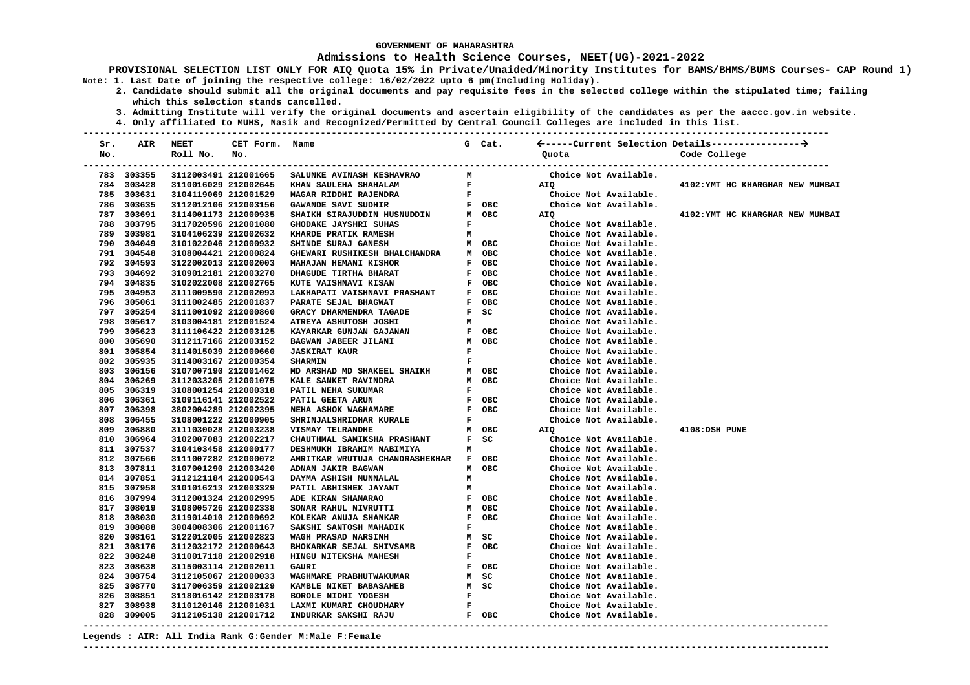### **Admissions to Health Science Courses, NEET(UG)-2021-2022**

**PROVISIONAL SELECTION LIST ONLY FOR AIQ Quota 15% in Private/Unaided/Minority Institutes for BAMS/BHMS/BUMS Courses- CAP Round 1) Note: 1. Last Date of joining the respective college: 16/02/2022 upto 6 pm(Including Holiday).**

 **2. Candidate should submit all the original documents and pay requisite fees in the selected college within the stipulated time; failing which this selection stands cancelled.**

 **3. Admitting Institute will verify the original documents and ascertain eligibility of the candidates as per the aaccc.gov.in website.**

 **4. Only affiliated to MUHS, Nasik and Recognized/Permitted by Central Council Colleges are included in this list.**

| Sr.<br>No. | AIR        | <b>NEET</b><br>Roll No. No. | CET Form. Name |                                                                                                                                                                                                                                                   |              |                                      | Quota                 | Code College                     |
|------------|------------|-----------------------------|----------------|---------------------------------------------------------------------------------------------------------------------------------------------------------------------------------------------------------------------------------------------------|--------------|--------------------------------------|-----------------------|----------------------------------|
|            | 783 303355 | 3112003491 212001665        |                | SALUNKE AVINASH KESHAVRAO                                                                                                                                                                                                                         | $\mathbf{M}$ |                                      | Choice Not Available. |                                  |
|            | 784 303428 | 3110016029 212002645        |                | $\mathbf{F}$ and $\mathbf{F}$ are the set of $\mathbf{F}$<br>KHAN SAULEHA SHAHALAM                                                                                                                                                                |              |                                      | AIQ                   | 4102: YMT HC KHARGHAR NEW MUMBAI |
|            | 785 303631 | 3104119069 212001529        |                |                                                                                                                                                                                                                                                   |              |                                      | Choice Not Available. |                                  |
|            | 786 303635 | 3112012106 212003156        |                |                                                                                                                                                                                                                                                   |              |                                      | Choice Not Available. |                                  |
|            | 787 303691 | 3114001173 212000935        |                |                                                                                                                                                                                                                                                   |              |                                      | AIQ                   | 4102: YMT HC KHARGHAR NEW MUMBAI |
|            | 788 303795 | 3117020596 212001080        |                |                                                                                                                                                                                                                                                   |              |                                      | Choice Not Available. |                                  |
|            | 789 303981 | 3104106239 212002632        |                |                                                                                                                                                                                                                                                   |              |                                      | Choice Not Available. |                                  |
|            | 790 304049 | 3101022046 212000932        |                | EXAMPLE PRATTIK RAMESH MARINE SURAJ RAMESH MARINE SURAJ GHEWARI RUSHIKESH BHALCHANDRA MOBC<br>GHEWARI RUSHIKESH BHALCHANDRA MOBC<br>MAHAJIAN HEWANT FIGUOR                                                                                        |              |                                      | Choice Not Available. |                                  |
|            | 791 304548 | 3108004421 212000824        |                |                                                                                                                                                                                                                                                   |              |                                      | Choice Not Available. |                                  |
|            | 792 304593 | 3122002013 212002003        |                | F OBC<br>F OBC<br>F OBC<br>F OBC<br>MAHAJAN HEMANI KISHOR                                                                                                                                                                                         |              |                                      | Choice Not Available. |                                  |
|            | 793 304692 | 3109012181 212003270        |                | DHAGUDE TIRTHA BHARAT                                                                                                                                                                                                                             |              |                                      | Choice Not Available. |                                  |
|            | 794 304835 | 3102022008 212002765        |                | KUTE VAISHNAVI KISAN                                                                                                                                                                                                                              |              |                                      | Choice Not Available. |                                  |
|            | 795 304953 | 3111009590 212002093        |                |                                                                                                                                                                                                                                                   |              |                                      | Choice Not Available. |                                  |
|            | 796 305061 | 3111002485 212001837        |                | KUTE VALSHAAVL KLSAN FRASHANT FROEC<br>LAKHAPATI VALSHANAT PRASHANT FROEC<br>GRACY DHARMENDRA TAGADE F SC<br>ATREYA ASHUTOSH JOSHI M<br>KAYARKAR GUNJAN GAJANAN F OBC<br>BAGWAN JABEER JILANI M OBC<br>JASKIRAT KAUR F<br>JASKIRAT KAUR F         |              |                                      | Choice Not Available. |                                  |
|            | 797 305254 | 3111001092 212000860        |                |                                                                                                                                                                                                                                                   |              |                                      | Choice Not Available. |                                  |
|            | 798 305617 | 3103004181 212001524        |                |                                                                                                                                                                                                                                                   |              |                                      | Choice Not Available. |                                  |
|            | 799 305623 | 3111106422 212003125        |                |                                                                                                                                                                                                                                                   |              |                                      | Choice Not Available. |                                  |
|            | 800 305690 | 3112117166 212003152        |                |                                                                                                                                                                                                                                                   |              |                                      | Choice Not Available. |                                  |
|            | 801 305854 | 3114015039 212000660        |                |                                                                                                                                                                                                                                                   |              |                                      | Choice Not Available. |                                  |
|            | 802 305935 | 3114003167 212000354        |                | F<br>MD ARSHAD MD SHAKEEL SHAIKH MOBC<br>KALE SANKET RAVINDRA MOBC<br>PATIL NEHA SUKUMAR<br>PATIL GEETA ARUN FOBC<br>NEHA ASHOK WAGHAMAPF<br>TOBC<br>NEHA ASHOK WAGHAMAPF                                                                         |              |                                      | Choice Not Available. |                                  |
|            | 803 306156 | 3107007190 212001462        |                |                                                                                                                                                                                                                                                   |              |                                      | Choice Not Available. |                                  |
|            | 804 306269 | 3112033205 212001075        |                |                                                                                                                                                                                                                                                   |              |                                      | Choice Not Available. |                                  |
|            | 805 306319 | 3108001254 212000318        |                |                                                                                                                                                                                                                                                   |              |                                      | Choice Not Available. |                                  |
|            | 806 306361 | 3109116141 212002522        |                |                                                                                                                                                                                                                                                   |              |                                      | Choice Not Available. |                                  |
|            | 807 306398 | 3802004289 212002395        |                | NEHA ASHOK WAGHAMARE                                                                                                                                                                                                                              |              |                                      | Choice Not Available. |                                  |
|            | 808 306455 | 3108001222 212000905        |                | SHRINJALSHRIDHAR KURALE                                                                                                                                                                                                                           |              | $\overline{F}$ OBC<br>$\overline{F}$ | Choice Not Available. |                                  |
|            | 809 306880 | 3111030028 212003238        |                | <b>VISMAY TELRANDHE</b>                                                                                                                                                                                                                           |              | M OBC                                | AIQ                   | 4108:DSH PUNE                    |
|            | 810 306964 | 3102007083 212002217        |                | CHAUTHMAL SAMIKSHA PRASHANT F SC<br>DESHMUKH IBRAHIM NABIMIYA M                                                                                                                                                                                   |              |                                      | Choice Not Available. |                                  |
|            | 811 307537 | 3104103458 212000177        |                |                                                                                                                                                                                                                                                   |              |                                      | Choice Not Available. |                                  |
|            | 812 307566 | 3111007282 212000072        |                | AMRITKAR WRUTUJA CHANDRASHEKHAR F OBC                                                                                                                                                                                                             |              |                                      | Choice Not Available. |                                  |
|            | 813 307811 | 3107001290 212003420        |                |                                                                                                                                                                                                                                                   |              |                                      | Choice Not Available. |                                  |
|            | 814 307851 | 3112121184 212000543        |                |                                                                                                                                                                                                                                                   |              |                                      | Choice Not Available. |                                  |
|            | 815 307958 | 3101016213 212003329        |                |                                                                                                                                                                                                                                                   |              |                                      | Choice Not Available. |                                  |
|            | 816 307994 | 3112001324 212002995        |                |                                                                                                                                                                                                                                                   |              |                                      | Choice Not Available. |                                  |
|            | 817 308019 | 3108005726 212002338        |                |                                                                                                                                                                                                                                                   |              |                                      | Choice Not Available. |                                  |
|            | 818 308030 | 3119014010 212000692        |                |                                                                                                                                                                                                                                                   |              |                                      | Choice Not Available. |                                  |
|            | 819 308088 | 3004008306 212001167        |                |                                                                                                                                                                                                                                                   |              |                                      | Choice Not Available. |                                  |
|            | 820 308161 | 3122012005 212002823        |                |                                                                                                                                                                                                                                                   |              |                                      | Choice Not Available. |                                  |
|            | 821 308176 | 3112032172 212000643        |                |                                                                                                                                                                                                                                                   |              |                                      | Choice Not Available. |                                  |
|            | 822 308248 | 3110017118 212002918        |                | AMRITKAR WRUTUJA CHANDRASHEKHAR F OBC<br>ADNAN JAKIR BAGWAN<br>DAYMA ASHISH MUNNALAL M<br>M OBC<br>DAYMA ASHISH MUNNALAL M<br>M OBC<br>F OBC<br>SONAR RAHUL NIVRUTTI M OBC<br>SONAR RAHUL NIVRUTTI M OBC<br>KOLEKAR ANUJA SHANKAR F OBC<br>SAKSHI |              |                                      | Choice Not Available. |                                  |
|            | 823 308638 | 3115003114 212002011        |                | GAURI                                                                                                                                                                                                                                             |              | F OBC                                | Choice Not Available. |                                  |
|            | 824 308754 | 3112105067 212000033        |                |                                                                                                                                                                                                                                                   |              |                                      | Choice Not Available. |                                  |
|            | 825 308770 | 3117006359 212002129        |                |                                                                                                                                                                                                                                                   |              |                                      | Choice Not Available. |                                  |
|            | 826 308851 | 3118016142 212003178        |                |                                                                                                                                                                                                                                                   |              |                                      | Choice Not Available. |                                  |
|            | 827 308938 | 3110120146 212001031        |                |                                                                                                                                                                                                                                                   |              |                                      | Choice Not Available. |                                  |
|            | 828 309005 | 3112105138 212001712        |                | GAURI<br>WAGHMARE PRABHUTWAKUMAR M SC<br>KAMBLE NIKET BABASAHEB M SC<br>BOROLE NIDHI YOGESH F<br>LAXMI KUMARI CHOUDHARY F<br>INDURKAR SAKSHI RAJU F OBC<br>INDURKAR SAKSHI RAJU                                                                   |              |                                      | Choice Not Available. |                                  |
|            |            |                             |                |                                                                                                                                                                                                                                                   |              |                                      |                       |                                  |

**Legends : AIR: All India Rank G:Gender M:Male F:Female**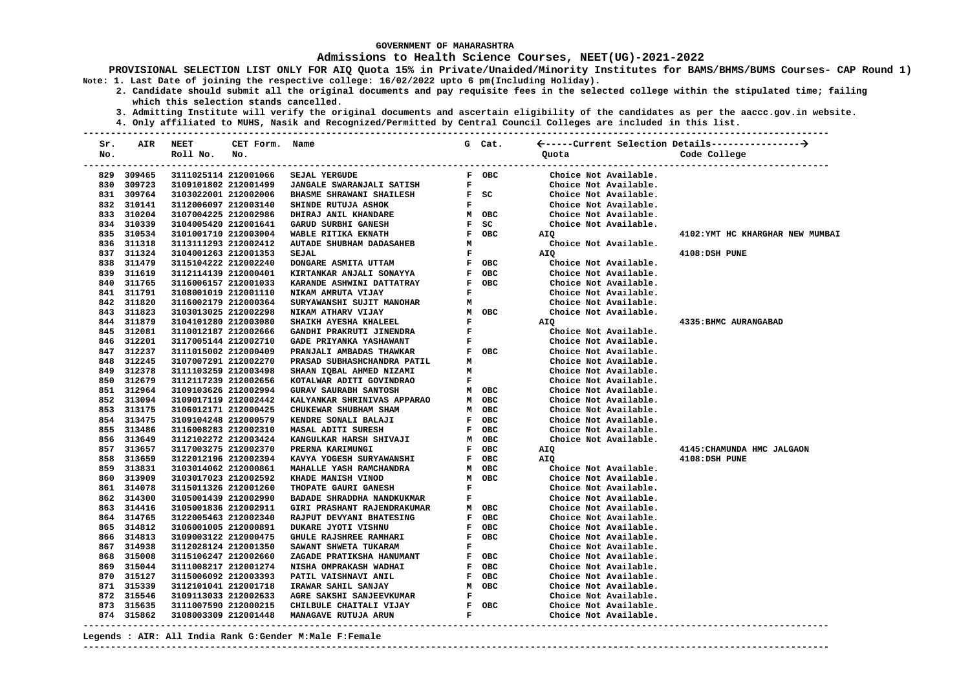### **Admissions to Health Science Courses, NEET(UG)-2021-2022**

**PROVISIONAL SELECTION LIST ONLY FOR AIQ Quota 15% in Private/Unaided/Minority Institutes for BAMS/BHMS/BUMS Courses- CAP Round 1) Note: 1. Last Date of joining the respective college: 16/02/2022 upto 6 pm(Including Holiday).**

 **2. Candidate should submit all the original documents and pay requisite fees in the selected college within the stipulated time; failing which this selection stands cancelled.**

 **3. Admitting Institute will verify the original documents and ascertain eligibility of the candidates as per the aaccc.gov.in website.**

 **4. Only affiliated to MUHS, Nasik and Recognized/Permitted by Central Council Colleges are included in this list.**

| Sr.<br>No. | AIR        | <b>NEET</b><br>Roll No. | CET Form. Name<br>No. |                                   |                               | G Cat.                                    | Quota                 | Code College                     |
|------------|------------|-------------------------|-----------------------|-----------------------------------|-------------------------------|-------------------------------------------|-----------------------|----------------------------------|
|            | 829 309465 | 3111025114 212001066    |                       | SEJAL YERGUDE                     |                               | F OBC                                     | Choice Not Available. |                                  |
|            | 830 309723 | 3109101802 212001499    |                       | <b>JANGALE SWARANJALI SATISH</b>  |                               | $\mathbf{F}$ and $\mathbf{F}$             | Choice Not Available. |                                  |
|            | 831 309764 | 3103022001 212002006    |                       | <b>BHASME SHRAWANI SHAILESH</b>   | F SC                          |                                           | Choice Not Available. |                                  |
|            | 832 310141 | 3112006097 212003140    |                       | SHINDE RUTUJA ASHOK               | <b>Experience</b>             |                                           | Choice Not Available. |                                  |
|            | 833 310204 | 3107004225 212002986    |                       | DHIRAJ ANIL KHANDARE              | M OBC                         |                                           | Choice Not Available. |                                  |
|            | 834 310339 | 3104005420 212001641    |                       | GARUD SURBHI GANESH               |                               |                                           | Choice Not Available. |                                  |
|            | 835 310534 | 3101001710 212003004    |                       | WABLE RITIKA EKNATH               | F SC<br>F OBC                 | F OBC                                     | AIO                   | 4102: YMT HC KHARGHAR NEW MUMBAI |
|            | 836 311318 | 3113111293 212002412    |                       | <b>AUTADE SHUBHAM DADASAHEB</b>   | M                             |                                           | Choice Not Available. |                                  |
|            | 837 311324 | 3104001263 212001353    |                       | SEJAL                             | $\mathbf{F}$                  |                                           | AIQ                   | 4108:DSH PUNE                    |
|            | 838 311479 | 3115104222 212002240    |                       | DONGARE ASMITA UTTAM              | F OBC                         |                                           | Choice Not Available. |                                  |
|            | 839 311619 | 3112114139 212000401    |                       | KIRTANKAR ANJALI SONAYYA          | F OBC                         |                                           | Choice Not Available. |                                  |
|            | 840 311765 | 3116006157 212001033    |                       | KARANDE ASHWINI DATTATRAY         | F OBC                         |                                           | Choice Not Available. |                                  |
|            | 841 311791 | 3108001019 212001110    |                       | NIKAM AMRUTA VIJAY                |                               |                                           | Choice Not Available. |                                  |
|            | 842 311820 | 3116002179 212000364    |                       | SURYAWANSHI SUJIT MANOHAR         | M                             | $\frac{F}{M}$                             | Choice Not Available. |                                  |
|            | 843 311823 | 3103013025 212002298    |                       | NIKAM ATHARV VIJAY                |                               | M OBC                                     | Choice Not Available. |                                  |
|            | 844 311879 | 3104101280 212003080    |                       | SHAIKH AYESHA KHALEEL             | $\mathbf{F}$                  |                                           | AIQ                   | 4335: BHMC AURANGABAD            |
|            | 845 312081 | 3110012187 212002666    |                       | GANDHI PRAKRUTI JINENDRA          | $\mathbf{F}$ and $\mathbf{F}$ |                                           | Choice Not Available. |                                  |
|            | 846 312201 | 3117005144 212002710    |                       | GADE PRIYANKA YASHAWANT           |                               | $\mathbf{F}$ and $\mathbf{F}$             | Choice Not Available. |                                  |
|            | 847 312237 | 3111015002 212000409    |                       | PRANJALI AMBADAS THAWKAR          |                               | F OBC                                     | Choice Not Available. |                                  |
|            | 848 312245 | 3107007291 212002270    |                       | PRASAD SUBHASHCHANDRA PATIL       | м                             |                                           | Choice Not Available. |                                  |
|            | 849 312378 | 3111103259 212003498    |                       | SHAAN IQBAL AHMED NIZAMI          | M                             |                                           | Choice Not Available. |                                  |
|            | 850 312679 | 3112117239 212002656    |                       | KOTALWAR ADITI GOVINDRAO          |                               | $\mathbf{F}^{(n)}$ and $\mathbf{F}^{(n)}$ | Choice Not Available. |                                  |
|            | 851 312964 | 3109103626 212002994    |                       | <b>GURAV SAURABH SANTOSH</b>      |                               | м овс                                     | Choice Not Available. |                                  |
|            | 852 313094 | 3109017119 212002442    |                       |                                   |                               |                                           | Choice Not Available. |                                  |
|            | 853 313175 | 3106012171 212000425    |                       |                                   |                               |                                           | Choice Not Available. |                                  |
|            | 854 313475 | 3109104248 212000579    |                       | KENDRE SONALI BALAJI              |                               |                                           | Choice Not Available. |                                  |
|            | 855 313486 | 3116008283 212002310    |                       | MASAL ADITI SURESH                | F OBC<br>F OBC                |                                           | Choice Not Available. |                                  |
|            | 856 313649 | 3112102272 212003424    |                       | KANGULKAR HARSH SHIVAJI           | M OBC                         |                                           | Choice Not Available. |                                  |
|            | 857 313657 | 3117003275 212002370    |                       | PRERNA KARIMUNGI                  |                               | F OBC                                     | AIQ                   | 4145: CHAMUNDA HMC JALGAON       |
|            | 858 313659 | 3122012196 212002394    |                       | KAVYA YOGESH SURYAWANSHI          |                               | F OBC                                     | AIQ                   | 4108:DSH PUNE                    |
|            | 859 313831 | 3103014062 212000861    |                       | MAHALLE YASH RAMCHANDRA           |                               | M OBC                                     | Choice Not Available. |                                  |
|            | 860 313909 | 3103017023 212002592    |                       | KHADE MANISH VINOD                |                               | M OBC                                     | Choice Not Available. |                                  |
|            | 861 314078 | 3115011326 212001260    |                       | THOPATE GAURI GANESH              | $\mathbf{F}$                  |                                           | Choice Not Available. |                                  |
|            | 862 314300 | 3105001439 212002990    |                       | BADADE SHRADDHA NANDKUKMAR        | $\mathbf{F}$                  |                                           | Choice Not Available. |                                  |
|            | 863 314416 | 3105001836 212002911    |                       | GIRI PRASHANT RAJENDRAKUMAR M OBC |                               |                                           | Choice Not Available. |                                  |
|            | 864 314765 | 3122005463 212002340    |                       | RAJPUT DEVYANI BHATESING          |                               | F OBC                                     | Choice Not Available. |                                  |
|            | 865 314812 | 3106001005 212000891    |                       | DUKARE JYOTI VISHNU               |                               | F OBC                                     | Choice Not Available. |                                  |
|            | 866 314813 | 3109003122 212000475    |                       | GHULE RAJSHREE RAMHARI            | F OBC                         |                                           | Choice Not Available. |                                  |
|            | 867 314938 | 3112028124 212001350    |                       | SAWANT SHWETA TUKARAM             | $\mathbf{F}$ and $\mathbf{F}$ |                                           | Choice Not Available. |                                  |
|            | 868 315008 | 3115106247 212002660    |                       | ZAGADE PRATIKSHA HANUMANT         | F OBC                         |                                           | Choice Not Available. |                                  |
|            | 869 315044 | 3111008217 212001274    |                       | NISHA OMPRAKASH WADHAI            |                               | F OBC                                     | Choice Not Available. |                                  |
|            | 870 315127 | 3115006092 212003393    |                       | PATIL VAISHNAVI ANIL              | F OBC                         |                                           | Choice Not Available. |                                  |
|            | 871 315339 | 3112101041 212001718    |                       |                                   |                               |                                           | Choice Not Available. |                                  |
|            | 872 315546 | 3109113033 212002633    |                       |                                   |                               |                                           | Choice Not Available. |                                  |
|            | 873 315635 | 3111007590 212000215    |                       |                                   |                               |                                           | Choice Not Available. |                                  |
|            | 874 315862 | 3108003309 212001448    |                       |                                   |                               |                                           | Choice Not Available. |                                  |
|            |            |                         |                       |                                   |                               |                                           |                       |                                  |

#### **Legends : AIR: All India Rank G:Gender M:Male F:Female**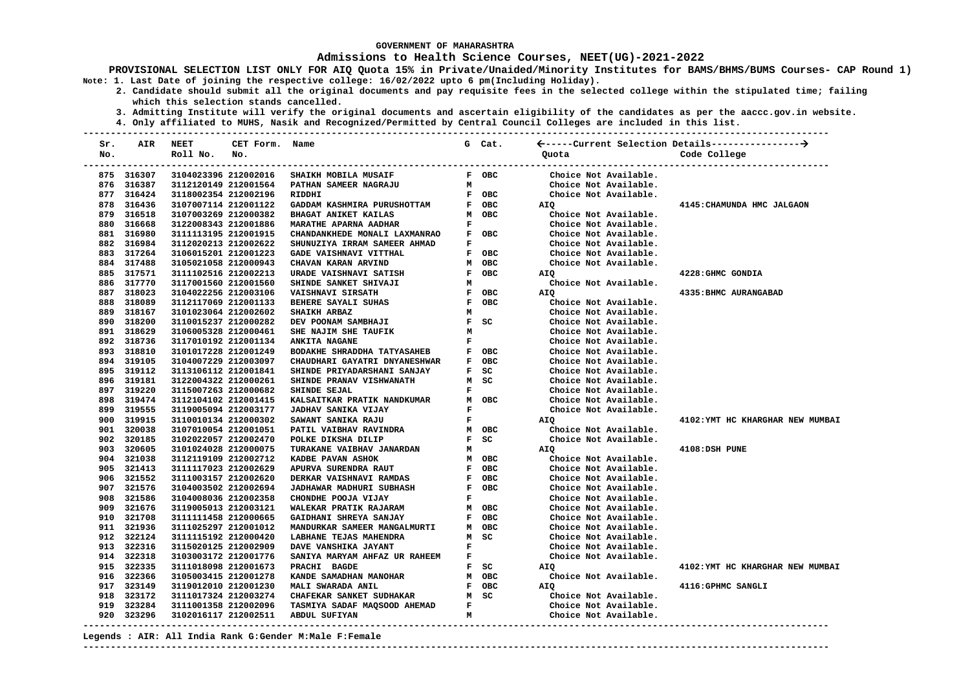### **Admissions to Health Science Courses, NEET(UG)-2021-2022**

**PROVISIONAL SELECTION LIST ONLY FOR AIQ Quota 15% in Private/Unaided/Minority Institutes for BAMS/BHMS/BUMS Courses- CAP Round 1) Note: 1. Last Date of joining the respective college: 16/02/2022 upto 6 pm(Including Holiday).**

 **2. Candidate should submit all the original documents and pay requisite fees in the selected college within the stipulated time; failing which this selection stands cancelled.**

 **3. Admitting Institute will verify the original documents and ascertain eligibility of the candidates as per the aaccc.gov.in website.**

 **4. Only affiliated to MUHS, Nasik and Recognized/Permitted by Central Council Colleges are included in this list.**

| Sr. |            | <b>AIR NEET</b>      | CET Form. Name       |                                                    |              |                               |                       |                                  |
|-----|------------|----------------------|----------------------|----------------------------------------------------|--------------|-------------------------------|-----------------------|----------------------------------|
| No. |            | Roll No. No.         |                      |                                                    |              |                               | Quota                 | Code College                     |
|     | 875 316307 | 3104023396 212002016 |                      | SHAIKH MOBILA MUSAIF                               |              | F OBC                         | Choice Not Available. |                                  |
|     | 876 316387 | 3112120149 212001564 |                      | PATHAN SAMEER NAGRAJU                              |              | $\mathbf{M}$                  | Choice Not Available. |                                  |
|     | 877 316424 | 3118002354 212002196 |                      | RIDDHI                                             |              | F OBC                         | Choice Not Available. |                                  |
|     | 878 316436 | 3107007114 212001122 |                      | GADDAM KASHMIRA PURUSHOTTAM                        |              | F OBC                         | AIQ                   | 4145: CHAMUNDA HMC JALGAON       |
|     | 879 316518 | 3107003269 212000382 |                      | <b>BHAGAT ANIKET KAILAS</b>                        |              | M OBC                         | Choice Not Available. |                                  |
|     | 880 316668 | 3122008343 212001886 |                      | MARATHE APARNA AADHAR                              | $\mathbf{F}$ |                               | Choice Not Available. |                                  |
|     | 881 316980 | 3111113195 212001915 |                      | CHANDANKHEDE MONALI LAXMANRAO                      |              | F OBC                         | Choice Not Available. |                                  |
|     | 882 316984 | 3112020213 212002622 |                      | SHUNUZIYA IRRAM SAMEER AHMAD                       | $\mathbf{F}$ |                               | Choice Not Available. |                                  |
|     | 883 317264 | 3106015201 212001223 |                      | GADE VAISHNAVI VITTHAL                             |              | F OBC                         | Choice Not Available. |                                  |
|     | 884 317488 | 3105021058 212000943 |                      | CHAVAN KARAN ARVIND                                |              | M OBC                         | Choice Not Available. |                                  |
|     | 885 317571 | 3111102516 212002213 |                      | URADE VAISHNAVI SATISH                             |              | F OBC                         | AIO                   | 4228: GHMC GONDIA                |
|     | 886 317770 | 3117001560 212001560 |                      | SHINDE SANKET SHIVAJI                              | M            |                               | Choice Not Available. |                                  |
|     | 887 318023 | 3104022256 212003106 |                      | <b>VAISHNAVI SIRSATH</b>                           |              | F OBC                         | AIQ                   | 4335: BHMC AURANGABAD            |
|     | 888 318089 | 3112117069 212001133 |                      | $F$ OBC<br>$M$<br>BEHERE SAYALI SUHAS              |              |                               | Choice Not Available. |                                  |
|     | 889 318167 | 3101023064 212002602 |                      | <b>SHAIKH ARBAZ</b>                                |              |                               | Choice Not Available. |                                  |
|     | 890 318200 | 3110015237 212000282 |                      | DEV POONAM SAMBHAJI                                |              | $F$ SC                        | Choice Not Available. |                                  |
|     | 891 318629 | 3106005328 212000461 |                      | SHE NAJIM SHE TAUFIK                               | $\mathbf{M}$ |                               | Choice Not Available. |                                  |
|     | 892 318736 | 3117010192 212001134 |                      | ANKITA NAGANE                                      | F            |                               | Choice Not Available. |                                  |
|     | 893 318810 | 3101017228 212001249 |                      | BODAKHE SHRADDHA TATYASAHEB                        |              | F OBC                         | Choice Not Available. |                                  |
|     | 894 319105 | 3104007229 212003097 |                      | CHAUDHARI GAYATRI DNYANESHWAR                      |              | F OBC                         | Choice Not Available. |                                  |
|     | 895 319112 | 3113106112 212001841 |                      | SHINDE PRIYADARSHANI SANJAY                        |              | $F$ SC                        | Choice Not Available. |                                  |
|     | 896 319181 | 3122004322 212000261 |                      | SHINDE PRANAV VISHWANATH                           |              | M SC                          | Choice Not Available. |                                  |
|     | 897 319220 | 3115007263 212000682 |                      | SHINDE SEJAL                                       | $\mathbf F$  |                               | Choice Not Available. |                                  |
|     | 898 319474 | 3112104102 212001415 |                      | KALSAITKAR PRATIK NANDKUMAR<br>JADHAV SANIKA VIJAY |              | M OBC                         | Choice Not Available. |                                  |
|     | 899 319555 | 3119005094 212003177 |                      | <b>JADHAV SANIKA VIJAY</b>                         | F            |                               | Choice Not Available. |                                  |
|     | 900 319915 | 3110010134 212000302 |                      | SAWANT SANIKA RAJU                                 | $\mathbf{F}$ |                               | AIQ                   | 4102: YMT HC KHARGHAR NEW MUMBAI |
|     | 901 320038 | 3107010054 212001051 |                      | PATIL VAIBHAV RAVINDRA                             |              | M OBC                         | Choice Not Available. |                                  |
|     | 902 320185 | 3102022057 212002470 |                      | POLKE DIKSHA DILIP                                 |              | $F$ SC                        | Choice Not Available. |                                  |
|     | 903 320605 | 3101024028 212000075 |                      |                                                    |              |                               | AIQ                   | 4108:DSH PUNE                    |
|     | 904 321038 | 3112119109 212002712 |                      |                                                    |              |                               | Choice Not Available. |                                  |
|     | 905 321413 | 3111117023 212002629 |                      | APURVA SURENDRA RAUT                               |              | F OBC                         | Choice Not Available. |                                  |
|     | 906 321552 | 3111003157 212002620 |                      | DERKAR VAISHNAVI RAMDAS                            |              | F OBC                         | Choice Not Available. |                                  |
|     | 907 321576 | 3104003502 212002694 |                      | <b>JADHAWAR MADHURI SUBHASH</b>                    |              | F OBC                         | Choice Not Available. |                                  |
|     | 908 321586 | 3104008036 212002358 |                      | CHONDHE POOJA VIJAY                                | $\mathbf{F}$ |                               | Choice Not Available. |                                  |
|     | 909 321676 | 3119005013 212003121 |                      | WALEKAR PRATIK RAJARAM                             |              | M OBC<br>F OBC                | Choice Not Available. |                                  |
|     | 910 321708 | 3111111458 212000665 |                      | GAIDHANI SHREYA SANJAY                             |              |                               | Choice Not Available. |                                  |
|     | 911 321936 | 3111025297 212001012 |                      | MANDURKAR SAMEER MANGALMURTI                       |              | M OBC                         | Choice Not Available. |                                  |
|     | 912 322124 | 3111115192 212000420 |                      | <b>LABHANE TEJAS MAHENDRA</b>                      |              | M SC                          | Choice Not Available. |                                  |
|     | 913 322316 | 3115020125 212002909 |                      | DAVE VANSHIKA JAYANT                               |              | $\mathbf{F}$ and $\mathbf{F}$ | Choice Not Available. |                                  |
|     | 914 322318 | 3103003172 212001776 |                      | SANIYA MARYAM AHFAZ UR RAHEEM F                    |              |                               | Choice Not Available. |                                  |
|     | 915 322335 | 3111018098 212001673 |                      | PRACHI BAGDE                                       |              | $F$ SC                        | AIQ                   | 4102: YMT HC KHARGHAR NEW MUMBAI |
|     | 916 322366 | 3105003415 212001278 |                      | KANDE SAMADHAN MANOHAR                             |              | M OBC                         | Choice Not Available. |                                  |
|     | 917 323149 | 3119012010 212001230 |                      | MALI SWARADA ANIL                                  |              | F OBC                         | AIO                   | 4116: GPHMC SANGLI               |
|     | 918 323172 | 3111017324 212003274 |                      | CHAFEKAR SANKET SUDHAKAR M SC                      |              |                               | Choice Not Available. |                                  |
|     | 919 323284 | 3111001358 212002096 |                      | TASMIYA SADAF MAQSOOD AHEMAD F                     |              |                               | Choice Not Available. |                                  |
|     | 920 323296 |                      | 3102016117 212002511 | ABDUL SUFIYAN                                      | м            |                               | Choice Not Available. |                                  |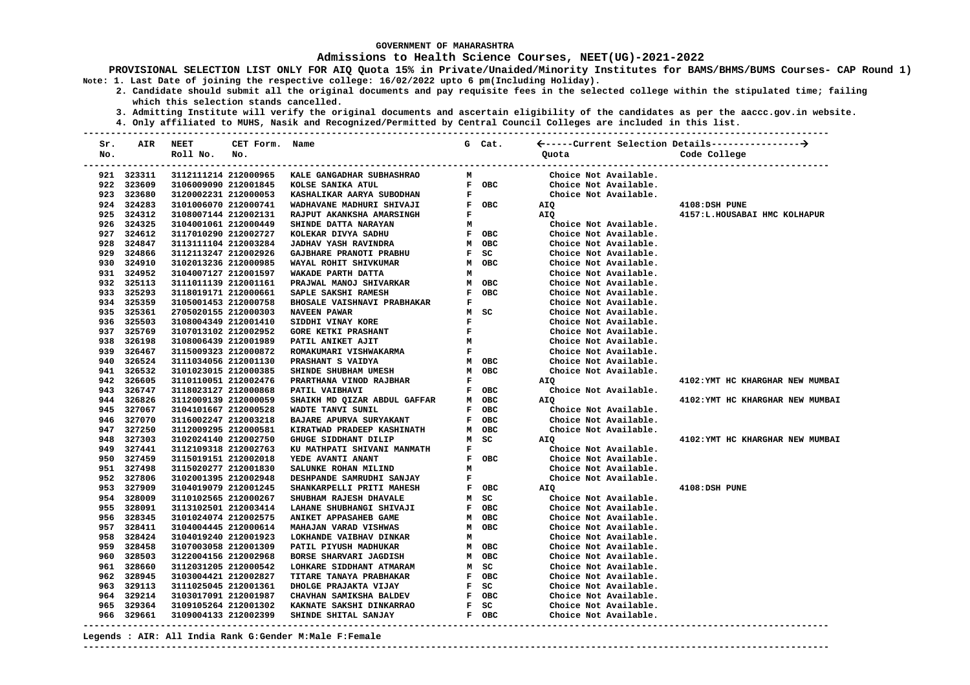### **Admissions to Health Science Courses, NEET(UG)-2021-2022**

**PROVISIONAL SELECTION LIST ONLY FOR AIQ Quota 15% in Private/Unaided/Minority Institutes for BAMS/BHMS/BUMS Courses- CAP Round 1) Note: 1. Last Date of joining the respective college: 16/02/2022 upto 6 pm(Including Holiday).**

 **2. Candidate should submit all the original documents and pay requisite fees in the selected college within the stipulated time; failing which this selection stands cancelled.**

 **3. Admitting Institute will verify the original documents and ascertain eligibility of the candidates as per the aaccc.gov.in website.**

 **4. Only affiliated to MUHS, Nasik and Recognized/Permitted by Central Council Colleges are included in this list.**

| Sr.<br>No. | AIR        | <b>NEET</b><br>Roll No.                           | CET Form. Name<br>No. |                                                                |                               | G Cat.                        | Quota                 | Code College                     |
|------------|------------|---------------------------------------------------|-----------------------|----------------------------------------------------------------|-------------------------------|-------------------------------|-----------------------|----------------------------------|
|            | 921 323311 | -------------------------<br>3112111214 212000965 |                       | KALE GANGADHAR SUBHASHRAO                                      | М                             |                               | Choice Not Available. |                                  |
|            | 922 323609 | 3106009090 212001845                              |                       | KOLSE SANIKA ATUL                                              |                               | F OBC                         | Choice Not Available. |                                  |
|            | 923 323680 | 3120002231 212000053                              |                       | KASHALIKAR AARYA SUBODHAN                                      | <b>Example 19</b>             |                               | Choice Not Available. |                                  |
|            | 924 324283 | 3101006070 212000741                              |                       | WADHAVANE MADHURI SHIVAJI                                      | F OBC                         |                               | AIQ                   | 4108:DSH PUNE                    |
|            | 925 324312 | 3108007144 212002131                              |                       | RAJPUT AKANKSHA AMARSINGH                                      |                               | $\mathbf{F}$ and $\mathbf{F}$ | AIQ                   | 4157:L.HOUSABAI HMC KOLHAPUR     |
|            | 926 324325 | 3104001061 212000449                              |                       | SHINDE DATTA NARAYAN                                           |                               |                               | Choice Not Available. |                                  |
|            | 927 324612 | 3117010290 212002727                              |                       | KOLEKAR DIVYA SADHU                                            | $M$<br>$F$ OBC                |                               | Choice Not Available. |                                  |
|            | 928 324847 | 3113111104 212003284                              |                       | <b>JADHAV YASH RAVINDRA</b>                                    |                               | M OBC                         | Choice Not Available. |                                  |
|            | 929 324866 | 3112113247 212002926                              |                       | GAJBHARE PRANOTI PRABHU                                        | $F$ SC                        |                               | Choice Not Available. |                                  |
|            | 930 324910 | 3102013236 212000985                              |                       | WAYAL ROHIT SHIVKUMAR                                          | M OBC                         |                               | Choice Not Available. |                                  |
|            | 931 324952 | 3104007127 212001597                              |                       | WAKADE PARTH DATTA                                             | M                             |                               | Choice Not Available. |                                  |
|            | 932 325113 | 3111011139 212001161                              |                       | PRAJWAL MANOJ SHIVARKAR                                        | M OBC                         |                               | Choice Not Available. |                                  |
|            | 933 325293 | 3118019171 212000661                              |                       | SAPLE SAKSHI RAMESH                                            |                               | F OBC                         | Choice Not Available. |                                  |
|            | 934 325359 | 3105001453 212000758                              |                       | BHOSALE VAISHNAVI PRABHAKAR F                                  |                               |                               | Choice Not Available. |                                  |
|            | 935 325361 | 2705020155 212000303                              |                       | <b>NAVEEN PAWAR</b>                                            |                               | M SC                          | Choice Not Available. |                                  |
|            | 936 325503 | 3108004349 212001410                              |                       | SIDDHI VINAY KORE                                              | $\mathbf{F}$                  |                               | Choice Not Available. |                                  |
|            | 937 325769 | 3107013102 212002952                              |                       | <b>GORE KETKI PRASHANT</b>                                     | <b>Example 19</b>             |                               | Choice Not Available. |                                  |
|            | 938 326198 | 3108006439 212001989                              |                       | PATIL ANIKET AJIT                                              | M                             |                               | Choice Not Available. |                                  |
|            | 939 326467 | 3115009323 212000872                              |                       | ROMAKUMARI VISHWAKARMA                                         |                               | $\mathbf{F}$ and $\mathbf{F}$ | Choice Not Available. |                                  |
|            | 940 326524 | 3111034056 212001130                              |                       | PRASHANT S VAIDYA                                              | M OBC                         |                               | Choice Not Available. |                                  |
|            | 941 326532 | 3101023015 212000385                              |                       | SHINDE SHUBHAM UMESH                                           | M OBC                         |                               | Choice Not Available. |                                  |
|            | 942 326605 | 3110110051 212002476                              |                       | PRARTHANA VINOD RAJBHAR                                        | $\mathbf{F}$ and $\mathbf{F}$ |                               | AIO                   | 4102: YMT HC KHARGHAR NEW MUMBAI |
|            | 943 326747 | 3118023127 212000868                              |                       | PATIL VAIBHAVI                                                 | $F$ OBC                       |                               | Choice Not Available. |                                  |
|            | 944 326826 | 3112009139 212000059                              |                       | SHAIKH MD QIZAR ABDUL GAFFAR                                   | M OBC                         |                               | AIQ                   | 4102: YMT HC KHARGHAR NEW MUMBAI |
|            | 945 327067 | 3104101667 212000528                              |                       | WADTE TANVI SUNIL                                              | F OBC                         |                               | Choice Not Available. |                                  |
|            | 946 327070 | 3116002247 212003218                              |                       | <b>BAJARE APURVA SURYAKANT</b>                                 |                               | F OBC                         | Choice Not Available. |                                  |
|            | 947 327250 | 3112009295 212000581                              |                       | KIRATWAD PRADEEP KASHINATH                                     |                               | M OBC                         | Choice Not Available. |                                  |
|            | 948 327303 | 3102024140 212002750                              |                       | GHUGE SIDDHANT DILIP                                           |                               | M SC                          | AIQ                   | 4102: YMT HC KHARGHAR NEW MUMBAI |
|            | 949 327441 | 3112109318 212002763                              |                       | KU MATHPATI SHIVANI MANMATH                                    |                               | $\mathbf{F}$ and $\mathbf{F}$ | Choice Not Available. |                                  |
|            | 950 327459 | 3115019151 212002018                              |                       | YEDE AVANTI ANANT                                              |                               | F OBC                         | Choice Not Available. |                                  |
|            | 951 327498 | 3115020277 212001830                              |                       | SALUNKE ROHAN MILIND                                           | M                             |                               | Choice Not Available. |                                  |
|            | 952 327806 | 3102001395 212002948                              |                       | DESHPANDE SAMRUDHI SANJAY                                      | $\mathbf{F}$                  |                               | Choice Not Available. |                                  |
|            | 953 327909 | 3104019079 212001245                              |                       | SHANKARPELLI PRITI MAHESH                                      | F OBC                         |                               | AIQ                   | 4108:DSH PUNE                    |
|            | 954 328009 | 3110102565 212000267                              |                       | SHUBHAM RAJESH DHAVALE                                         |                               |                               | Choice Not Available. |                                  |
|            | 955 328091 | 3113102501 212003414                              |                       | LAHANE SHUBHANGI SHIVAJI                                       |                               |                               | Choice Not Available. |                                  |
|            | 956 328345 | 3101024074 212002575                              |                       | ANIKET APPASAHEB GAME                                          | M SC<br>F OBC<br>M OBC        |                               | Choice Not Available. |                                  |
|            | 957 328411 | 3104004445 212000614                              |                       | MAHAJAN VARAD VISHWAS                                          | M OBC                         |                               | Choice Not Available. |                                  |
|            | 958 328424 | 3104019240 212001923                              |                       | LOKHANDE VAIBHAV DINKAR                                        | M                             |                               | Choice Not Available. |                                  |
|            | 959 328458 | 3107003058 212001309                              |                       | PATIL PIYUSH MADHUKAR                                          |                               | M OBC                         | Choice Not Available. |                                  |
|            | 960 328503 | 3122004156 212002968                              |                       | <b>BORSE SHARVARI JAGDISH</b>                                  | M OBC<br>M OBC                |                               | Choice Not Available. |                                  |
|            | 961 328660 | 3112031205 212000542                              |                       | LOHKARE SIDDHANT ATMARAM                                       | M SC<br>F OBC                 |                               | Choice Not Available. |                                  |
|            | 962 328945 | 3103004421 212002827                              |                       | TITARE TANAYA PRABHAKAR                                        |                               |                               | Choice Not Available. |                                  |
|            | 963 329113 | 3111025045 212001361                              |                       | DHOLGE PRAJAKTA VIJAY                                          | F SC                          |                               | Choice Not Available. |                                  |
|            | 964 329214 | 3103017091 212001987                              |                       | CHAVHAN SAMIKSHA BALDEV F OBC<br>KAKNATE SAKSHI DINKARRAO F SC |                               |                               | Choice Not Available. |                                  |
|            | 965 329364 | 3109105264 212001302                              |                       | KAKNATE SAKSHI DINKARRAO                                       |                               |                               | Choice Not Available. |                                  |
|            | 966 329661 | 3109004133 212002399                              |                       | SHINDE SHITAL SANJAY                                           |                               | F OBC                         | Choice Not Available. |                                  |
|            |            |                                                   |                       |                                                                |                               |                               |                       |                                  |

**Legends : AIR: All India Rank G:Gender M:Male F:Female**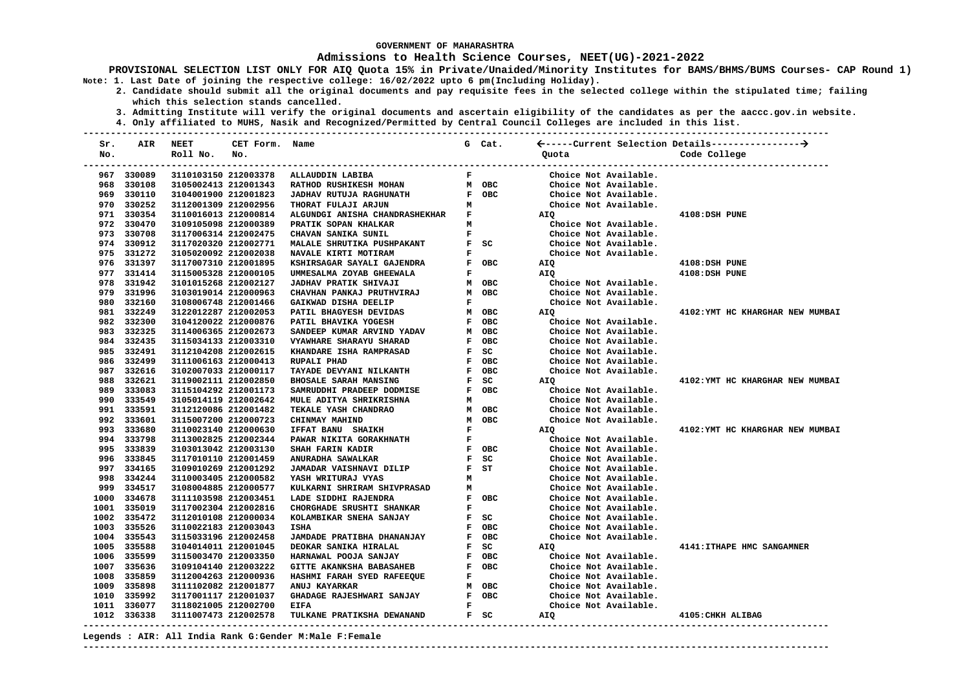### **Admissions to Health Science Courses, NEET(UG)-2021-2022**

**PROVISIONAL SELECTION LIST ONLY FOR AIQ Quota 15% in Private/Unaided/Minority Institutes for BAMS/BHMS/BUMS Courses- CAP Round 1) Note: 1. Last Date of joining the respective college: 16/02/2022 upto 6 pm(Including Holiday).**

 **2. Candidate should submit all the original documents and pay requisite fees in the selected college within the stipulated time; failing which this selection stands cancelled.**

 **3. Admitting Institute will verify the original documents and ascertain eligibility of the candidates as per the aaccc.gov.in website.**

 **4. Only affiliated to MUHS, Nasik and Recognized/Permitted by Central Council Colleges are included in this list.**

| Sr.<br>No. |             | AIR NEET<br>Roll No. No. | CET Form. Name |                                                                                                                        |              |                               | Quota                 | Code College                     |
|------------|-------------|--------------------------|----------------|------------------------------------------------------------------------------------------------------------------------|--------------|-------------------------------|-----------------------|----------------------------------|
|            |             |                          |                |                                                                                                                        |              |                               |                       |                                  |
|            | 967 330089  | 3110103150 212003378     |                | ALLAUDDIN LABIBA                                                                                                       | $\mathbf{F}$ |                               | Choice Not Available. |                                  |
|            | 968 330108  | 3105002413 212001343     |                | RATHOD RUSHIKESH MOHAN                                                                                                 |              | M OBC                         | Choice Not Available. |                                  |
|            | 969 330110  | 3104001900 212001823     |                | <b>JADHAV RUTUJA RAGHUNATH</b>                                                                                         |              | F OBC                         | Choice Not Available. |                                  |
|            | 970 330252  | 3112001309 212002956     |                | THORAT FULAJI ARJUN                                                                                                    | M            |                               | Choice Not Available. |                                  |
|            | 971 330354  | 3110016013 212000814     |                | ALGUNDGI ANISHA CHANDRASHEKHAR                                                                                         |              | $\mathbf{F}$ and $\mathbf{F}$ | AIQ                   | 4108:DSH PUNE                    |
|            | 972 330470  | 3109105098 212000389     |                | PRATIK SOPAN KHALKAR                                                                                                   | M            |                               | Choice Not Available. |                                  |
|            | 973 330708  | 3117006314 212002475     |                | CHAVAN SANIKA SUNIL                                                                                                    |              | $\mathbf{F}^{(n)}$            | Choice Not Available. |                                  |
|            | 974 330912  | 3117020320 212002771     |                | MALALE SHRUTIKA PUSHPAKANT                                                                                             |              | $F$ SC                        | Choice Not Available. |                                  |
|            | 975 331272  | 3105020092 212002038     |                | NAVALE KIRTI MOTIRAM                                                                                                   |              | $\mathbf{F}$ and $\mathbf{F}$ | Choice Not Available. |                                  |
|            | 976 331397  | 3117007310 212001895     |                | KSHIRSAGAR SAYALI GAJENDRA                                                                                             |              | F OBC                         | AIQ                   | 4108:DSH PUNE                    |
|            | 977 331414  | 3115005328 212000105     |                | UMMESALMA ZOYAB GHEEWALA                                                                                               |              | $\mathbf{F}$ and $\mathbf{F}$ | AIQ                   | 4108:DSH PUNE                    |
|            | 978 331942  | 3101015268 212002127     |                | <b>JADHAV PRATIK SHIVAJI</b>                                                                                           |              | M OBC                         | Choice Not Available. |                                  |
|            | 979 331996  | 3103019014 212000963     |                | CHAVHAN PANKAJ PRUTHVIRAJ                                                                                              |              | M OBC                         | Choice Not Available. |                                  |
|            | 980 332160  | 3108006748 212001466     |                | GAIKWAD DISHA DEELIP                                                                                                   |              | $\mathbf{F}$ and $\mathbf{F}$ | Choice Not Available. |                                  |
|            | 981 332249  | 3122012287 212002053     |                | PATIL BHAGYESH DEVIDAS                                                                                                 |              |                               | AIO                   | 4102: YMT HC KHARGHAR NEW MUMBAI |
|            | 982 332300  | 3104120022 212000876     |                | PATIL BHAGYESH DEVIDAS M OBC PATIL BHAVIKA YOGESH F OBC SANDEEP KUMAR ARVIND YADAV M OBC VYAWHARE SHARAYU SHARAD F OBC |              |                               | Choice Not Available. |                                  |
|            | 983 332325  | 3114006365 212002673     |                |                                                                                                                        |              |                               | Choice Not Available. |                                  |
|            | 984 332435  | 3115034133 212003310     |                |                                                                                                                        |              |                               | Choice Not Available. |                                  |
|            | 985 332491  | 3112104208 212002615     |                | KHANDARE ISHA RAMPRASAD                                                                                                |              | F SC                          | Choice Not Available. |                                  |
|            | 986 332499  | 3111006163 212000413     |                | RUPALI PHAD                                                                                                            |              | F OBC                         | Choice Not Available. |                                  |
|            | 987 332616  | 3102007033 212000117     |                | TAYADE DEVYANI NILKANTH                                                                                                |              | F OBC                         | Choice Not Available. |                                  |
|            | 988 332621  | 3119002111 212002850     |                | <b>BHOSALE SARAH MANSING</b>                                                                                           |              | $F$ SC                        | AIO                   | 4102: YMT HC KHARGHAR NEW MUMBAI |
|            | 989 333083  | 3115104292 212001173     |                | SAMRUDDHI PRADEEP DODMISE                                                                                              |              | F OBC                         | Choice Not Available. |                                  |
|            | 990 333549  | 3105014119 212002642     |                | MULE ADITYA SHRIKRISHNA                                                                                                |              |                               | Choice Not Available. |                                  |
|            | 991 333591  | 3112120086 212001482     |                | TEKALE YASH CHANDRAO                                                                                                   |              | M<br>M OBC<br>M OBC           | Choice Not Available. |                                  |
|            | 992 333601  | 3115007200 212000723     |                | CHINMAY MAHIND                                                                                                         |              |                               | Choice Not Available. |                                  |
|            | 993 333680  | 3110023140 212000630     |                | <b>IFFAT BANU SHAIKH</b>                                                                                               |              | $\mathbf{F}$ and $\mathbf{F}$ | AIO                   | 4102: YMT HC KHARGHAR NEW MUMBAI |
|            | 994 333798  | 3113002825 212002344     |                | PAWAR NIKITA GORAKHNATH                                                                                                |              | $\mathbf{F}$ and $\mathbf{F}$ | Choice Not Available. |                                  |
|            | 995 333839  | 3103013042 212003130     |                | SHAH FARIN KADIR                                                                                                       |              | F OBC                         | Choice Not Available. |                                  |
|            | 996 333845  | 3117010110 212001459     |                | ANURADHA SAWALKAR                                                                                                      |              | F SC                          | Choice Not Available. |                                  |
|            | 997 334165  | 3109010269 212001292     |                | JAMADAR VAISHNAVI DILIP                                                                                                |              | $F$ $ST$                      | Choice Not Available. |                                  |
|            | 998 334244  | 3110003405 212000582     |                | YASH WRITURAJ VYAS                                                                                                     |              | M                             | Choice Not Available. |                                  |
|            | 999 334517  | 3108004885 212000577     |                | KULKARNI SHRIRAM SHIVPRASAD                                                                                            |              | M                             | Choice Not Available. |                                  |
|            | 1000 334678 | 3111103598 212003451     |                | LADE SIDDHI RAJENDRA                                                                                                   |              | F OBC                         | Choice Not Available. |                                  |
|            | 1001 335019 | 3117002304 212002816     |                | CHORGHADE SRUSHTI SHANKAR                                                                                              |              | $\mathbf{F}$ and $\mathbf{F}$ | Choice Not Available. |                                  |
|            | 1002 335472 | 3112010108 212000034     |                | KOLAMBIKAR SNEHA SANJAY                                                                                                |              | $F$ SC                        | Choice Not Available. |                                  |
|            | 1003 335526 | 3110022183 212003043     |                | <b>ISHA</b>                                                                                                            |              | F OBC                         | Choice Not Available. |                                  |
|            | 1004 335543 | 3115033196 212002458     |                | JAMDADE PRATIBHA DHANANJAY                                                                                             |              | F OBC                         | Choice Not Available. |                                  |
|            | 1005 335588 | 3104014011 212001045     |                | DEOKAR SANIKA HIRALAL                                                                                                  |              | F SC<br>F OBC                 | AIQ                   | 4141: ITHAPE HMC SANGAMNER       |
|            | 1006 335599 | 3115003470 212003350     |                | HARNAWAL POOJA SANJAY                                                                                                  |              |                               | Choice Not Available. |                                  |
|            | 1007 335636 | 3109104140 212003222     |                | GITTE AKANKSHA BABASAHEB F OBC<br>HASHMI FARAH SYED RAFEEQUE F                                                         |              |                               | Choice Not Available. |                                  |
|            | 1008 335859 | 3112004263 212000936     |                |                                                                                                                        |              |                               | Choice Not Available. |                                  |
|            | 1009 335898 | 3111102082 212001877     |                | ANUJ KAYARKAR                                                                                                          |              | M OBC                         | Choice Not Available. |                                  |
|            | 1010 335992 | 3117001117 212001037     |                | F OBC<br>GHADAGE RAJESHWARI SANJAY                                                                                     |              |                               | Choice Not Available. |                                  |
|            | 1011 336077 | 3118021005 212002700     |                | <b>EIFA</b>                                                                                                            |              | <b>Example 19</b>             | Choice Not Available. |                                  |
|            | 1012 336338 | 3111007473 212002578     |                | <b>F</b> SC<br>TULKANE PRATIKSHA DEWANAND                                                                              |              |                               | AIQ                   | 4105: CHKH ALIBAG                |
|            |             |                          |                |                                                                                                                        |              |                               |                       |                                  |

#### **Legends : AIR: All India Rank G:Gender M:Male F:Female**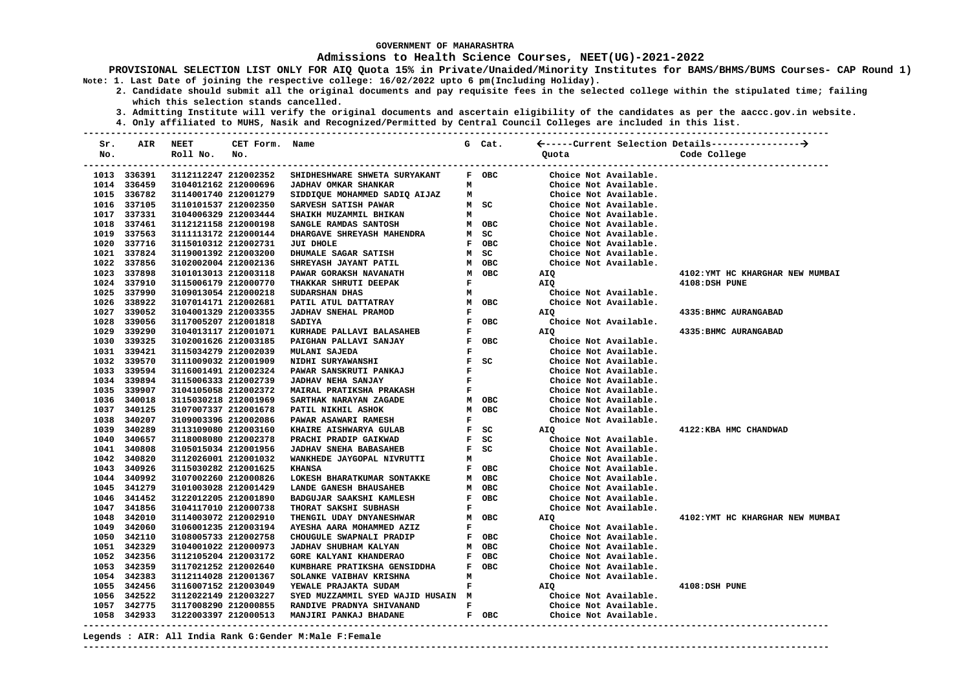### **Admissions to Health Science Courses, NEET(UG)-2021-2022**

**PROVISIONAL SELECTION LIST ONLY FOR AIQ Quota 15% in Private/Unaided/Minority Institutes for BAMS/BHMS/BUMS Courses- CAP Round 1) Note: 1. Last Date of joining the respective college: 16/02/2022 upto 6 pm(Including Holiday).**

 **2. Candidate should submit all the original documents and pay requisite fees in the selected college within the stipulated time; failing which this selection stands cancelled.**

 **3. Admitting Institute will verify the original documents and ascertain eligibility of the candidates as per the aaccc.gov.in website.**

 **4. Only affiliated to MUHS, Nasik and Recognized/Permitted by Central Council Colleges are included in this list.**

| Sr.<br>No. |             | AIR NEET<br>Roll No. No. | CET Form. Name       |                                         |                    | G Cat. | Quota                 | Code College                     |
|------------|-------------|--------------------------|----------------------|-----------------------------------------|--------------------|--------|-----------------------|----------------------------------|
|            |             |                          |                      |                                         |                    |        |                       |                                  |
|            | 1013 336391 | 3112112247 212002352     |                      | SHIDHESHWARE SHWETA SURYAKANT           |                    | F OBC  | Choice Not Available. |                                  |
|            | 1014 336459 | 3104012162 212000696     |                      | <b>JADHAV OMKAR SHANKAR</b>             | м                  |        | Choice Not Available. |                                  |
|            | 1015 336782 | 3114001740 212001279     |                      | SIDDIQUE MOHAMMED SADIQ AIJAZ           | м                  |        | Choice Not Available. |                                  |
|            | 1016 337105 | 3110101537 212002350     |                      | SARVESH SATISH PAWAR                    |                    | M SC   | Choice Not Available. |                                  |
|            | 1017 337331 | 3104006329 212003444     |                      | SHAIKH MUZAMMIL BHIKAN                  | м                  |        | Choice Not Available. |                                  |
|            | 1018 337461 | 3112121158 212000198     |                      | SANGLE RAMDAS SANTOSH                   |                    | M OBC  | Choice Not Available. |                                  |
|            | 1019 337563 | 3111113172 212000144     |                      | DHARGAVE SHREYASH MAHENDRA<br>JUI DHOLE |                    | M SC   | Choice Not Available. |                                  |
|            | 1020 337716 | 3115010312 212002731     |                      |                                         |                    | F OBC  | Choice Not Available. |                                  |
|            | 1021 337824 | 3119001392 212003200     |                      | DHUMALE SAGAR SATISH                    |                    | M SC   | Choice Not Available. |                                  |
|            | 1022 337856 | 3102002004 212002136     |                      | SHREYASH JAYANT PATIL                   |                    | M OBC  | Choice Not Available. |                                  |
|            | 1023 337898 | 3101013013 212003118     |                      | PAWAR GORAKSH NAVANATH                  |                    | M OBC  | <b>AIQ</b>            | 4102: YMT HC KHARGHAR NEW MUMBAI |
|            | 1024 337910 | 3115006179 212000770     |                      | THAKKAR SHRUTI DEEPAK                   | ${\bf F}$          |        | AIQ                   | 4108:DSH PUNE                    |
|            | 1025 337990 | 3109013054 212000218     |                      | SUDARSHAN DHAS                          | M                  |        | Choice Not Available. |                                  |
|            | 1026 338922 | 3107014171 212002681     |                      | PATIL ATUL DATTATRAY                    |                    | M OBC  | Choice Not Available. |                                  |
|            | 1027 339052 | 3104001329 212003355     |                      | JADHAV SNEHAL PRAMOD                    | $\mathbf{F}$       |        | AIO                   | 4335: BHMC AURANGABAD            |
|            | 1028 339056 | 3117005207 212001818     |                      | SADIYA                                  |                    | F OBC  | Choice Not Available. |                                  |
|            | 1029 339290 | 3104013117 212001071     |                      | KURHADE PALLAVI BALASAHEB               | F                  |        | AIQ                   | 4335: BHMC AURANGABAD            |
|            | 1030 339325 | 3102001626 212003185     |                      | PAIGHAN PALLAVI SANJAY                  |                    | F OBC  | Choice Not Available. |                                  |
|            | 1031 339421 | 3115034279 212002039     |                      | <b>MULANI SAJEDA</b>                    | F                  |        | Choice Not Available. |                                  |
|            | 1032 339570 | 3111009032 212001909     |                      | NIDHI SURYAWANSHI                       |                    | $F$ SC | Choice Not Available. |                                  |
|            | 1033 339594 | 3116001491 212002324     |                      | PAWAR SANSKRUTI PANKAJ                  | $\mathbf{F}$       |        | Choice Not Available. |                                  |
|            | 1034 339894 | 3115006333 212002739     |                      | <b>JADHAV NEHA SANJAY</b>               | $\mathbf{F}$       |        | Choice Not Available. |                                  |
|            | 1035 339907 | 3104105058 212002372     |                      | <b>MAIRAL PRATIKSHA PRAKASH</b>         | $\mathbf{F}% _{0}$ |        | Choice Not Available. |                                  |
|            | 1036 340018 | 3115030218 212001969     |                      | SARTHAK NARAYAN ZAGADE                  |                    | M OBC  | Choice Not Available. |                                  |
|            | 1037 340125 | 3107007337 212001678     |                      | PATIL NIKHIL ASHOK                      |                    | м овс  | Choice Not Available. |                                  |
|            | 1038 340207 | 3109003396 212002086     |                      | PAWAR ASAWARI RAMESH<br>$\mathbf{F}$    |                    |        | Choice Not Available. |                                  |
|            | 1039 340289 | 3113109080 212003160     |                      | KHAIRE AISHWARYA GULAB                  |                    | $F$ SC | AIQ                   | 4122: KBA HMC CHANDWAD           |
|            | 1040 340657 | 3118008080 212002378     |                      | PRACHI PRADIP GAIKWAD                   |                    | $F$ SC | Choice Not Available. |                                  |
|            | 1041 340808 | 3105015034 212001956     |                      | <b>JADHAV SNEHA BABASAHEB</b>           |                    | $F$ SC | Choice Not Available. |                                  |
|            | 1042 340820 | 3112026001 212001032     |                      | WANKHEDE JAYGOPAL NIVRUTTI              | м                  |        | Choice Not Available. |                                  |
|            | 1043 340926 | 3115030282 212001625     |                      | KHANSA                                  |                    | F OBC  | Choice Not Available. |                                  |
|            | 1044 340992 | 3107002260 212000826     |                      | LOKESH BHARATKUMAR SONTAKKE             |                    | M OBC  | Choice Not Available. |                                  |
|            | 1045 341279 | 3101003028 212001429     |                      | LANDE GANESH BHAUSAHEB                  |                    | M OBC  | Choice Not Available. |                                  |
|            | 1046 341452 | 3122012205 212001890     |                      | BADGUJAR SAAKSHI KAMLESH                |                    | F OBC  | Choice Not Available. |                                  |
|            | 1047 341856 | 3104117010 212000738     |                      | THORAT SAKSHI SUBHASH                   | $\mathbf F$        |        | Choice Not Available. |                                  |
|            | 1048 342010 | 3114003072 212002910     |                      | THENGIL UDAY DNYANESHWAR                |                    | M OBC  | AIQ                   | 4102: YMT HC KHARGHAR NEW MUMBAI |
|            | 1049 342060 | 3106001235 212003194     |                      | AYESHA AARA MOHAMMED AZIZ               | F                  |        | Choice Not Available. |                                  |
|            | 1050 342110 | 3108005733 212002758     |                      | CHOUGULE SWAPNALI PRADIP                |                    | F OBC  | Choice Not Available. |                                  |
|            | 1051 342329 | 3104001022 212000973     |                      | JADHAV SHUBHAM KALYAN                   |                    | M OBC  | Choice Not Available. |                                  |
|            | 1052 342356 | 3112105204 212003172     |                      | GORE KALYANI KHANDERAO                  |                    | F OBC  | Choice Not Available. |                                  |
|            | 1053 342359 | 3117021252 212002640     |                      | KUMBHARE PRATIKSHA GENSIDDHA            |                    | F OBC  | Choice Not Available. |                                  |
|            | 1054 342383 | 3112114028 212001367     |                      | SOLANKE VAIBHAV KRISHNA                 | м                  |        | Choice Not Available. |                                  |
|            | 1055 342456 | 3116007152 212003049     |                      | YEWALE PRAJAKTA SUDAM                   | ${\bf F}$          |        | AIQ                   | 4108:DSH PUNE                    |
|            | 1056 342522 | 3112022149 212003227     |                      | SYED MUZZAMMIL SYED WAJID HUSAIN M      |                    |        | Choice Not Available. |                                  |
|            | 1057 342775 | 3117008290 212000855     |                      | RANDIVE PRADNYA SHIVANAND               | $\mathbf{F}$       |        | Choice Not Available. |                                  |
|            | 1058 342933 |                          | 3122003397 212000513 | MANJIRI PANKAJ BHADANE                  |                    | F OBC  | Choice Not Available. |                                  |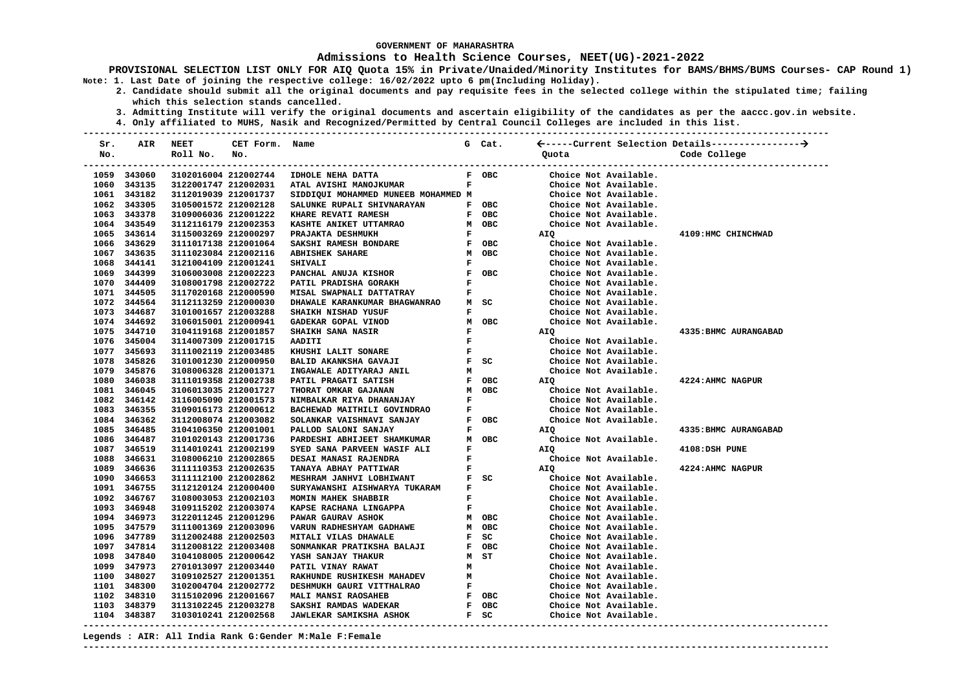#### **Admissions to Health Science Courses, NEET(UG)-2021-2022**

**PROVISIONAL SELECTION LIST ONLY FOR AIQ Quota 15% in Private/Unaided/Minority Institutes for BAMS/BHMS/BUMS Courses- CAP Round 1) Note: 1. Last Date of joining the respective college: 16/02/2022 upto 6 pm(Including Holiday).**

 **2. Candidate should submit all the original documents and pay requisite fees in the selected college within the stipulated time; failing which this selection stands cancelled.**

 **3. Admitting Institute will verify the original documents and ascertain eligibility of the candidates as per the aaccc.gov.in website.**

 **4. Only affiliated to MUHS, Nasik and Recognized/Permitted by Central Council Colleges are included in this list.**

**--------------------------------------------------------------------------------------------------------------------------------------- Sr. AIR NEET CET Form. Name G Cat. -----Current Selection Details---------------- No. Roll No. No. Quota Code College --------------------------------------------------------------------------------------------------------------------------------------- --------------------------------------------------------------------------------------------------------------------------------------- 1059 343060 3102016004 212002744 IDHOLE NEHA DATTA F OBC Choice Not Available. 1060 343135 3122001747 212002031 ATAL AVISHI MANOJKUMAR F Choice Not Available.**  SIDDIOUI MOHAMMED MUNEEB MOHAMMED M  **1062 343305 3105001572 212002128 SALUNKE RUPALI SHIVNARAYAN F OBC Choice Not Available.**  1063 343378 3109006036 212001222 KHARE REVATI RAMESH  **1064 343549 3112116179 212002353 KASHTE ANIKET UTTAMRAO M OBC Choice Not Available. 1065 343614 3115003269 212000297 PRAJAKTA DESHMUKH F AIQ 4109:HMC CHINCHWAD 1066 343629 3111017138 212001064 SAKSHI RAMESH BONDARE F OBC Choice Not Available.**  1067 343635 3111023084 212002116  **1068 344141 3121004109 212001241 SHIVALI F Choice Not Available. 1069 344399 3106003008 212002223 PANCHAL ANUJA KISHOR F OBC Choice Not Available. 1070 344409 3108001798 212002722 PATIL PRADISHA GORAKH F Choice Not Available. 1071 344505 3117020168 212000590 MISAL SWAPNALI DATTATRAY F Choice Not Available. 1072 344564 3112113259 212000030 DHAWALE KARANKUMAR BHAGWANRAO M SC Choice Not Available. 1073 344687 3101001657 212003288 SHAIKH NISHAD YUSUF F Choice Not Available. 1074 344692 3106015001 212000941 GADEKAR GOPAL VINOD M OBC Choice Not Available. 1075 344710 3104119168 212001857 SHAIKH SANA NASIR F AIQ 4335:BHMC AURANGABAD 1076 345004 3114007309 212001715 AADITI F Choice Not Available. 1077 345693 3111002119 212003485 KHUSHI LALIT SONARE F Choice Not Available. 1078 345826 3101001230 212000950 BALID AKANKSHA GAVAJI F SC Choice Not Available. 1079 345876 3108006328 212001371 INGAWALE ADITYARAJ ANIL M Choice Not Available. 1080 346038 3111019358 212002738 PATIL PRAGATI SATISH F OBC AIQ 4224:AHMC NAGPUR**  1081 346045 3106013035 212001727 THORAT OMKAR GAJANAN M OBC Choice Not Available.<br>1082 346142 3116005090 212001573 NIMBALKAR RIYA DHANANJAY F Choice Not Available.  **1082 346142 3116005090 212001573 NIMBALKAR RIYA DHANANJAY F Choice Not Available. 1083 346355 3109016173 212000612 BACHEWAD MAITHILI GOVINDRAO F Choice Not Available. 1084 346362 3112008074 212003082 SOLANKAR VAISHNAVI SANJAY F OBC Choice Not Available. 1085 346485 3104106350 212001001 PALLOD SALONI SANJAY F AIQ 4335:BHMC AURANGABAD**  1086 346487 3101020143 212001736  **1087 346519 3114010241 212002199 SYED SANA PARVEEN WASIF ALI F AIQ 4108:DSH PUNE 1088 346631 3108006210 212002865 DESAI MANASI RAJENDRA F Choice Not Available. 1089 346636 3111110353 212002635 TANAYA ABHAY PATTIWAR F AIQ 4224:AHMC NAGPUR 1090 346653 3111112100 212002862 MESHRAM JANHVI LOBHIWANT F SC Choice Not Available. 1091 346755 3112120124 212000400 SURYAWANSHI AISHWARYA TUKARAM F Choice Not Available. 1092 346767 3108003053 212002103 MOMIN MAHEK SHABBIR F Choice Not Available. 1093 346948 3109115202 212003074 KAPSE RACHANA LINGAPPA F Choice Not Available. 1094 346973 3122011245 212001296 PAWAR GAURAV ASHOK M OBC Choice Not Available. 1095 347579 3111001369 212003096 VARUN RADHESHYAM GADHAWE M OBC Choice Not Available. 1096 347789 3112002488 212002503 MITALI VILAS DHAWALE F SC Choice Not Available.**  1097 347814 3112008122 212003408  **1098 347840 3104108005 212000642 YASH SANJAY THAKUR M ST Choice Not Available. 1099 347973 2701013097 212003440 PATIL VINAY RAWAT M Choice Not Available. 1100 348027 3109102527 212001351 RAKHUNDE RUSHIKESH MAHADEV M Choice Not Available. 1101 348300 3102004704 212002772 DESHMUKH GAURI VITTHALRAO F Choice Not Available. 1102 348310 3115102096 212001667 MALI MANSI RAOSAHEB F OBC Choice Not Available. 1103 348379 3113102245 212003278 SAKSHI RAMDAS WADEKAR F OBC Choice Not Available. 1104 348387 3103010241 212002568 JAWLEKAR SAMIKSHA ASHOK F SC Choice Not Available.** 

#### **Legends : AIR: All India Rank G:Gender M:Male F:Female**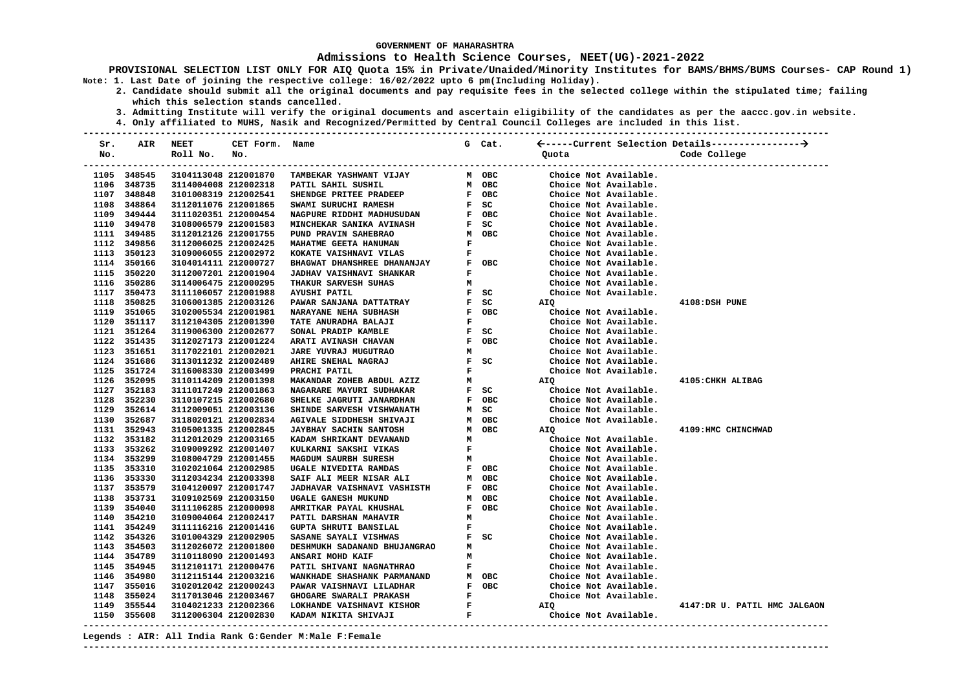### **Admissions to Health Science Courses, NEET(UG)-2021-2022**

**PROVISIONAL SELECTION LIST ONLY FOR AIQ Quota 15% in Private/Unaided/Minority Institutes for BAMS/BHMS/BUMS Courses- CAP Round 1) Note: 1. Last Date of joining the respective college: 16/02/2022 upto 6 pm(Including Holiday).**

 **2. Candidate should submit all the original documents and pay requisite fees in the selected college within the stipulated time; failing which this selection stands cancelled.**

 **3. Admitting Institute will verify the original documents and ascertain eligibility of the candidates as per the aaccc.gov.in website.**

 **4. Only affiliated to MUHS, Nasik and Recognized/Permitted by Central Council Colleges are included in this list.**

| Sr.<br>No. |             | AIR NEET<br>Roll No. | CET Form. Name<br>No. |                                                                                                                                                                                                                                                                                                                                                                                                                                                     |              | G Cat. | Quota                 | Code College                 |
|------------|-------------|----------------------|-----------------------|-----------------------------------------------------------------------------------------------------------------------------------------------------------------------------------------------------------------------------------------------------------------------------------------------------------------------------------------------------------------------------------------------------------------------------------------------------|--------------|--------|-----------------------|------------------------------|
|            | 1105 348545 | 3104113048 212001870 |                       | <b>TAMBEKAR YASHWANT VIJAY</b>                                                                                                                                                                                                                                                                                                                                                                                                                      |              | M OBC  | Choice Not Available. |                              |
|            | 1106 348735 | 3114004008 212002318 |                       | PATIL SAHIL SUSHIL M OBC<br>SHENDGE PRITEE PRADEEP F OBC<br>SWAMI SURUCHI RAMESH F SC<br>NAGPURE RIDDHI MADHUSUDAN F OBC                                                                                                                                                                                                                                                                                                                            |              |        | Choice Not Available. |                              |
|            | 1107 348848 | 3101008319 212002541 |                       |                                                                                                                                                                                                                                                                                                                                                                                                                                                     |              |        | Choice Not Available. |                              |
|            | 1108 348864 | 3112011076 212001865 |                       |                                                                                                                                                                                                                                                                                                                                                                                                                                                     |              |        | Choice Not Available. |                              |
|            | 1109 349444 | 3111020351 212000454 |                       |                                                                                                                                                                                                                                                                                                                                                                                                                                                     |              |        | Choice Not Available. |                              |
|            | 1110 349478 | 3108006579 212001583 |                       |                                                                                                                                                                                                                                                                                                                                                                                                                                                     |              |        | Choice Not Available. |                              |
|            | 1111 349485 | 3112012126 212001755 |                       |                                                                                                                                                                                                                                                                                                                                                                                                                                                     |              |        | Choice Not Available. |                              |
|            | 1112 349856 | 3112006025 212002425 |                       |                                                                                                                                                                                                                                                                                                                                                                                                                                                     |              |        | Choice Not Available. |                              |
|            | 1113 350123 | 3109006055 212002972 |                       | NAGPURE RIDDHI MADHUSUDAN $\begin{array}{lllllllllllll} & \multicolumn{3}{l}{{\small \textbf{M}}}\text{NAGFURE RIDDH} & \multicolumn{3}{l}{{\small \textbf{M}}}\text{NCGIEKAR SANIKA AVINASH} & \multicolumn{3}{l}{{\small \textbf{F}}} & \multicolumn{3}{l}{{\small \textbf{S}C}}\\ \text{PUND PRAVIN SAHEBRAO} & \multicolumn{3}{l}{{\small \textbf{M}}}& \multicolumn{3}{l}{{\small \textbf{D}}}\text{B} & \multicolumn{3}{l}{{\small \textbf{S$ |              |        | Choice Not Available. |                              |
|            | 1114 350166 | 3104014111 212000727 |                       |                                                                                                                                                                                                                                                                                                                                                                                                                                                     |              |        | Choice Not Available. |                              |
|            | 1115 350220 | 3112007201 212001904 |                       |                                                                                                                                                                                                                                                                                                                                                                                                                                                     |              |        | Choice Not Available. |                              |
|            | 1116 350286 | 3114006475 212000295 |                       |                                                                                                                                                                                                                                                                                                                                                                                                                                                     |              |        | Choice Not Available. |                              |
|            | 1117 350473 | 3111106057 212001988 |                       |                                                                                                                                                                                                                                                                                                                                                                                                                                                     |              |        | Choice Not Available. |                              |
|            | 1118 350825 | 3106001385 212003126 |                       |                                                                                                                                                                                                                                                                                                                                                                                                                                                     |              |        | AIQ                   | 4108:DSH PUNE                |
|            | 1119 351065 | 3102005534 212001981 |                       |                                                                                                                                                                                                                                                                                                                                                                                                                                                     |              |        | Choice Not Available. |                              |
|            | 1120 351117 | 3112104305 212001390 |                       |                                                                                                                                                                                                                                                                                                                                                                                                                                                     |              |        | Choice Not Available. |                              |
|            | 1121 351264 | 3119006300 212002677 |                       |                                                                                                                                                                                                                                                                                                                                                                                                                                                     |              |        | Choice Not Available. |                              |
|            | 1122 351435 | 3112027173 212001224 |                       | BHAGWAI DIGNINI SHANKAR FRANCH THAKUR SARVESH SUHAS M<br>THAKUR SARVESH SUHAS M<br>AYUSHI PATIL FRANCH SANJANA DATTATRAY FRANCH SANJANA DATTATRAY FRANCH SANJANA DATTATRAY FRANCH RAMBLE THE ANURADHA BALAJI FRANCH SANDIPRAMENT FRA                                                                                                                                                                                                                |              |        | Choice Not Available. |                              |
|            | 1123 351651 | 3117022101 212002021 |                       |                                                                                                                                                                                                                                                                                                                                                                                                                                                     |              |        | Choice Not Available. |                              |
|            | 1124 351686 | 3113011232 212002489 |                       |                                                                                                                                                                                                                                                                                                                                                                                                                                                     |              |        | Choice Not Available. |                              |
|            | 1125 351724 | 3116008330 212003499 |                       | PRACHI PATIL                                                                                                                                                                                                                                                                                                                                                                                                                                        | $\mathbf{F}$ |        | Choice Not Available. |                              |
|            | 1126 352095 | 3110114209 212001398 |                       | MAKANDAR ZOHEB ABDUL AZIZ                                                                                                                                                                                                                                                                                                                                                                                                                           | м            |        | AIQ                   | 4105: CHKH ALIBAG            |
|            | 1127 352183 | 3111017249 212001863 |                       | NAGARARE MAYURI SUDHAKAR                                                                                                                                                                                                                                                                                                                                                                                                                            |              | F SC   | Choice Not Available. |                              |
|            | 1128 352230 | 3110107215 212002680 |                       | SHELKE JAGRUTI JANARDHAN                                                                                                                                                                                                                                                                                                                                                                                                                            |              | F OBC  | Choice Not Available. |                              |
|            | 1129 352614 | 3112009051 212003136 |                       | SHINDE SARVESH VISHWANATH                                                                                                                                                                                                                                                                                                                                                                                                                           |              | M SC   | Choice Not Available. |                              |
|            | 1130 352687 | 3118020121 212002834 |                       | AGIVALE SIDDHESH SHIVAJI                                                                                                                                                                                                                                                                                                                                                                                                                            |              | M OBC  | Choice Not Available. |                              |
|            | 1131 352943 | 3105001335 212002845 |                       | JAYBHAY SACHIN SANTOSH                                                                                                                                                                                                                                                                                                                                                                                                                              |              | M OBC  | AIQ                   | 4109:HMC CHINCHWAD           |
|            | 1132 353182 | 3112012029 212003165 |                       | KADAM SHRIKANT DEVANAND                                                                                                                                                                                                                                                                                                                                                                                                                             | M            |        | Choice Not Available. |                              |
|            | 1133 353262 | 3109009292 212001407 |                       | KULKARNI SAKSHI VIKAS                                                                                                                                                                                                                                                                                                                                                                                                                               | $\mathbf{F}$ |        | Choice Not Available. |                              |
|            | 1134 353299 | 3108004729 212001455 |                       | MAGDUM SAURBH SURESH                                                                                                                                                                                                                                                                                                                                                                                                                                | M            |        | Choice Not Available. |                              |
|            | 1135 353310 | 3102021064 212002985 |                       |                                                                                                                                                                                                                                                                                                                                                                                                                                                     |              |        | Choice Not Available. |                              |
|            | 1136 353330 | 3112034234 212003398 |                       |                                                                                                                                                                                                                                                                                                                                                                                                                                                     |              |        | Choice Not Available. |                              |
|            | 1137 353579 | 3104120097 212001747 |                       |                                                                                                                                                                                                                                                                                                                                                                                                                                                     |              |        | Choice Not Available. |                              |
|            | 1138 353731 | 3109102569 212003150 |                       |                                                                                                                                                                                                                                                                                                                                                                                                                                                     |              |        | Choice Not Available. |                              |
|            | 1139 354040 | 3111106285 212000098 |                       |                                                                                                                                                                                                                                                                                                                                                                                                                                                     |              |        | Choice Not Available. |                              |
|            | 1140 354210 | 3109004064 212002417 |                       |                                                                                                                                                                                                                                                                                                                                                                                                                                                     |              |        | Choice Not Available. |                              |
|            | 1141 354249 | 3111116216 212001416 |                       | GUPTA SHRUTI BANSILAL<br>$F$ $SC$                                                                                                                                                                                                                                                                                                                                                                                                                   |              |        | Choice Not Available. |                              |
|            | 1142 354326 | 3101004329 212002905 |                       | SASANE SAYALI VISHWAS                                                                                                                                                                                                                                                                                                                                                                                                                               |              |        | Choice Not Available. |                              |
|            | 1143 354503 | 3112026072 212001800 |                       | DESHMUKH SADANAND BHUJANGRAO                                                                                                                                                                                                                                                                                                                                                                                                                        | м            |        | Choice Not Available. |                              |
|            | 1144 354789 | 3110118090 212001493 |                       | ANSARI MOHD KAIF                                                                                                                                                                                                                                                                                                                                                                                                                                    | M            |        | Choice Not Available. |                              |
|            | 1145 354945 | 3112101171 212000476 |                       | PATIL SHIVANI NAGNATHRAO                                                                                                                                                                                                                                                                                                                                                                                                                            | $\mathbf{F}$ |        | Choice Not Available. |                              |
|            | 1146 354980 | 3112115144 212003216 |                       | WANKHADE SHASHANK PARMANAND                                                                                                                                                                                                                                                                                                                                                                                                                         |              | M OBC  | Choice Not Available. |                              |
|            | 1147 355016 | 3102012042 212000243 |                       |                                                                                                                                                                                                                                                                                                                                                                                                                                                     |              |        | Choice Not Available. |                              |
|            | 1148 355024 | 3117013046 212003467 |                       |                                                                                                                                                                                                                                                                                                                                                                                                                                                     |              |        | Choice Not Available. |                              |
|            | 1149 355544 | 3104021233 212002366 |                       |                                                                                                                                                                                                                                                                                                                                                                                                                                                     |              |        | AIQ                   | 4147:DR U. PATIL HMC JALGAON |
|            | 1150 355608 | 3112006304 212002830 |                       |                                                                                                                                                                                                                                                                                                                                                                                                                                                     |              |        | Choice Not Available. |                              |
|            |             |                      |                       |                                                                                                                                                                                                                                                                                                                                                                                                                                                     |              |        |                       |                              |

#### **Legends : AIR: All India Rank G:Gender M:Male F:Female**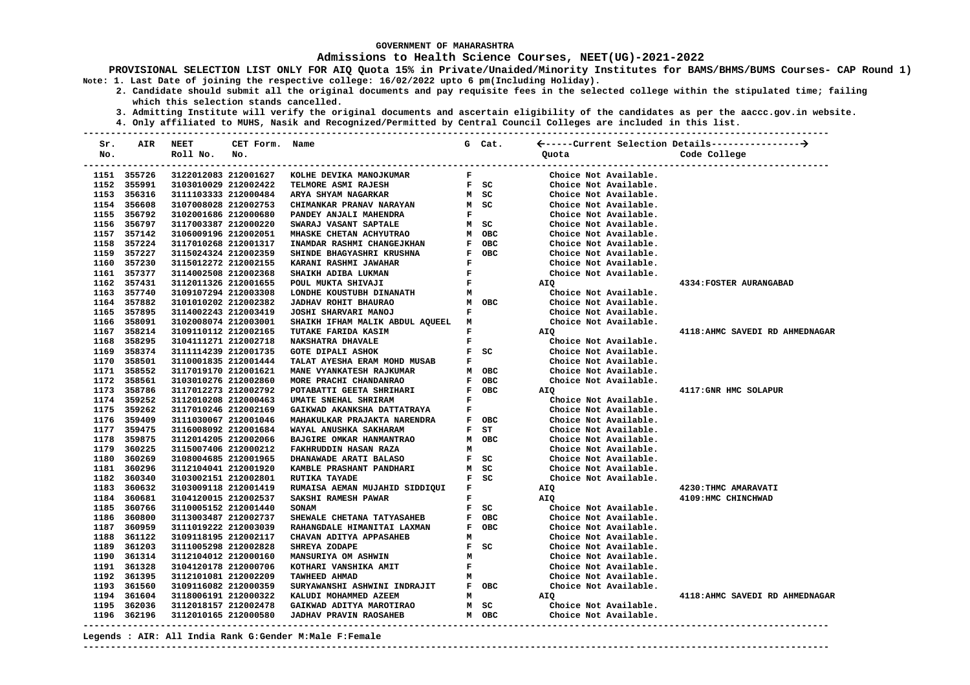### **Admissions to Health Science Courses, NEET(UG)-2021-2022**

**PROVISIONAL SELECTION LIST ONLY FOR AIQ Quota 15% in Private/Unaided/Minority Institutes for BAMS/BHMS/BUMS Courses- CAP Round 1) Note: 1. Last Date of joining the respective college: 16/02/2022 upto 6 pm(Including Holiday).**

 **2. Candidate should submit all the original documents and pay requisite fees in the selected college within the stipulated time; failing which this selection stands cancelled.**

 **3. Admitting Institute will verify the original documents and ascertain eligibility of the candidates as per the aaccc.gov.in website. 4. Only affiliated to MUHS, Nasik and Recognized/Permitted by Central Council Colleges are included in this list.**

| Sr. |                            | AIR NEET                                     | CET Form. Name |                                                  |              | G Cat.       |                                                |                                 |
|-----|----------------------------|----------------------------------------------|----------------|--------------------------------------------------|--------------|--------------|------------------------------------------------|---------------------------------|
| No. |                            | Roll No. No.                                 |                |                                                  |              |              | Quota                                          | Code College                    |
|     | 1151 355726                | 3122012083 212001627                         |                | KOLHE DEVIKA MANOJKUMAR                          | $\mathbf F$  |              | Choice Not Available.                          |                                 |
|     | 1152 355991                | 3103010029 212002422                         |                | TELMORE ASMI RAJESH                              |              | $F$ SC       | Choice Not Available.                          |                                 |
|     | 1153 356316                | 3111103333 212000484                         |                | ARYA SHYAM NAGARKAR                              |              | M SC         | Choice Not Available.                          |                                 |
|     | 1154 356608                | 3107008028 212002753                         |                | CHIMANKAR PRANAV NARAYAN                         |              | M SC         | Choice Not Available.                          |                                 |
|     | 1155 356792                | 3102001686 212000680                         |                | PANDEY ANJALI MAHENDRA                           | $\mathbf{F}$ |              | Choice Not Available.                          |                                 |
|     | 1156 356797                | 3117003387 212000220                         |                | SWARAJ VASANT SAPTALE                            |              | M SC         | Choice Not Available.                          |                                 |
|     | 1157 357142                | 3106009196 212002051                         |                | MHASKE CHETAN ACHYUTRAO                          |              | M OBC        | Choice Not Available.                          |                                 |
|     | 1158 357224                | 3117010268 212001317                         |                | INAMDAR RASHMI CHANGEJKHAN                       |              | F OBC        | Choice Not Available.                          |                                 |
|     | 1159 357227                | 3115024324 212002359                         |                | SHINDE BHAGYASHRI KRUSHNA                        |              | F OBC        | Choice Not Available.                          |                                 |
|     | 1160 357230                | 3115012272 212002155                         |                | KARANI RASHMI JAWAHAR                            | $\mathbf F$  |              | Choice Not Available.                          |                                 |
|     | 1161 357377                | 3114002508 212002368                         |                | SHAIKH ADIBA LUKMAN                              | $\mathbf{F}$ |              | Choice Not Available.                          |                                 |
|     | 1162 357431                | 3112011326 212001655                         |                | POUL MUKTA SHIVAJI                               | $\mathbf{F}$ |              | AIQ                                            | 4334: FOSTER AURANGABAD         |
|     | 1163 357740                | 3109107294 212003308                         |                | LONDHE KOUSTUBH DINANATH                         | M            |              | Choice Not Available.                          |                                 |
|     | 1164 357882                | 3101010202 212002382                         |                | JADHAV ROHIT BHAURAO                             |              | M OBC        | Choice Not Available.                          |                                 |
|     | 1165 357895                | 3114002243 212003419                         |                | JOSHI SHARVARI MANOJ                             | F            |              | Choice Not Available.                          |                                 |
|     | 1166 358091                | 3102008074 212003001                         |                | SHAIKH IFHAM MALIK ABDUL AQUEEL M                |              |              | Choice Not Available.                          |                                 |
|     | 1167 358214                | 3109110112 212002165                         |                | TUTAKE FARIDA KASIM                              | $\mathbf{F}$ |              | AIQ                                            | 4118: AHMC SAVEDI RD AHMEDNAGAR |
|     | 1168 358295                | 3104111271 212002718                         |                | NAKSHATRA DHAVALE                                | $\mathbf{F}$ |              | Choice Not Available.                          |                                 |
|     | 1169 358374                | 3111114239 212001735                         |                | <b>GOTE DIPALI ASHOK</b>                         |              | $F$ SC       | Choice Not Available.                          |                                 |
|     | 1170 358501                | 3110001835 212001444                         |                | TALAT AYESHA ERAM MOHD MUSAB                     | F            |              | Choice Not Available.                          |                                 |
|     | 1171 358552                | 3117019170 212001621                         |                | MANE VYANKATESH RAJKUMAR                         |              | M OBC        | Choice Not Available.                          |                                 |
|     | 1172 358561                | 3103010276 212002860                         |                | MORE PRACHI CHANDANRAO                           |              | F OBC        | Choice Not Available.                          |                                 |
|     | 1173 358786                | 3117012273 212002792                         |                | POTABATTI GEETA SHRIHARI                         |              | F OBC        | AIQ                                            | 4117: GNR HMC SOLAPUR           |
|     | 1174 359252                | 3112010208 212000463                         |                | UMATE SNEHAL SHRIRAM                             | F            |              | Choice Not Available.                          |                                 |
|     | 1175 359262                | 3117010246 212002169                         |                | GAIKWAD AKANKSHA DATTATRAYA                      | $\mathbf{F}$ |              | Choice Not Available.                          |                                 |
|     | 1176 359409                | 3111030067 212001046                         |                | MAHAKULKAR PRAJAKTA NARENDRA                     |              | F OBC        | Choice Not Available.                          |                                 |
|     | 1177 359475                | 3116008092 212001684                         |                | WAYAL ANUSHKA SAKHARAM                           |              | F ST         | Choice Not Available.                          |                                 |
|     | 1178 359875<br>1179 360225 | 3112014205 212002066                         |                | BAJGIRE OMKAR HANMANTRAO                         | м            | M OBC        | Choice Not Available.                          |                                 |
|     |                            | 3115007406 212000212                         |                | FAKHRUDDIN HASAN RAZA                            |              |              | Choice Not Available.                          |                                 |
|     | 1180 360269                | 3108004685 212001965                         |                | DHANAWADE ARATI BALASO                           |              | $F$ SC       | Choice Not Available.                          |                                 |
|     | 1181 360296<br>1182 360340 | 3112104041 212001920<br>3103002151 212002801 |                | KAMBLE PRASHANT PANDHARI<br><b>RUTIKA TAYADE</b> |              | M SC<br>F SC | Choice Not Available.<br>Choice Not Available. |                                 |
|     | 1183 360632                | 3103009118 212001419                         |                | RUMAISA AEMAN MUJAHID SIDDIQUI                   | $\mathbf F$  |              | AIQ                                            | 4230:THMC AMARAVATI             |
|     | 1184 360681                | 3104120015 212002537                         |                | SAKSHI RAMESH PAWAR                              | F            |              | <b>AIQ</b>                                     | 4109: HMC CHINCHWAD             |
|     | 1185 360766                | 3110005152 212001440                         |                | <b>SONAM</b>                                     |              | $F$ SC       | Choice Not Available.                          |                                 |
|     | 1186 360800                | 3113003487 212002737                         |                | SHEWALE CHETANA TATYASAHEB                       |              | F OBC        | Choice Not Available.                          |                                 |
|     | 1187 360959                | 3111019222 212003039                         |                | RAHANGDALE HIMANITAI LAXMAN                      |              | F OBC        | Choice Not Available.                          |                                 |
|     | 1188 361122                | 3109118195 212002117                         |                | CHAVAN ADITYA APPASAHEB                          | м            |              | Choice Not Available.                          |                                 |
|     | 1189 361203                | 3111005298 212002828                         |                | SHREYA ZODAPE                                    |              | $F$ SC       | Choice Not Available.                          |                                 |
|     | 1190 361314                | 3112104012 212000160                         |                | MANSURIYA OM ASHWIN                              | M            |              | Choice Not Available.                          |                                 |
|     | 1191 361328                | 3104120178 212000706                         |                | KOTHARI VANSHIKA AMIT                            | $\mathbf{F}$ |              | Choice Not Available.                          |                                 |
|     | 1192 361395                | 3112101081 212002209                         |                | TAWHEED AHMAD                                    | м            |              | Choice Not Available.                          |                                 |
|     | 1193 361560                | 3109116082 212000359                         |                | SURYAWANSHI ASHWINI INDRAJIT                     |              | F OBC        | Choice Not Available.                          |                                 |
|     | 1194 361604                | 3118006191 212000322                         |                | KALUDI MOHAMMED AZEEM                            | M            |              | AIQ                                            | 4118:AHMC SAVEDI RD AHMEDNAGAR  |
|     | 1195 362036                | 3112018157 212002478                         |                | GAIKWAD ADITYA MAROTIRAO                         |              | M SC         | Choice Not Available.                          |                                 |
|     | 1196 362196                | 3112010165 212000580                         |                | <b>JADHAV PRAVIN RAOSAHEB</b>                    |              | M OBC        | Choice Not Available.                          |                                 |
|     |                            |                                              |                |                                                  |              |              |                                                |                                 |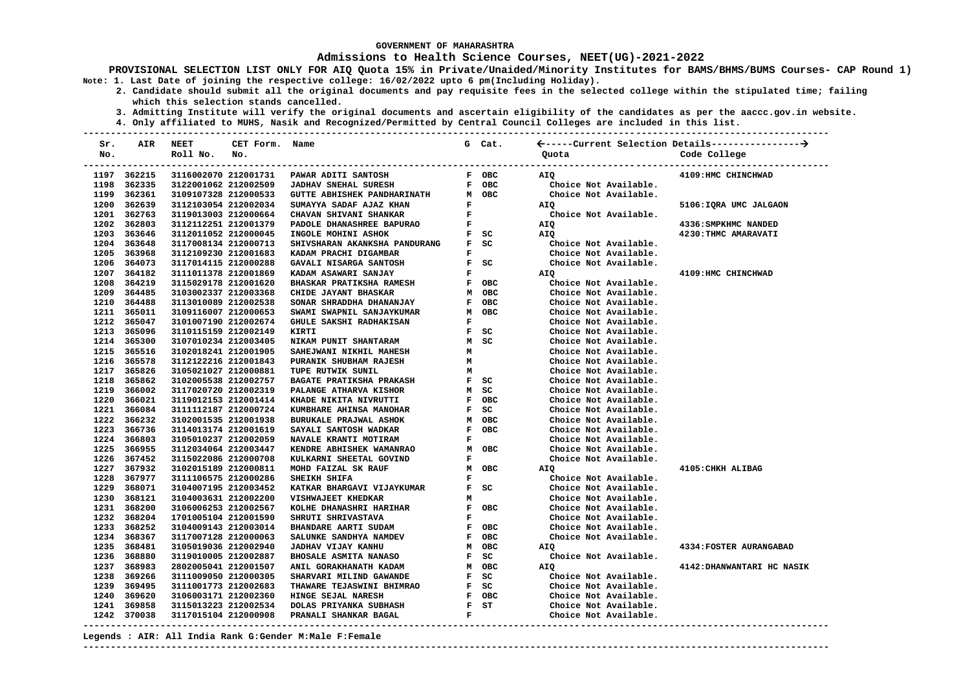#### **Admissions to Health Science Courses, NEET(UG)-2021-2022**

**PROVISIONAL SELECTION LIST ONLY FOR AIQ Quota 15% in Private/Unaided/Minority Institutes for BAMS/BHMS/BUMS Courses- CAP Round 1) Note: 1. Last Date of joining the respective college: 16/02/2022 upto 6 pm(Including Holiday).**

 **2. Candidate should submit all the original documents and pay requisite fees in the selected college within the stipulated time; failing which this selection stands cancelled.**

 **3. Admitting Institute will verify the original documents and ascertain eligibility of the candidates as per the aaccc.gov.in website.**

 **4. Only affiliated to MUHS, Nasik and Recognized/Permitted by Central Council Colleges are included in this list.**

**--------------------------------------------------------------------------------------------------------------------------------------- Sr. AIR NEET CET Form. Name G Cat. -----Current Selection Details---------------- No. Roll No. No. Quota Code College --------------------------------------------------------------------------------------------------------------------------------------- --------------------------------------------------------------------------------------------------------------------------------------- 1197 362215 3116002070 212001731 PAWAR ADITI SANTOSH F OBC AIO 1198 362335 3122001062 212002509 JADHAV SNEHAL SURESH F OBC Choice Not Available.**  1199 362361 3109107328 212000533  **1200 362639 3112103054 212002034 SUMAYYA SADAF AJAZ KHAN F AIQ 5106:IQRA UMC JALGAON 1201 362763 3119013003 212000664 CHAVAN SHIVANI SHANKAR F Choice Not Available. 1202 362803 3112112251 212001379 PADOLE DHANASHREE BAPURAO F AIQ 4336:SMPKHMC NANDED 1203 363646 3112011052 212000045 INGOLE MOHINI ASHOK F SC AIQ 4230:THMC AMARAVATI 1204 363648 3117008134 212000713 SHIVSHARAN AKANKSHA PANDURANG F SC Choice Not Available. 1205 363968 3112109230 212001683 KADAM PRACHI DIGAMBAR F Choice Not Available. 1206 364073 3117014115 212000288 GAVALI NISARGA SANTOSH F SC Choice Not Available. 1207 364182 3111011378 212001869 KADAM ASAWARI SANJAY F AIQ 4109:HMC CHINCHWAD 1208 364219 3115029178 212001620 BHASKAR PRATIKSHA RAMESH F OBC Choice Not Available. 1209 364485 3103002337 212003368 CHIDE JAYANT BHASKAR M OBC Choice Not Available. 1210 364488 3113010089 212002538 SONAR SHRADDHA DHANANJAY F OBC Choice Not Available.**  1211 365011 3109116007 212000653  **1212 365047 3101007190 212002674 GHULE SAKSHI RADHAKISAN F Choice Not Available. 1213 365096 3110115159 212002149 KIRTI F SC Choice Not Available.**  1214 365300 3107010234 212003405  **1215 365516 3102018241 212001905 SAHEJWANI NIKHIL MAHESH M Choice Not Available.**  PURANIK SHUBHAM RAJESH<br>TUPE RUTWIK SUNIL  **1217 365826 3105021027 212000881 TUPE RUTWIK SUNIL M Choice Not Available. 1218 365862 3102005538 212002757 BAGATE PRATIKSHA PRAKASH F SC Choice Not Available.**  1219 366002 3117020720 212002319 PALANGE ATHARVA KISHOR M SC Choice Not Available.<br>1220 366021 3119012153 212001414 KHADE NIKITA NIVRUTTI M F OBC Choice Not Available. 1220 366021 3119012153 212001414  **1221 366084 3111112187 212000724 KUMBHARE AHINSA MANOHAR F SC Choice Not Available. 1222 366232 3102001535 212001938 BURUKALE PRAJWAL ASHOK M OBC Choice Not Available. 1223 366736 3114013174 212001619 SAYALI SANTOSH WADKAR F OBC Choice Not Available.**  1224 366803 3105010237 212002059  **1225 366955 3112034064 212003447 KENDRE ABHISHEK WAMANRAO M OBC Choice Not Available. 1226 367452 3115022086 212000708 KULKARNI SHEETAL GOVIND F Choice Not Available. 1227 367932 3102015189 212000811 MOHD FAIZAL SK RAUF M OBC AIQ 4105:CHKH ALIBAG 1228 367977 3111106575 212000286 SHEIKH SHIFA F Choice Not Available. 1229 368071 3104007195 212003452 KATKAR BHARGAVI VIJAYKUMAR F SC Choice Not Available. 1230 368121 3104003631 212002200 VISHWAJEET KHEDKAR M Choice Not Available. KOLHE DHANASHRI HARIHAR 1232 368204 1701005104 212001590 SHRUTI SHRIVASTAVA F Choice Not Available. 1233 368252 3104009143 212003014 BHANDARE AARTI SUDAM F OBC Choice Not Available. 1234 368367 3117007128 212000063 SALUNKE SANDHYA NAMDEV F OBC Choice Not Available. 1235 368481 3105019036 212002940 JADHAV VIJAY KANHU M OBC AIQ 4334:FOSTER AURANGABAD 1236 368880 3119010005 212002887 BHOSALE ASMITA NANASO F SC Choice Not Available. 1237 368983 2802005041 212001507 ANIL GORAKHANATH KADAM M OBC AIQ 4142:DHANWANTARI HC NASIK**  1238 369266 3111009050 212000305  **1239 369495 3111001773 212002683 THAWARE TEJASWINI BHIMRAO F SC Choice Not Available. 1240 369620 3106003171 212002360 HINGE SEJAL NARESH F OBC Choice Not Available. 1241 369858 3115013223 212002534 DOLAS PRIYANKA SUBHASH F ST Choice Not Available. 1242 370038 3117015104 212000908 PRANALI SHANKAR BAGAL F Choice Not Available.** 

#### **Legends : AIR: All India Rank G:Gender M:Male F:Female**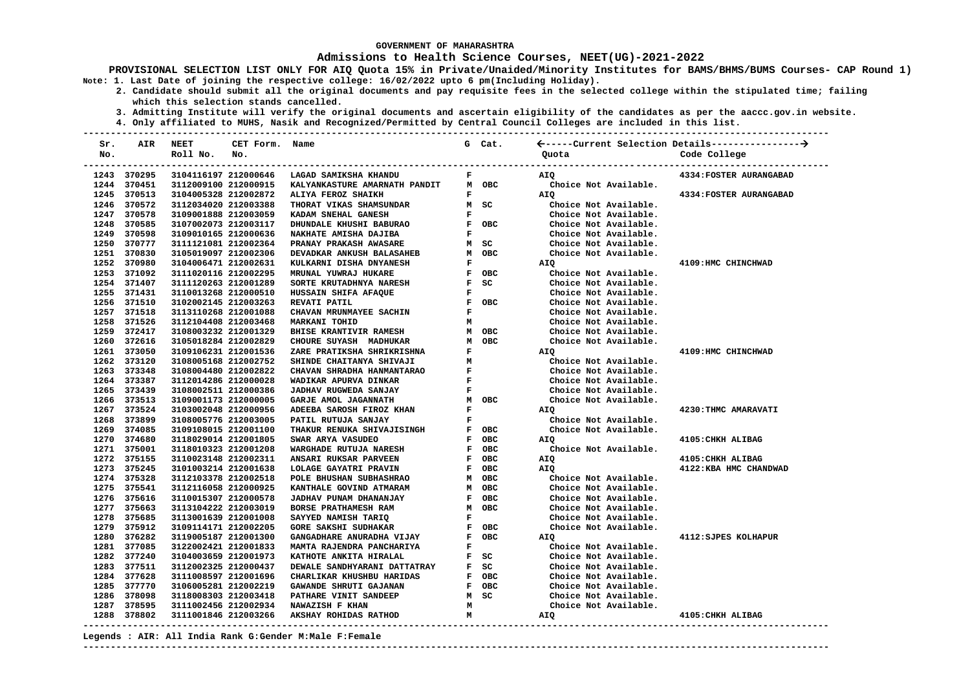#### **Admissions to Health Science Courses, NEET(UG)-2021-2022**

**PROVISIONAL SELECTION LIST ONLY FOR AIQ Quota 15% in Private/Unaided/Minority Institutes for BAMS/BHMS/BUMS Courses- CAP Round 1) Note: 1. Last Date of joining the respective college: 16/02/2022 upto 6 pm(Including Holiday).**

 **2. Candidate should submit all the original documents and pay requisite fees in the selected college within the stipulated time; failing which this selection stands cancelled.**

 **3. Admitting Institute will verify the original documents and ascertain eligibility of the candidates as per the aaccc.gov.in website.**

 **4. Only affiliated to MUHS, Nasik and Recognized/Permitted by Central Council Colleges are included in this list.**

**--------------------------------------------------------------------------------------------------------------------------------------- Sr. AIR NEET CET Form. Name G Cat. -----Current Selection Details---------------- No. Roll No. No. Quota Code College --------------------------------------------------------------------------------------------------------------------------------------- --------------------------------------------------------------------------------------------------------------------------------------- 1243 370295 3104116197 212000646 LAGAD SAMIKSHA KHANDU F AIQ 4334:FOSTER AURANGABAD 1244 370451 3112009100 212000915 KALYANKASTURE AMARNATH PANDIT M OBC Choice Not Available. 1245 370513 3104005328 212002872 ALIYA FEROZ SHAIKH F AIQ 4334:FOSTER AURANGABAD 1246 370572 3112034020 212003388 THORAT VIKAS SHAMSUNDAR M SC Choice Not Available. 1247 370578 3109001888 212003059 KADAM SNEHAL GANESH F Choice Not Available. 1248 370585 3107002073 212003117 DHUNDALE KHUSHI BABURAO F OBC Choice Not Available. 1249 370598 3109010165 212000636 NAKHATE AMISHA DAJIBA F Choice Not Available. 1250 370777 3111121081 212002364 PRANAY PRAKASH AWASARE M SC Choice Not Available.**  1251 370830 3105019097 212002306  **1252 370980 3104006471 212002631 KULKARNI DISHA DNYANESH F AIQ 4109:HMC CHINCHWAD 1253 371092 3111020116 212002295 MRUNAL YUWRAJ HUKARE F OBC Choice Not Available. 1254 371407 3111120263 212001289 SORTE KRUTADHNYA NARESH F SC Choice Not Available. 1255 371431 3110013268 212000510 HUSSAIN SHIFA AFAQUE F Choice Not Available. 1256 371510 3102002145 212003263 REVATI PATIL F OBC Choice Not Available. 1257 371518 3113110268 212001088 CHAVAN MRUNMAYEE SACHIN F Choice Not Available. 1258 371526 3112104408 212003468 MARKANI TOHID M Choice Not Available.**  1259 372417 3108003232 212001329 BHISE KRANTIVIR RAMESH M OBC Choice Not Available.<br>1260 372616 3105018284 212002829 CHOURE SUYASH MADHUKAR M OBC Choice Not Available. 1260 372616 3105018284 212002829  **1261 373050 3109106231 212001536 ZARE PRATIKSHA SHRIKRISHNA F AIQ 4109:HMC CHINCHWAD**  SHINDE CHAITANYA SHIVAJI  **1263 373348 3108004480 212002822 CHAVAN SHRADHA HANMANTARAO F Choice Not Available. 1264 373387 3112014286 212000028 WADIKAR APURVA DINKAR F Choice Not Available. 1265 373439 3108002511 212000386 JADHAV RUGWEDA SANJAY F Choice Not Available. 1266 373513 3109001173 212000005 GARJE AMOL JAGANNATH M OBC Choice Not Available. 1267 373524 3103002048 212000956 ADEEBA SAROSH FIROZ KHAN F AIQ 4230:THMC AMARAVATI 1268 373899 3108005776 212003005 PATIL RUTUJA SANJAY F Choice Not Available. 1269 374085 3109108015 212001100 THAKUR RENUKA SHIVAJISINGH F OBC Choice Not Available. 1270 374680 3118029014 212001805 SWAR ARYA VASUDEO F OBC AIQ 4105:CHKH ALIBAG 1271 375001 3118010323 212001208 WARGHADE RUTUJA NARESH F OBC Choice Not Available. 1272 375155 3110023148 212002311 ANSARI RUKSAR PARVEEN F OBC AIQ 4105:CHKH ALIBAG 1273 375245 3101003214 212001638 LOLAGE GAYATRI PRAVIN F OBC AIQ 4122:KBA HMC CHANDWAD 1274 375328 3112103378 212002518 POLE BHUSHAN SUBHASHRAO M OBC Choice Not Available. 1275 375541 3112116058 212000925 KANTHALE GOVIND ATMARAM M OBC Choice Not Available. 1276 375616 3110015307 212000578 JADHAV PUNAM DHANANJAY F OBC Choice Not Available. 1277 375663 3113104222 212003019 BORSE PRATHAMESH RAM M OBC Choice Not Available. 1278 375685 3113001639 212001008 SAYYED NAMISH TARIQ F Choice Not Available. 1279 375912 3109114171 212002205 GORE SAKSHI SUDHAKAR F OBC Choice Not Available. 1280 376282 3119005187 212001300 GANGADHARE ANURADHA VIJAY F OBC AIQ 4112:SJPES KOLHAPUR 1281 377085 3122002421 212001833 MAMTA RAJENDRA PANCHARIYA F Choice Not Available. 1282 377240 3104003659 212001973 KATHOTE ANKITA HIRALAL F SC Choice Not Available. 1283 377511 3112002325 212000437 DEWALE SANDHYARANI DATTATRAY F SC Choice Not Available. 1284 377628 3111008597 212001696 CHARLIKAR KHUSHBU HARIDAS F OBC Choice Not Available. 1285 377770 3106005281 212002219 GAWANDE SHRUTI GAJANAN F OBC Choice Not Available. 1286 378098 3118008303 212003418 PATHARE VINIT SANDEEP M SC Choice Not Available. 1287 378595 3111002456 212002934 NAWAZISH F KHAN M Choice Not Available. 1288 378802 3111001846 212003266 AKSHAY ROHIDAS RATHOD M AIQ 4105:CHKH ALIBAG** 

#### **Legends : AIR: All India Rank G:Gender M:Male F:Female**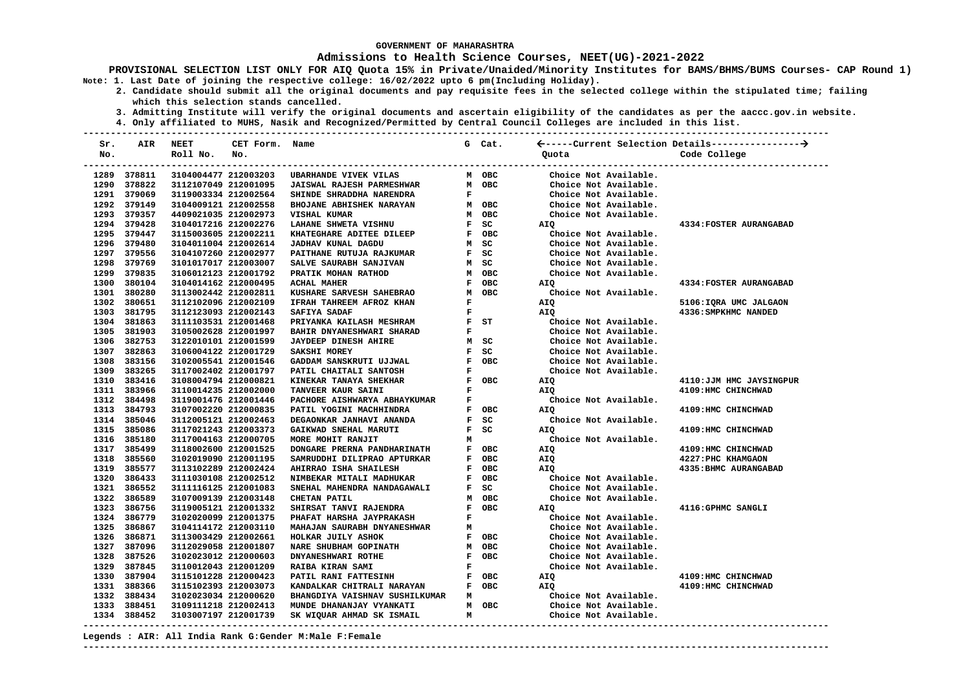### **Admissions to Health Science Courses, NEET(UG)-2021-2022**

**PROVISIONAL SELECTION LIST ONLY FOR AIQ Quota 15% in Private/Unaided/Minority Institutes for BAMS/BHMS/BUMS Courses- CAP Round 1) Note: 1. Last Date of joining the respective college: 16/02/2022 upto 6 pm(Including Holiday).**

 **2. Candidate should submit all the original documents and pay requisite fees in the selected college within the stipulated time; failing which this selection stands cancelled.**

 **3. Admitting Institute will verify the original documents and ascertain eligibility of the candidates as per the aaccc.gov.in website. 4. Only affiliated to MUHS, Nasik and Recognized/Permitted by Central Council Colleges are included in this list.**

| Sr. | AIR         | <b>NEET</b>                              | CET Form. Name |                                                         |              | G Cat.                        |                       |                                                    |
|-----|-------------|------------------------------------------|----------------|---------------------------------------------------------|--------------|-------------------------------|-----------------------|----------------------------------------------------|
| No. |             | Roll No.<br>---------------------------- | No.            |                                                         |              |                               | Quota                 | Code College<br>---------------------------------- |
|     | 1289 378811 | 3104004477 212003203                     |                | <b>UBARHANDE VIVEK VILAS</b>                            |              | м овс                         | Choice Not Available. |                                                    |
|     | 1290 378822 | 3112107049 212001095                     |                | <b>JAISWAL RAJESH PARMESHWAR</b>                        |              | M OBC                         | Choice Not Available. |                                                    |
|     | 1291 379069 | 3119003334 212002564                     |                | SHINDE SHRADDHA NARENDRA                                | $\mathbf{F}$ |                               | Choice Not Available. |                                                    |
|     | 1292 379149 | 3104009121 212002558                     |                | $M$ OBC<br><b>BHOJANE ABHISHEK NARAYAN</b>              |              |                               | Choice Not Available. |                                                    |
|     | 1293 379357 | 4409021035 212002973                     |                | VISHAL KUMAR                                            |              | M OBC                         | Choice Not Available. |                                                    |
|     | 1294 379428 | 3104017216 212002276                     |                | LAHANE SHWETA VISHNU                                    |              |                               | AIQ                   | 4334: FOSTER AURANGABAD                            |
|     | 1295 379447 | 3115003605 212002211                     |                | KHATEGHARE ADITEE DILEEP                                |              | F SC<br>F OBC                 | Choice Not Available. |                                                    |
|     | 1296 379480 | 3104011004 212002614                     |                | JADHAV KUNAL DAGDU                                      |              | M SC                          | Choice Not Available. |                                                    |
|     | 1297 379556 | 3104107260 212002977                     |                | PAITHANE RUTUJA RAJKUMAR                                |              | F SC                          | Choice Not Available. |                                                    |
|     | 1298 379769 | 3101017017 212003007                     |                | SALVE SAURABH SANJIVAN                                  |              | M SC                          | Choice Not Available. |                                                    |
|     | 1299 379835 | 3106012123 212001792                     |                | PRATIK MOHAN RATHOD                                     |              | M OBC                         | Choice Not Available. |                                                    |
|     | 1300 380104 | 3104014162 212000495                     |                | <b>ACHAL MAHER</b>                                      |              | F OBC                         | AIQ                   | 4334: FOSTER AURANGABAD                            |
|     | 1301 380280 | 3113002442 212002811                     |                | KUSHARE SARVESH SAHEBRAO                                |              | M OBC                         | Choice Not Available. |                                                    |
|     | 1302 380651 | 3112102096 212002109                     |                | IFRAH TAHREEM AFROZ KHAN                                | F            |                               | AIQ                   | 5106: IQRA UMC JALGAON                             |
|     | 1303 381795 | 3112123093 212002143                     |                | SAFIYA SADAF                                            | F            |                               | <b>AIQ</b>            | 4336: SMPKHMC NANDED                               |
|     | 1304 381863 | 3111103531 212001468                     |                | PRIYANKA KAILASH MESHRAM                                |              | F ST                          | Choice Not Available. |                                                    |
|     | 1305 381903 | 3105002628 212001997                     |                | BAHIR DNYANESHWARI SHARAD                               |              | $\mathbf{F}$ and $\mathbf{F}$ | Choice Not Available. |                                                    |
|     | 1306 382753 | 3122010101 212001599                     |                | <b>JAYDEEP DINESH AHIRE</b>                             |              |                               | Choice Not Available. |                                                    |
|     | 1307 382863 | 3106004122 212001729                     |                | M SC<br>F SC<br>SAKSHI MOREY                            |              |                               | Choice Not Available. |                                                    |
|     | 1308 383156 | 3102005541 212001546                     |                | F SC<br>F OBC<br>GADDAM SANSKRUTI UJJWAL                |              |                               | Choice Not Available. |                                                    |
|     | 1309 383265 | 3117002402 212001797                     |                | PATIL CHAITALI SANTOSH                                  | $\mathbf{F}$ |                               | Choice Not Available. |                                                    |
|     | 1310 383416 | 3108004794 212000821                     |                | KINEKAR TANAYA SHEKHAR                                  |              | F OBC                         | AIQ                   | 4110: JJM HMC JAYSINGPUR                           |
|     | 1311 383966 | 3110014235 212002000                     |                | TANVEER KAUR SAINI                                      | $\mathbf{F}$ |                               | <b>AIQ</b>            | 4109:HMC CHINCHWAD                                 |
|     | 1312 384498 | 3119001476 212001446                     |                | PACHORE AISHWARYA ABHAYKUMAR                            | F            |                               | Choice Not Available. |                                                    |
|     | 1313 384793 | 3107002220 212000835                     |                | PATIL YOGINI MACHHINDRA                                 |              | F OBC                         | AIQ                   | 4109: HMC CHINCHWAD                                |
|     | 1314 385046 | 3112005121 212002463                     |                | DEGAONKAR JANHAVI ANANDA                                |              | $F$ SC                        | Choice Not Available. |                                                    |
|     | 1315 385086 | 3117021243 212003373                     |                | GAIKWAD SNEHAL MARUTI                                   |              | $F$ SC                        | AIO                   | 4109:HMC CHINCHWAD                                 |
|     | 1316 385180 | 3117004163 212000705                     |                | MORE MOHIT RANJIT                                       | м            |                               | Choice Not Available. |                                                    |
|     | 1317 385499 | 3118002600 212001525                     |                | DONGARE PRERNA PANDHARINATH                             |              | F OBC                         | AIQ                   | 4109: HMC CHINCHWAD                                |
|     | 1318 385560 | 3102019090 212001195                     |                | SAMRUDDHI DILIPRAO APTURKAR                             |              | F OBC                         | <b>AIQ</b>            | 4227: PHC KHAMGAON                                 |
|     | 1319 385577 | 3113102289 212002424                     |                | AHIRRAO ISHA SHAILESH                                   |              | F OBC                         | <b>AIO</b>            | 4335: BHMC AURANGABAD                              |
|     | 1320 386433 | 3111030108 212002512                     |                |                                                         |              | F OBC                         | Choice Not Available. |                                                    |
|     | 1321 386552 | 3111116125 212001083                     |                | NIMBEKAR MITALI MADHUKAR<br>SNEHAL MAHENDRA NANDAGAWALI |              | $F$ SC                        | Choice Not Available. |                                                    |
|     | 1322 386589 | 3107009139 212003148                     |                | CHETAN PATIL                                            |              | M OBC                         | Choice Not Available. |                                                    |
|     | 1323 386756 | 3119005121 212001332                     |                | SHIRSAT TANVI RAJENDRA                                  |              | F OBC                         | <b>AIO</b>            | 4116: GPHMC SANGLI                                 |
|     | 1324 386779 | 3102020099 212001375                     |                | PHAFAT HARSHA JAYPRAKASH                                | F            |                               | Choice Not Available. |                                                    |
|     | 1325 386867 | 3104114172 212003110                     |                | MAHAJAN SAURABH DNYANESHWAR                             | M            |                               | Choice Not Available. |                                                    |
|     | 1326 386871 | 3113003429 212002661                     |                | HOLKAR JUILY ASHOK                                      |              | F OBC                         | Choice Not Available. |                                                    |
|     | 1327 387096 | 3112029058 212001807                     |                | NARE SHUBHAM GOPINATH                                   |              | M OBC                         | Choice Not Available. |                                                    |
|     | 1328 387526 | 3102023012 212000603                     |                | DNYANESHWARI ROTHE                                      |              | $F$ OBC                       | Choice Not Available. |                                                    |
|     | 1329 387845 | 3110012043 212001209                     |                | RAIBA KIRAN SAMI                                        | $\mathbf{F}$ |                               | Choice Not Available. |                                                    |
|     | 1330 387904 | 3115101228 212000423                     |                |                                                         |              |                               | AIQ                   | 4109: HMC CHINCHWAD                                |
|     | 1331 388366 | 3115102393 212003073                     |                |                                                         |              |                               | AIQ                   | 4109: HMC CHINCHWAD                                |
|     | 1332 388434 | 3102023034 212000620                     |                | BHANGDIYA VAISHNAV SUSHILKUMAR M                        |              |                               | Choice Not Available. |                                                    |
|     | 1333 388451 | 3109111218 212002413                     |                | MUNDE DHANANJAY VYANKATI                                |              | M OBC                         | Choice Not Available. |                                                    |
|     | 1334 388452 | 3103007197 212001739                     |                | SK WIQUAR AHMAD SK ISMAIL                               | M            |                               | Choice Not Available. |                                                    |
|     |             |                                          |                |                                                         |              |                               |                       |                                                    |

#### **Legends : AIR: All India Rank G:Gender M:Male F:Female**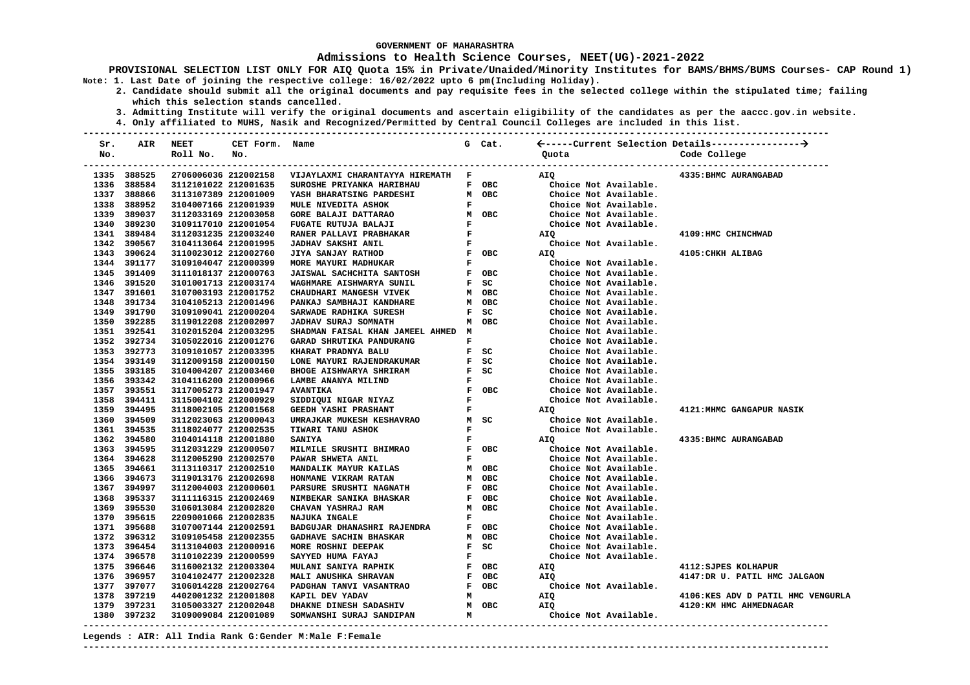### **Admissions to Health Science Courses, NEET(UG)-2021-2022**

**PROVISIONAL SELECTION LIST ONLY FOR AIQ Quota 15% in Private/Unaided/Minority Institutes for BAMS/BHMS/BUMS Courses- CAP Round 1) Note: 1. Last Date of joining the respective college: 16/02/2022 upto 6 pm(Including Holiday).**

 **2. Candidate should submit all the original documents and pay requisite fees in the selected college within the stipulated time; failing which this selection stands cancelled.**

 **3. Admitting Institute will verify the original documents and ascertain eligibility of the candidates as per the aaccc.gov.in website.**

 **4. Only affiliated to MUHS, Nasik and Recognized/Permitted by Central Council Colleges are included in this list.**

| Sr. |             | AIR NEET             | CET Form. Name |                                                                                   |              | G Cat. |                       |                                   |
|-----|-------------|----------------------|----------------|-----------------------------------------------------------------------------------|--------------|--------|-----------------------|-----------------------------------|
| No. |             | Roll No.             | No.            | -----------------------------------                                               |              |        | Quota                 | Code College                      |
|     | 1335 388525 | 2706006036 212002158 |                | VIJAYLAXMI CHARANTAYYA HIREMATH F                                                 |              |        | AIQ                   | 4335: BHMC AURANGABAD             |
|     | 1336 388584 | 3112101022 212001635 |                | SUROSHE PRIYANKA HARIBHAU                                                         |              | F OBC  | Choice Not Available. |                                   |
|     | 1337 388866 | 3113107389 212001009 |                | YASH BHARATSING PARDESHI                                                          |              | M OBC  | Choice Not Available. |                                   |
|     | 1338 388952 | 3104007166 212001939 |                | MULE NIVEDITA ASHOK<br>$\mathbf{F}$<br>M OBC                                      |              |        | Choice Not Available. |                                   |
|     | 1339 389037 | 3112033169 212003058 |                | <b>GORE BALAJI DATTARAO</b>                                                       |              |        | Choice Not Available. |                                   |
|     | 1340 389230 | 3109117010 212001054 |                | FUGATE RUTUJA BALAJI                                                              | $\mathbf{F}$ |        | Choice Not Available. |                                   |
|     | 1341 389484 | 3112031235 212003240 |                | RANER PALLAVI PRABHAKAR                                                           | $\mathbf{F}$ |        | AIQ                   | 4109: HMC CHINCHWAD               |
|     | 1342 390567 | 3104113064 212001995 |                | <b>JADHAV SAKSHI ANIL</b>                                                         | $\mathbf{F}$ |        | Choice Not Available. |                                   |
|     | 1343 390624 | 3110023012 212002760 |                | JIYA SANJAY RATHOD                                                                |              | F OBC  | AIQ                   | 4105: CHKH ALIBAG                 |
|     | 1344 391177 | 3109104047 212000399 |                | MORE MAYURI MADHUKAR                                                              | F            |        | Choice Not Available. |                                   |
|     | 1345 391409 | 3111018137 212000763 |                | JAISWAL SACHCHITA SANTOSH<br>F OBC<br>F SC                                        |              |        | Choice Not Available. |                                   |
|     | 1346 391520 | 3101001713 212003174 |                | WAGHMARE AISHWARYA SUNIL                                                          |              |        | Choice Not Available. |                                   |
|     | 1347 391601 | 3107003193 212001752 |                | CHAUDHARI MANGESH VIVEK                                                           |              | M OBC  | Choice Not Available. |                                   |
|     | 1348 391734 | 3104105213 212001496 |                | $M$ OBC<br>PANKAJ SAMBHAJI KANDHARE                                               |              |        | Choice Not Available. |                                   |
|     | 1349 391790 | 3109109041 212000204 |                | $$\mathbf{F}$$<br>M<br>SARWADE RADHIKA SURESH                                     |              | SC     | Choice Not Available. |                                   |
|     | 1350 392285 | 3119012208 212002097 |                | JADHAV SURAJ SOMNATH                                                              |              | M OBC  | Choice Not Available. |                                   |
|     | 1351 392541 | 3102015204 212003295 |                | SHADMAN FAISAL KHAN JAMEEL AHMED M                                                |              |        | Choice Not Available. |                                   |
|     | 1352 392734 | 3105022016 212001276 |                | GARAD SHRUTIKA PANDURANG                                                          | F            |        | Choice Not Available. |                                   |
|     | 1353 392773 | 3109101057 212003395 |                | KHARAT PRADNYA BALU                                                               | $\mathbf{F}$ | sc     | Choice Not Available. |                                   |
|     | 1354 393149 | 3112009158 212000150 |                | LONE MAYURI RAJENDRAKUMAR<br>LONE MAYURI RAJENDRAKUMAR<br>BHOGE AISHWARYA SHRIRAM | $\mathbf{F}$ | SC     | Choice Not Available. |                                   |
|     | 1355 393185 | 3104004207 212003460 |                |                                                                                   |              | F SC   | Choice Not Available. |                                   |
|     | 1356 393342 | 3104116200 212000966 |                | LAMBE ANANYA MILIND<br>$\mathbf{F}$                                               |              |        | Choice Not Available. |                                   |
|     | 1357 393551 | 3117005273 212001947 |                | <b>AVANTIKA</b>                                                                   |              | F OBC  | Choice Not Available. |                                   |
|     | 1358 394411 | 3115004102 212000929 |                | SIDDIQUI NIGAR NIYAZ                                                              | $\mathbf{F}$ |        | Choice Not Available. |                                   |
|     | 1359 394495 | 3118002105 212001568 |                | <b>GEEDH YASHI PRASHANT</b>                                                       | $\mathbf{F}$ |        | AIQ                   | 4121: MHMC GANGAPUR NASIK         |
|     | 1360 394509 | 3112023063 212000043 |                | UMRAJKAR MUKESH KESHAVRAO                                                         |              | M SC   | Choice Not Available. |                                   |
|     | 1361 394535 | 3118024077 212002535 |                | <b>TIWARI TANU ASHOK</b>                                                          | $\mathbf{F}$ |        | Choice Not Available. |                                   |
|     | 1362 394580 | 3104014118 212001880 |                | <b>SANIYA</b>                                                                     | $\mathbf{F}$ |        | AIQ                   | 4335: BHMC AURANGABAD             |
|     | 1363 394595 | 3112031229 212000507 |                | MILMILE SRUSHTI BHIMRAO                                                           |              | F OBC  | Choice Not Available. |                                   |
|     | 1364 394628 | 3112005290 212002570 |                | PAWAR SHWETA ANIL                                                                 | $\mathbf{F}$ |        | Choice Not Available. |                                   |
|     | 1365 394661 | 3113110317 212002510 |                | MANDALIK MAYUR KAILAS                                                             |              |        | Choice Not Available. |                                   |
|     | 1366 394673 | 3119013176 212002698 |                | HONMANE VIKRAM RATAN                                                              |              |        | Choice Not Available. |                                   |
|     | 1367 394997 | 3112004003 212000601 |                | PARSURE SRUSHTI NAGNATH                                                           |              |        | Choice Not Available. |                                   |
|     | 1368 395337 | 3111116315 212002469 |                | M OBC<br>M OBC<br>F OBC<br>F OBC<br>M OBC<br>NIMBEKAR SANIKA BHASKAR              |              |        | Choice Not Available. |                                   |
|     | 1369 395530 | 3106013084 212002820 |                | CHAVAN YASHRAJ RAM                                                                |              |        | Choice Not Available. |                                   |
|     | 1370 395615 | 2209001066 212002835 |                | NAJUKA INGALE                                                                     | $\mathbf{F}$ |        | Choice Not Available. |                                   |
|     | 1371 395688 | 3107007144 212002591 |                |                                                                                   |              |        | Choice Not Available. |                                   |
|     | 1372 396312 | 3109105458 212002355 |                |                                                                                   |              |        | Choice Not Available. |                                   |
|     | 1373 396454 | 3113104003 212000916 |                |                                                                                   |              |        | Choice Not Available. |                                   |
|     | 1374 396578 | 3110102239 212000599 |                | SAYYED HUMA FAYAJ                                                                 | $\mathbf{F}$ |        | Choice Not Available. |                                   |
|     | 1375 396646 | 3116002132 212003304 |                | MULANI SANIYA RAPHIK                                                              |              | F OBC  | AIQ                   | 4112: SJPES KOLHAPUR              |
|     | 1376 396957 | 3104102477 212002328 |                | MALI ANUSHKA SHRAVAN                                                              |              | F OBC  | AIQ                   | 4147:DR U. PATIL HMC JALGAON      |
|     | 1377 397077 | 3106014228 212002764 |                | F OBC<br>PADGHAN TANVI VASANTRAO                                                  |              |        | Choice Not Available. |                                   |
|     | 1378 397219 | 4402001232 212001808 |                | KAPIL DEV YADAV                                                                   | M            |        | AIQ                   | 4106:KES ADV D PATIL HMC VENGURLA |
|     | 1379 397231 | 3105003327 212002048 |                |                                                                                   |              |        | <b>AIQ</b>            | 4120: KM HMC AHMEDNAGAR           |
|     | 1380 397232 | 3109009084 212001089 |                | SOMWANSHI SURAJ SANDIPAN                                                          |              |        | Choice Not Available. |                                   |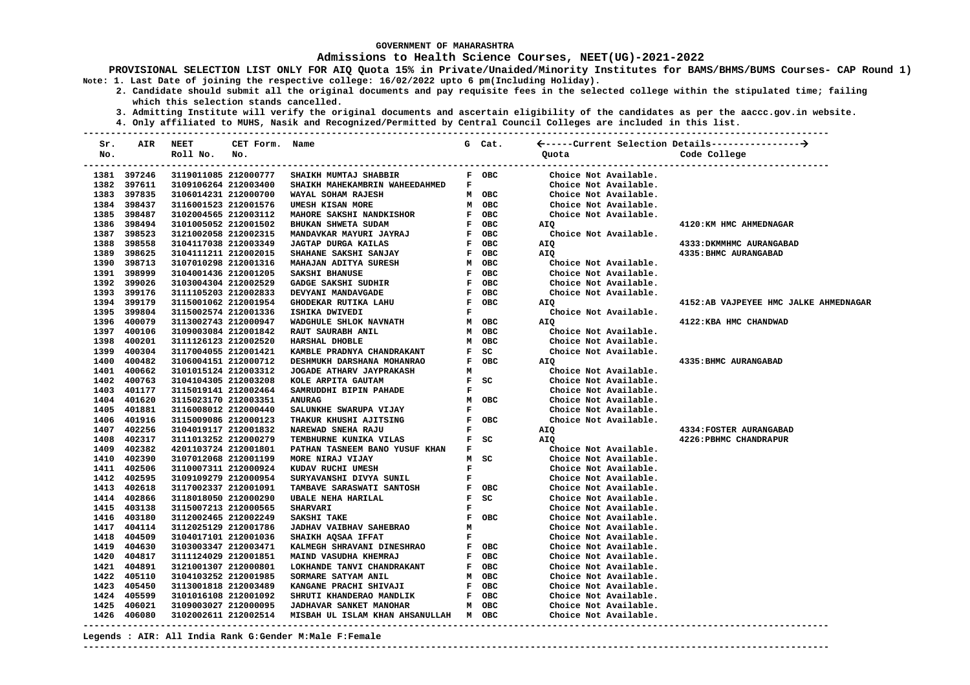### **Admissions to Health Science Courses, NEET(UG)-2021-2022**

**PROVISIONAL SELECTION LIST ONLY FOR AIQ Quota 15% in Private/Unaided/Minority Institutes for BAMS/BHMS/BUMS Courses- CAP Round 1) Note: 1. Last Date of joining the respective college: 16/02/2022 upto 6 pm(Including Holiday).**

 **2. Candidate should submit all the original documents and pay requisite fees in the selected college within the stipulated time; failing which this selection stands cancelled.**

 **3. Admitting Institute will verify the original documents and ascertain eligibility of the candidates as per the aaccc.gov.in website.**

 **4. Only affiliated to MUHS, Nasik and Recognized/Permitted by Central Council Colleges are included in this list.**

| Sr.<br>No. |              | AIR NEET<br>Roll No. No. | CET Form. Name       |                                                                     |                               |                               | Quota                 | Code College                          |
|------------|--------------|--------------------------|----------------------|---------------------------------------------------------------------|-------------------------------|-------------------------------|-----------------------|---------------------------------------|
|            | ------------ |                          |                      |                                                                     |                               |                               |                       |                                       |
|            | 1381 397246  | 3119011085 212000777     |                      | SHAIKH MUMTAJ SHABBIR                                               |                               | F OBC                         | Choice Not Available. |                                       |
|            | 1382 397611  | 3109106264 212003400     |                      | SHAIKH MAHEKAMBRIN WAHEEDAHMED F                                    |                               |                               | Choice Not Available. |                                       |
|            | 1383 397835  | 3106014231 212000700     |                      | WAYAL SOHAM RAJESH                                                  |                               | M OBC                         | Choice Not Available. |                                       |
|            | 1384 398437  | 3116001523 212001576     |                      | UMESH KISAN MORE<br>MAHORE SAKSHI NANDKISHOR                        |                               | м овс                         | Choice Not Available. |                                       |
|            | 1385 398487  | 3102004565 212003112     |                      |                                                                     |                               | F OBC                         | Choice Not Available. |                                       |
|            | 1386 398494  | 3101005052 212001502     |                      | BHUKAN SHWETA SUDAM                                                 |                               | F OBC                         | AIQ                   | 4120:KM HMC AHMEDNAGAR                |
|            | 1387 398523  | 3121002058 212002315     |                      | MANDAVKAR MAYURI JAYRAJ                                             |                               | F OBC                         | Choice Not Available. |                                       |
|            | 1388 398558  | 3104117038 212003349     |                      | <b>JAGTAP DURGA KAILAS</b>                                          |                               | F OBC                         | AIQ                   | 4333: DKMMHMC AURANGABAD              |
|            | 1389 398625  | 3104111211 212002015     |                      | <b>SHAHANE SAKSHI SANJAY</b>                                        |                               | F OBC                         | AIQ                   | 4335: BHMC AURANGABAD                 |
|            | 1390 398713  | 3107010298 212001316     |                      | MAHAJAN ADITYA SURESH                                               |                               |                               | Choice Not Available. |                                       |
|            | 1391 398999  | 3104001436 212001205     |                      | SAKSHI BHANUSE                                                      |                               |                               | Choice Not Available. |                                       |
|            | 1392 399026  | 3103004304 212002529     |                      | M OBC<br>F OBC<br>F OBC<br>F OBC<br>-<br><b>GADGE SAKSHI SUDHIR</b> |                               |                               | Choice Not Available. |                                       |
|            | 1393 399176  | 3111105203 212002833     |                      | DEVYANI MANDAVGADE                                                  |                               |                               | Choice Not Available. |                                       |
|            | 1394 399179  | 3115001062 212001954     |                      | GHODEKAR RUTIKA LAHU                                                |                               |                               | AIQ                   | 4152:AB VAJPEYEE HMC JALKE AHMEDNAGAR |
|            | 1395 399804  | 3115002574 212001336     |                      | ISHIKA DWIVEDI                                                      |                               | $\mathbf{F}$ and $\mathbf{F}$ | Choice Not Available. |                                       |
|            | 1396 400079  | 3113002743 212000947     |                      | WADGHULE SHLOK NAVNATH                                              |                               | M OBC                         | AIQ                   | 4122: KBA HMC CHANDWAD                |
|            | 1397 400106  | 3109003084 212001842     |                      | RAUT SAURABH ANIL                                                   |                               | M OBC                         | Choice Not Available. |                                       |
|            | 1398 400201  | 3111126123 212002520     |                      | HARSHAL DHOBLE                                                      |                               | M OBC                         | Choice Not Available. |                                       |
|            | 1399 400304  | 3117004055 212001421     |                      | KAMBLE PRADNYA CHANDRAKANT                                          |                               | $F$ SC                        | Choice Not Available. |                                       |
|            | 1400 400482  | 3106004151 212000712     |                      | DESHMUKH DARSHANA MOHANRAO                                          |                               | F OBC                         | AIQ                   | 4335: BHMC AURANGABAD                 |
|            | 1401 400662  | 3101015124 212003312     |                      | <b>JOGADE ATHARV JAYPRAKASH</b>                                     |                               | M <sub>N</sub>                | Choice Not Available. |                                       |
|            | 1402 400763  | 3104104305 212003208     |                      | KOLE ARPITA GAUTAM                                                  |                               |                               | Choice Not Available. |                                       |
|            | 1403 401177  | 3115019141 212002464     |                      | DE F<br>DE F<br>AY F<br>AY F<br>SAMRUDDHI BIPIN PAHADE              |                               |                               | Choice Not Available. |                                       |
|            | 1404 401620  | 3115023170 212003351     |                      | <b>ANURAG</b>                                                       |                               |                               | Choice Not Available. |                                       |
|            | 1405 401881  | 3116008012 212000440     |                      | SALUNKHE SWARUPA VIJAY                                              |                               |                               | Choice Not Available. |                                       |
|            | 1406 401916  | 3115009086 212000123     |                      | THAKUR KHUSHI AJITSING                                              |                               | F OBC                         | Choice Not Available. |                                       |
|            | 1407 402256  | 3104019117 212001832     |                      | NAREWAD SNEHA RAJU                                                  |                               | $\mathbf{F}$ and $\mathbf{F}$ | AIQ                   | 4334: FOSTER AURANGABAD               |
|            | 1408 402317  | 3111013252 212000279     |                      | F SC<br>TEMBHURNE KUNIKA VILAS                                      |                               |                               | AIQ                   | 4226: PBHMC CHANDRAPUR                |
|            | 1409 402382  | 4201103724 212001801     |                      | PATHAN TASNEEM BANO YUSUF KHAN F                                    |                               |                               | Choice Not Available. |                                       |
|            | 1410 402390  | 3107012068 212001199     |                      | MORE NIRAJ VIJAY                                                    |                               | M SC                          | Choice Not Available. |                                       |
|            | 1411 402506  | 3110007311 212000924     |                      |                                                                     |                               | $\mathbf{F}$ and $\mathbf{F}$ | Choice Not Available. |                                       |
|            | 1412 402595  | 3109109279 212000954     |                      | KUDAV RUCHI UMESH<br>SURYAVANSHI DIVYA SUNIL                        |                               | $\mathbf{F}$ and $\mathbf{F}$ | Choice Not Available. |                                       |
|            | 1413 402618  | 3117002337 212001091     |                      | TAMBAVE SARASWATI SANTOSH F OBC                                     |                               |                               | Choice Not Available. |                                       |
|            | 1414 402866  | 3118018050 212000290     |                      | <b>UBALE NEHA HARILAL</b>                                           |                               | F SC                          | Choice Not Available. |                                       |
|            | 1415 403138  | 3115007213 212000565     |                      | <b>SHARVARI</b>                                                     | $\mathbf{F}$ and $\mathbf{F}$ |                               | Choice Not Available. |                                       |
|            | 1416 403180  | 3112002465 212002249     |                      | SAKSHI TAKE                                                         |                               | F OBC                         | Choice Not Available. |                                       |
|            | 1417 404114  | 3112025129 212001786     |                      | <b>JADHAV VAIBHAV SAHEBRAO</b>                                      | M                             |                               | Choice Not Available. |                                       |
|            | 1418 404509  | 3104017101 212001036     |                      | SHAIKH AQSAA IFFAT                                                  |                               | $\mathbf{F}$ and $\mathbf{F}$ | Choice Not Available. |                                       |
|            | 1419 404630  | 3103003347 212003471     |                      | KALMEGH SHRAVANI DINESHRAO                                          |                               | F OBC                         | Choice Not Available. |                                       |
|            | 1420 404817  | 3111124029 212001851     |                      | MAIND VASUDHA KHEMRAJ                                               |                               | F OBC                         | Choice Not Available. |                                       |
|            | 1421 404891  | 3121001307 212000801     |                      | LOKHANDE TANVI CHANDRAKANT                                          |                               | F OBC                         | Choice Not Available. |                                       |
|            | 1422 405110  | 3104103252 212001985     |                      | SORMARE SATYAM ANIL                                                 |                               | м овс                         | Choice Not Available. |                                       |
|            | 1423 405450  | 3113001818 212003489     |                      | KANGANE PRACHI SHIVAJI                                              |                               | F OBC                         | Choice Not Available. |                                       |
|            | 1424 405599  | 3101016108 212001092     |                      | SHRUTI KHANDERAO MANDLIK                                            |                               | F OBC                         | Choice Not Available. |                                       |
|            | 1425 406021  |                          | 3109003027 212000095 | <b>JADHAVAR SANKET MANOHAR</b>                                      |                               | M OBC                         | Choice Not Available. |                                       |
|            | 1426 406080  |                          |                      | 3102002611 212002514 MISBAH UL ISLAM KHAN AHSANULLAH M OBC          |                               |                               | Choice Not Available. |                                       |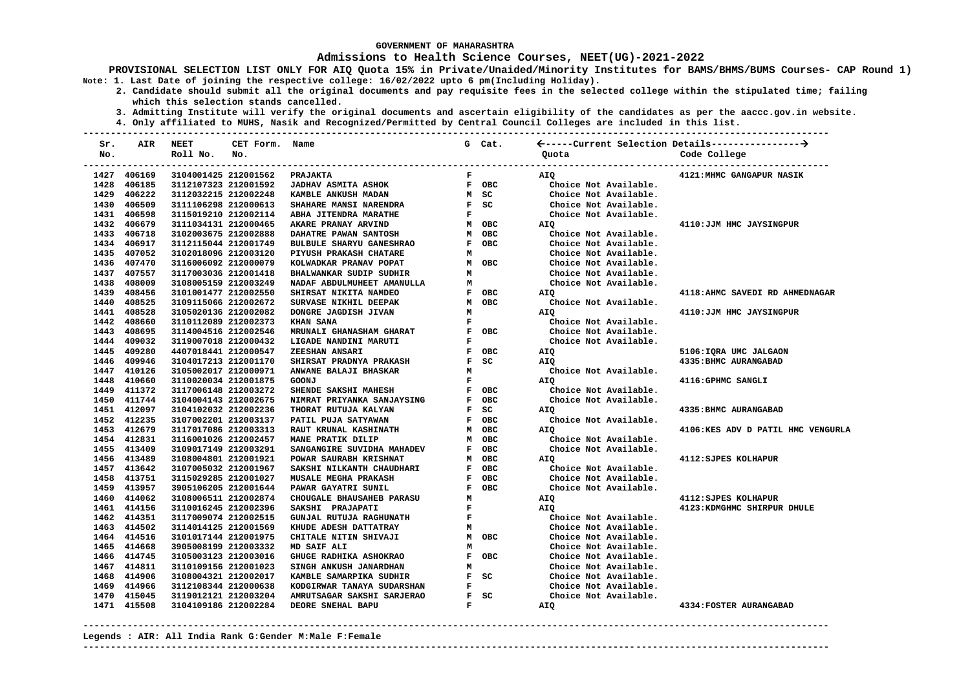### **Admissions to Health Science Courses, NEET(UG)-2021-2022**

**PROVISIONAL SELECTION LIST ONLY FOR AIQ Quota 15% in Private/Unaided/Minority Institutes for BAMS/BHMS/BUMS Courses- CAP Round 1) Note: 1. Last Date of joining the respective college: 16/02/2022 upto 6 pm(Including Holiday).**

 **2. Candidate should submit all the original documents and pay requisite fees in the selected college within the stipulated time; failing which this selection stands cancelled.**

 **3. Admitting Institute will verify the original documents and ascertain eligibility of the candidates as per the aaccc.gov.in website.**

 **4. Only affiliated to MUHS, Nasik and Recognized/Permitted by Central Council Colleges are included in this list.**

| Sr.  | AIR         | <b>NEET</b>          | CET Form. Name |                                            |              | G Cat.     |                       |                                   |
|------|-------------|----------------------|----------------|--------------------------------------------|--------------|------------|-----------------------|-----------------------------------|
| No.  |             | Roll No.             | No.            |                                            |              |            | Quota                 | Code College                      |
|      | 1427 406169 | 3104001425 212001562 |                | -----------------------<br><b>PRAJAKTA</b> | F            |            | AIO                   | 4121: MHMC GANGAPUR NASIK         |
| 1428 | 406185      | 3112107323 212001592 |                | <b>JADHAV ASMITA ASHOK</b>                 | F            | <b>OBC</b> | Choice Not Available. |                                   |
| 1429 | 406222      | 3112032215 212002248 |                | KAMBLE ANKUSH MADAN                        | м            | SC         | Choice Not Available. |                                   |
| 1430 | 406509      | 3111106298 212000613 |                | SHAHARE MANSI NARENDRA                     | $\mathbf{F}$ | SC         | Choice Not Available. |                                   |
|      | 1431 406598 | 3115019210 212002114 |                | ABHA JITENDRA MARATHE                      | F            |            | Choice Not Available. |                                   |
|      | 1432 406679 | 3111034131 212000465 |                | AKARE PRANAY ARVIND                        | м            | <b>OBC</b> | <b>AIQ</b>            | 4110: JJM HMC JAYSINGPUR          |
| 1433 | 406718      | 3102003675 212002888 |                | DAHATRE PAWAN SANTOSH                      | м            | <b>OBC</b> | Choice Not Available. |                                   |
|      | 1434 406917 | 3112115044 212001749 |                | BULBULE SHARYU GANESHRAO                   | F            | <b>OBC</b> | Choice Not Available. |                                   |
|      | 1435 407052 | 3102018096 212003120 |                | PIYUSH PRAKASH CHATARE                     | м            |            | Choice Not Available. |                                   |
|      | 1436 407470 | 3116006092 212000079 |                | KOLWADKAR PRANAV POPAT                     | М            | <b>OBC</b> | Choice Not Available. |                                   |
|      | 1437 407557 | 3117003036 212001418 |                | BHALWANKAR SUDIP SUDHIR                    | M            |            | Choice Not Available. |                                   |
| 1438 | 408009      | 3108005159 212003249 |                | NADAF ABDULMUHEET AMANULLA                 | м            |            | Choice Not Available. |                                   |
|      | 1439 408456 | 3101001477 212002550 |                | SHIRSAT NIKITA NAMDEO                      | $\mathbf{F}$ | овс        | <b>AIQ</b>            | 4118: AHMC SAVEDI RD AHMEDNAGAR   |
|      | 1440 408525 | 3109115066 212002672 |                | SURVASE NIKHIL DEEPAK                      | м            | <b>OBC</b> | Choice Not Available. |                                   |
|      | 1441 408528 | 3105020136 212002082 |                | DONGRE JAGDISH JIVAN                       | м            |            | <b>AIO</b>            | 4110: JJM HMC JAYSINGPUR          |
|      | 1442 408660 | 3110112089 212002373 |                | <b>KHAN SANA</b>                           | $\mathbf F$  |            | Choice Not Available. |                                   |
|      | 1443 408695 | 3114004516 212002546 |                | MRUNALI GHANASHAM GHARAT                   | F            | <b>OBC</b> | Choice Not Available. |                                   |
|      | 1444 409032 | 3119007018 212000432 |                | LIGADE NANDINI MARUTI                      | F            |            | Choice Not Available. |                                   |
|      | 1445 409280 | 4407018441 212000547 |                | ZEESHAN ANSARI                             | F            | <b>OBC</b> | <b>AIQ</b>            | 5106: IQRA UMC JALGAON            |
|      | 1446 409946 | 3104017213 212001170 |                | SHIRSAT PRADNYA PRAKASH                    | ${\bf F}$    | SC         | <b>AIQ</b>            | 4335: BHMC AURANGABAD             |
| 1447 | 410126      | 3105002017 212000971 |                | ANWANE BALAJI BHASKAR                      | M            |            | Choice Not Available. |                                   |
| 1448 | 410660      | 3110020034 212001875 |                | <b>GOONJ</b>                               | $\mathbf F$  |            | <b>AIQ</b>            | 4116: GPHMC SANGLI                |
| 1449 | 411372      | 3117006148 212003272 |                | SHENDE SAKSHI MAHESH                       | F            | <b>OBC</b> | Choice Not Available. |                                   |
| 1450 | 411744      | 3104004143 212002675 |                | NIMRAT PRIYANKA SANJAYSING                 | $\mathbf{F}$ | <b>OBC</b> | Choice Not Available. |                                   |
|      | 1451 412097 | 3104102032 212002236 |                | THORAT RUTUJA KALYAN                       | F            | SC         | AIQ                   | 4335: BHMC AURANGABAD             |
|      | 1452 412235 | 3107002201 212003137 |                | PATIL PUJA SATYAWAN                        | F            | <b>OBC</b> | Choice Not Available. |                                   |
|      | 1453 412679 | 3117017086 212003313 |                | RAUT KRUNAL KASHINATH                      | м            | <b>OBC</b> | <b>AIO</b>            | 4106:KES ADV D PATIL HMC VENGURLA |
|      | 1454 412831 | 3116001026 212002457 |                | <b>MANE PRATIK DILIP</b>                   | м            | OBC        | Choice Not Available. |                                   |
|      | 1455 413409 | 3109017149 212003291 |                | SANGANGIRE SUVIDHA MAHADEV                 | F            | <b>OBC</b> | Choice Not Available. |                                   |
|      | 1456 413489 | 3108004801 212001921 |                | POWAR SAURABH KRISHNAT                     | M            | <b>OBC</b> | <b>AIQ</b>            | 4112: SJPES KOLHAPUR              |
|      | 1457 413642 | 3107005032 212001967 |                | SAKSHI NILKANTH CHAUDHARI                  | $\mathbf{F}$ | <b>OBC</b> | Choice Not Available. |                                   |
|      | 1458 413751 | 3115029285 212001027 |                | MUSALE MEGHA PRAKASH                       | $\mathbf{F}$ | OBC        | Choice Not Available. |                                   |
|      | 1459 413957 | 3905106205 212001644 |                | PAWAR GAYATRI SUNIL                        | F            | <b>OBC</b> | Choice Not Available. |                                   |
|      | 1460 414062 | 3108006511 212002874 |                | CHOUGALE BHAUSAHEB PARASU                  | М            |            | AIQ                   | 4112: SJPES KOLHAPUR              |
|      | 1461 414156 | 3110016245 212002396 |                | SAKSHI PRAJAPATI                           | F            |            | <b>AIQ</b>            | 4123: KDMGHMC SHIRPUR DHULE       |
|      | 1462 414351 | 3117009074 212002515 |                | GUNJAL RUTUJA RAGHUNATH                    | F            |            | Choice Not Available. |                                   |
|      | 1463 414502 | 3114014125 212001569 |                | KHUDE ADESH DATTATRAY                      | М            |            | Choice Not Available. |                                   |
|      | 1464 414516 | 3101017144 212001975 |                | CHITALE NITIN SHIVAJI                      | м            | <b>OBC</b> | Choice Not Available. |                                   |
| 1465 | 414668      | 3905008199 212003332 |                | MD SAIF ALI                                | м            |            | Choice Not Available. |                                   |
|      | 1466 414745 | 3105003123 212003016 |                | GHUGE RADHIKA ASHOKRAO                     | $\mathbf{F}$ | <b>OBC</b> | Choice Not Available. |                                   |
|      | 1467 414811 | 3110109156 212001023 |                | SINGH ANKUSH JANARDHAN                     | м            |            | Choice Not Available. |                                   |
|      | 1468 414906 | 3108004321 212002017 |                | KAMBLE SAMARPIKA SUDHIR                    |              | F SC       | Choice Not Available. |                                   |
| 1469 | 414966      | 3112108344 212000638 |                | KODGIRWAR TANAYA SUDARSHAN                 | F            |            | Choice Not Available. |                                   |
|      | 1470 415045 | 3119012121 212003204 |                | AMRUTSAGAR SAKSHI SARJERAO                 | $\mathbf{F}$ | SC         | Choice Not Available. |                                   |
|      | 1471 415508 | 3104109186 212002284 |                | DEORE SNEHAL BAPU                          | $\mathbf F$  |            | AIQ                   | 4334: FOSTER AURANGABAD           |
|      |             |                      |                |                                            |              |            |                       |                                   |

#### **Legends : AIR: All India Rank G:Gender M:Male F:Female**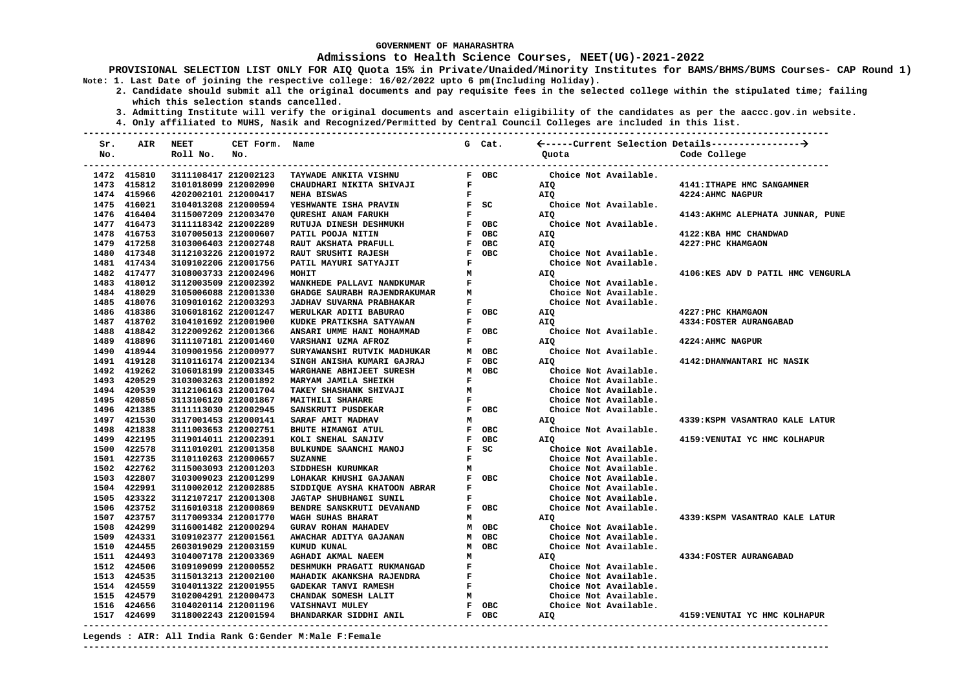### **Admissions to Health Science Courses, NEET(UG)-2021-2022**

**PROVISIONAL SELECTION LIST ONLY FOR AIQ Quota 15% in Private/Unaided/Minority Institutes for BAMS/BHMS/BUMS Courses- CAP Round 1) Note: 1. Last Date of joining the respective college: 16/02/2022 upto 6 pm(Including Holiday).**

 **2. Candidate should submit all the original documents and pay requisite fees in the selected college within the stipulated time; failing which this selection stands cancelled.**

 **3. Admitting Institute will verify the original documents and ascertain eligibility of the candidates as per the aaccc.gov.in website. 4. Only affiliated to MUHS, Nasik and Recognized/Permitted by Central Council Colleges are included in this list.**

| Sr. |             | AIR NEET             | CET Form. Name       |                              |              | G Cat. |                       |                                   |
|-----|-------------|----------------------|----------------------|------------------------------|--------------|--------|-----------------------|-----------------------------------|
| No. |             | Roll No.             | No.                  |                              |              |        | Quota                 | Code College                      |
|     | 1472 415810 | 3111108417 212002123 |                      | TAYWADE ANKITA VISHNU        |              | F OBC  | Choice Not Available. |                                   |
|     | 1473 415812 | 3101018099 212002090 |                      | CHAUDHARI NIKITA SHIVAJI     | $\mathbf{F}$ |        | AIQ                   | 4141: ITHAPE HMC SANGAMNER        |
|     | 1474 415966 | 4202002101 212000417 |                      | NEHA BISWAS                  | F            |        | AIQ                   | 4224: AHMC NAGPUR                 |
|     | 1475 416021 | 3104013208 212000594 |                      | YESHWANTE ISHA PRAVIN        |              | $F$ SC | Choice Not Available. |                                   |
|     | 1476 416404 | 3115007209 212003470 |                      | <b>QURESHI ANAM FARUKH</b>   | $\mathbf{F}$ |        | AIO                   | 4143: AKHMC ALEPHATA JUNNAR, PUNE |
|     | 1477 416473 | 3111118342 212002289 |                      | RUTUJA DINESH DESHMUKH       | F OBC        |        | Choice Not Available. |                                   |
|     | 1478 416753 | 3107005013 212000607 |                      | PATIL POOJA NITIN            |              | F OBC  | AIQ                   | 4122: KBA HMC CHANDWAD            |
|     | 1479 417258 | 3103006403 212002748 |                      | RAUT AKSHATA PRAFULL         | F OBC        |        | AIQ                   | 4227: PHC KHAMGAON                |
|     | 1480 417348 | 3112103226 212001972 |                      | RAUT SRUSHTI RAJESH          |              | F OBC  | Choice Not Available. |                                   |
|     | 1481 417434 | 3109102206 212001756 |                      | PATIL MAYURI SATYAJIT        | F            |        | Choice Not Available. |                                   |
|     | 1482 417477 | 3108003733 212002496 |                      | MOHIT                        | м            |        | AIQ                   | 4106:KES ADV D PATIL HMC VENGURLA |
|     | 1483 418012 | 3112003509 212002392 |                      | WANKHEDE PALLAVI NANDKUMAR   | F            |        | Choice Not Available. |                                   |
|     | 1484 418029 | 3105006088 212001330 |                      | GHADGE SAURABH RAJENDRAKUMAR | м            |        | Choice Not Available. |                                   |
|     | 1485 418076 | 3109010162 212003293 |                      | JADHAV SUVARNA PRABHAKAR     | $\mathbf{F}$ |        | Choice Not Available. |                                   |
|     | 1486 418386 | 3106018162 212001247 |                      | WERULKAR ADITI BABURAO       |              | F OBC  | AIQ                   | 4227: PHC KHAMGAON                |
|     | 1487 418702 | 3104101692 212001900 |                      | KUDKE PRATIKSHA SATYAWAN     | F            |        | AIQ                   | 4334: FOSTER AURANGABAD           |
|     | 1488 418842 | 3122009262 212001366 |                      | ANSARI UMME HANI MOHAMMAD    |              | F OBC  | Choice Not Available. |                                   |
|     | 1489 418896 | 3111107181 212001460 |                      | VARSHANI UZMA AFROZ          | $\mathbf F$  |        | AIQ                   | 4224: AHMC NAGPUR                 |
|     | 1490 418944 | 3109001956 212000977 |                      | SURYAWANSHI RUTVIK MADHUKAR  |              | M OBC  | Choice Not Available. |                                   |
|     | 1491 419128 | 3110116174 212002134 |                      | SINGH ANISHA KUMARI GAJRAJ   |              | F OBC  | AIQ                   | 4142: DHANWANTARI HC NASIK        |
|     | 1492 419262 | 3106018199 212003345 |                      | WARGHANE ABHIJEET SURESH     |              | M OBC  | Choice Not Available. |                                   |
|     | 1493 420529 | 3103003263 212001892 |                      | MARYAM JAMILA SHEIKH         | $\mathbf F$  |        | Choice Not Available. |                                   |
|     | 1494 420539 | 3112106163 212001704 |                      | TAKEY SHASHANK SHIVAJI       | $\mathbf{M}$ |        | Choice Not Available. |                                   |
|     | 1495 420850 | 3113106120 212001867 |                      | <b>MAITHILI SHAHARE</b>      | $\mathbf{F}$ |        | Choice Not Available. |                                   |
|     | 1496 421385 | 3111113030 212002945 |                      | SANSKRUTI PUSDEKAR           | F OBC        |        | Choice Not Available. |                                   |
|     | 1497 421530 | 3117001453 212000141 |                      | SARAF AMIT MADHAV            | M            |        | AIQ                   | 4339: KSPM VASANTRAO KALE LATUR   |
|     | 1498 421838 | 3111003653 212002751 |                      | BHUTE HIMANGI ATUL           |              | F OBC  | Choice Not Available. |                                   |
|     | 1499 422195 | 3119014011 212002391 |                      | KOLI SNEHAL SANJIV           |              | F OBC  | AIQ                   | 4159: VENUTAI YC HMC KOLHAPUR     |
|     | 1500 422578 | 3111010201 212001358 |                      | BULKUNDE SAANCHI MANOJ       |              | $F$ SC | Choice Not Available. |                                   |
|     | 1501 422735 | 3110110263 212000657 |                      | <b>SUZANNE</b>               | $\mathbf{F}$ |        | Choice Not Available. |                                   |
|     | 1502 422762 | 3115003093 212001203 |                      | SIDDHESH KURUMKAR            | м            |        | Choice Not Available. |                                   |
|     | 1503 422807 | 3103009023 212001299 |                      | LOHAKAR KHUSHI GAJANAN       |              | F OBC  | Choice Not Available. |                                   |
|     | 1504 422991 | 3110002012 212002885 |                      | SIDDIQUE AYSHA KHATOON ABRAR | $\mathbf{F}$ |        | Choice Not Available. |                                   |
|     | 1505 423322 | 3112107217 212001308 |                      | JAGTAP SHUBHANGI SUNIL       | $\mathbf{F}$ |        | Choice Not Available. |                                   |
|     | 1506 423752 | 3116010318 212000869 |                      | BENDRE SANSKRUTI DEVANAND    |              | F OBC  | Choice Not Available. |                                   |
|     | 1507 423757 | 3117009334 212001770 |                      | WAGH SUHAS BHARAT            | м            |        | AIQ                   | 4339: KSPM VASANTRAO KALE LATUR   |
|     | 1508 424299 | 3116001482 212000294 |                      | GURAV ROHAN MAHADEV          | M OBC        |        | Choice Not Available. |                                   |
|     | 1509 424331 | 3109102377 212001561 |                      | AWACHAR ADITYA GAJANAN       |              | M OBC  | Choice Not Available. |                                   |
|     | 1510 424455 | 2603019029 212003159 |                      | KUMUD KUNAL                  |              | M OBC  | Choice Not Available. |                                   |
|     | 1511 424493 | 3104007178 212003369 |                      | AGHADI AKMAL NAEEM           | м            |        | AIQ                   | 4334: FOSTER AURANGABAD           |
|     | 1512 424506 | 3109109099 212000552 |                      | DESHMUKH PRAGATI RUKMANGAD   | F            |        | Choice Not Available. |                                   |
|     | 1513 424535 | 3115013213 212002100 |                      | MAHADIK AKANKSHA RAJENDRA    | $\mathbf{F}$ |        | Choice Not Available. |                                   |
|     | 1514 424559 | 3104011322 212001955 |                      | GADEKAR TANVI RAMESH         | $\mathbf{F}$ |        | Choice Not Available. |                                   |
|     | 1515 424579 | 3102004291 212000473 |                      | CHANDAK SOMESH LALIT         | M            |        | Choice Not Available. |                                   |
|     | 1516 424656 | 3104020114 212001196 |                      | VAISHNAVI MULEY              |              | F OBC  | Choice Not Available. |                                   |
|     | 1517 424699 |                      | 3118002243 212001594 | BHANDARKAR SIDDHI ANIL       |              | F OBC  | AIQ                   | 4159: VENUTAI YC HMC KOLHAPUR     |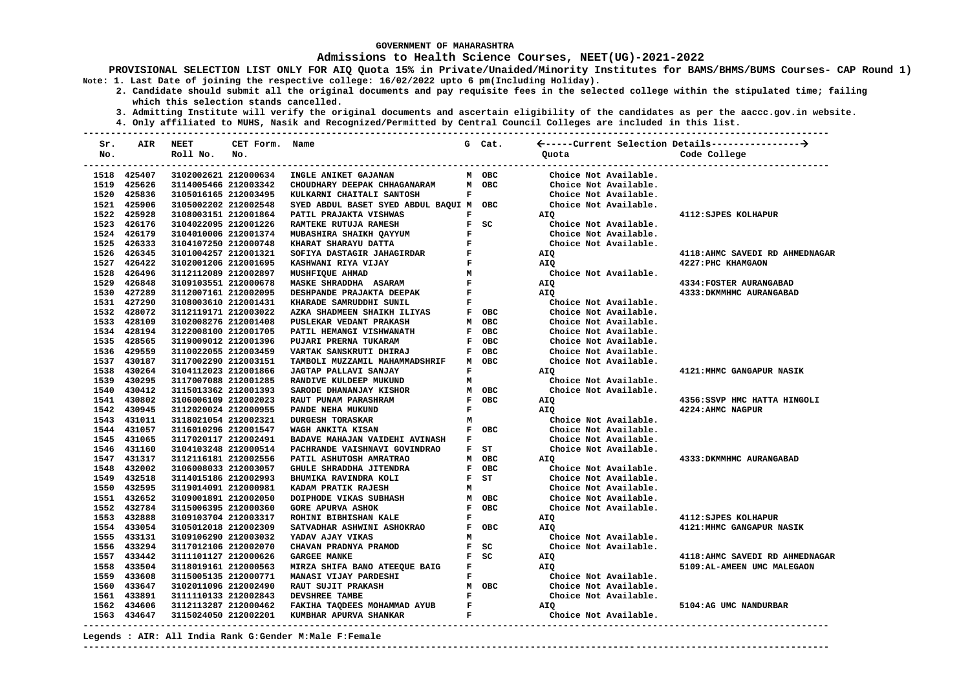### **Admissions to Health Science Courses, NEET(UG)-2021-2022**

**PROVISIONAL SELECTION LIST ONLY FOR AIQ Quota 15% in Private/Unaided/Minority Institutes for BAMS/BHMS/BUMS Courses- CAP Round 1) Note: 1. Last Date of joining the respective college: 16/02/2022 upto 6 pm(Including Holiday).**

 **2. Candidate should submit all the original documents and pay requisite fees in the selected college within the stipulated time; failing which this selection stands cancelled.**

 **3. Admitting Institute will verify the original documents and ascertain eligibility of the candidates as per the aaccc.gov.in website.**

 **4. Only affiliated to MUHS, Nasik and Recognized/Permitted by Central Council Colleges are included in this list.**

| Sr. | AIR         | <b>NEET</b>          | CET Form. Name |                                         |              | G Cat. |                       |                                 |
|-----|-------------|----------------------|----------------|-----------------------------------------|--------------|--------|-----------------------|---------------------------------|
| No. |             | Roll No.             | No.            |                                         |              |        | Quota                 | Code College                    |
|     | 1518 425407 | 3102002621 212000634 |                | INGLE ANIKET GAJANAN                    |              | M OBC  | Choice Not Available. |                                 |
|     | 1519 425626 | 3114005466 212003342 |                | CHOUDHARY DEEPAK CHHAGANARAM            |              | M OBC  | Choice Not Available. |                                 |
|     | 1520 425836 | 3105016165 212003495 |                | KULKARNI CHAITALI SANTOSH               | F            |        | Choice Not Available. |                                 |
|     | 1521 425906 | 3105002202 212002548 |                | SYED ABDUL BASET SYED ABDUL BAQUI M OBC |              |        | Choice Not Available. |                                 |
|     | 1522 425928 | 3108003151 212001864 |                | PATIL PRAJAKTA VISHWAS                  | F            |        | AIQ                   | 4112: SJPES KOLHAPUR            |
|     | 1523 426176 | 3104022095 212001226 |                | RAMTEKE RUTUJA RAMESH                   |              | $F$ SC | Choice Not Available. |                                 |
|     | 1524 426179 | 3104010006 212001374 |                | MUBASHIRA SHAIKH QAYYUM                 | $\mathbf F$  |        | Choice Not Available. |                                 |
|     | 1525 426333 | 3104107250 212000748 |                | KHARAT SHARAYU DATTA                    | F            |        | Choice Not Available. |                                 |
|     | 1526 426345 | 3101004257 212001321 |                | SOFIYA DASTAGIR JAHAGIRDAR              | F            |        | AIQ                   | 4118: AHMC SAVEDI RD AHMEDNAGAR |
|     | 1527 426422 | 3102001206 212001695 |                | KASHWANI RIYA VIJAY                     | F            |        | AIQ                   | 4227: PHC KHAMGAON              |
|     | 1528 426496 | 3112112089 212002897 |                | MUSHFIQUE AHMAD                         | м            |        | Choice Not Available. |                                 |
|     | 1529 426848 | 3109103551 212000678 |                | MASKE SHRADDHA ASARAM                   | $\mathbf{F}$ |        | <b>AIQ</b>            | 4334: FOSTER AURANGABAD         |
|     | 1530 427289 | 3112007161 212002095 |                | DESHPANDE PRAJAKTA DEEPAK               | F            |        | <b>AIQ</b>            | 4333: DKMMHMC AURANGABAD        |
|     | 1531 427290 | 3108003610 212001431 |                | KHARADE SAMRUDDHI SUNIL                 | $\mathbf{F}$ |        | Choice Not Available. |                                 |
|     | 1532 428072 | 3112119171 212003022 |                | AZKA SHADMEEN SHAIKH ILIYAS             |              | F OBC  | Choice Not Available. |                                 |
|     | 1533 428109 | 3102008276 212001408 |                | PUSLEKAR VEDANT PRAKASH                 |              | M OBC  | Choice Not Available. |                                 |
|     | 1534 428194 | 3122008100 212001705 |                | PATIL HEMANGI VISHWANATH                |              | F OBC  | Choice Not Available. |                                 |
|     | 1535 428565 | 3119009012 212001396 |                | PUJARI PRERNA TUKARAM                   | F            | OBC    | Choice Not Available. |                                 |
|     | 1536 429559 | 3110022055 212003459 |                | VARTAK SANSKRUTI DHIRAJ                 |              | F OBC  | Choice Not Available. |                                 |
|     | 1537 430187 | 3117002290 212003151 |                | TAMBOLI MUZZAMIL MAHAMMADSHRIF          |              | M OBC  | Choice Not Available. |                                 |
|     | 1538 430264 | 3104112023 212001866 |                | JAGTAP PALLAVI SANJAY                   | F            |        | <b>AIQ</b>            | 4121: MHMC GANGAPUR NASIK       |
|     | 1539 430295 | 3117007088 212001285 |                | RANDIVE KULDEEP MUKUND                  | М            |        | Choice Not Available. |                                 |
|     | 1540 430412 | 3115013362 212001393 |                | SARODE DHANANJAY KISHOR                 |              | M OBC  | Choice Not Available. |                                 |
|     | 1541 430802 | 3106006109 212002023 |                | RAUT PUNAM PARASHRAM                    |              | F OBC  | <b>AIQ</b>            | 4356:SSVP HMC HATTA HINGOLI     |
|     | 1542 430945 | 3112020024 212000955 |                | PANDE NEHA MUKUND                       | F            |        | AIO                   | 4224: AHMC NAGPUR               |
|     | 1543 431011 | 3118021054 212002321 |                | <b>DURGESH TORASKAR</b>                 | м            |        | Choice Not Available. |                                 |
|     | 1544 431057 | 3116010296 212001547 |                | WAGH ANKITA KISAN                       |              | F OBC  | Choice Not Available. |                                 |
|     | 1545 431065 | 3117020117 212002491 |                | <b>BADAVE MAHAJAN VAIDEHI AVINASH</b>   | F            |        | Choice Not Available. |                                 |
|     | 1546 431160 | 3104103248 212000514 |                | PACHRANDE VAISHNAVI GOVINDRAO           |              | F ST   | Choice Not Available. |                                 |
|     | 1547 431317 | 3112116181 212002556 |                | PATIL ASHUTOSH AMRATRAO                 |              | M OBC  | <b>AIQ</b>            | 4333: DKMMHMC AURANGABAD        |
|     | 1548 432002 | 3106008033 212003057 |                | GHULE SHRADDHA JITENDRA                 |              | F OBC  | Choice Not Available. |                                 |
|     | 1549 432518 | 3114015186 212002993 |                | BHUMIKA RAVINDRA KOLI                   |              | F ST   | Choice Not Available. |                                 |
|     | 1550 432595 | 3119014091 212000981 |                | KADAM PRATIK RAJESH                     | м            |        | Choice Not Available. |                                 |
|     | 1551 432652 | 3109001891 212002050 |                | DOIPHODE VIKAS SUBHASH                  |              | M OBC  | Choice Not Available. |                                 |
|     | 1552 432784 | 3115006395 212000360 |                | <b>GORE APURVA ASHOK</b>                | F            | овс    | Choice Not Available. |                                 |
|     | 1553 432888 | 3109103704 212003317 |                | ROHINI BIBHISHAN KALE                   | F            |        | AIQ                   | 4112: SJPES KOLHAPUR            |
|     | 1554 433054 | 3105012018 212002309 |                | SATVADHAR ASHWINI ASHOKRAO              |              | F OBC  | <b>AIO</b>            | 4121: MHMC GANGAPUR NASIK       |
|     | 1555 433131 | 3109106290 212003032 |                | YADAV AJAY VIKAS                        | м            |        | Choice Not Available. |                                 |
|     | 1556 433294 | 3117012106 212002070 |                | CHAVAN PRADNYA PRAMOD                   |              | $F$ SC | Choice Not Available. |                                 |
|     | 1557 433442 | 3111101127 212000626 |                | <b>GARGEE MANKE</b>                     |              | $F$ SC | <b>AIQ</b>            | 4118: AHMC SAVEDI RD AHMEDNAGAR |
|     | 1558 433504 | 3118019161 212000563 |                | MIRZA SHIFA BANO ATEEQUE BAIG           | F            |        | <b>AIQ</b>            | 5109:AL-AMEEN UMC MALEGAON      |
|     | 1559 433608 | 3115005135 212000771 |                | MANASI VIJAY PARDESHI                   | F            |        | Choice Not Available. |                                 |
|     | 1560 433647 | 3102011096 212002490 |                | RAUT SUJIT PRAKASH                      |              | M OBC  | Choice Not Available. |                                 |
|     | 1561 433891 | 3111110133 212002843 |                | DEVSHREE TAMBE                          | $\mathbf{F}$ |        | Choice Not Available. |                                 |
|     | 1562 434606 | 3112113287 212000462 |                | FAKIHA TAQDEES MOHAMMAD AYUB            | $\mathbf{F}$ |        | AIQ                   | 5104:AG UMC NANDURBAR           |
|     | 1563 434647 | 3115024050 212002201 |                | KUMBHAR APURVA SHANKAR                  | F            |        | Choice Not Available. |                                 |
|     |             |                      |                |                                         |              |        |                       |                                 |

**<sup>---------------------------------------------------------------------------------------------------------------------------------------</sup>**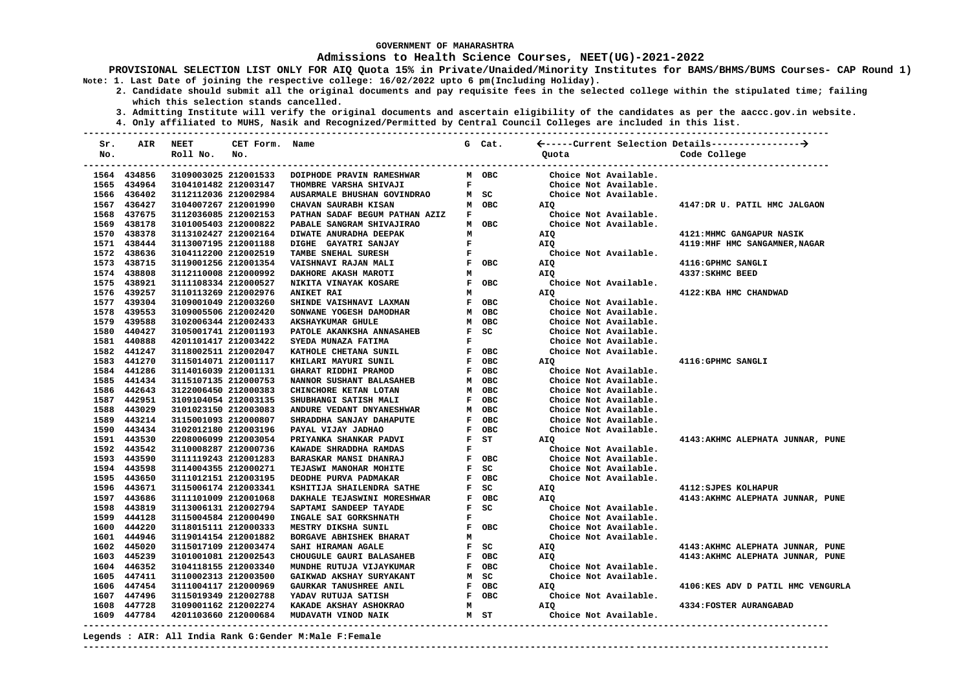#### **Admissions to Health Science Courses, NEET(UG)-2021-2022**

**PROVISIONAL SELECTION LIST ONLY FOR AIQ Quota 15% in Private/Unaided/Minority Institutes for BAMS/BHMS/BUMS Courses- CAP Round 1) Note: 1. Last Date of joining the respective college: 16/02/2022 upto 6 pm(Including Holiday).**

 **2. Candidate should submit all the original documents and pay requisite fees in the selected college within the stipulated time; failing which this selection stands cancelled.**

 **3. Admitting Institute will verify the original documents and ascertain eligibility of the candidates as per the aaccc.gov.in website.**

 **4. Only affiliated to MUHS, Nasik and Recognized/Permitted by Central Council Colleges are included in this list.**

**--------------------------------------------------------------------------------------------------------------------------------------- Sr. AIR NEET CET Form. Name G Cat. -----Current Selection Details---------------- No. Roll No. No. Quota Code College --------------------------------------------------------------------------------------------------------------------------------------- --------------------------------------------------------------------------------------------------------------------------------------- 1564 434856 3109003025 212001533 DOIPHODE PRAVIN RAMESHWAR M OBC Choice Not Available. 1565 434964 3104101482 212003147 THOMBRE VARSHA SHIVAJI F Choice Not Available.**  1566 436402 3112112036 212002984  **1567 436427 3104007267 212001990 CHAVAN SAURABH KISAN M OBC AIQ 4147:DR U. PATIL HMC JALGAON 1568 437675 3112036085 212002153 PATHAN SADAF BEGUM PATHAN AZIZ F Choice Not Available. 1569 438178 3101005403 212000822 PABALE SANGRAM SHIVAJIRAO M OBC Choice Not Available.**  1570 438378 3113102427 212002164 DIWATE ANURADHA DEEPAK M AIQ AIO 4121:MHMC GANGAPUR NASIK  **1571 438444 3113007195 212001188 DIGHE GAYATRI SANJAY F AIQ 4119:MHF HMC SANGAMNER,NAGAR 1572 438636 3104112200 212002519 TAMBE SNEHAL SURESH F Choice Not Available. 1573 438715 3119001256 212001354 VAISHNAVI RAJAN MALI F OBC AIQ 4116:GPHMC SANGLI 1574 438808 3112110008 212000992 DAKHORE AKASH MAROTI M AIQ 4337:SKHMC BEED 1575 438921 3111108334 212000527 NIKITA VINAYAK KOSARE F OBC Choice Not Available. 1576 439257 3110113269 212002976 ANIKET RAI M AIQ 4122:KBA HMC CHANDWAD 1577 439304 3109001049 212003260 SHINDE VAISHNAVI LAXMAN F OBC Choice Not Available.**  1578 439553 3109005506 212002420 1579 439588 3102006344 212002433 AKSHAYKUMAR GHULE MOBC MOBC Choice Not Available.<br>1580 440427 3105001741 212001193 PATOLE AKANKSHA ANNASAHEB FSC Choice Not Available. **1580 440427 3105001741 212001193 PATOLE AKANKSHA ANNA**<br>1581 440888 4201101417 212003422 SYEDA MUNAZA FATIMA 1581 440888 4201101417 212003422 SYEDA MUNAZA FATIMA F F F Choice Not Available.  **1582 441247 3118002511 212002047 KATHOLE CHETANA SUNIL F OBC Choice Not Available. 1583 441270 3115014071 212001117 KHILARI MAYURI SUNIL F OBC AIQ 4116:GPHMC SANGLI 1584 441286 3114016039 212001131 GHARAT RIDDHI PRAMOD F OBC Choice Not Available. 1585 441434 3115107135 212000753 NANNOR SUSHANT BALASAHEB M OBC Choice Not Available. 1586 442643 3122006450 212000383 CHINCHORE KETAN LOTAN M OBC Choice Not Available.**  1587 442951 3109104054 212003135  **1588 443029 3101023150 212003083 ANDURE VEDANT DNYANESHWAR M OBC Choice Not Available. 1589 443214 3115001093 212000807 SHRADDHA SANJAY DAHAPUTE F OBC Choice Not Available. 1590 443434 3102012180 212003196 PAYAL VIJAY JADHAO F OBC Choice Not Available. AIO 1591 1493:AKHMC ALEPHATA JUNNAR, PUNE 1592 443542 3110008287 212000736 KAWADE SHRADDHA RAMDAS F Choice Not Available. 1593 443590 3111119243 212001283 BARASKAR MANSI DHANRAJ F OBC Choice Not Available. 1594 443598 3114004355 212000271 TEJASWI MANOHAR MOHITE F SC Choice Not Available. 1595 443650 3111012151 212003195 DEODHE PURVA PADMAKAR F OBC Choice Not Available. 1596 443671 3115006174 212003341 KSHITIJA SHAILENDRA SATHE F SC AIQ 4112:SJPES KOLHAPUR 1597 443686 3111101009 212001068 DAKHALE TEJASWINI MORESHWAR F OBC AIQ 4143:AKHMC ALEPHATA JUNNAR, PUNE**  1598 443819 3113006131 212002794  **1599 444128 3115004584 212000490 INGALE SAI GORKSHNATH F Choice Not Available. 1600 444220 3118015111 212000333 MESTRY DIKSHA SUNIL F OBC Choice Not Available. 1601 444946 3119014154 212001882 BORGAVE ABHISHEK BHARAT M Choice Not Available. 1602 445020 3115017109 212003474 SAHI HIRAMAN AGALE F SC AIQ 4143:AKHMC ALEPHATA JUNNAR, PUNE 1603 445239 3101001081 212002543 CHOUGULE GAURI BALASAHEB F OBC AIQ 4143:AKHMC ALEPHATA JUNNAR, PUNE 1604 446352 3104118155 212003340 MUNDHE RUTUJA VIJAYKUMAR F OBC Choice Not Available.**  1605 447411 3110002313 212003500  **1606 447454 3111004117 212000969 GAURKAR TANUSHREE ANIL F OBC AIQ 4106:KES ADV D PATIL HMC VENGURLA 1607 447496 3115019349 212002788 YADAV RUTUJA SATISH F OBC Choice Not Available. 1608 447728 3109001162 212002274 KAKADE AKSHAY ASHOKRAO M AIQ 4334:FOSTER AURANGABAD 1609 447784 4201103660 212000684 MUDAVATH VINOD NAIK M ST Choice Not Available.** 

#### **Legends : AIR: All India Rank G:Gender M:Male F:Female**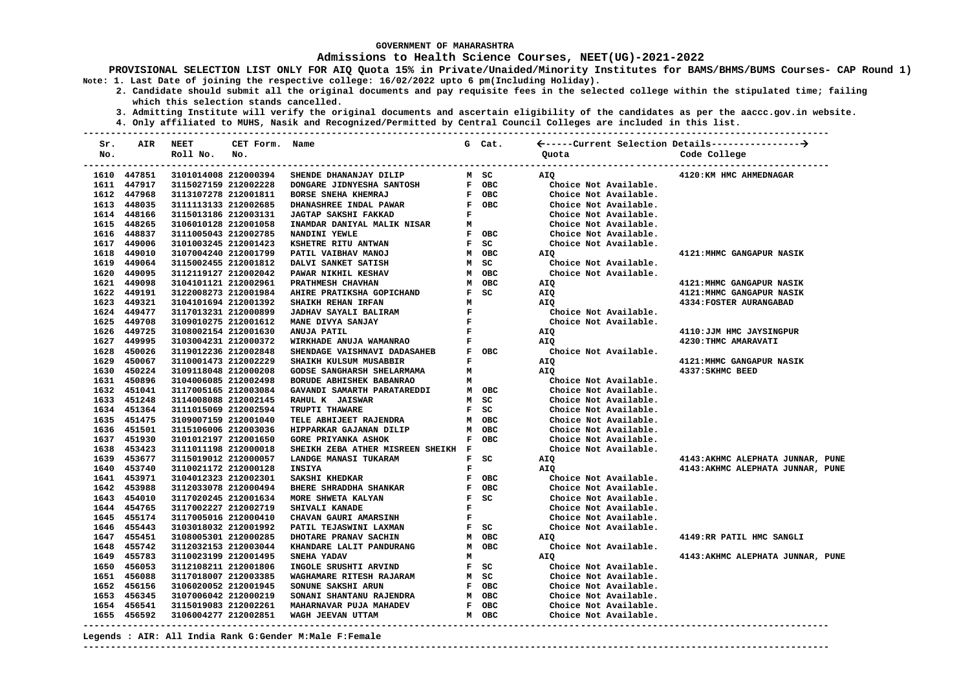### **Admissions to Health Science Courses, NEET(UG)-2021-2022**

**PROVISIONAL SELECTION LIST ONLY FOR AIQ Quota 15% in Private/Unaided/Minority Institutes for BAMS/BHMS/BUMS Courses- CAP Round 1) Note: 1. Last Date of joining the respective college: 16/02/2022 upto 6 pm(Including Holiday).**

 **2. Candidate should submit all the original documents and pay requisite fees in the selected college within the stipulated time; failing which this selection stands cancelled.**

 **3. Admitting Institute will verify the original documents and ascertain eligibility of the candidates as per the aaccc.gov.in website.**

 **4. Only affiliated to MUHS, Nasik and Recognized/Permitted by Central Council Colleges are included in this list.**

| Sr.<br>No. | AIR         | <b>NEET</b><br>Roll No. | CET Form. Name<br>No. |                                    |              | G Cat.     | Quota                 | Code College                      |
|------------|-------------|-------------------------|-----------------------|------------------------------------|--------------|------------|-----------------------|-----------------------------------|
|            |             |                         |                       |                                    |              |            |                       |                                   |
|            | 1610 447851 | 3101014008 212000394    |                       | SHENDE DHANANJAY DILIP             |              | M SC       | AIQ                   | 4120: KM HMC AHMEDNAGAR           |
|            | 1611 447917 | 3115027159 212002228    |                       | DONGARE JIDNYESHA SANTOSH          |              | F OBC      | Choice Not Available. |                                   |
|            | 1612 447968 | 3113107278 212001811    |                       | BORSE SNEHA KHEMRAJ                |              | F OBC      | Choice Not Available. |                                   |
|            | 1613 448035 | 3111113133 212002685    |                       | DHANASHREE INDAL PAWAR             |              | F OBC      | Choice Not Available. |                                   |
|            | 1614 448166 | 3115013186 212003131    |                       | JAGTAP SAKSHI FAKKAD               | F            |            | Choice Not Available. |                                   |
|            | 1615 448265 | 3106010128 212001058    |                       | INAMDAR DANIYAL MALIK NISAR        | м            |            | Choice Not Available. |                                   |
|            | 1616 448837 | 3111005043 212002785    |                       | NANDINI YEWLE                      | $\mathbf{F}$ | овс        | Choice Not Available. |                                   |
|            | 1617 449006 | 3101003245 212001423    |                       | KSHETRE RITU ANTWAN                | F            | - sc       | Choice Not Available. |                                   |
|            | 1618 449010 | 3107004240 212001799    |                       | PATIL VAIBHAV MANOJ                |              | M OBC      | AIQ                   | 4121: MHMC GANGAPUR NASIK         |
|            | 1619 449064 | 3115002455 212001812    |                       | DALVI SANKET SATISH                |              | M SC       | Choice Not Available. |                                   |
|            | 1620 449095 | 3112119127 212002042    |                       | PAWAR NIKHIL KESHAV                |              | M OBC      | Choice Not Available. |                                   |
|            | 1621 449098 | 3104101121 212002961    |                       | PRATHMESH CHAVHAN                  |              | M OBC      | AIQ                   | 4121: MHMC GANGAPUR NASIK         |
|            | 1622 449191 | 3122008273 212001984    |                       | AHIRE PRATIKSHA GOPICHAND          | F            | SC         | <b>AIQ</b>            | 4121: MHMC GANGAPUR NASIK         |
|            | 1623 449321 | 3104101694 212001392    |                       | SHAIKH REHAN IRFAN                 | м            |            | <b>AIQ</b>            | 4334: FOSTER AURANGABAD           |
|            | 1624 449477 | 3117013231 212000899    |                       | JADHAV SAYALI BALIRAM              | F            |            | Choice Not Available. |                                   |
|            | 1625 449708 | 3109010275 212001612    |                       | MANE DIVYA SANJAY                  | F            |            | Choice Not Available. |                                   |
|            | 1626 449725 | 3108002154 212001630    |                       | ANUJA PATIL                        | F            |            | <b>AIQ</b>            | 4110: JJM HMC JAYSINGPUR          |
|            | 1627 449995 | 3103004231 212000372    |                       | WIRKHADE ANUJA WAMANRAO            | F            |            | <b>AIQ</b>            | 4230: THMC AMARAVATI              |
|            | 1628 450026 | 3119012236 212002848    |                       | SHENDAGE VAISHNAVI DADASAHEB       | F            | OBC        | Choice Not Available. |                                   |
|            | 1629 450067 | 3110001473 212002229    |                       | SHAIKH KULSUM MUSABBIR             | F            |            | AIQ                   | 4121: MHMC GANGAPUR NASIK         |
|            | 1630 450224 | 3109118048 212000208    |                       | <b>GODSE SANGHARSH SHELARMAMA</b>  | м            |            | <b>AIO</b>            | 4337: SKHMC BEED                  |
|            | 1631 450896 | 3104006085 212002498    |                       | BORUDE ABHISHEK BABANRAO           | м            |            | Choice Not Available. |                                   |
|            | 1632 451041 | 3117005165 212003084    |                       | GAVANDI SAMARTH PARATAREDDI        |              | M OBC      | Choice Not Available. |                                   |
|            | 1633 451248 | 3114008088 212002145    |                       | RAHUL K JAISWAR                    |              | M SC       | Choice Not Available. |                                   |
|            | 1634 451364 | 3111015069 212002594    |                       | TRUPTI THAWARE                     |              | $F$ SC     | Choice Not Available. |                                   |
|            | 1635 451475 | 3109007159 212001040    |                       | TELE ABHIJEET RAJENDRA             |              | M OBC      | Choice Not Available. |                                   |
|            | 1636 451501 | 3115106006 212003036    |                       | HIPPARKAR GAJANAN DILIP            |              | M OBC      | Choice Not Available. |                                   |
|            | 1637 451930 | 3101012197 212001650    |                       | <b>GORE PRIYANKA ASHOK</b>         | F            | овс        | Choice Not Available. |                                   |
|            | 1638 453423 | 3111011198 212000018    |                       | SHEIKH ZEBA ATHER MISREEN SHEIKH F |              |            | Choice Not Available. |                                   |
|            | 1639 453677 | 3115019012 212000057    |                       | LANDGE MANASI TUKARAM              | F            | SC.        | AIQ                   | 4143: AKHMC ALEPHATA JUNNAR, PUNE |
|            | 1640 453740 | 3110021172 212000128    |                       | <b>INSIYA</b>                      | F            |            | AIQ                   | 4143: AKHMC ALEPHATA JUNNAR, PUNE |
|            | 1641 453971 | 3104012323 212002301    |                       | SAKSHI KHEDKAR                     | F            | OBC        | Choice Not Available. |                                   |
|            | 1642 453988 | 3112033078 212000494    |                       | BHERE SHRADDHA SHANKAR             | $\mathbf{F}$ | <b>OBC</b> | Choice Not Available. |                                   |
|            | 1643 454010 | 3117020245 212001634    |                       | MORE SHWETA KALYAN                 | F            | SC.        | Choice Not Available. |                                   |
|            | 1644 454765 | 3117002227 212002719    |                       | SHIVALI KANADE                     | F            |            | Choice Not Available. |                                   |
|            | 1645 455174 | 3117005016 212000410    |                       | CHAVAN GAURI AMARSINH              | $\mathbf F$  |            | Choice Not Available. |                                   |
|            | 1646 455443 | 3103018032 212001992    |                       | PATIL TEJASWINI LAXMAN             |              | $F$ SC     | Choice Not Available. |                                   |
|            | 1647 455451 | 3108005301 212000285    |                       | DHOTARE PRANAV SACHIN              |              | M OBC      | AIQ                   | 4149:RR PATIL HMC SANGLI          |
|            | 1648 455742 | 3112032153 212003044    |                       | KHANDARE LALIT PANDURANG           |              | M OBC      | Choice Not Available. |                                   |
|            | 1649 455783 | 3110023199 212001495    |                       | SNEHA YADAV                        | M            |            | <b>AIQ</b>            | 4143: AKHMC ALEPHATA JUNNAR, PUNE |
|            | 1650 456053 | 3112108211 212001806    |                       | INGOLE SRUSHTI ARVIND              |              | F SC       | Choice Not Available. |                                   |
|            | 1651 456088 | 3117018007 212003385    |                       | WAGHAMARE RITESH RAJARAM           |              | M SC       | Choice Not Available. |                                   |
|            | 1652 456156 | 3106020052 212001945    |                       | SONUNE SAKSHI ARUN                 |              | F OBC      | Choice Not Available. |                                   |
|            | 1653 456345 | 3107006042 212000219    |                       | SONANI SHANTANU RAJENDRA           |              | м овс      | Choice Not Available. |                                   |
|            | 1654 456541 | 3115019083 212002261    |                       | MAHARNAVAR PUJA MAHADEV            |              | F OBC      | Choice Not Available. |                                   |
|            | 1655 456592 | 3106004277 212002851    |                       | WAGH JEEVAN UTTAM                  |              | M OBC      | Choice Not Available. |                                   |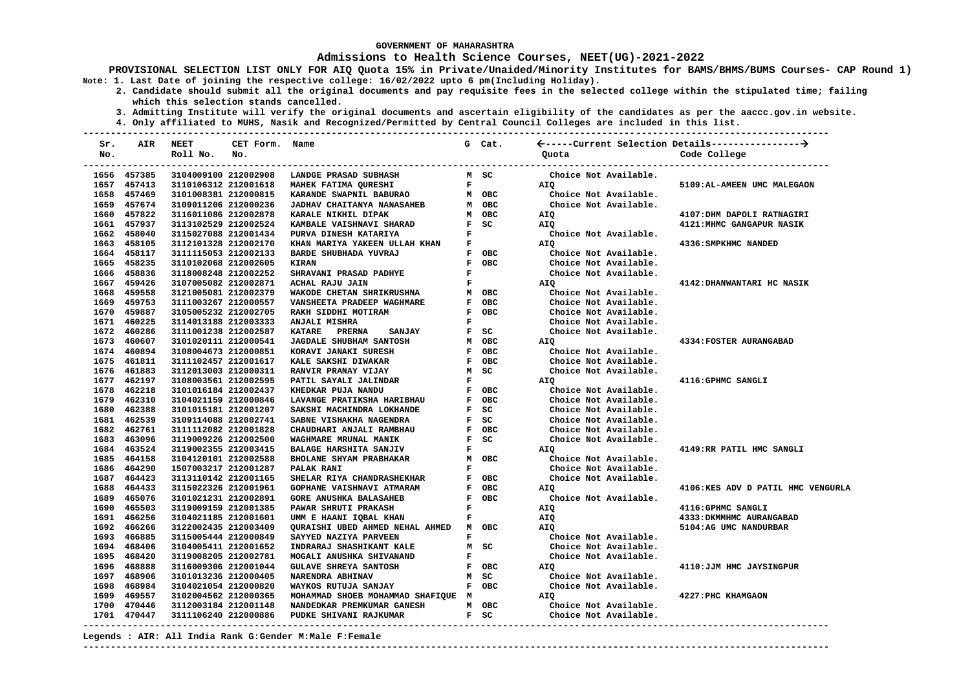#### **Admissions to Health Science Courses, NEET(UG)-2021-2022**

**PROVISIONAL SELECTION LIST ONLY FOR AIQ Quota 15% in Private/Unaided/Minority Institutes for BAMS/BHMS/BUMS Courses- CAP Round 1) Note: 1. Last Date of joining the respective college: 16/02/2022 upto 6 pm(Including Holiday).**

 **2. Candidate should submit all the original documents and pay requisite fees in the selected college within the stipulated time; failing which this selection stands cancelled.**

 **3. Admitting Institute will verify the original documents and ascertain eligibility of the candidates as per the aaccc.gov.in website.**

 **4. Only affiliated to MUHS, Nasik and Recognized/Permitted by Central Council Colleges are included in this list.**

**--------------------------------------------------------------------------------------------------------------------------------------- Sr. AIR NEET CET Form. Name G Cat. -----Current Selection Details---------------- No. Roll No. No. Quota Code College --------------------------------------------------------------------------------------------------------------------------------------- --------------------------------------------------------------------------------------------------------------------------------------- 1656 457385 3104009100 212002908 LANDGE PRASAD SUBHASH M SC Choice Not Available. 1657 457413 3110106312 212001618 MAHEK FATIMA QURESHI F AIQ 5109:AL-AMEEN UMC MALEGAON 1658 457469 3101008381 212000815 KARANDE SWAPNIL BABURAO M OBC Choice Not Available. 1659 457674 3109011206 212000236 JADHAV CHAITANYA NANASAHEB M OBC Choice Not Available. 1660 457822 3116011086 212002878 KARALE NIKHIL DIPAK M OBC AIQ 4107:DHM DAPOLI RATNAGIRI 1661 457937 3113102529 212002524 KAMBALE VAISHNAVI SHARAD F SC AIQ 4121:MHMC GANGAPUR NASIK 1662 458040 3115027088 212001434 PURVA DINESH KATARIYA F Choice Not Available. 1663 458105 3112101328 212002170 KHAN MARIYA YAKEEN ULLAH KHAN F AIQ 4336:SMPKHMC NANDED 1664 458117 3111115053 212002133 BARDE SHUBHADA YUVRAJ F OBC Choice Not Available. 1665 458235 3110102068 212002605 KIRAN F OBC Choice Not Available. 1666 458836 3118008248 212002252 SHRAVANI PRASAD PADHYE F Choice Not Available. 1667 459426 3107005082 212002871 ACHAL RAJU JAIN F AIQ 4142:DHANWANTARI HC NASIK**  1668 459558 3121005081 212002379  **1669 459753 3111003267 212000557 VANSHEETA PRADEEP WAGHMARE F OBC Choice Not Available. 1670 459887 3105005232 212002705 RAKH SIDDHI MOTIRAM F OBC Choice Not Available. 1671 460225 3114013188 212003333 ANJALI MISHRA F Choice Not Available. 1672 460286 3111001238 212002587 KATARE PRERNA SANJAY F SC**<br>1673 460607 3101020111 212000541 JAGDALE SHUBHAM SANTOSH M OBC  **1673 460607 3101020111 212000541 JAGDALE SHUBHAM SANTOSH M OBC AIQ 4334:FOSTER AURANGABAD 1674 460894 3108004673 212000851 KORAVI JANAKI SURESH F OBC Choice Not Available. 1675 461811 3111102457 212001617 KALE SAKSHI DIWAKAR F OBC Choice Not Available.**  1676 461883 3112013003 212000311 RANVIR PRANAY VIJAY  **1677 462197 3108003561 212002595 PATIL SAYALI JALINDAR F AIQ 4116:GPHMC SANGLI 1678 462218 3101016184 212002437 KHEDKAR PUJA NANDU F OBC Choice Not Available. 1679 462310 3104021159 212000846 LAVANGE PRATIKSHA HARIBHAU F OBC Choice Not Available. 1680 462388 3101015181 212001207 SAKSHI MACHINDRA LOKHANDE F SC Choice Not Available. 1681 462539 3109114088 212002741 SABNE VISHAKHA NAGENDRA F SC Choice Not Available. 1682 462761 3111112082 212001828 CHAUDHARI ANJALI RAMBHAU F OBC Choice Not Available. 1683 463096 3119009226 212002500 WAGHMARE MRUNAL MANIK F SC Choice Not Available. 1684 463524 3119002355 212003415 BALAGE HARSHITA SANJIV F AIQ 4149:RR PATIL HMC SANGLI**  1685 464158 3104120101 212002588 BHOLANE SHYAM PRABHAKAR M OBC Choice Not Available.<br>1686 464290 1507003217 212001287 PALAK RANI NATI PRIMERY ROBOT Choice Not Available. **1686 464290 1507003217 212001287 PALAK RANI AVAILABLE RANDRASHEKHAR AVAILABLE POBC AVAILABLE POBC AVAILABLE POBC 1687 464423 3113110142 212001165 SHELAR RIYA CHANDRASHEKHAR F OBC Choice Not Available. 1688 464433 3115022326 212001961 GOPHANE VAISHNAVI ATMARAM F OBC AIQ 4106:KES ADV D PATIL HMC VENGURLA 1689 465076 3101021231 212002891 GORE ANUSHKA BALASAHEB F OBC Choice Not Available. 1690 465503 3119009159 212001385 PAWAR SHRUTI PRAKASH F AIQ 4116:GPHMC SANGLI 1691 466256 3104021185 212001601 UMM E HAANI IQBAL KHAN F AIQ 4333:DKMMHMC AURANGABAD 1692 466266 3122002435 212003409 QURAISHI UBED AHMED NEHAL AHMED M OBC AIQ 5104:AG UMC NANDURBAR 1693 466885 3115005444 212000849 SAYYED NAZIYA PARVEEN F Choice Not Available.**  1694 468406 3104005411 212001652 INDRARAJ SHASHIKANT KALE  **1695 468420 3119008205 212002781 MOGALI ANUSHKA SHIVANAND F Choice Not Available. 1696 468888 3116009306 212001044 GULAVE SHREYA SANTOSH F OBC AIQ 4110:JJM HMC JAYSINGPUR 1697 468906 3101013236 212000405 NARENDRA ABHINAV M SC Choice Not Available. 1698 468984 3104021054 212000820 WAYKOS RUTUJA SANJAY F OBC Choice Not Available. MOHAMMAD SHOEB MOHAMMAD SHAFIOUE M**  $A10$  and  $A227$ : PHC KHAMGAON  **1700 470446 3112003184 212001148 NANDEDKAR PREMKUMAR GANESH M OBC Choice Not Available. 1701 470447 3111106240 212000886 PUDKE SHIVANI RAJKUMAR F SC Choice Not Available.** 

#### **Legends : AIR: All India Rank G:Gender M:Male F:Female**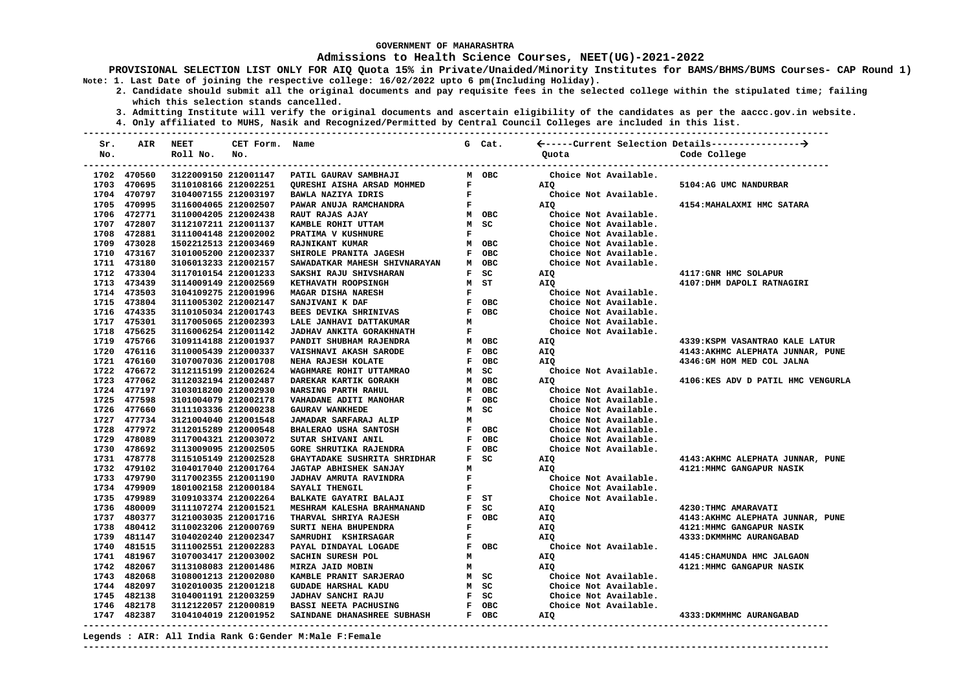### **Admissions to Health Science Courses, NEET(UG)-2021-2022**

**PROVISIONAL SELECTION LIST ONLY FOR AIQ Quota 15% in Private/Unaided/Minority Institutes for BAMS/BHMS/BUMS Courses- CAP Round 1) Note: 1. Last Date of joining the respective college: 16/02/2022 upto 6 pm(Including Holiday).**

 **2. Candidate should submit all the original documents and pay requisite fees in the selected college within the stipulated time; failing which this selection stands cancelled.**

 **3. Admitting Institute will verify the original documents and ascertain eligibility of the candidates as per the aaccc.gov.in website.**

 **4. Only affiliated to MUHS, Nasik and Recognized/Permitted by Central Council Colleges are included in this list.**

| Sr. | AIR         | <b>NEET</b>                                  | CET Form. Name |                                                             |              | G Cat.     |                       |                                   |
|-----|-------------|----------------------------------------------|----------------|-------------------------------------------------------------|--------------|------------|-----------------------|-----------------------------------|
| No. |             | Roll No.                                     | No.            |                                                             |              |            | Quota                 | Code College                      |
|     | 1702 470560 | 3122009150 212001147                         |                | PATIL GAURAV SAMBHAJI                                       |              | M OBC      | Choice Not Available. |                                   |
|     | 1703 470695 | 3110108166 212002251                         |                | QURESHI AISHA ARSAD MOHMED                                  | $\mathbf{F}$ |            | AIQ                   | 5104:AG UMC NANDURBAR             |
|     | 1704 470797 | 3104007155 212003197                         |                | BAWLA NAZIYA IDRIS                                          | $\mathbf{F}$ |            | Choice Not Available. |                                   |
|     | 1705 470995 | 3116004065 212002507                         |                | PAWAR ANUJA RAMCHANDRA                                      | F            |            | AIQ                   | 4154: MAHALAXMI HMC SATARA        |
|     | 1706 472771 | 3110004205 212002438                         |                | <b>RAUT RAJAS AJAY</b>                                      |              | M OBC      | Choice Not Available. |                                   |
|     | 1707 472807 | 3112107211 212001137                         |                | KAMBLE ROHIT UTTAM                                          | M SC         |            | Choice Not Available. |                                   |
|     | 1708 472881 | 3111004148 212002002                         |                | PRATIMA V KUSHNURE                                          | $\mathbf{F}$ |            | Choice Not Available. |                                   |
|     | 1709 473028 | 1502212513 212003469                         |                | <b>RAJNIKANT KUMAR</b>                                      | M OBC        |            | Choice Not Available. |                                   |
|     | 1710 473167 | 3101005200 212002337                         |                | F OBC<br>SHIROLE PRANITA JAGESH                             |              |            | Choice Not Available. |                                   |
|     | 1711 473180 | 3106013233 212002157                         |                | SAWADATKAR MAHESH SHIVNARAYAN M OBC                         |              |            | Choice Not Available. |                                   |
|     | 1712 473304 | 3117010154 212001233                         |                | SAKSHI RAJU SHIVSHARAN                                      | <b>E</b> SC  |            | AIQ                   | 4117: GNR HMC SOLAPUR             |
|     | 1713 473439 | 3114009149 212002569                         |                | KETHAVATH ROOPSINGH                                         |              | M ST       | AIQ                   | 4107:DHM DAPOLI RATNAGIRI         |
|     | 1714 473503 | 3104109275 212001996                         |                | <b>MAGAR DISHA NARESH</b>                                   | $\mathbf{F}$ |            | Choice Not Available. |                                   |
|     | 1715 473804 | 3111005302 212002147                         |                | SANJIVANI K DAF                                             |              | F OBC      | Choice Not Available. |                                   |
|     | 1716 474335 | 3110105034 212001743                         |                | BEES DEVIKA SHRINIVAS                                       | $\mathbf{F}$ | <b>OBC</b> | Choice Not Available. |                                   |
|     | 1717 475301 | 3117005065 212002393                         |                | LALE JANHAVI DATTAKUMAR                                     | м            |            | Choice Not Available. |                                   |
|     | 1718 475625 | 3116006254 212001142                         |                | JADHAV ANKITA GORAKHNATH                                    | ${\bf F}$    |            | Choice Not Available. |                                   |
|     | 1719 475766 | 3109114188 212001937                         |                | PANDIT SHUBHAM RAJENDRA                                     |              | M OBC      | AIQ                   | 4339: KSPM VASANTRAO KALE LATUR   |
|     | 1720 476116 | 3110005439 212000337                         |                | VAISHNAVI AKASH SARODE                                      |              | F OBC      | AIQ                   | 4143: AKHMC ALEPHATA JUNNAR, PUNE |
|     | 1721 476160 | 3107007036 212001708                         |                | NEHA RAJESH KOLATE                                          | F OBC        |            | <b>AIO</b>            | 4346: GM HOM MED COL JALNA        |
|     | 1722 476672 | 3112115199 212002624                         |                | WAGHMARE ROHIT UTTAMRAO                                     | M SC         |            | Choice Not Available. |                                   |
|     | 1723 477062 | 3112032194 212002487                         |                | DAREKAR KARTIK GORAKH                                       | M OBC        |            | AIQ                   | 4106:KES ADV D PATIL HMC VENGURLA |
|     | 1724 477197 | 3103018200 212002930                         |                | NARSING PARTH RAHUL                                         |              | M OBC      | Choice Not Available. |                                   |
|     | 1725 477598 | 3101004079 212002178                         |                | VAHADANE ADITI MANOHAR                                      | F OBC        |            | Choice Not Available. |                                   |
|     | 1726 477660 | 3111103336 212000238                         |                | GAURAV WANKHEDE                                             |              | M SC       | Choice Not Available. |                                   |
|     | 1727 477734 | 3121004040 212001548                         |                | JAMADAR SARFARAJ ALIP                                       | M            |            | Choice Not Available. |                                   |
|     | 1728 477972 | 3112015289 212000548                         |                | BHALERAO USHA SANTOSH                                       | F OBC        |            | Choice Not Available. |                                   |
|     | 1729 478089 | 3117004321 212003072                         |                | SUTAR SHIVANI ANIL                                          | F OBC        |            | Choice Not Available. |                                   |
|     | 1730 478692 | 3113009095 212002505                         |                | <b>GORE SHRUTIKA RAJENDRA</b>                               | <b>F</b> OBC |            | Choice Not Available. |                                   |
|     | 1731 478778 | 3115105149 212002528                         |                | GHAYTADAKE SUSHRITA SHRIDHAR                                | F            | SC         | AIQ                   | 4143: AKHMC ALEPHATA JUNNAR, PUNE |
|     | 1732 479102 | 3104017040 212001764                         |                | JAGTAP ABHISHEK SANJAY                                      | M            |            | AIO                   | 4121: MHMC GANGAPUR NASIK         |
|     | 1733 479790 | 3117002355 212001190                         |                | JADHAV AMRUTA RAVINDRA                                      | $\mathbf{F}$ |            | Choice Not Available. |                                   |
|     | 1734 479909 | 1801002158 212000184                         |                | SAYALI THENGIL                                              | $\mathbf{F}$ |            | Choice Not Available. |                                   |
|     | 1735 479989 | 3109103374 212002264                         |                | BALKATE GAYATRI BALAJI                                      |              | F ST       | Choice Not Available. |                                   |
|     | 1736 480009 | 3111107274 212001521                         |                | MESHRAM KALESHA BRAHMANAND                                  |              | F SC       | AIQ                   | 4230:THMC AMARAVATI               |
|     | 1737 480377 | 3121003035 212001716                         |                | THARVAL SHRIYA RAJESH                                       | $\mathbf{F}$ | OBC        | AIQ                   | 4143: AKHMC ALEPHATA JUNNAR, PUNE |
|     | 1738 480412 | 3110023206 212000769                         |                | SURTI NEHA BHUPENDRA                                        | F            |            | <b>AIO</b>            | 4121: MHMC GANGAPUR NASIK         |
|     | 1739 481147 | 3104020240 212002347                         |                | SAMRUDHI KSHIRSAGAR                                         | F            |            | <b>AIQ</b>            | 4333: DKMMHMC AURANGABAD          |
|     | 1740 481515 | 3111002551 212002283                         |                | PAYAL DINDAYAL LOGADE                                       |              | F OBC      | Choice Not Available. |                                   |
|     | 1741 481967 | 3107003417 212003002                         |                | SACHIN SURESH POL                                           | м            |            | AIO                   | 4145: CHAMUNDA HMC JALGAON        |
|     | 1742 482067 | 3113108083 212001486                         |                | MIRZA JAID MOBIN                                            | M            |            | <b>AIQ</b>            | 4121: MHMC GANGAPUR NASIK         |
|     | 1743 482068 | 3108001213 212002080                         |                | KAMBLE PRANIT SARJERAO                                      | M SC         |            | Choice Not Available. |                                   |
|     | 1744 482097 | 3102010035 212001218                         |                | <b>GUDADE HARSHAL KADU</b>                                  | M SC         |            | Choice Not Available. |                                   |
|     | 1745 482138 | 3104001191 212003259                         |                | JADHAV SANCHI RAJU                                          | F SC         |            | Choice Not Available. |                                   |
|     | 1746 482178 |                                              |                |                                                             |              | F OBC      | Choice Not Available. |                                   |
|     | 1747 482387 | 3112122057 212000819<br>3104104019 212001952 |                | <b>BASSI NEETA PACHUSING</b><br>SAINDANE DHANASHREE SUBHASH |              | F OBC      |                       |                                   |
|     |             |                                              |                |                                                             |              |            | <b>AIQ</b>            | 4333: DKMMHMC AURANGABAD          |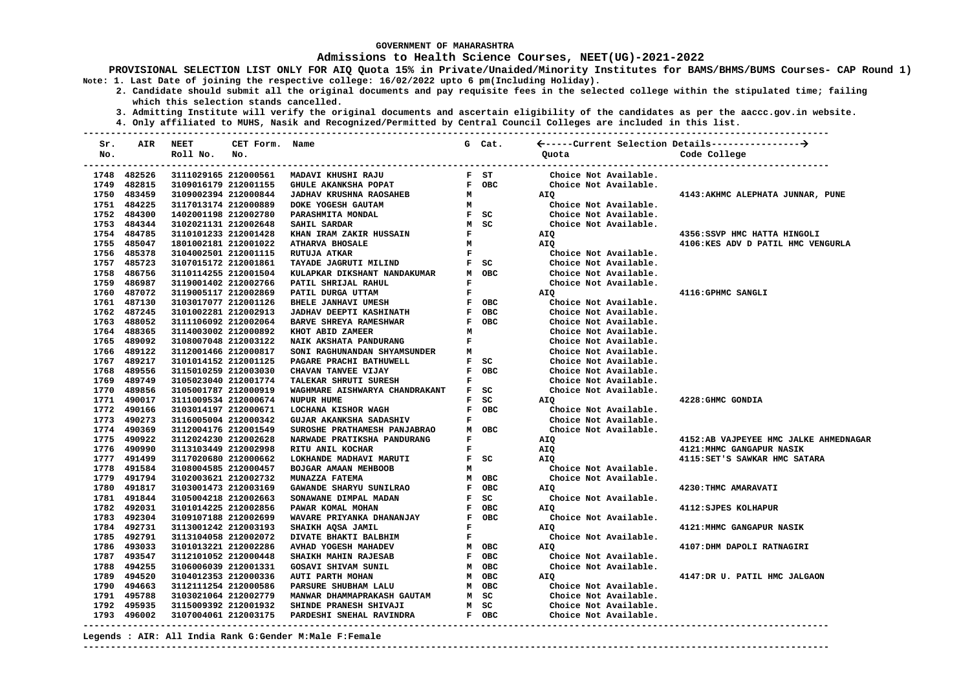### **Admissions to Health Science Courses, NEET(UG)-2021-2022**

**PROVISIONAL SELECTION LIST ONLY FOR AIQ Quota 15% in Private/Unaided/Minority Institutes for BAMS/BHMS/BUMS Courses- CAP Round 1) Note: 1. Last Date of joining the respective college: 16/02/2022 upto 6 pm(Including Holiday).**

 **2. Candidate should submit all the original documents and pay requisite fees in the selected college within the stipulated time; failing which this selection stands cancelled.**

 **3. Admitting Institute will verify the original documents and ascertain eligibility of the candidates as per the aaccc.gov.in website.**

 **4. Only affiliated to MUHS, Nasik and Recognized/Permitted by Central Council Colleges are included in this list.**

| Sr. | AIR         | <b>NEET</b>          | CET Form. Name       |                                                       |              |                                 |                       |                                       |
|-----|-------------|----------------------|----------------------|-------------------------------------------------------|--------------|---------------------------------|-----------------------|---------------------------------------|
| No. |             | Roll No.             | No.                  |                                                       |              |                                 | Quota                 | Code College                          |
|     | 1748 482526 | 3111029165 212000561 |                      | MADAVI KHUSHI RAJU                                    |              | F ST                            | Choice Not Available. |                                       |
|     | 1749 482815 | 3109016179 212001155 |                      | <b>GHULE AKANKSHA POPAT</b>                           |              | F OBC                           | Choice Not Available. |                                       |
|     | 1750 483459 | 3109002394 212000844 |                      | <b>JADHAV KRUSHNA RAOSAHEB</b>                        | M            |                                 | AIQ                   | 4143: AKHMC ALEPHATA JUNNAR, PUNE     |
|     | 1751 484225 | 3117013174 212000889 |                      | DOKE YOGESH GAUTAM                                    |              |                                 | Choice Not Available. |                                       |
|     | 1752 484300 | 1402001198 212002780 |                      | PARASHMITA MONDAL                                     |              | $M$ $F$ $SC$                    | Choice Not Available. |                                       |
|     | 1753 484344 | 3102021131 212002648 |                      | SAHIL SARDAR                                          |              | M SC                            | Choice Not Available. |                                       |
|     | 1754 484785 | 3110101233 212001428 |                      | M SC<br>F<br>KHAN IRAM ZAKIR HUSSAIN                  |              |                                 | AIQ                   | 4356:SSVP HMC HATTA HINGOLI           |
|     | 1755 485047 | 1801002181 212001022 |                      | <b>ATHARVA BHOSALE</b>                                | M            |                                 | AIQ                   | 4106:KES ADV D PATIL HMC VENGURLA     |
|     | 1756 485378 | 3104002501 212001115 |                      | <b>RUTUJA ATKAR</b>                                   |              | $\mathbf{F}$ and $\mathbf{F}$   | Choice Not Available. |                                       |
|     | 1757 485723 | 3107015172 212001861 |                      | TAYADE JAGRUTI MILIND                                 |              | $F$ SC                          | Choice Not Available. |                                       |
|     | 1758 486756 | 3110114255 212001504 |                      | KULAPKAR DIKSHANT NANDAKUMAR                          |              | M OBC                           | Choice Not Available. |                                       |
|     | 1759 486987 | 3119001402 212002766 |                      | PATIL SHRIJAL RAHUL                                   | $\mathbf{F}$ |                                 | Choice Not Available. |                                       |
|     | 1760 487072 | 3119005117 212002869 |                      | PATIL DURGA UTTAM                                     |              | $\mathbf{F}$ and $\mathbf{F}$   | AIQ                   | 4116: GPHMC SANGLI                    |
|     | 1761 487130 | 3103017077 212001126 |                      | <b>BHELE JANHAVI UMESH</b>                            |              | F OBC                           | Choice Not Available. |                                       |
|     | 1762 487245 | 3101002281 212002913 |                      | <b>JADHAV DEEPTI KASHINATH</b>                        |              | F OBC                           | Choice Not Available. |                                       |
|     | 1763 488052 | 3111106092 212002064 |                      | <b>BARVE SHREYA RAMESHWAR</b>                         |              | F OBC                           | Choice Not Available. |                                       |
|     | 1764 488365 | 3114003002 212000892 |                      | KHOT ABID ZAMEER                                      | M            |                                 | Choice Not Available. |                                       |
|     | 1765 489092 | 3108007048 212003122 |                      | NAIK AKSHATA PANDURANG                                |              | $\mathbf{F}$ and $\mathbf{F}$   | Choice Not Available. |                                       |
|     | 1766 489122 | 3112001466 212000817 |                      | SONI RAGHUNANDAN SHYAMSUNDER                          | M            |                                 | Choice Not Available. |                                       |
|     | 1767 489217 | 3101014152 212001125 |                      | PAGARE PRACHI BATHUWELL                               |              | $F$ SC                          | Choice Not Available. |                                       |
|     | 1768 489556 | 3115010259 212003030 |                      | CHAVAN TANVEE VIJAY                                   |              | F OBC                           | Choice Not Available. |                                       |
|     | 1769 489749 | 3105023040 212001774 |                      | TALEKAR SHRUTI SURESH                                 |              | $\mathbf{F}$ and $\mathbf{F}$   | Choice Not Available. |                                       |
|     | 1770 489856 | 3105001787 212000919 |                      | WAGHMARE AISHWARYA CHANDRAKANT                        |              | F SC                            | Choice Not Available. |                                       |
|     | 1771 490017 | 3111009534 212000674 |                      | <b>NUPUR HUME</b>                                     |              | F SC                            | AIQ                   | 4228: GHMC GONDIA                     |
|     | 1772 490166 | 3103014197 212000671 |                      | LOCHANA KISHOR WAGH                                   |              | F OBC                           | Choice Not Available. |                                       |
|     | 1773 490273 | 3116005004 212000342 |                      | GUJAR AKANKSHA SADASHIV                               | $\mathbf{F}$ |                                 | Choice Not Available. |                                       |
|     | 1774 490369 | 3112004176 212001549 |                      | SUROSHE PRATHAMESH PANJABRAO                          |              | M OBC                           | Choice Not Available. |                                       |
|     | 1775 490922 | 3112024230 212002628 |                      | NARWADE PRATIKSHA PANDURANG                           | $\mathbf{F}$ |                                 | AIQ                   | 4152:AB VAJPEYEE HMC JALKE AHMEDNAGAR |
|     | 1776 490990 | 3113103449 212002998 |                      | RITU ANIL KOCHAR                                      |              | $\mathbf{F}$ and $\mathbf{F}$   | AIQ                   | 4121: MHMC GANGAPUR NASIK             |
|     | 1777 491499 | 3117020680 212000662 |                      | LOKHANDE MADHAVI MARUTI                               |              | F SC                            | AIQ                   | 4115: SET'S SAWKAR HMC SATARA         |
|     | 1778 491584 | 3108004585 212000457 |                      | BOJGAR AMAAN MEHBOOB                                  |              | M                               | Choice Not Available. |                                       |
|     | 1779 491794 | 3102003621 212002732 |                      | MUNAZZA FATEMA                                        |              | M OBC                           | Choice Not Available. |                                       |
|     | 1780 491817 | 3103001473 212003169 |                      | GAWANDE SHARYU SUNILRAO                               |              | F OBC                           | AIO                   | 4230: THMC AMARAVATI                  |
|     | 1781 491844 | 3105004218 212002663 |                      | SONAWANE DIMPAL MADAN                                 |              | F SC                            | Choice Not Available. |                                       |
|     | 1782 492031 | 3101014225 212002856 |                      | PAWAR KOMAL MOHAN                                     |              | F OBC                           | AIO                   | 4112: SJPES KOLHAPUR                  |
|     | 1783 492304 | 3109107188 212002699 |                      | WAVARE PRIYANKA DHANANJAY                             |              | F OBC                           | Choice Not Available. |                                       |
|     | 1784 492731 | 3113001242 212003193 |                      | SHAIKH AQSA JAMIL                                     | $\mathbf{F}$ |                                 | AIO                   | 4121: MHMC GANGAPUR NASIK             |
|     | 1785 492791 | 3113104058 212002072 |                      | DIVATE BHAKTI BALBHIM                                 |              | $\mathbf{F}$ , and $\mathbf{F}$ | Choice Not Available. |                                       |
|     | 1786 493033 | 3101013221 212002286 |                      | AVHAD YOGESH MAHADEV                                  |              | M OBC                           | AIQ                   | 4107: DHM DAPOLI RATNAGIRI            |
|     | 1787 493547 | 3112101052 212000448 |                      | SHAIKH MAHIN RAJESAB                                  |              | F OBC                           | Choice Not Available. |                                       |
|     | 1788 494255 | 3106006039 212001331 |                      | <b>GOSAVI SHIVAM SUNIL</b>                            |              | M OBC                           | Choice Not Available. |                                       |
|     | 1789 494520 | 3104012353 212000336 |                      | AUTI PARTH MOHAN                                      |              | м овс                           | AIQ                   | 4147:DR U. PATIL HMC JALGAON          |
|     | 1790 494663 | 3112111254 212000586 |                      | PARSURE SHUBHAM LALU                                  |              | M OBC                           | Choice Not Available. |                                       |
|     | 1791 495788 | 3103021064 212002779 |                      | MANWAR DHAMMAPRAKASH GAUTAM<br>SHINDE PRANESH SHIVAJI |              | M SC                            | Choice Not Available. |                                       |
|     | 1792 495935 | 3115009392 212001932 |                      |                                                       |              | M SC                            | Choice Not Available. |                                       |
|     | 1793 496002 |                      | 3107004061 212003175 | PARDESHI SNEHAL RAVINDRA                              |              | F OBC                           | Choice Not Available. |                                       |
|     |             |                      |                      |                                                       |              |                                 |                       |                                       |

**Legends : AIR: All India Rank G:Gender M:Male F:Female**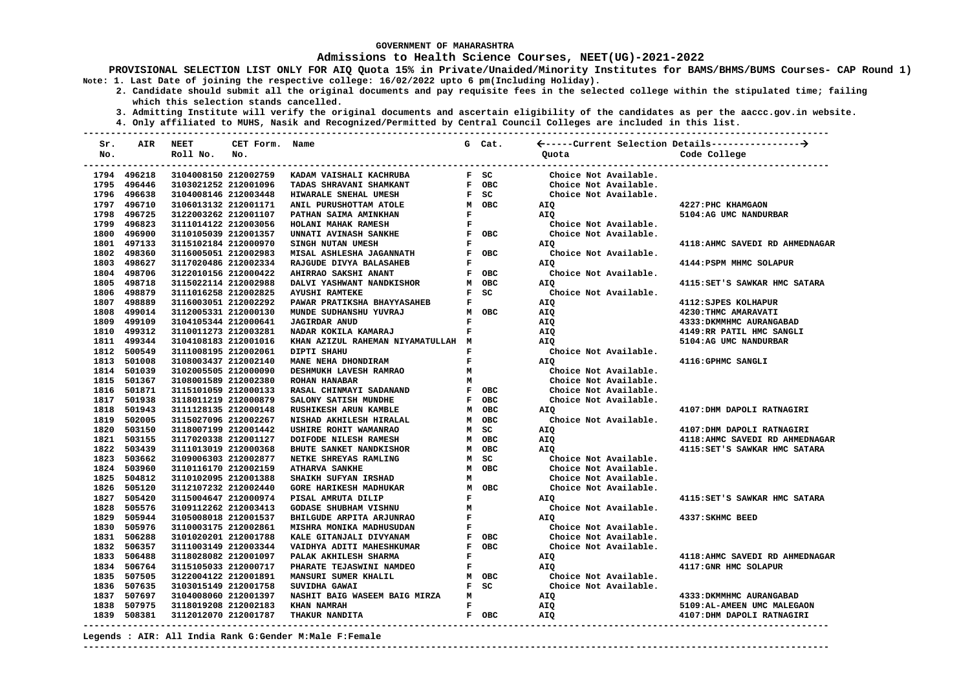### **Admissions to Health Science Courses, NEET(UG)-2021-2022**

**PROVISIONAL SELECTION LIST ONLY FOR AIQ Quota 15% in Private/Unaided/Minority Institutes for BAMS/BHMS/BUMS Courses- CAP Round 1) Note: 1. Last Date of joining the respective college: 16/02/2022 upto 6 pm(Including Holiday).**

 **2. Candidate should submit all the original documents and pay requisite fees in the selected college within the stipulated time; failing which this selection stands cancelled.**

 **3. Admitting Institute will verify the original documents and ascertain eligibility of the candidates as per the aaccc.gov.in website. 4. Only affiliated to MUHS, Nasik and Recognized/Permitted by Central Council Colleges are included in this list.**

| Sr.<br>No. |             | AIR NEET<br>Roll No. | CET Form. Name<br>No. |                                    |              | G Cat.                                                                           | Quota                 | Code College<br>--------------  |
|------------|-------------|----------------------|-----------------------|------------------------------------|--------------|----------------------------------------------------------------------------------|-----------------------|---------------------------------|
|            | 1794 496218 | 3104008150 212002759 |                       | KADAM VAISHALI KACHRUBA            |              | $F$ SC                                                                           | Choice Not Available. |                                 |
|            | 1795 496446 | 3103021252 212001096 |                       | TADAS SHRAVANI SHAMKANT            |              | F OBC                                                                            | Choice Not Available. |                                 |
|            | 1796 496638 | 3104008146 212003448 |                       | HIWARALE SNEHAL UMESH              |              | F SC                                                                             | Choice Not Available. |                                 |
|            | 1797 496710 | 3106013132 212001171 |                       | ANIL PURUSHOTTAM ATOLE             |              | M OBC                                                                            | AIQ                   | 4227: PHC KHAMGAON              |
|            | 1798 496725 | 3122003262 212001107 |                       | PATHAN SAIMA AMINKHAN              |              | <b>Figure</b>                                                                    | AIQ                   | 5104:AG UMC NANDURBAR           |
|            | 1799 496823 | 3111014122 212003056 |                       | HOLANI MAHAK RAMESH                |              | $\mathbf{F}$ and $\mathbf{F}$                                                    | Choice Not Available. |                                 |
|            | 1800 496900 | 3110105039 212001357 |                       | UNNATI AVINASH SANKHE              |              | F OBC                                                                            | Choice Not Available. |                                 |
|            | 1801 497133 | 3115102184 212000970 |                       | SINGH NUTAN UMESH                  | $\mathbf{F}$ |                                                                                  | AIO                   | 4118: AHMC SAVEDI RD AHMEDNAGAR |
|            | 1802 498360 | 3116005051 212002983 |                       | MISAL ASHLESHA JAGANNATH           |              | F OBC                                                                            | Choice Not Available. |                                 |
|            | 1803 498627 | 3117020486 212002334 |                       | RAJGUDE DIVYA BALASAHEB            | $\mathbf{F}$ |                                                                                  | AIO                   | 4144: PSPM MHMC SOLAPUR         |
|            | 1804 498706 | 3122010156 212000422 |                       | AHIRRAO SAKSHI ANANT               |              | F OBC                                                                            | Choice Not Available. |                                 |
|            | 1805 498718 | 3115022114 212002988 |                       | DALVI YASHWANT NANDKISHOR          |              | M OBC                                                                            | AIO                   | 4115: SET'S SAWKAR HMC SATARA   |
|            | 1806 498879 | 3111016258 212002825 |                       | <b>AYUSHI RAMTEKE</b>              |              | F SC                                                                             | Choice Not Available. |                                 |
|            | 1807 498889 | 3116003051 212002292 |                       | PAWAR PRATIKSHA BHAYYASAHEB        | F            |                                                                                  | AIQ                   | 4112: SJPES KOLHAPUR            |
|            | 1808 499014 | 3112005331 212000130 |                       | MUNDE SUDHANSHU YUVRAJ             |              | M OBC                                                                            | AIQ                   | 4230: THMC AMARAVATI            |
|            | 1809 499109 | 3104105344 212000641 |                       | <b>JAGIRDAR ANUD</b>               | F            |                                                                                  | AIQ                   | 4333: DKMMHMC AURANGABAD        |
|            | 1810 499312 | 3110011273 212003281 |                       | NADAR KOKILA KAMARAJ               | $\mathbf{F}$ |                                                                                  | AIQ                   | 4149:RR PATIL HMC SANGLI        |
|            | 1811 499344 | 3104108183 212001016 |                       | KHAN AZIZUL RAHEMAN NIYAMATULLAH M |              |                                                                                  | AIO                   | 5104:AG UMC NANDURBAR           |
|            | 1812 500549 | 3111008195 212002061 |                       | DIPTI SHAHU                        |              | $\begin{array}{lll} \texttt{M} & \\ \texttt{F} & \\ \texttt{F} & \\ \end{array}$ | Choice Not Available. |                                 |
|            | 1813 501008 | 3108003437 212002140 |                       | MANE NEHA DHONDIRAM                |              |                                                                                  | AIO                   | 4116: GPHMC SANGLI              |
|            | 1814 501039 | 3102005505 212000090 |                       | DESHMUKH LAVESH RAMRAO             |              | $M$ and $M$                                                                      | Choice Not Available. |                                 |
|            | 1815 501367 | 3108001589 212002380 |                       | ROHAN HANABAR                      |              | M                                                                                | Choice Not Available. |                                 |
|            | 1816 501871 | 3115101059 212000133 |                       | RASAL CHINMAYI SADANAND            |              | F OBC                                                                            | Choice Not Available. |                                 |
|            | 1817 501938 | 3118011219 212000879 |                       | SALONY SATISH MUNDHE               |              | F OBC                                                                            | Choice Not Available. |                                 |
|            | 1818 501943 | 3111128135 212000148 |                       | RUSHIKESH ARUN KAMBLE              |              | M OBC                                                                            | AIO                   | 4107: DHM DAPOLI RATNAGIRI      |
|            | 1819 502005 | 3115027096 212002267 |                       | NISHAD AKHILESH HIRALAL            |              | M OBC                                                                            | Choice Not Available. |                                 |
|            | 1820 503150 | 3118007199 212001442 |                       | USHIRE ROHIT WAMANRAO              |              | M SC                                                                             | AIO                   | 4107: DHM DAPOLI RATNAGIRI      |
|            | 1821 503155 | 3117020338 212001127 |                       | DOIFODE NILESH RAMESH              |              | M OBC                                                                            | AIQ                   | 4118: AHMC SAVEDI RD AHMEDNAGAR |
|            | 1822 503439 | 3111013019 212000368 |                       | BHUTE SANKET NANDKISHOR            |              | M OBC                                                                            | AIQ                   | 4115:SET'S SAWKAR HMC SATARA    |
|            | 1823 503662 | 3109006303 212002877 |                       | NETKE SHREYAS RAMLING              |              | M SC                                                                             | Choice Not Available. |                                 |
|            | 1824 503960 | 3110116170 212002159 |                       | <b>ATHARVA SANKHE</b>              |              | M OBC                                                                            | Choice Not Available. |                                 |
|            | 1825 504812 | 3110102095 212001388 |                       | <b>SHAIKH SUFYAN IRSHAD</b>        | м            |                                                                                  | Choice Not Available. |                                 |
|            | 1826 505120 | 3112107232 212002440 |                       | <b>GORE HARIKESH MADHUKAR</b>      |              | M OBC                                                                            | Choice Not Available. |                                 |
|            | 1827 505420 | 3115004647 212000974 |                       | PISAL AMRUTA DILIP                 | $\mathbf{F}$ |                                                                                  | AIQ                   | 4115: SET'S SAWKAR HMC SATARA   |
|            | 1828 505576 | 3109112262 212003413 |                       | <b>GODASE SHUBHAM VISHNU</b>       | M            |                                                                                  | Choice Not Available. |                                 |
|            | 1829 505944 | 3105008018 212001537 |                       | BHILGUDE ARPITA ARJUNRAO           | $\mathbf{F}$ |                                                                                  | AIO                   | 4337: SKHMC BEED                |
|            | 1830 505976 | 3110003175 212002861 |                       | MISHRA MONIKA MADHUSUDAN           | $\mathbf{F}$ |                                                                                  | Choice Not Available. |                                 |
|            | 1831 506288 | 3101020201 212001788 |                       | KALE GITANJALI DIVYANAM            |              | F OBC                                                                            | Choice Not Available. |                                 |
|            | 1832 506357 | 3111003149 212003344 |                       | VAIDHYA ADITI MAHESHKUMAR          |              | F OBC                                                                            | Choice Not Available. |                                 |
|            | 1833 506488 | 3118028082 212001097 |                       | PALAK AKHILESH SHARMA              | F            |                                                                                  | AIQ                   | 4118: AHMC SAVEDI RD AHMEDNAGAR |
|            | 1834 506764 | 3115105033 212000717 |                       | PHARATE TEJASWINI NAMDEO           | F            |                                                                                  | AIQ                   | 4117: GNR HMC SOLAPUR           |
|            | 1835 507505 | 3122004122 212001891 |                       | MANSURI SUMER KHALIL               |              | M OBC                                                                            | Choice Not Available. |                                 |
|            | 1836 507635 | 3103015149 212001758 |                       | SUVIDHA GAWAI                      |              | $F$ SC                                                                           | Choice Not Available. |                                 |
|            | 1837 507697 | 3104008060 212001397 |                       | NASHIT BAIG WASEEM BAIG MIRZA      | M            |                                                                                  | AIQ                   | 4333: DKMMHMC AURANGABAD        |
|            | 1838 507975 | 3118019208 212002183 |                       | KHAN NAMRAH                        | $\mathbf{F}$ |                                                                                  | AIQ                   | 5109:AL-AMEEN UMC MALEGAON      |
|            | 1839 508381 | 3112012070 212001787 |                       | THAKUR NANDITA                     |              | F OBC                                                                            | <b>AIO</b>            | 4107: DHM DAPOLI RATNAGIRI      |
|            |             |                      |                       |                                    |              |                                                                                  |                       |                                 |

#### **Legends : AIR: All India Rank G:Gender M:Male F:Female**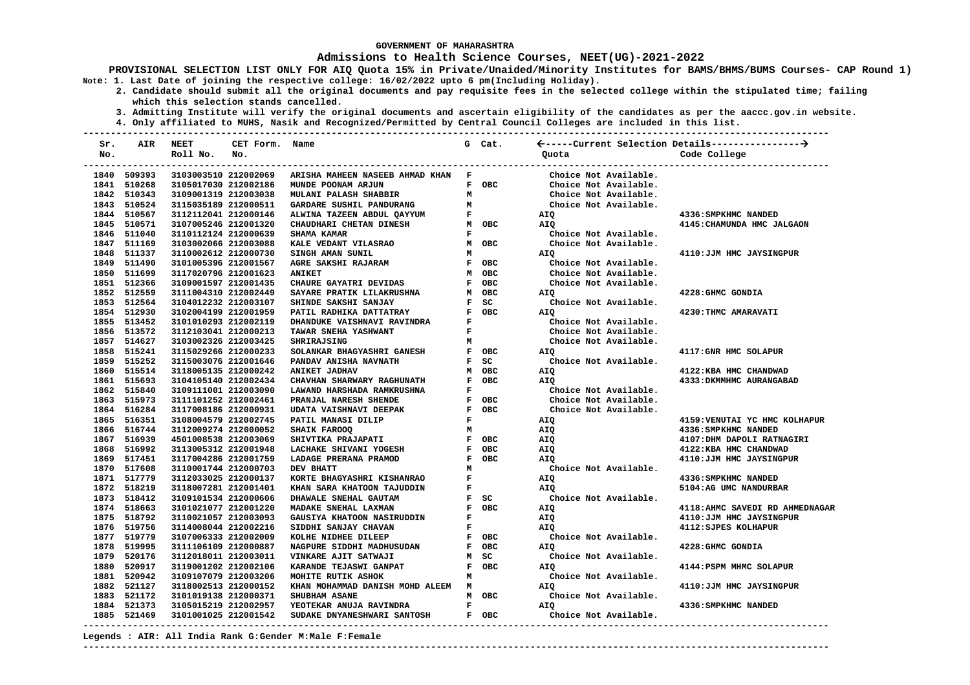### **Admissions to Health Science Courses, NEET(UG)-2021-2022**

**PROVISIONAL SELECTION LIST ONLY FOR AIQ Quota 15% in Private/Unaided/Minority Institutes for BAMS/BHMS/BUMS Courses- CAP Round 1) Note: 1. Last Date of joining the respective college: 16/02/2022 upto 6 pm(Including Holiday).**

 **2. Candidate should submit all the original documents and pay requisite fees in the selected college within the stipulated time; failing which this selection stands cancelled.**

 **3. Admitting Institute will verify the original documents and ascertain eligibility of the candidates as per the aaccc.gov.in website.**

 **4. Only affiliated to MUHS, Nasik and Recognized/Permitted by Central Council Colleges are included in this list.**

| Sr. |                            | AIR NEET                                     | CET Form. Name |                                                        |              |                               |                                                |                                 |
|-----|----------------------------|----------------------------------------------|----------------|--------------------------------------------------------|--------------|-------------------------------|------------------------------------------------|---------------------------------|
| No. |                            | Roll No.                                     | No.            |                                                        |              |                               | Quota                                          | Code College                    |
|     |                            |                                              |                |                                                        |              |                               |                                                |                                 |
|     | 1840 509393                | 3103003510 212002069                         |                | ARISHA MAHEEN NASEEB AHMAD KHAN F                      |              | F OBC                         | Choice Not Available.                          |                                 |
|     | 1841 510268                | 3105017030 212002186                         |                | MUNDE POONAM ARJUN                                     |              |                               | Choice Not Available.                          |                                 |
|     | 1842 510343<br>1843 510524 | 3109001319 212003038                         |                | MULANI PALASH SHABBIR                                  | м            |                               | Choice Not Available.                          |                                 |
|     | 1844 510567                | 3115035189 212000511<br>3112112041 212000146 |                |                                                        |              |                               | Choice Not Available.<br>AIQ                   | 4336: SMPKHMC NANDED            |
|     | 1845 510571                | 3107005246 212001320                         |                | CHAUDHARI CHETAN DINESH                                |              |                               |                                                | 4145: CHAMUNDA HMC JALGAON      |
|     | 1846 511040                | 3110112124 212000639                         |                | M OBC<br><b>SHAMA KAMAR</b>                            |              | $\mathbf{F}$ and $\mathbf{F}$ | AIQ                                            |                                 |
|     | 1847 511169                | 3103002066 212003088                         |                | KALE VEDANT VILASRAO                                   |              |                               | Choice Not Available.<br>Choice Not Available. |                                 |
|     | 1848 511337                | 3110002612 212000730                         |                | SINGH AMAN SUNIL                                       |              | M OBC<br>M                    | AIQ                                            | 4110: JJM HMC JAYSINGPUR        |
|     | 1849 511490                | 3101005396 212001567                         |                | AGRE SAKSHI RAJARAM                                    |              | F OBC                         | Choice Not Available.                          |                                 |
|     | 1850 511699                | 3117020796 212001623                         |                | <b>ANIKET</b>                                          |              | M OBC                         | Choice Not Available.                          |                                 |
|     | 1851 512366                | 3109001597 212001435                         |                | CHAURE GAYATRI DEVIDAS                                 |              | F OBC                         | Choice Not Available.                          |                                 |
|     | 1852 512559                | 3111004310 212002449                         |                | SAYARE PRATIK LILAKRUSHNA                              |              | M OBC                         | AIQ                                            | 4228: GHMC GONDIA               |
|     | 1853 512564                | 3104012232 212003107                         |                | SHINDE SAKSHI SANJAY                                   |              | F SC                          | Choice Not Available.                          |                                 |
|     | 1854 512930                | 3102004199 212001959                         |                |                                                        |              | F OBC                         | AIQ                                            | 4230:THMC AMARAVATI             |
|     | 1855 513452                | 3101010293 212002119                         |                | PATIL RADHIKA DATTATRAY<br>DHANDUKE VAISHNAVI RAVINDRA | $\mathbf{F}$ |                               | Choice Not Available.                          |                                 |
|     | 1856 513572                | 3112103041 212000213                         |                | TAWAR SNEHA YASHWANT                                   |              |                               | Choice Not Available.                          |                                 |
|     | 1857 514627                | 3103002326 212003425                         |                | <b>SHRIRAJSING</b>                                     | м            | $\frac{F}{M}$                 | Choice Not Available.                          |                                 |
|     | 1858 515241                | 3115029266 212000233                         |                | SOLANKAR BHAGYASHRI GANESH                             |              | F OBC                         | AIQ                                            | 4117: GNR HMC SOLAPUR           |
|     | 1859 515252                | 3115003076 212001646                         |                | PANDAV ANISHA NAVNATH                                  |              | $F$ SC                        | Choice Not Available.                          |                                 |
|     | 1860 515514                | 3118005135 212000242                         |                | ANIKET JADHAV                                          |              | M OBC                         | AIQ                                            | 4122: KBA HMC CHANDWAD          |
|     | 1861 515693                | 3104105140 212002434                         |                | CHAVHAN SHARWARY RAGHUNATH                             |              | F OBC                         | AIO                                            | 4333: DKMMHMC AURANGABAD        |
|     | 1862 515840                | 3109111001 212003090                         |                | LAWAND HARSHADA RAMKRUSHNA                             | $\mathbf{F}$ |                               | Choice Not Available.                          |                                 |
|     | 1863 515973                | 3111101252 212002461                         |                | PRANJAL NARESH SHENDE                                  |              | $F$ OBC                       | Choice Not Available.                          |                                 |
|     | 1864 516284                | 3117008186 212000931                         |                | UDATA VAISHNAVI DEEPAK                                 |              | F OBC                         | Choice Not Available.                          |                                 |
|     | 1865 516351                | 3108004579 212002745                         |                | PATIL MANASI DILIP                                     | $\mathbf{F}$ |                               | AIQ                                            | 4159: VENUTAI YC HMC KOLHAPUR   |
|     | 1866 516744                | 3112009274 212000052                         |                | <b>SHAIK FAROOQ</b>                                    | M            |                               | AIQ                                            | 4336: SMPKHMC NANDED            |
|     | 1867 516939                | 4501008538 212003069                         |                | SHIVTIKA PRAJAPATI                                     |              | F OBC                         | AIQ                                            | 4107: DHM DAPOLI RATNAGIRI      |
|     | 1868 516992                | 3113005312 212001948                         |                | LACHAKE SHIVANI YOGESH                                 |              | F OBC                         | AIQ                                            | 4122: KBA HMC CHANDWAD          |
|     | 1869 517451                | 3117004286 212001759                         |                | LADAGE PRERANA PRAMOD                                  |              | F OBC                         | AIQ                                            | 4110: JJM HMC JAYSINGPUR        |
|     | 1870 517608                | 3110001744 212000703                         |                | DEV BHATT                                              | м            |                               | Choice Not Available.                          |                                 |
|     | 1871 517779                | 3112033025 212000137                         |                | KORTE BHAGYASHRI KISHANRAO                             | $\mathbf{F}$ |                               | AIQ                                            | 4336: SMPKHMC NANDED            |
|     | 1872 518219                | 3118007281 212001401                         |                | KHAN SARA KHATOON TAJUDDIN                             |              | $\mathbf{F}$ and $\mathbf{F}$ | <b>AIO</b>                                     | 5104:AG UMC NANDURBAR           |
|     | 1873 518412                | 3109101534 212000606                         |                | DHAWALE SNEHAL GAUTAM                                  |              | $F$ SC                        | Choice Not Available.                          |                                 |
|     | 1874 518663                | 3101021077 212001220                         |                | MADAKE SNEHAL LAXMAN                                   |              | F OBC                         | AIO                                            | 4118: AHMC SAVEDI RD AHMEDNAGAR |
|     | 1875 518792                | 3110021057 212003093                         |                | GAUSIYA KHATOON NASIRUDDIN                             | $\mathbf{F}$ |                               | AIQ                                            | 4110: JJM HMC JAYSINGPUR        |
|     | 1876 519756                | 3114008044 212002216                         |                | SIDDHI SANJAY CHAVAN                                   |              | $\mathbf{F}$ and $\mathbf{F}$ | AIO                                            | 4112: SJPES KOLHAPUR            |
|     | 1877 519779                | 3107006333 212002009                         |                | KOLHE NIDHEE DILEEP                                    |              | F OBC                         | Choice Not Available.                          |                                 |
|     | 1878 519995                | 3111106109 212000887                         |                | NAGPURE SIDDHI MADHUSUDAN                              |              | F OBC                         | AIO                                            | 4228: GHMC GONDIA               |
|     | 1879 520176                | 3112018011 212003011                         |                | VINKARE AJIT SATWAJI                                   |              | M SC                          | Choice Not Available.                          |                                 |
|     | 1880 520917                | 3119001202 212002106                         |                | KARANDE TEJASWI GANPAT                                 |              | F OBC                         | AIQ                                            | 4144: PSPM MHMC SOLAPUR         |
|     | 1881 520942                | 3109107079 212003206                         |                | MOHITE RUTIK ASHOK                                     | м            |                               | Choice Not Available.                          |                                 |
|     | 1882 521127                | 3118002513 212000152                         |                | KHAN MOHAMMAD DANISH MOHD ALEEM M                      |              |                               | AIO                                            | 4110:JJM HMC JAYSINGPUR         |
|     | 1883 521172                | 3101019138 212000371                         |                | SHUBHAM ASANE                                          |              | M OBC                         | Choice Not Available.                          |                                 |
|     | 1884 521373                | 3105015219 212002957                         |                | YEOTEKAR ANUJA RAVINDRA F                              |              |                               | AIQ                                            | 4336: SMPKHMC NANDED            |
|     | 1885 521469                | 3101001025 212001542                         |                | SUDAKE DNYANESHWARI SANTOSH F OBC                      |              |                               | Choice Not Available.                          |                                 |
|     |                            |                                              |                |                                                        |              |                               |                                                |                                 |

#### **Legends : AIR: All India Rank G:Gender M:Male F:Female**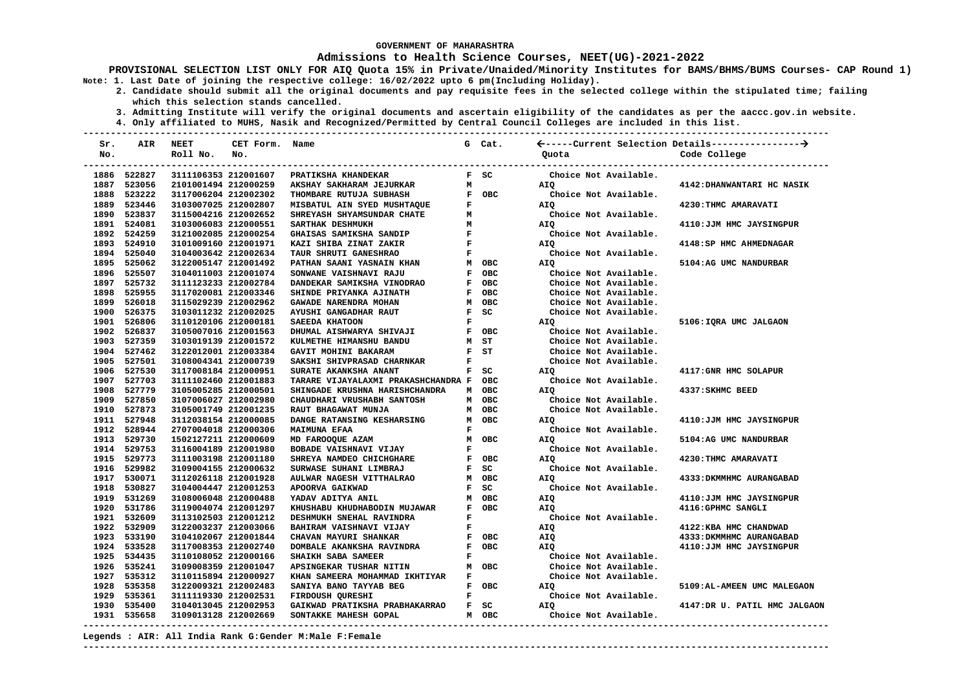### **Admissions to Health Science Courses, NEET(UG)-2021-2022**

**PROVISIONAL SELECTION LIST ONLY FOR AIQ Quota 15% in Private/Unaided/Minority Institutes for BAMS/BHMS/BUMS Courses- CAP Round 1) Note: 1. Last Date of joining the respective college: 16/02/2022 upto 6 pm(Including Holiday).**

 **2. Candidate should submit all the original documents and pay requisite fees in the selected college within the stipulated time; failing which this selection stands cancelled.**

 **3. Admitting Institute will verify the original documents and ascertain eligibility of the candidates as per the aaccc.gov.in website.**

 **4. Only affiliated to MUHS, Nasik and Recognized/Permitted by Central Council Colleges are included in this list.**

| Sr.<br>No. | AIR         | <b>NEET</b><br>Roll No. | CET Form. Name<br>No. |                                                        |              | G Cat. | Quota                 | Code College                 |
|------------|-------------|-------------------------|-----------------------|--------------------------------------------------------|--------------|--------|-----------------------|------------------------------|
|            | 1886 522827 | 3111106353 212001607    |                       | <b>PRATIKSHA KHANDEKAR</b>                             |              | $F$ SC | Choice Not Available. |                              |
|            | 1887 523056 | 2101001494 212000259    |                       | AKSHAY SAKHARAM JEJURKAR                               | м            |        | AIQ                   | 4142: DHANWANTARI HC NASIK   |
|            | 1888 523222 | 3117006204 212002302    |                       | THOMBARE RUTUJA SUBHASH                                |              | F OBC  | Choice Not Available. |                              |
|            | 1889 523446 | 3103007025 212002807    |                       | MISBATUL AIN SYED MUSHTAQUE                            | F            |        | AIO                   | 4230: THMC AMARAVATI         |
|            | 1890 523837 | 3115004216 212002652    |                       | SHREYASH SHYAMSUNDAR CHATE                             | м            |        | Choice Not Available. |                              |
|            | 1891 524081 | 3103006083 212000551    |                       | SARTHAK DESHMUKH                                       | м            |        | AIQ                   | 4110: JJM HMC JAYSINGPUR     |
|            | 1892 524259 | 3121002085 212000254    |                       | GHAISAS SAMIKSHA SANDIP                                | $\mathbf{F}$ |        | Choice Not Available. |                              |
|            | 1893 524910 | 3101009160 212001971    |                       | KAZI SHIBA ZINAT ZAKIR                                 | $\mathbf{F}$ |        | AIQ                   | 4148: SP HMC AHMEDNAGAR      |
|            | 1894 525040 | 3104003642 212002634    |                       | TAUR SHRUTI GANESHRAO                                  | F            |        | Choice Not Available. |                              |
|            | 1895 525062 | 3122005147 212001492    |                       | PATHAN SAANI YASNAIN KHAN                              |              | M OBC  | AIQ                   | 5104:AG UMC NANDURBAR        |
|            | 1896 525507 | 3104011003 212001074    |                       | SONWANE VAISHNAVI RAJU                                 |              | F OBC  | Choice Not Available. |                              |
|            | 1897 525732 | 3111123233 212002784    |                       | DANDEKAR SAMIKSHA VINODRAO                             |              | F OBC  | Choice Not Available. |                              |
|            | 1898 525955 | 3117020081 212003346    |                       | SHINDE PRIYANKA AJINATH                                |              | F OBC  | Choice Not Available. |                              |
|            | 1899 526018 | 3115029239 212002962    |                       | GAWADE NARENDRA MOHAN                                  |              | M OBC  | Choice Not Available. |                              |
|            | 1900 526375 | 3103011232 212002025    |                       | AYUSHI GANGADHAR RAUT                                  |              | $F$ SC | Choice Not Available. |                              |
|            | 1901 526806 | 3110120106 212000181    |                       | SAEEDA KHATOON                                         | $\mathbf F$  |        | AIQ                   | 5106: IQRA UMC JALGAON       |
|            | 1902 526837 | 3105007016 212001563    |                       | DHUMAL AISHWARYA SHIVAJI                               |              | F OBC  | Choice Not Available. |                              |
|            | 1903 527359 | 3103019139 212001572    |                       | KULMETHE HIMANSHU BANDU                                |              | M ST   | Choice Not Available. |                              |
|            | 1904 527462 | 3122012001 212003384    |                       | GAVIT MOHINI BAKARAM                                   |              | F ST   | Choice Not Available. |                              |
|            | 1905 527501 | 3108004341 212000739    |                       | SAKSHI SHIVPRASAD CHARNKAR                             | F            |        | Choice Not Available. |                              |
|            | 1906 527530 | 3117008184 212000951    |                       | SURATE AKANKSHA ANANT                                  |              | F SC   | AIO                   | 4117: GNR HMC SOLAPUR        |
|            | 1907 527703 | 3111102460 212001883    |                       | TARARE VIJAYALAXMI PRAKASHCHANDRA F OBC                |              |        | Choice Not Available. |                              |
|            | 1908 527779 | 3105005285 212000501    |                       | SHINGADE KRUSHNA HARISHCHANDRA                         |              | M OBC  | AIQ                   | 4337: SKHMC BEED             |
|            | 1909 527850 | 3107006027 212002980    |                       | CHAUDHARI VRUSHABH SANTOSH                             |              | M OBC  | Choice Not Available. |                              |
|            | 1910 527873 | 3105001749 212001235    |                       | RAUT BHAGAWAT MUNJA                                    |              | M OBC  | Choice Not Available. |                              |
|            | 1911 527948 | 3112038154 212000085    |                       | DANGE RATANSING KESHARSING                             |              | M OBC  | AIQ                   | 4110: JJM HMC JAYSINGPUR     |
|            | 1912 528944 | 2707004018 212000306    |                       | <b>MAIMUNA EFAA</b>                                    | F            |        | Choice Not Available. |                              |
|            | 1913 529730 | 1502127211 212000609    |                       | MD FAROOQUE AZAM                                       |              | M OBC  | AIQ                   | 5104:AG UMC NANDURBAR        |
|            | 1914 529753 | 3116004189 212001980    |                       | BOBADE VAISHNAVI VIJAY                                 | F            |        | Choice Not Available. |                              |
|            | 1915 529773 | 3111003198 212001180    |                       | SHREYA NAMDEO CHICHGHARE                               |              | F OBC  | AIO                   | 4230: THMC AMARAVATI         |
|            | 1916 529982 | 3109004155 212000632    |                       | SURWASE SUHANI LIMBRAJ                                 |              | $F$ SC | Choice Not Available. |                              |
|            | 1917 530071 | 3112026118 212001928    |                       | AULWAR NAGESH VITTHALRAO                               |              | M OBC  | AIQ                   | 4333: DKMMHMC AURANGABAD     |
|            | 1918 530827 | 3104004447 212001253    |                       | APOORVA GAIKWAD                                        |              | $F$ SC | Choice Not Available. |                              |
|            | 1919 531269 | 3108006048 212000488    |                       | YADAV ADITYA ANIL                                      |              | M OBC  | AIQ                   | 4110: JJM HMC JAYSINGPUR     |
|            | 1920 531786 | 3119004074 212001297    |                       | KHUSHABU KHUDHABODIN MUJAWAR                           |              | F OBC  | AIQ                   | 4116: GPHMC SANGLI           |
|            | 1921 532609 | 3113102503 212001212    |                       | DESHMUKH SNEHAL RAVINDRA                               | F            |        | Choice Not Available. |                              |
|            | 1922 532909 | 3122003237 212003066    |                       | BAHIRAM VAISHNAVI VIJAY                                | $\mathbf F$  |        | <b>AIQ</b>            | 4122: KBA HMC CHANDWAD       |
|            | 1923 533190 | 3104102067 212001844    |                       | CHAVAN MAYURI SHANKAR                                  |              | F OBC  | AIQ                   | 4333: DKMMHMC AURANGABAD     |
|            | 1924 533528 | 3117008353 212002740    |                       | DOMBALE AKANKSHA RAVINDRA                              |              | F OBC  | AIO                   | 4110:JJM HMC JAYSINGPUR      |
|            | 1925 534435 | 3110108052 212000166    |                       | SHAIKH SABA SAMEER                                     | F            |        | Choice Not Available. |                              |
|            | 1926 535241 | 3109008359 212001047    |                       | APSINGEKAR TUSHAR NITIN                                |              | M OBC  | Choice Not Available. |                              |
|            | 1927 535312 | 3110115894 212000927    |                       | KHAN SAMEERA MOHAMMAD IKHTIYAR                         | F            |        | Choice Not Available. |                              |
|            | 1928 535358 | 3122009321 212002483    |                       | SANIYA BANO TAYYAB BEG                                 |              | F OBC  | AIQ                   | 5109:AL-AMEEN UMC MALEGAON   |
|            | 1929 535361 | 3111119330 212002531    |                       | FIRDOUSH QURESHI                                       | $\mathbf{F}$ |        | Choice Not Available. |                              |
|            | 1930 535400 | 3104013045 212002953    |                       | GAIKWAD PRATIKSHA PRABHAKARRAO F SC                    |              |        | AIQ                   | 4147:DR U. PATIL HMC JALGAON |
|            | 1931 535658 | 3109013128 212002669    |                       | SONTAKKE MAHESH GOPAL                                  |              | M OBC  | Choice Not Available. |                              |
|            |             |                         |                       | Legends : AIR: All India Rank G:Gender M:Male F:Female |              |        |                       |                              |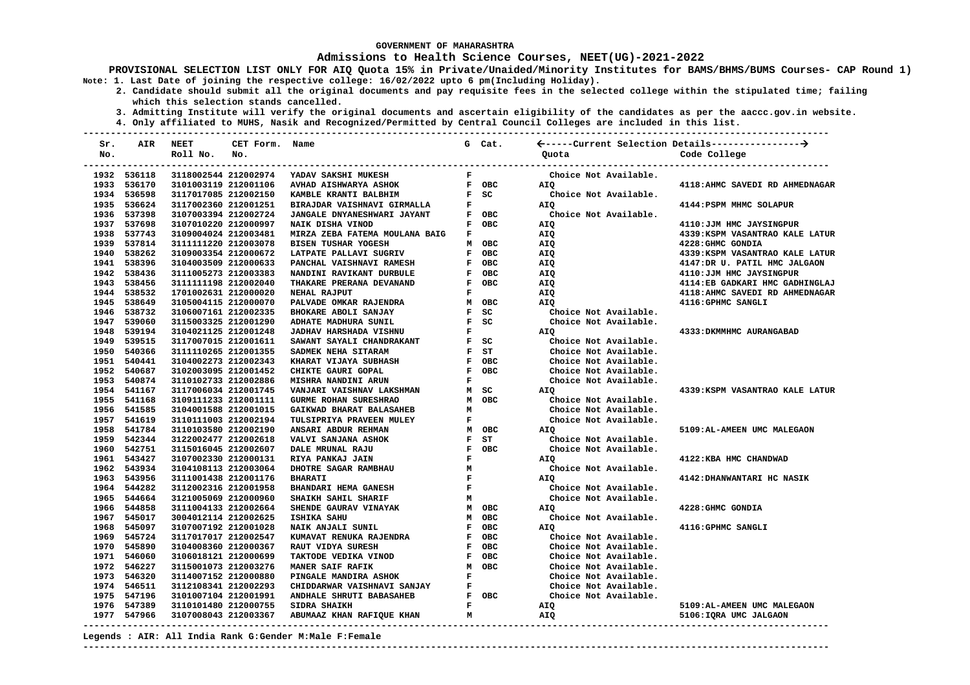#### **Admissions to Health Science Courses, NEET(UG)-2021-2022**

**PROVISIONAL SELECTION LIST ONLY FOR AIQ Quota 15% in Private/Unaided/Minority Institutes for BAMS/BHMS/BUMS Courses- CAP Round 1) Note: 1. Last Date of joining the respective college: 16/02/2022 upto 6 pm(Including Holiday).**

 **2. Candidate should submit all the original documents and pay requisite fees in the selected college within the stipulated time; failing which this selection stands cancelled.**

 **3. Admitting Institute will verify the original documents and ascertain eligibility of the candidates as per the aaccc.gov.in website.**

 **4. Only affiliated to MUHS, Nasik and Recognized/Permitted by Central Council Colleges are included in this list.**

**--------------------------------------------------------------------------------------------------------------------------------------- Sr. AIR NEET CET Form. Name G Cat. -----Current Selection Details---------------- No. Roll No. No. Quota Code College --------------------------------------------------------------------------------------------------------------------------------------- --------------------------------------------------------------------------------------------------------------------------------------- 1932 536118 3118002544 212002974 YADAV SAKSHI MUKESH F Choice Not Available. 1933 536170 3101003119 212001106 AVHAD AISHWARYA ASHOK F OBC AIQ 4118:AHMC SAVEDI RD AHMEDNAGAR 1934 536598 3117017085 212002150 KAMBLE KRANTI BALBHIM F SC Choice Not Available. 1935 536624 3117002360 212001251 BIRAJDAR VAISHNAVI GIRMALLA F AIQ 4144:PSPM MHMC SOLAPUR**  1936 537398 3107003394 212002724  **1937 537698 3107010220 212000997 NAIK DISHA VINOD F OBC AIQ 4110:JJM HMC JAYSINGPUR 1938 537743 3109004024 212003481 MIRZA ZEBA FATEMA MOULANA BAIG F AIQ 4339:KSPM VASANTRAO KALE LATUR 1939 537814 3111111220 212003078 BISEN TUSHAR YOGESH M OBC AIQ 4228:GHMC GONDIA**  1940 538262 3109003354 212000672 LATPATE PALLAVI SUGRIV **F OBC** AIO  **1941 538396 3104003509 212000633 PANCHAL VAISHNAVI RAMESH F OBC AIQ 4147:DR U. PATIL HMC JALGAON 1942 538436 3111005273 212003383 NANDINI RAVIKANT DURBULE F OBC AIQ 4110:JJM HMC JAYSINGPUR 1943 538456 3111111198 212002040 THAKARE PRERANA DEVANAND F OBC AIQ 4114:EB GADKARI HMC GADHINGLAJ 1944 538532 1701002631 212000020 NEHAL RAJPUT 6 810 R 810** 1945 538649 3105004115 212000070 PALVADE OMKAR RAJENDRA MOBC AIQ at AIQ 4116:GPHMC SANGLI<br>1946 538732 3106007161 212002335 BHOKARE ABOLI SANJAY F SC Choice Not Available.  **1946 538732 3106007161 212002335 BHOKARE ABOLI SANJAY F SC Choice Not Available. 1947 539060 3115003325 212001290 ADHATE MADHURA SUNIL F SC Choice Not Available. 1948 539194 3104021125 212001248 JADHAV HARSHADA VISHNU F AIQ 4333:DKMMHMC AURANGABAD 1949 539515 3117007015 212001611 SAWANT SAYALI CHANDRAKANT F SC Choice Not Available. 1950 540366 3111110265 212001355 SADMEK NEHA SITARAM F ST Choice Not Available. 1951 540441 3104002273 212002343 KHARAT VIJAYA SUBHASH F OBC Choice Not Available.**  1952 540687 3102003095 212001452  **1953 540874 3110102733 212002886 MISHRA NANDINI ARUN F Choice Not Available. 1954 541167 3117006034 212001745 VANJARI VAISHNAV LAKSHMAN M SC AIQ 4339:KSPM VASANTRAO KALE LATUR 1955 541168 3109111233 212001111 GURME ROHAN SURESHRAO M OBC Choice Not Available. 1956 541585 3104001588 212001015 GAIKWAD BHARAT BALASAHEB M Choice Not Available. 1957 541619 3110111003 212002194 TULSIPRIYA PRAVEEN MULEY F Choice Not Available.**  1958 541784 3110103580 212002190 ANSARI ABDUR REHMAN MOBC AIQ (5109:AL-AMEEN UMC MALEGAON AND AN OBC) 1959 542344 3122002477 212002618 VALVI SANJANA ASHOK (F ST) Choice Not Available. 1959 542344 3122002477 212002618  **1960 542751 3115016045 212002607 DALE MRUNAL RAJU F OBC Choice Not Available. 1961 543427 3107002330 212000131 RIYA PANKAJ JAIN F AIQ 4122:KBA HMC CHANDWAD 1962 543934 3104108113 212003064 DHOTRE SAGAR RAMBHAU M Choice Not Available. 1963 543956 3111001438 212001176 BHARATI F AIQ 4142:DHANWANTARI HC NASIK 1964 544282 3112002316 212001958 BHANDARI HEMA GANESH F Choice Not Available.**  1965 544664 3121005069 212000960 SHAIKH SAHIL SHARIF **M** M Choice Not Available.<br>1966 544858 3111004133 212002664 SHENDE GAURAV VINAYAK M OBC AIO  **1966 544858 3111004133 212002664 SHENDE GAURAV VINAYAK M OBC AIQ 4228:GHMC GONDIA 1967 545017 3004012114 212002625 ISHIKA SAHU M OBC Choice Not Available. 1968 545097 3107007192 212001028 NAIK ANJALI SUNIL F OBC AIQ 4116:GPHMC SANGLI 1969 545724 3117017017 212002547 KUMAVAT RENUKA RAJENDRA F OBC Choice Not Available. 1970 545890 3104008360 212000367 RAUT VIDYA SURESH F OBC Choice Not Available. 1971 546060 3106018121 212000699 TAKTODE VEDIKA VINOD F OBC Choice Not Available.**  1972 546227 3115001073 212003276 MANER SAIF RAFIK M OBC Choice Not Available.<br>1973 546320 3114007152 212000880 PINGALE MANDIRA ASHOK **F** Choice Not Available.  **1973 546320 3114007152 212000880 PINGALE MANDIRA ASHOK F Choice Not Available. 1974 546511 3112108341 212002293 CHIDDARWAR VAISHNAVI SANJAY F Choice Not Available. 1975 547196 3101007104 212001991 ANDHALE SHRUTI BABASAHEB F OBC Choice Not Available. 1976 547389 3110101480 212000755 SIDRA SHAIKH F AIQ 5109:AL-AMEEN UMC MALEGAON 1977 547966 3107008043 212003367 ABUMAAZ KHAN RAFIQUE KHAN M AIQ 5106:IQRA UMC JALGAON** 

#### **Legends : AIR: All India Rank G:Gender M:Male F:Female**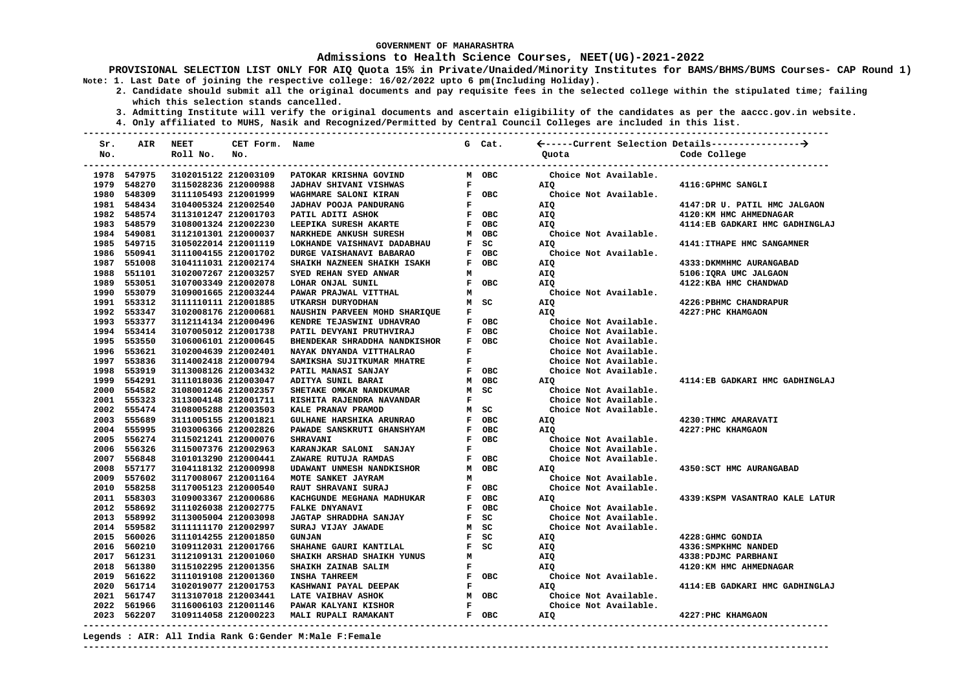### **Admissions to Health Science Courses, NEET(UG)-2021-2022**

**PROVISIONAL SELECTION LIST ONLY FOR AIQ Quota 15% in Private/Unaided/Minority Institutes for BAMS/BHMS/BUMS Courses- CAP Round 1) Note: 1. Last Date of joining the respective college: 16/02/2022 upto 6 pm(Including Holiday).**

 **2. Candidate should submit all the original documents and pay requisite fees in the selected college within the stipulated time; failing which this selection stands cancelled.**

 **3. Admitting Institute will verify the original documents and ascertain eligibility of the candidates as per the aaccc.gov.in website.**

 **4. Only affiliated to MUHS, Nasik and Recognized/Permitted by Central Council Colleges are included in this list.**

| Sr.<br>No. |             | AIR NEET<br>Roll No. No. | CET Form. Name |                                                                                                                                                                                        |                |                                                     | Quota                 | Code College                    |
|------------|-------------|--------------------------|----------------|----------------------------------------------------------------------------------------------------------------------------------------------------------------------------------------|----------------|-----------------------------------------------------|-----------------------|---------------------------------|
|            | 1978 547975 | 3102015122 212003109     |                | PATOKAR KRISHNA GOVIND                                                                                                                                                                 |                | M OBC                                               | Choice Not Available. |                                 |
|            | 1979 548270 | 3115028236 212000988     |                | <b>JADHAV SHIVANI VISHWAS</b>                                                                                                                                                          |                | $\mathbf{F}$ and $\mathbf{F}$                       | AIQ                   | 4116: GPHMC SANGLI              |
|            | 1980 548309 | 3111105493 212001999     |                | WAGHMARE SALONI KIRAN                                                                                                                                                                  |                | F OBC                                               | Choice Not Available. |                                 |
|            | 1981 548434 | 3104005324 212002540     |                | JADHAV POOJA PANDURANG                                                                                                                                                                 |                | <b>Example 19</b>                                   | AIO                   | 4147:DR U. PATIL HMC JALGAON    |
|            | 1982 548574 | 3113101247 212001703     |                | PATIL ADITI ASHOK                                                                                                                                                                      |                | F OBC                                               | AIQ                   | 4120:KM HMC AHMEDNAGAR          |
|            | 1983 548579 | 3108001324 212002230     |                | LEEPIKA SURESH AKARTE                                                                                                                                                                  |                |                                                     | AIO                   | 4114:EB GADKARI HMC GADHINGLAJ  |
|            | 1984 549081 | 3112101301 212000037     |                | <b>NARKHEDE ANKUSH SURESH</b>                                                                                                                                                          |                | F OBC<br>M OBC<br>M OBC                             | Choice Not Available. |                                 |
|            | 1985 549715 | 3105022014 212001119     |                | LOKHANDE VAISHNAVI DADABHAU                                                                                                                                                            |                | F SC                                                | AIQ                   | 4141: ITHAPE HMC SANGAMNER      |
|            | 1986 550941 | 3111004155 212001702     |                | DURGE VAISHANAVI BABARAO                                                                                                                                                               |                | F OBC                                               | Choice Not Available. |                                 |
|            | 1987 551008 | 3104111031 212002174     |                |                                                                                                                                                                                        |                | F OBC                                               | AIQ                   | 4333: DKMMHMC AURANGABAD        |
|            | 1988 551101 | 3102007267 212003257     |                | SHAIKH NAZNEEN SHAIKH ISAKH<br>SYED REHAN SYED ANWAR                                                                                                                                   | M              |                                                     | AIO                   | 5106: IQRA UMC JALGAON          |
|            | 1989 553051 | 3107003349 212002078     |                | LOHAR ONJAL SUNIL                                                                                                                                                                      |                | F OBC                                               | AIQ                   | 4122: KBA HMC CHANDWAD          |
|            | 1990 553079 | 3109001665 212003244     |                | PAWAR PRAJWAL VITTHAL                                                                                                                                                                  |                | M                                                   | Choice Not Available. |                                 |
|            | 1991 553312 | 3111110111 212001885     |                | UTKARSH DURYODHAN                                                                                                                                                                      |                | M SC                                                | AIQ                   | 4226: PBHMC CHANDRAPUR          |
|            | 1992 553347 | 3102008176 212000681     |                | NAUSHIN PARVEEN MOHD SHARIQUE                                                                                                                                                          |                | $\mathbf{F}$ and $\mathbf{F}$                       | AIQ                   | 4227: PHC KHAMGAON              |
|            | 1993 553377 | 3112114134 212000496     |                | KENDRE TEJASWINI UDHAVRAO                                                                                                                                                              |                | F OBC                                               | Choice Not Available. |                                 |
|            | 1994 553414 | 3107005012 212001738     |                | PATIL DEVYANI PRUTHVIRAJ                                                                                                                                                               |                | F OBC                                               | Choice Not Available. |                                 |
|            | 1995 553550 | 3106006101 212000645     |                | BHENDEKAR SHRADDHA NANDKISHOR                                                                                                                                                          |                | F OBC                                               | Choice Not Available. |                                 |
|            | 1996 553621 | 3102004639 212002401     |                | NAYAK DNYANDA VITTHALRAO                                                                                                                                                               | $\mathbf{F}$   |                                                     | Choice Not Available. |                                 |
|            | 1997 553836 | 3114002418 212000794     |                | SAMIKSHA SUJITKUMAR MHATRE                                                                                                                                                             |                | $\overline{\mathbf{F}}$ and $\overline{\mathbf{F}}$ | Choice Not Available. |                                 |
|            | 1998 553919 | 3113008126 212003432     |                | PATIL MANASI SANJAY                                                                                                                                                                    |                | F OBC                                               | Choice Not Available. |                                 |
|            | 1999 554291 | 3111018036 212003047     |                | ADITYA SUNIL BARAI                                                                                                                                                                     |                | M OBC                                               | AIO                   | 4114: EB GADKARI HMC GADHINGLAJ |
|            | 2000 554582 | 3108001246 212002357     |                | SHETAKE OMKAR NANDKUMAR                                                                                                                                                                |                | M SC                                                | Choice Not Available. |                                 |
|            | 2001 555323 | 3113004148 212001711     |                | RISHITA RAJENDRA NAVANDAR                                                                                                                                                              |                | $\mathbf{F}$ and $\mathbf{F}$                       | Choice Not Available. |                                 |
|            | 2002 555474 | 3108005288 212003503     |                | KALE PRANAV PRAMOD                                                                                                                                                                     |                | M SC                                                | Choice Not Available. |                                 |
|            | 2003 555689 | 3111005155 212001821     |                | GULHANE HARSHIKA ARUNRAO                                                                                                                                                               |                | F OBC                                               | AIQ                   | 4230:THMC AMARAVATI             |
|            | 2004 555995 | 3103006366 212002826     |                | PAWADE SANSKRUTI GHANSHYAM                                                                                                                                                             |                | F OBC                                               | AIO                   | 4227: PHC KHAMGAON              |
|            | 2005 556274 | 3115021241 212000076     |                | <b>SHRAVANI</b>                                                                                                                                                                        |                | F OBC                                               | Choice Not Available. |                                 |
|            | 2006 556326 | 3115007376 212002963     |                | KARANJKAR SALONI SANJAY                                                                                                                                                                | $\mathbf{F}$ . |                                                     | Choice Not Available. |                                 |
|            | 2007 556848 | 3101013290 212000441     |                | ZAWARE RUTUJA RAMDAS                                                                                                                                                                   |                | F OBC                                               | Choice Not Available. |                                 |
|            | 2008 557177 | 3104118132 212000998     |                | UDAWANT UNMESH NANDKISHOR                                                                                                                                                              |                | M OBC                                               | AIQ                   | 4350: SCT HMC AURANGABAD        |
|            | 2009 557602 | 3117008067 212001164     |                | MOTE SANKET JAYRAM                                                                                                                                                                     | M              |                                                     | Choice Not Available. |                                 |
|            | 2010 558258 | 3117005123 212000540     |                | RAUT SHRAVANI SURAJ                                                                                                                                                                    |                | F OBC                                               | Choice Not Available. |                                 |
|            | 2011 558303 | 3109003367 212000686     |                | $\begin{tabular}{lllllllllll} \bf{RAUT} & \tt SHRAVAN1 & \tt SURANA & \tt MADHUKAR & \tt F & \tt OBC \\ \bf KACHGUNDE & \tt MEGHANA & \tt MADHUKAR & \tt F & \tt OBC \\ \end{tabular}$ |                |                                                     | AIO                   | 4339: KSPM VASANTRAO KALE LATUR |
|            | 2012 558692 | 3111026038 212002775     |                |                                                                                                                                                                                        |                |                                                     | Choice Not Available. |                                 |
|            | 2013 558992 | 3113005004 212003098     |                | <b>JAGTAP SHRADDHA SANJAY</b>                                                                                                                                                          |                | F SC                                                | Choice Not Available. |                                 |
|            | 2014 559582 | 3111111170 212002997     |                | SURAJ VIJAY JAWADE                                                                                                                                                                     | M SC           |                                                     | Choice Not Available. |                                 |
|            | 2015 560026 | 3111014255 212001850     |                | <b>GUNJAN</b>                                                                                                                                                                          |                | $F$ SC                                              | AIQ                   | 4228: GHMC GONDIA               |
|            | 2016 560210 | 3109112031 212001766     |                | SHAHANE GAURI KANTILAL                                                                                                                                                                 |                | $F$ SC                                              | AIQ                   | 4336: SMPKHMC NANDED            |
|            | 2017 561231 | 3112109131 212001060     |                | SHAIKH ARSHAD SHAIKH YUNUS                                                                                                                                                             | M              |                                                     | AIQ                   | 4338: PDJMC PARBHANI            |
|            | 2018 561380 | 3115102295 212001356     |                | SHAIKH ZAINAB SALIM                                                                                                                                                                    |                | $\mathbf{F}$ and $\mathbf{F}$                       | AIQ                   | 4120: KM HMC AHMEDNAGAR         |
|            | 2019 561622 | 3111019108 212001360     |                | <b>INSHA TAHREEM</b>                                                                                                                                                                   |                | F OBC                                               | Choice Not Available. |                                 |
|            | 2020 561714 | 3102019077 212001753     |                | KASHWANI PAYAL DEEPAK                                                                                                                                                                  |                | $\mathbf{F}$ and $\mathbf{F}$                       | AIO                   | 4114: EB GADKARI HMC GADHINGLAJ |
|            | 2021 561747 | 3113107018 212003441     |                | LATE VAIBHAV ASHOK                                                                                                                                                                     |                |                                                     | Choice Not Available. |                                 |
|            | 2022 561966 | 3116006103 212001146     |                | M OBC<br>F<br>PAWAR KALYANI KISHOR                                                                                                                                                     |                |                                                     | Choice Not Available. |                                 |
|            | 2023 562207 | 3109114058 212000223     |                | MALI RUPALI RAMAKANT                                                                                                                                                                   |                | F OBC                                               | AIO                   | 4227: PHC KHAMGAON              |
|            |             |                          |                |                                                                                                                                                                                        |                |                                                     |                       |                                 |

#### **Legends : AIR: All India Rank G:Gender M:Male F:Female**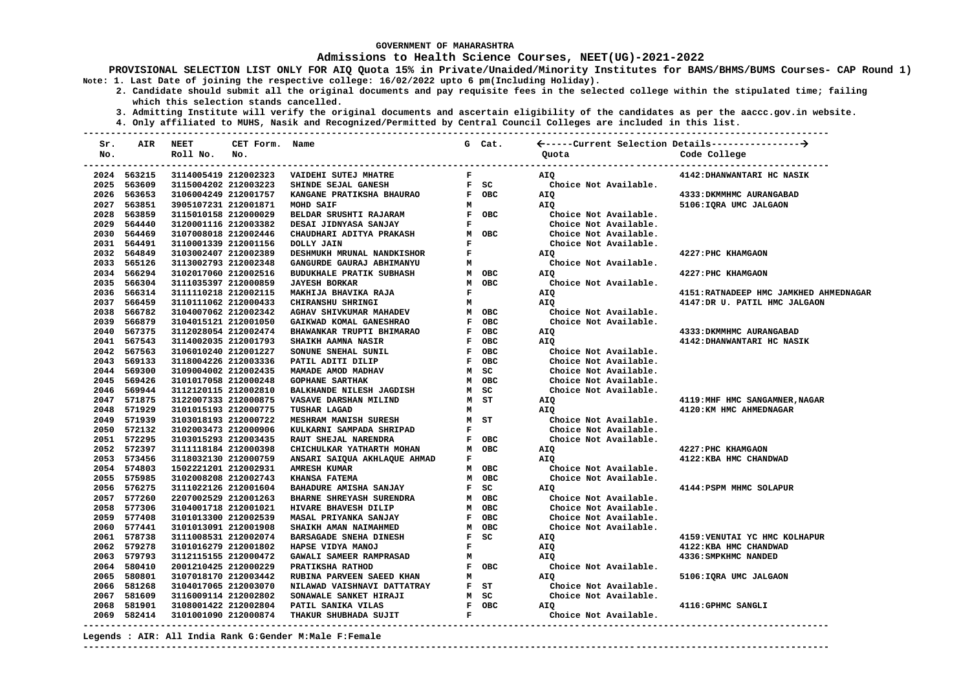#### **Admissions to Health Science Courses, NEET(UG)-2021-2022**

**PROVISIONAL SELECTION LIST ONLY FOR AIQ Quota 15% in Private/Unaided/Minority Institutes for BAMS/BHMS/BUMS Courses- CAP Round 1) Note: 1. Last Date of joining the respective college: 16/02/2022 upto 6 pm(Including Holiday).**

- **2. Candidate should submit all the original documents and pay requisite fees in the selected college within the stipulated time; failing which this selection stands cancelled.**
- **3. Admitting Institute will verify the original documents and ascertain eligibility of the candidates as per the aaccc.gov.in website.**
- **4. Only affiliated to MUHS, Nasik and Recognized/Permitted by Central Council Colleges are included in this list.**

**--------------------------------------------------------------------------------------------------------------------------------------- Sr. AIR NEET CET Form. Name G Cat. -----Current Selection Details---------------- No. Roll No. No. Quota Code College --------------------------------------------------------------------------------------------------------------------------------------- --------------------------------------------------------------------------------------------------------------------------------------- 2024 563215 3114005419 212002323 VAIDEHI SUTEJ MHATRE F AIQ 4142:DHANWANTARI HC NASIK 2025 563609 3115004202 212003223 SHINDE SEJAL GANESH F SC Choice Not Available. 2026 563653 3106004249 212001757 KANGANE PRATIKSHA BHAURAO F OBC AIQ 4333:DKMMHMC AURANGABAD 2027 563851 3905107231 212001871 MOHD SAIF M AIQ 5106:IQRA UMC JALGAON 2028 563859 3115010158 212000029 BELDAR SRUSHTI RAJARAM F OBC Choice Not Available. 2029 564440 3120001116 212003382 DESAI JIDNYASA SANJAY F Choice Not Available. 2030 564469 3107008018 212002446 CHAUDHARI ADITYA PRAKASH M OBC Choice Not Available. 2031 564491 3110001339 212001156 DOLLY JAIN F Choice Not Available. 2032 564849 3103002407 212002389 DESHMUKH MRUNAL NANDKISHOR F AIQ 4227:PHC KHAMGAON 2033 565126 3113002793 212002348 GANGURDE GAURAJ ABHIMANYU M Choice Not Available. 2034 566294 3102017060 212002516 BUDUKHALE PRATIK SUBHASH M OBC AIQ 4227:PHC KHAMGAON 2035 566304 3111035397 212000859 JAYESH BORKAR M OBC Choice Not Available. 2036 566314 3111110218 212002115 MAKHIJA BHAVIKA RAJA F AIQ 4151:RATNADEEP HMC JAMKHED AHMEDNAGAR 2037 566459 3110111062 212000433 CHIRANSHU SHRINGI M AIQ 4147:DR U. PATIL HMC JALGAON 2038 566782 3104007062 212002342 AGHAV SHIVKUMAR MAHADEV M OBC Choice Not Available. 2039 566879 3104015121 212001050 GAIKWAD KOMAL GANESHRAO F OBC Choice Not Available. 2040 567375 3112028054 212002474 BHAWANKAR TRUPTI BHIMARAO F OBC AIQ 4333:DKMMHMC AURANGABAD 2041 567543 3114002035 212001793 SHAIKH AAMNA NASIR F OBC AIQ 4142:DHANWANTARI HC NASIK 2042 567563 3106010240 212001227 SONUNE SNEHAL SUNIL F OBC Choice Not Available. 2043 569133 3118004226 212003336 PATIL ADITI DILIP F OBC Choice Not Available.**  2044 569300 3109004002 212002435 2045 569426 3101017058 212000248 GOPHANE SARTHAK M OBC Choice Not Available.<br>2046 569944 3112120115 212002810 BALKHANDE NILESH JAGDISH M SC Choice Not Available.  **2046 569944 3112120115 212002810 BALKHANDE NILESH JAGDISH M SC CHOICE AVAILABLE AVAILABLE AVAILABLE POST AVAIL**<br>2047 571875 3122007333 212000875 VASAVE DARSHAN MILIND M M ST AIO  **2047 571875 3122007333 212000875 VASAVE DARSHAN MILIND M ST AIQ 4119:MHF HMC SANGAMNER,NAGAR 2048 571929 3101015193 212000775 TUSHAR LAGAD M AIQ 4120:KM HMC AHMEDNAGAR 2049 571939 3103018193 212000722 MESHRAM MANISH SURESH M ST Choice Not Available. 2050 572132 3102003473 212000906 KULKARNI SAMPADA SHRIPAD F Choice Not Available. 2051 572295 3103015293 212003435 RAUT SHEJAL NARENDRA F OBC Choice Not Available. 2052 572397 3111118184 212000398 CHICHULKAR YATHARTH MOHAN M OBC AIQ 4227:PHC KHAMGAON 2053 573456 3118032130 212000759 ANSARI SAIQUA AKHLAQUE AHMAD F AIQ 4122:KBA HMC CHANDWAD 2054 574803 1502221201 212002931 AMRESH KUMAR M OBC Choice Not Available. 2055 575985 3102008208 212002743 KHANSA FATEMA M OBC Choice Not Available. 2056 576275 3111022126 212001604 BAHADURE AMISHA SANJAY F SC AIQ 4144:PSPM MHMC SOLAPUR 2057 577260 2207002529 212001263 BHARNE SHREYASH SURENDRA M OBC Choice Not Available. 2058 577306 3104001718 212001021 HIVARE BHAVESH DILIP M OBC Choice Not Available. 2059 577408 3101013300 212002539 MASAL PRIYANKA SANJAY F OBC Choice Not Available. 2060 577441 3101013091 212001908 SHAIKH AMAN NAIMAHMED M OBC Choice Not Available. 2061 578738 3111008531 212002074 BARSAGADE SNEHA DINESH F SC AIQ 4159:VENUTAI YC HMC KOLHAPUR 2062 579278 3101016279 212001802 HAPSE VIDYA MANOJ F 2063 579793 3112115155 212000472 GAWALI SAMEER RAMPRASAD M AIQ 4336:SMPKHMC NANDED 2064 580410 2001210425 212000229 PRATIKSHA RATHOD F OBC Choice Not Available. 2065 580801 3107018170 212003442 RUBINA PARVEEN SAEED KHAN M AIQ 5106:IQRA UMC JALGAON 2066 581268 3104017065 212003070 NILAWAD VAISHNAVI DATTATRAY F ST Choice Not Available. 2067 581609 3116009114 212002802 SONAWALE SANKET HIRAJI M SC Choice Not Available. 2068 581901 3108001422 212002804 PATIL SANIKA VILAS F OBC AIQ 4116:GPHMC SANGLI 2069 582414 3101001090 212000874 THAKUR SHUBHADA SUJIT F Choice Not Available.** 

**Legends : AIR: All India Rank G:Gender M:Male F:Female** 

**<sup>---------------------------------------------------------------------------------------------------------------------------------------</sup>**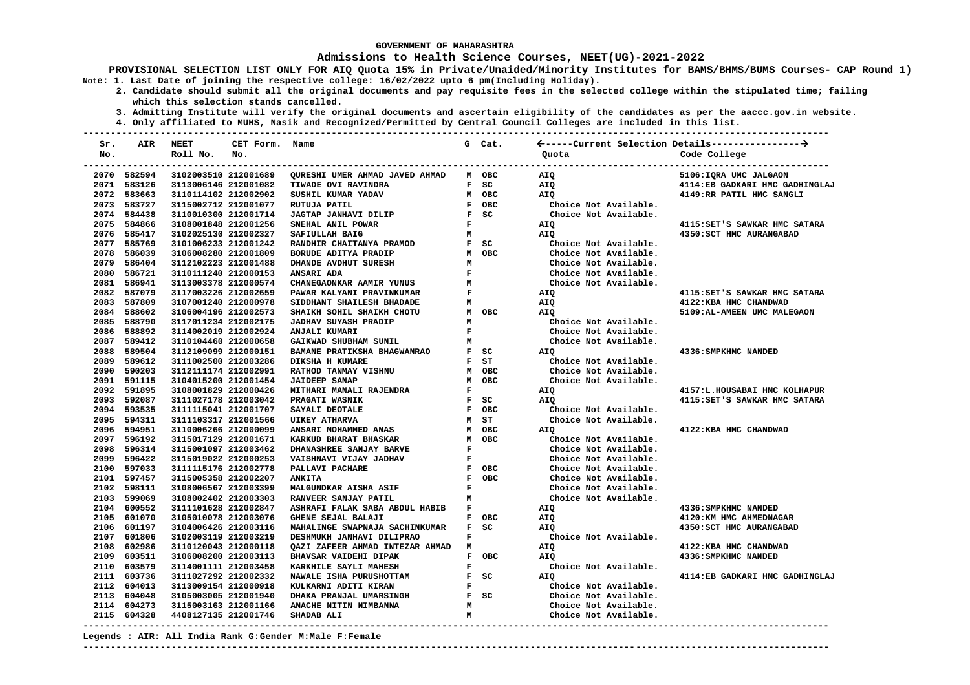### **Admissions to Health Science Courses, NEET(UG)-2021-2022**

**PROVISIONAL SELECTION LIST ONLY FOR AIQ Quota 15% in Private/Unaided/Minority Institutes for BAMS/BHMS/BUMS Courses- CAP Round 1) Note: 1. Last Date of joining the respective college: 16/02/2022 upto 6 pm(Including Holiday).**

 **2. Candidate should submit all the original documents and pay requisite fees in the selected college within the stipulated time; failing which this selection stands cancelled.**

 **3. Admitting Institute will verify the original documents and ascertain eligibility of the candidates as per the aaccc.gov.in website.**

 **4. Only affiliated to MUHS, Nasik and Recognized/Permitted by Central Council Colleges are included in this list.**

| Sr.<br>No. |             | <b>AIR NEET</b><br>Roll No. | CET Form. Name<br>No. |                                 |              | G Cat.                        | Quota                 | Code College                   |
|------------|-------------|-----------------------------|-----------------------|---------------------------------|--------------|-------------------------------|-----------------------|--------------------------------|
|            | 2070 582594 | 3102003510 212001689        |                       | QURESHI UMER AHMAD JAVED AHMAD  |              | M OBC                         | AIQ                   | 5106: IQRA UMC JALGAON         |
|            | 2071 583126 | 3113006146 212001082        |                       | TIWADE OVI RAVINDRA             |              | $F$ SC                        | AIQ                   | 4114:EB GADKARI HMC GADHINGLAJ |
|            | 2072 583663 | 3110114102 212002902        |                       | SUSHIL KUMAR YADAV              |              | M OBC                         | AIQ                   | 4149:RR PATIL HMC SANGLI       |
|            | 2073 583727 | 3115002712 212001077        |                       | RUTUJA PATIL                    |              | F OBC                         | Choice Not Available. |                                |
|            | 2074 584438 | 3110010300 212001714        |                       | JAGTAP JANHAVI DILIP            |              | $F$ SC                        | Choice Not Available. |                                |
|            | 2075 584866 | 3108001848 212001256        |                       | SNEHAL ANIL POWAR               | $\mathbf{F}$ |                               | AIQ                   | 4115: SET'S SAWKAR HMC SATARA  |
|            | 2076 585417 | 3102025130 212002327        |                       | SAFIULLAH BAIG                  | M            |                               | AIQ                   | 4350: SCT HMC AURANGABAD       |
|            | 2077 585769 | 3101006233 212001242        |                       | RANDHIR CHAITANYA PRAMOD        |              | $F$ SC                        | Choice Not Available. |                                |
|            | 2078 586039 | 3106008280 212001809        |                       | BORUDE ADITYA PRADIP            |              | M OBC                         | Choice Not Available. |                                |
|            | 2079 586404 | 3112102223 212001488        |                       | DHANDE AVDHUT SURESH            | м            |                               | Choice Not Available. |                                |
|            | 2080 586721 | 3110111240 212000153        |                       | ANSARI ADA                      | $\mathbf{F}$ |                               | Choice Not Available. |                                |
|            | 2081 586941 | 3113003378 212000574        |                       | CHANEGAONKAR AAMIR YUNUS        | м            |                               | Choice Not Available. |                                |
|            | 2082 587079 | 3117003226 212002659        |                       | PAWAR KALYANI PRAVINKUMAR       | F            |                               | AIQ                   | 4115: SET'S SAWKAR HMC SATARA  |
|            | 2083 587809 | 3107001240 212000978        |                       | SIDDHANT SHAILESH BHADADE       | м            |                               | AIQ                   | 4122: KBA HMC CHANDWAD         |
|            | 2084 588602 | 3106004196 212002573        |                       | SHAIKH SOHIL SHAIKH CHOTU       |              | M OBC                         | AIQ                   | 5109:AL-AMEEN UMC MALEGAON     |
|            | 2085 588790 | 3117011234 212002175        |                       | <b>JADHAV SUYASH PRADIP</b>     | M            |                               | Choice Not Available. |                                |
|            | 2086 588892 | 3114002019 212002924        |                       | ANJALI KUMARI                   | $\mathbf{F}$ |                               | Choice Not Available. |                                |
|            | 2087 589412 | 3110104460 212000658        |                       | GAIKWAD SHUBHAM SUNIL           | м            |                               | Choice Not Available. |                                |
|            | 2088 589504 | 3112109099 212000151        |                       | BAMANE PRATIKSHA BHAGWANRAO     |              | $F$ SC                        | AIQ                   | 4336: SMPKHMC NANDED           |
|            | 2089 589612 | 3111002500 212003286        |                       | <b>DIKSHA H KUMARE</b>          |              | F ST                          | Choice Not Available. |                                |
|            | 2090 590203 | 3112111174 212002991        |                       | RATHOD TANMAY VISHNU            |              | M OBC                         | Choice Not Available. |                                |
|            | 2091 591115 | 3104015200 212001454        |                       | <b>JAIDEEP SANAP</b>            |              | M OBC                         | Choice Not Available. |                                |
|            | 2092 591895 | 3108001829 212000426        |                       | MITHARI MANALI RAJENDRA         | $\mathbf{F}$ |                               | AIQ                   | 4157:L.HOUSABAI HMC KOLHAPUR   |
|            | 2093 592087 | 3111027178 212003042        |                       | PRAGATI WASNIK                  |              | F SC                          | AIQ                   | 4115: SET'S SAWKAR HMC SATARA  |
|            | 2094 593535 | 3111115041 212001707        |                       | SAYALI DEOTALE                  |              | F OBC<br>M ST<br>M OBC        | Choice Not Available. |                                |
|            | 2095 594311 | 3111103317 212001566        |                       | <b>UIKEY ATHARVA</b>            |              |                               | Choice Not Available. |                                |
|            | 2096 594951 | 3110006266 212000099        |                       | ANSARI MOHAMMED ANAS            |              |                               | AIO                   | 4122: KBA HMC CHANDWAD         |
|            | 2097 596192 | 3115017129 212001671        |                       | <b>KARKUD BHARAT BHASKAR</b>    |              | M OBC                         | Choice Not Available. |                                |
|            | 2098 596314 | 3115001097 212003462        |                       | DHANASHREE SANJAY BARVE         | $\mathbf{F}$ |                               | Choice Not Available. |                                |
|            | 2099 596422 | 3115019022 212000253        |                       | VAISHNAVI VIJAY JADHAV          | $\mathbf{F}$ |                               | Choice Not Available. |                                |
|            | 2100 597033 | 3111115176 212002778        |                       | PALLAVI PACHARE                 |              | F OBC                         | Choice Not Available. |                                |
|            | 2101 597457 | 3115005358 212002207        |                       | <b>ANKITA</b>                   |              | F OBC                         | Choice Not Available. |                                |
|            | 2102 598111 | 3108006567 212003399        |                       | MALGUNDKAR AISHA ASIF           | $\mathbf{F}$ |                               | Choice Not Available. |                                |
|            | 2103 599069 | 3108002402 212003303        |                       | RANVEER SANJAY PATIL            | м            |                               | Choice Not Available. |                                |
|            | 2104 600552 | 3111101628 212002847        |                       | ASHRAFI FALAK SABA ABDUL HABIB  | F            |                               | AIQ                   | 4336: SMPKHMC NANDED           |
|            | 2105 601070 | 3105010078 212003076        |                       | GHENE SEJAL BALAJI              |              | F OBC                         | AIQ                   | 4120: KM HMC AHMEDNAGAR        |
|            | 2106 601197 | 3104006426 212003116        |                       | MAHALINGE SWAPNAJA SACHINKUMAR  |              | $F$ SC                        | <b>AIO</b>            | 4350: SCT HMC AURANGABAD       |
|            | 2107 601806 | 3102003119 212003219        |                       | DESHMUKH JANHAVI DILIPRAO       | F            |                               | Choice Not Available. |                                |
|            | 2108 602986 | 3110120043 212000118        |                       | QAZI ZAFEER AHMAD INTEZAR AHMAD | м            |                               | AIQ                   | 4122: KBA HMC CHANDWAD         |
|            | 2109 603511 | 3106008200 212003113        |                       | BHAVSAR VAIDEHI DIPAK           |              | F OBC                         | AIQ                   | 4336: SMPKHMC NANDED           |
|            | 2110 603579 | 3114001111 212003458        |                       | KARKHILE SAYLI MAHESH           | ${\bf F}$    |                               | Choice Not Available. |                                |
|            | 2111 603736 | 3111027292 212002332        |                       | NAWALE ISHA PURUSHOTTAM         |              | $F$ SC                        | AIO                   | 4114:EB GADKARI HMC GADHINGLAJ |
|            | 2112 604013 | 3113009154 212000918        |                       | KULKARNI ADITI KIRAN            |              | $\mathbf{F}$ and $\mathbf{F}$ | Choice Not Available. |                                |
|            | 2113 604048 | 3105003005 212001940        |                       | DHAKA PRANJAL UMARSINGH         |              | $F$ SC                        | Choice Not Available. |                                |
|            | 2114 604273 | 3115003163 212001166        |                       | ANACHE NITIN NIMBANNA           | M            |                               | Choice Not Available. |                                |
|            | 2115 604328 | 4408127135 212001746        |                       | <b>SHADAB ALI</b>               | M            |                               | Choice Not Available. |                                |
|            |             |                             |                       |                                 |              |                               |                       |                                |

**Legends : AIR: All India Rank G:Gender M:Male F:Female**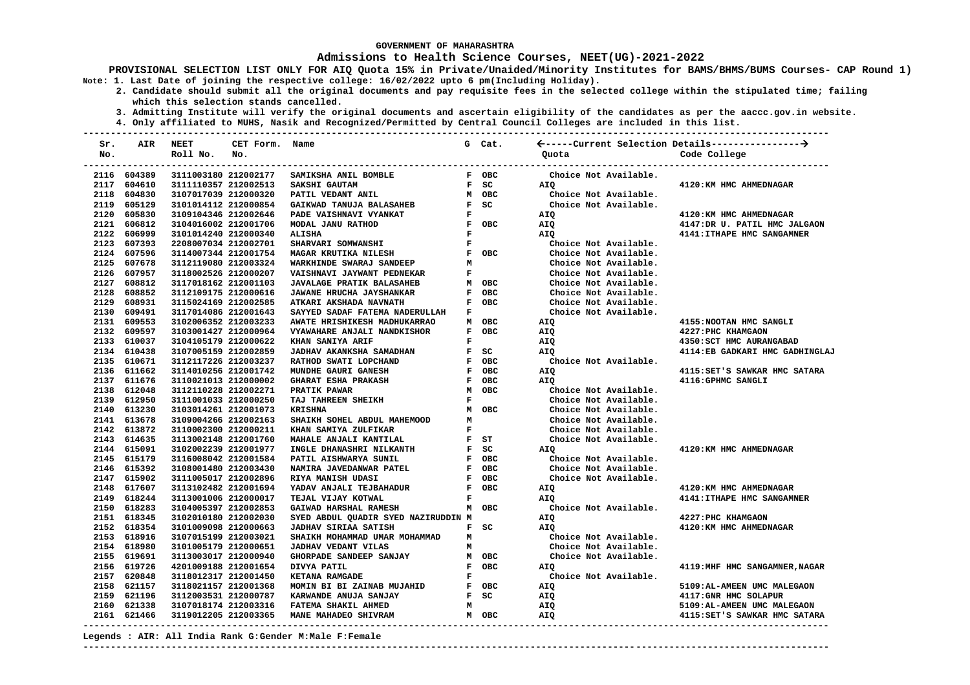### **Admissions to Health Science Courses, NEET(UG)-2021-2022**

**PROVISIONAL SELECTION LIST ONLY FOR AIQ Quota 15% in Private/Unaided/Minority Institutes for BAMS/BHMS/BUMS Courses- CAP Round 1) Note: 1. Last Date of joining the respective college: 16/02/2022 upto 6 pm(Including Holiday).**

 **2. Candidate should submit all the original documents and pay requisite fees in the selected college within the stipulated time; failing which this selection stands cancelled.**

 **3. Admitting Institute will verify the original documents and ascertain eligibility of the candidates as per the aaccc.gov.in website.**

 **4. Only affiliated to MUHS, Nasik and Recognized/Permitted by Central Council Colleges are included in this list.**

| Sr.  | AIR         | <b>NEET</b>          | CET Form. Name |                                     |              | G Cat.     |                       |                                |
|------|-------------|----------------------|----------------|-------------------------------------|--------------|------------|-----------------------|--------------------------------|
| No.  |             | Roll No.             | No.            |                                     |              |            | Quota                 | Code College                   |
|      | 2116 604389 | 3111003180 212002177 |                | SAMIKSHA ANIL BOMBLE                |              | F OBC      | Choice Not Available. |                                |
|      | 2117 604610 | 3111110357 212002513 |                | SAKSHI GAUTAM                       |              | F SC       | AIO                   | 4120:KM HMC AHMEDNAGAR         |
|      | 2118 604830 | 3107017039 212000320 |                | PATIL VEDANT ANIL                   |              | M OBC      | Choice Not Available. |                                |
|      | 2119 605129 | 3101014112 212000854 |                | GAIKWAD TANUJA BALASAHEB            |              | $F$ SC     | Choice Not Available. |                                |
| 2120 | 605830      | 3109104346 212002646 |                | PADE VAISHNAVI VYANKAT              | F            |            | AIO                   | 4120: KM HMC AHMEDNAGAR        |
|      | 2121 606812 | 3104016002 212001706 |                | MODAL JANU RATHOD                   |              | F OBC      | AIQ                   | 4147:DR U. PATIL HMC JALGAON   |
|      | 2122 606999 | 3101014240 212000340 |                | <b>ALISHA</b>                       | F            |            | <b>AIQ</b>            | 4141: ITHAPE HMC SANGAMNER     |
|      | 2123 607393 | 2208007034 212002701 |                | SHARVARI SOMWANSHI                  | $\mathbf F$  |            | Choice Not Available. |                                |
|      | 2124 607596 | 3114007344 212001754 |                | MAGAR KRUTIKA NILESH                | ${\bf F}$    | OBC        | Choice Not Available. |                                |
|      | 2125 607678 | 3112119080 212003324 |                | WARKHINDE SWARAJ SANDEEP            | М            |            | Choice Not Available. |                                |
|      | 2126 607957 | 3118002526 212000207 |                | VAISHNAVI JAYWANT PEDNEKAR          | F            |            | Choice Not Available. |                                |
|      | 2127 608812 | 3117018162 212001103 |                | <b>JAVALAGE PRATIK BALASAHEB</b>    |              | M OBC      | Choice Not Available. |                                |
|      | 2128 608852 | 3112109175 212000616 |                | <b>JAWANE HRUCHA JAYSHANKAR</b>     | F            | OBC        | Choice Not Available. |                                |
| 2129 | 608931      | 3115024169 212002585 |                | ATKARI AKSHADA NAVNATH              | F            | <b>OBC</b> | Choice Not Available. |                                |
|      | 2130 609491 | 3117014086 212001643 |                | SAYYED SADAF FATEMA NADERULLAH      | $\mathbf F$  |            | Choice Not Available. |                                |
|      | 2131 609553 | 3102006352 212003233 |                | AWATE HRISHIKESH MADHUKARRAO        | M            | <b>OBC</b> | <b>AIQ</b>            | 4155: NOOTAN HMC SANGLI        |
|      | 2132 609597 | 3103001427 212000964 |                | VYAWAHARE ANJALI NANDKISHOR         | F            | OBC        | AIQ                   | 4227: PHC KHAMGAON             |
|      | 2133 610037 | 3104105179 212000622 |                | KHAN SANIYA ARIF                    | F            |            | AIQ                   | 4350: SCT HMC AURANGABAD       |
|      | 2134 610438 | 3107005159 212002859 |                | <b>JADHAV AKANKSHA SAMADHAN</b>     |              | F SC       | <b>AIO</b>            | 4114:EB GADKARI HMC GADHINGLAJ |
|      | 2135 610671 | 3112117226 212003237 |                | RATHOD SWATI LOPCHAND               |              | F OBC      | Choice Not Available. |                                |
|      | 2136 611662 | 3114010256 212001742 |                | MUNDHE GAURI GANESH                 |              | F OBC      | AIQ                   | 4115: SET'S SAWKAR HMC SATARA  |
|      | 2137 611676 | 3110021013 212000002 |                | <b>GHARAT ESHA PRAKASH</b>          | F            | OBC        | AIQ                   | 4116: GPHMC SANGLI             |
|      | 2138 612048 | 3112110228 212002271 |                | PRATIK PAWAR                        | м            | <b>OBC</b> | Choice Not Available. |                                |
|      | 2139 612950 | 3111001033 212000250 |                | TAJ TAHREEN SHEIKH                  | F            |            | Choice Not Available. |                                |
|      | 2140 613230 | 3103014261 212001073 |                | <b>KRISHNA</b>                      |              | M OBC      | Choice Not Available. |                                |
|      | 2141 613678 | 3109004266 212002163 |                | SHAIKH SOHEL ABDUL MAHEMOOD         | M            |            | Choice Not Available. |                                |
|      | 2142 613872 | 3110002300 212000211 |                | KHAN SAMIYA ZULFIKAR                | ${\bf F}$    |            | Choice Not Available. |                                |
|      | 2143 614635 | 3113002148 212001760 |                | MAHALE ANJALI KANTILAL              |              | F ST       | Choice Not Available. |                                |
|      | 2144 615091 | 3102002239 212001977 |                | INGLE DHANASHRI NILKANTH            |              | $F$ SC     | AIQ                   | 4120: KM HMC AHMEDNAGAR        |
|      | 2145 615179 | 3116008042 212001584 |                | PATIL AISHWARYA SUNIL               | F            | овс        | Choice Not Available. |                                |
|      | 2146 615392 | 3108001480 212003430 |                | NAMIRA JAVEDANWAR PATEL             | F            | OBC        | Choice Not Available. |                                |
|      | 2147 615902 | 3111005017 212002896 |                | RIYA MANISH UDASI                   | F            | OBC        | Choice Not Available. |                                |
|      | 2148 617607 | 3113102482 212001694 |                | YADAV ANJALI TEJBAHADUR             | F            | OBC        | AIQ                   | 4120: KM HMC AHMEDNAGAR        |
|      | 2149 618244 | 3113001006 212000017 |                | TEJAL VIJAY KOTWAL                  | F            |            | <b>AIO</b>            | 4141: ITHAPE HMC SANGAMNER     |
|      | 2150 618283 | 3104005397 212002853 |                | <b>GAIWAD HARSHAL RAMESH</b>        |              | M OBC      | Choice Not Available. |                                |
|      | 2151 618345 | 3102010180 212002030 |                | SYED ABDUL QUADIR SYED NAZIRUDDIN M |              |            | AIQ                   | 4227: PHC KHAMGAON             |
|      | 2152 618354 | 3101009098 212000663 |                | <b>JADHAV SIRIAA SATISH</b>         |              | F SC       | <b>AIO</b>            | 4120: KM HMC AHMEDNAGAR        |
|      | 2153 618916 | 3107015199 212003021 |                | SHAIKH MOHAMMAD UMAR MOHAMMAD       | м            |            | Choice Not Available. |                                |
|      | 2154 618980 | 3101005179 212000651 |                | JADHAV VEDANT VILAS                 | м            |            | Choice Not Available. |                                |
|      | 2155 619691 | 3113003017 212000940 |                | GHORPADE SANDEEP SANJAY             |              | M OBC      | Choice Not Available. |                                |
|      | 2156 619726 | 4201009188 212001654 |                | DIVYA PATIL                         |              | F OBC      | AIQ                   | 4119: MHF HMC SANGAMNER, NAGAR |
|      | 2157 620848 | 3118012317 212001450 |                | KETANA RAMGADE                      | F            |            | Choice Not Available. |                                |
|      | 2158 621157 | 3118021157 212001368 |                | MOMIN BI BI ZAINAB MUJAHID          | F            | овс        | AIQ                   | 5109:AL-AMEEN UMC MALEGAON     |
|      | 2159 621196 | 3112003531 212000787 |                | KARWANDE ANUJA SANJAY               | $\mathbf{F}$ | SC         | AIQ                   | 4117: GNR HMC SOLAPUR          |
|      | 2160 621338 | 3107018174 212003316 |                | FATEMA SHAKIL AHMED                 | М            |            | AIQ                   | 5109:AL-AMEEN UMC MALEGAON     |
|      | 2161 621466 | 3119012205 212003365 |                | MANE MAHADEO SHIVRAM                |              | M OBC      | AIQ                   | 4115:SET'S SAWKAR HMC SATARA   |
|      |             |                      |                |                                     |              |            |                       |                                |

**<sup>---------------------------------------------------------------------------------------------------------------------------------------</sup>**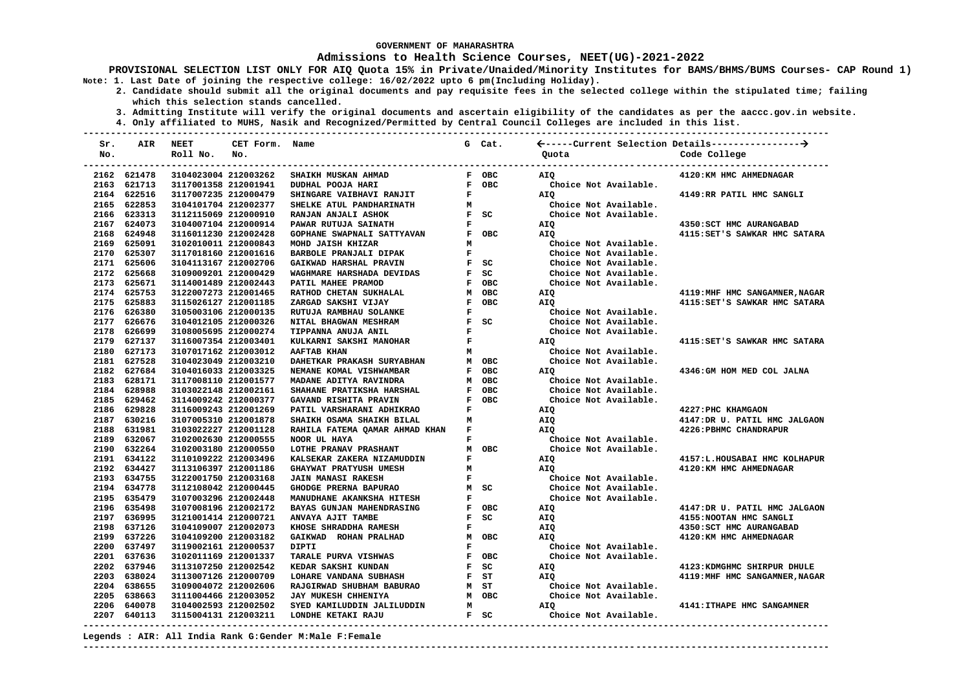### **Admissions to Health Science Courses, NEET(UG)-2021-2022**

**PROVISIONAL SELECTION LIST ONLY FOR AIQ Quota 15% in Private/Unaided/Minority Institutes for BAMS/BHMS/BUMS Courses- CAP Round 1) Note: 1. Last Date of joining the respective college: 16/02/2022 upto 6 pm(Including Holiday).**

 **2. Candidate should submit all the original documents and pay requisite fees in the selected college within the stipulated time; failing which this selection stands cancelled.**

 **3. Admitting Institute will verify the original documents and ascertain eligibility of the candidates as per the aaccc.gov.in website.**

 **4. Only affiliated to MUHS, Nasik and Recognized/Permitted by Central Council Colleges are included in this list.**

| Sr.<br>No. | AIR                        | <b>NEET</b><br>Roll No.                      | CET Form.<br>No. | Name                                              |              | G Cat.       | Quota                                          | Code College                   |
|------------|----------------------------|----------------------------------------------|------------------|---------------------------------------------------|--------------|--------------|------------------------------------------------|--------------------------------|
|            | 2162 621478                | 3104023004 212003262                         |                  | SHAIKH MUSKAN AHMAD                               |              | F OBC        | AIO                                            | 4120: KM HMC AHMEDNAGAR        |
|            | 2163 621713                | 3117001358 212001941                         |                  | DUDHAL POOJA HARI                                 |              | F OBC        | Choice Not Available.                          |                                |
|            | 2164 622516                | 3117007235 212000479                         |                  | SHINGARE VAIBHAVI RANJIT                          | ${\bf F}$    |              | <b>AIQ</b>                                     | 4149:RR PATIL HMC SANGLI       |
|            | 2165 622853                | 3104101704 212002377                         |                  | SHELKE ATUL PANDHARINATH                          | м            |              | Choice Not Available.                          |                                |
|            | 2166 623313                | 3112115069 212000910                         |                  | RANJAN ANJALI ASHOK                               |              | F SC         | Choice Not Available.                          |                                |
|            | 2167 624073                | 3104007104 212000914                         |                  | PAWAR RUTUJA SAINATH                              | $\mathbf{F}$ |              | AIQ                                            | 4350: SCT HMC AURANGABAD       |
|            | 2168 624948                | 3116011230 212002428                         |                  | GOPHANE SWAPNALI SATTYAVAN                        |              | F OBC        | <b>AIO</b>                                     | 4115: SET'S SAWKAR HMC SATARA  |
|            | 2169 625091                | 3102010011 212000843                         |                  | MOHD JAISH KHIZAR                                 | М            |              | Choice Not Available.                          |                                |
|            | 2170 625307                | 3117018160 212001616                         |                  | BARBOLE PRANJALI DIPAK                            | $\mathbf{F}$ |              | Choice Not Available.                          |                                |
|            | 2171 625606                | 3104113167 212002706                         |                  | GAIKWAD HARSHAL PRAVIN                            |              | $F$ SC       | Choice Not Available.                          |                                |
|            | 2172 625668                | 3109009201 212000429                         |                  | WAGHMARE HARSHADA DEVIDAS                         |              | F SC         | Choice Not Available.                          |                                |
|            | 2173 625671                | 3114001489 212002443                         |                  | PATIL MAHEE PRAMOD                                |              | F OBC        | Choice Not Available.                          |                                |
|            | 2174 625753                | 3122007273 212001465                         |                  | RATHOD CHETAN SUKHALAL                            |              | M OBC        | AIQ                                            | 4119: MHF HMC SANGAMNER, NAGAR |
|            | 2175 625883                | 3115026127 212001185                         |                  | ZARGAD SAKSHI VIJAY                               | F            | OBC          | AIQ                                            | 4115: SET'S SAWKAR HMC SATARA  |
|            | 2176 626380                | 3105003106 212000135                         |                  | RUTUJA RAMBHAU SOLANKE                            | F            |              | Choice Not Available.                          |                                |
|            | 2177 626676                | 3104012105 212000326                         |                  | NITAL BHAGWAN MESHRAM                             |              | F SC         | Choice Not Available.                          |                                |
|            | 2178 626699                | 3108005695 212000274                         |                  | TIPPANNA ANUJA ANIL                               | F            |              | Choice Not Available.                          |                                |
|            | 2179 627137                | 3116007354 212003401                         |                  | KULKARNI SAKSHI MANOHAR                           | $\mathbf{F}$ |              | AIO                                            | 4115: SET'S SAWKAR HMC SATARA  |
|            | 2180 627173                | 3107017162 212003012                         |                  | AAFTAB KHAN                                       | м            |              | Choice Not Available.                          |                                |
|            | 2181 627528                | 3104023049 212003210                         |                  | DAHETKAR PRAKASH SURYABHAN                        |              | M OBC        | Choice Not Available.                          |                                |
|            | 2182 627684                | 3104016033 212003325                         |                  | NEMANE KOMAL VISHWAMBAR                           |              | F OBC        | AIO                                            | 4346:GM HOM MED COL JALNA      |
|            | 2183 628171                | 3117008110 212001577                         |                  | MADANE ADITYA RAVINDRA                            |              | M OBC        | Choice Not Available.                          |                                |
|            | 2184 628988                | 3103022148 212002161                         |                  | SHAHANE PRATIKSHA HARSHAL                         |              | F OBC        | Choice Not Available.                          |                                |
|            | 2185 629462                | 3114009242 212000377                         |                  | GAVAND RISHITA PRAVIN                             |              | F OBC        | Choice Not Available.                          |                                |
|            | 2186 629828                | 3116009243 212001269                         |                  | PATIL VARSHARANI ADHIKRAO                         | ${\bf F}$    |              | AIQ                                            | 4227: PHC KHAMGAON             |
|            | 2187 630216                | 3107005310 212001878                         |                  | SHAIKH OSAMA SHAIKH BILAL                         | м            |              | AIQ                                            | 4147:DR U. PATIL HMC JALGAON   |
|            | 2188 631981                | 3103022227 212001128                         |                  | RAHILA FATEMA QAMAR AHMAD KHAN                    | F            |              | AIQ                                            | 4226: PBHMC CHANDRAPUR         |
|            | 2189 632067                | 3102002630 212000555                         |                  | NOOR UL HAYA                                      | F            |              | Choice Not Available.                          |                                |
|            | 2190 632264                | 3102003180 212000550                         |                  | LOTHE PRANAV PRASHANT                             |              | M OBC        | Choice Not Available.                          |                                |
|            | 2191 634122                | 3110109222 212003496                         |                  | KALSEKAR ZAKERA NIZAMUDDIN                        | F            |              | AIQ                                            | 4157:L.HOUSABAI HMC KOLHAPUR   |
|            | 2192 634427                | 3113106397 212001186                         |                  | GHAYWAT PRATYUSH UMESH                            | M            |              | <b>AIQ</b>                                     | 4120: KM HMC AHMEDNAGAR        |
|            | 2193 634755                | 3122001750 212003168                         |                  | <b>JAIN MANASI RAKESH</b>                         | F            |              | Choice Not Available.                          |                                |
|            | 2194 634778                | 3112108042 212000445                         |                  | GHODGE PRERNA BAPURAO                             |              | M SC         | Choice Not Available.                          |                                |
|            | 2195 635479                | 3107003296 212002448                         |                  | MANUDHANE AKANKSHA HITESH                         | $\mathbf F$  |              | Choice Not Available.                          |                                |
|            | 2196 635498                | 3107008196 212002172                         |                  | BAYAS GUNJAN MAHENDRASING                         |              | F OBC        | AIQ                                            | 4147:DR U. PATIL HMC JALGAON   |
|            | 2197 636995                | 3121001414 212000721                         |                  | ANVAYA AJIT TAMBE                                 | $\mathbf{F}$ | SC           | AIQ                                            | 4155: NOOTAN HMC SANGLI        |
|            | 2198 637126                | 3104109007 212002073                         |                  | KHOSE SHRADDHA RAMESH                             | F            |              | AIQ                                            | 4350: SCT HMC AURANGABAD       |
|            | 2199 637226                | 3104109200 212003182                         |                  | GAIKWAD ROHAN PRALHAD                             |              | M OBC        | AIQ                                            | 4120: KM HMC AHMEDNAGAR        |
|            | 2200 637497                | 3119002161 212000537                         |                  | <b>DIPTI</b>                                      | $\mathbf{F}$ |              | Choice Not Available.                          |                                |
|            | 2201 637636                | 3102011169 212001337                         |                  | TARALE PURVA VISHWAS                              |              | F OBC        | Choice Not Available.                          |                                |
|            | 2202 637946                | 3113107250 212002542                         |                  | KEDAR SAKSHI KUNDAN                               |              | F SC         | AIQ                                            | 4123: KDMGHMC SHIRPUR DHULE    |
|            | 2203 638024<br>2204 638655 | 3113007126 212000709                         |                  | LOHARE VANDANA SUBHASH                            |              | F ST<br>M ST | <b>AIQ</b>                                     | 4119: MHF HMC SANGAMNER, NAGAR |
|            | 2205 638663                | 3109004072 212002606                         |                  | RAJGIRWAD SHUBHAM BABURAO                         |              | M OBC        | Choice Not Available.<br>Choice Not Available. |                                |
|            | 2206 640078                | 3111004466 212003052<br>3104002593 212002502 |                  | JAY MUKESH CHHENIYA<br>SYED KAMILUDDIN JALILUDDIN |              |              |                                                | 4141: ITHAPE HMC SANGAMNER     |
|            | 2207 640113                | 3115004131 212003211                         |                  | LONDHE KETAKI RAJU                                | М            | $F$ SC       | AIQ<br>Choice Not Available.                   |                                |
|            |                            |                                              |                  |                                                   |              |              |                                                |                                |

**Legends : AIR: All India Rank G:Gender M:Male F:Female**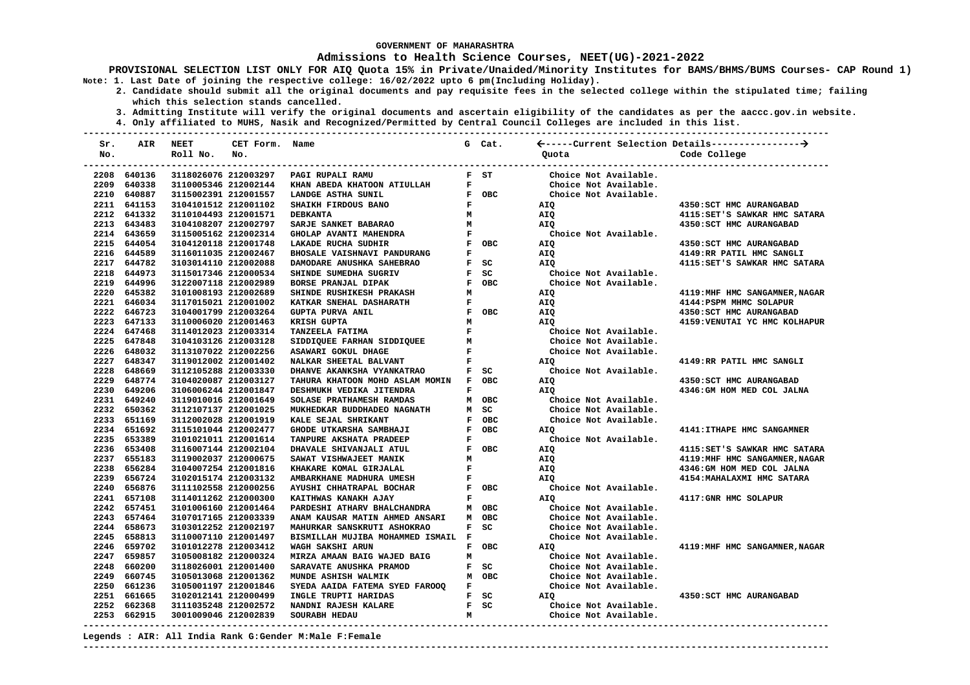### **Admissions to Health Science Courses, NEET(UG)-2021-2022**

**PROVISIONAL SELECTION LIST ONLY FOR AIQ Quota 15% in Private/Unaided/Minority Institutes for BAMS/BHMS/BUMS Courses- CAP Round 1) Note: 1. Last Date of joining the respective college: 16/02/2022 upto 6 pm(Including Holiday).**

 **2. Candidate should submit all the original documents and pay requisite fees in the selected college within the stipulated time; failing which this selection stands cancelled.**

 **3. Admitting Institute will verify the original documents and ascertain eligibility of the candidates as per the aaccc.gov.in website.**

 **4. Only affiliated to MUHS, Nasik and Recognized/Permitted by Central Council Colleges are included in this list.**

| Sr. |                                   | AIR NEET             | CET Form. Name |                                                                                                                          |                               | G Cat.                        |                       |                                       |
|-----|-----------------------------------|----------------------|----------------|--------------------------------------------------------------------------------------------------------------------------|-------------------------------|-------------------------------|-----------------------|---------------------------------------|
| No. |                                   | Roll No.             | No.            |                                                                                                                          |                               |                               | Quota                 | Code College                          |
|     | ------------------<br>2208 640136 | 3118026076 212003297 |                | PAGI RUPALI RAMU                                                                                                         |                               | F ST                          | Choice Not Available. | ------------------------------------- |
|     | 2209 640338                       | 3110005346 212002144 |                | PAGI RUPALI KARU<br>KHAN ABEDA KHATOON ATIULLAH F OB<br>LANDGE ASTHA SUNIL F OB<br>SHAIKH FIRDOUS BANO F M<br>DEDVANTA M |                               | $\mathbf{F}$ and $\mathbf{F}$ | Choice Not Available. |                                       |
|     | 2210 640887                       | 3115002391 212001557 |                |                                                                                                                          |                               | F OBC                         | Choice Not Available. |                                       |
|     | 2211 641153                       | 3104101512 212001102 |                |                                                                                                                          |                               |                               | AIQ                   | 4350: SCT HMC AURANGABAD              |
|     | 2212 641332                       | 3110104493 212001571 |                |                                                                                                                          |                               |                               | AIQ                   | 4115: SET'S SAWKAR HMC SATARA         |
|     | 2213 643483                       | 3104108207 212002797 |                | SARJE SANKET BABARAO                                                                                                     |                               | M                             | <b>AIO</b>            | 4350: SCT HMC AURANGABAD              |
|     | 2214 643659                       | 3115005162 212002314 |                | GHOLAP AVANTI MAHENDRA                                                                                                   | $\mathbf{F}$                  |                               | Choice Not Available. |                                       |
|     | 2215 644054                       | 3104120118 212001748 |                | LAKADE RUCHA SUDHIR                                                                                                      |                               | F OBC                         | AIQ                   | 4350: SCT HMC AURANGABAD              |
|     | 2216 644589                       | 3116011035 212002467 |                | BHOSALE VAISHNAVI PANDURANG                                                                                              | $\mathbf{F}$                  |                               | AIQ                   | 4149:RR PATIL HMC SANGLI              |
|     | 2217 644782                       | 3103014110 212002088 |                | DAMODARE ANUSHKA SAHEBRAO                                                                                                |                               | $F$ SC                        | AIQ                   | 4115: SET'S SAWKAR HMC SATARA         |
|     | 2218 644973                       | 3115017346 212000534 |                | SHINDE SUMEDHA SUGRIV                                                                                                    |                               | $F$ SC                        | Choice Not Available. |                                       |
|     | 2219 644996                       | 3122007118 212002989 |                | BORSE PRANJAL DIPAK                                                                                                      |                               | F OBC                         | Choice Not Available. |                                       |
|     | 2220 645382                       | 3101008193 212002689 |                | SHINDE RUSHIKESH PRAKASH                                                                                                 | M                             |                               | AIQ                   | 4119: MHF HMC SANGAMNER, NAGAR        |
|     | 2221 646034                       | 3117015021 212001002 |                | KATKAR SNEHAL DASHARATH                                                                                                  | $\mathbf{F}$                  |                               | AIQ                   | 4144: PSPM MHMC SOLAPUR               |
|     | 2222 646723                       | 3104001799 212003264 |                | <b>GUPTA PURVA ANIL</b>                                                                                                  |                               | F OBC                         | AIQ                   | 4350: SCT HMC AURANGABAD              |
|     | 2223 647133                       | 3110006020 212001463 |                | KRISH GUPTA                                                                                                              | M                             |                               | AIQ                   | 4159: VENUTAI YC HMC KOLHAPUR         |
|     | 2224 647468                       | 3114012023 212003314 |                | TANZEELA FATIMA                                                                                                          |                               |                               | Choice Not Available. |                                       |
|     | 2225 647848                       | 3104103126 212003128 |                | SIDDIQUEE FARHAN SIDDIQUEE                                                                                               |                               | $\frac{F}{M}$                 | Choice Not Available. |                                       |
|     | 2226 648032                       | 3113107022 212002256 |                | ASAWARI GOKUL DHAGE                                                                                                      | $\mathbf{F}$ and $\mathbf{F}$ |                               | Choice Not Available. |                                       |
|     | 2227 648347                       | 3119012002 212001402 |                | NALKAR SHEETAL BALVANT                                                                                                   |                               | $\mathbf{F}$ and $\mathbf{F}$ | AIQ                   | 4149:RR PATIL HMC SANGLI              |
|     | 2228 648669                       | 3112105288 212003330 |                | DHANVE AKANKSHA VYANKATRAO                                                                                               |                               | $F$ SC                        | Choice Not Available. |                                       |
|     | 2229 648774                       | 3104020087 212003127 |                | TAHURA KHATOON MOHD ASLAM MOMIN                                                                                          |                               | F OBC                         | AIQ                   | 4350: SCT HMC AURANGABAD              |
|     | 2230 649206                       | 3106006244 212001847 |                | DESHMUKH VEDIKA JITENDRA                                                                                                 | $\mathbf F$                   |                               | AIO                   | 4346:GM HOM MED COL JALNA             |
|     | 2231 649240                       | 3119010016 212001649 |                | SOLASE PRATHAMESH RAMDAS                                                                                                 |                               | M OBC                         | Choice Not Available. |                                       |
|     | 2232 650362                       | 3112107137 212001025 |                | MUKHEDKAR BUDDHADEO NAGNATH                                                                                              |                               | M SC                          | Choice Not Available. |                                       |
|     | 2233 651169                       | 3112002028 212001919 |                | KALE SEJAL SHRIKANT                                                                                                      |                               | F OBC                         | Choice Not Available. |                                       |
|     | 2234 651692                       | 3115101044 212002477 |                | GHODE UTKARSHA SAMBHAJI                                                                                                  |                               | F OBC                         | AIQ                   | 4141: ITHAPE HMC SANGAMNER            |
|     | 2235 653389                       | 3101021011 212001614 |                | TANPURE AKSHATA PRADEEP                                                                                                  | F                             |                               | Choice Not Available. |                                       |
|     | 2236 653408                       | 3116007144 212002104 |                | DHAVALE SHIVANJALI ATUL                                                                                                  |                               | F OBC                         | AIQ                   | 4115: SET'S SAWKAR HMC SATARA         |
|     | 2237 655183                       | 3119002037 212000675 |                | SAWAT VISHWAJEET MANIK                                                                                                   | M                             |                               | AIQ                   | 4119: MHF HMC SANGAMNER, NAGAR        |
|     | 2238 656284                       | 3104007254 212001816 |                | KHAKARE KOMAL GIRJALAL                                                                                                   | $\mathbf{F}$                  |                               | AIQ                   | 4346:GM HOM MED COL JALNA             |
|     | 2239 656724                       | 3102015174 212003132 |                | AMBARKHANE MADHURA UMESH                                                                                                 | F                             |                               | AIO                   | 4154: MAHALAXMI HMC SATARA            |
|     | 2240 656876                       | 3111102558 212000256 |                | AYUSHI CHHATRAPAL BOCHAR                                                                                                 |                               | F OBC                         | Choice Not Available. |                                       |
|     | 2241 657108                       | 3114011262 212000300 |                | KAITHWAS KANAKH AJAY                                                                                                     | ${\bf F}$                     |                               | AIO                   | 4117: GNR HMC SOLAPUR                 |
|     | 2242 657451                       | 3101006160 212001464 |                | PARDESHI ATHARV BHALCHANDRA                                                                                              |                               | M OBC                         | Choice Not Available. |                                       |
|     | 2243 657464                       | 3107017165 212003339 |                | ANAM KAUSAR MATIN AHMED ANSARI                                                                                           |                               | M OBC                         | Choice Not Available. |                                       |
|     | 2244 658673                       | 3103012252 212002197 |                | MAHURKAR SANSKRUTI ASHOKRAO                                                                                              |                               | F SC                          | Choice Not Available. |                                       |
|     | 2245 658813                       | 3110007110 212001497 |                | BISMILLAH MUJIBA MOHAMMED ISMAIL F                                                                                       |                               |                               | Choice Not Available. |                                       |
|     | 2246 659702                       | 3101012278 212003412 |                | WAGH SAKSHI ARUN                                                                                                         |                               | F OBC                         | AIQ                   | 4119: MHF HMC SANGAMNER, NAGAR        |
|     | 2247 659857                       | 3105008182 212000324 |                | MIRZA AMAAN BAIG WAJED BAIG                                                                                              | M                             |                               | Choice Not Available. |                                       |
|     | 2248 660200                       | 3118026001 212001400 |                | SARAVATE ANUSHKA PRAMOD                                                                                                  |                               |                               | Choice Not Available. |                                       |
|     | 2249 660745                       | 3105013068 212001362 |                | MUNDE ASHISH WALMIK                                                                                                      |                               | M OBC                         | Choice Not Available. |                                       |
|     | 2250 661236                       | 3105001197 212001846 |                | SYEDA AAIDA FATEMA SYED FAROOQ F                                                                                         |                               |                               | Choice Not Available. |                                       |
|     | 2251 661665                       | 3102012141 212000499 |                | INGLE TRUPTI HARIDAS                                                                                                     |                               | $F$ SC                        | AIQ                   | 4350: SCT HMC AURANGABAD              |
|     | 2252 662368                       | 3111035248 212002572 |                | NANDNI RAJESH KALARE                                                                                                     |                               | $F$ SC                        | Choice Not Available. |                                       |
|     | 2253 662915                       | 3001009046 212002839 |                | SOURABH HEDAU                                                                                                            | M                             |                               | Choice Not Available. |                                       |
|     |                                   |                      |                |                                                                                                                          |                               |                               |                       |                                       |

#### **Legends : AIR: All India Rank G:Gender M:Male F:Female**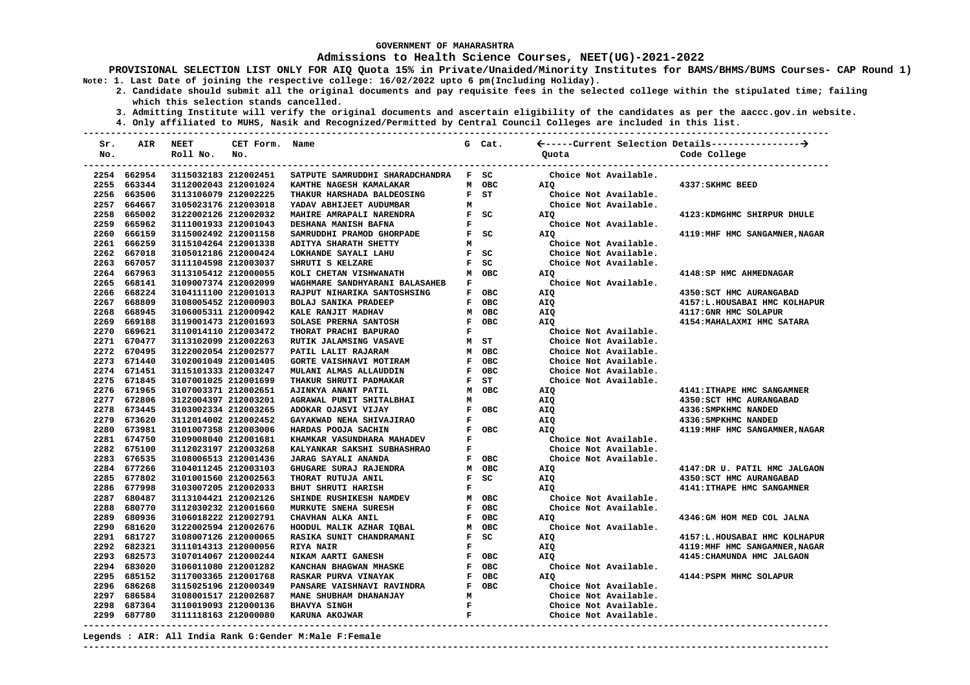#### **Admissions to Health Science Courses, NEET(UG)-2021-2022**

**PROVISIONAL SELECTION LIST ONLY FOR AIQ Quota 15% in Private/Unaided/Minority Institutes for BAMS/BHMS/BUMS Courses- CAP Round 1) Note: 1. Last Date of joining the respective college: 16/02/2022 upto 6 pm(Including Holiday).**

 **2. Candidate should submit all the original documents and pay requisite fees in the selected college within the stipulated time; failing which this selection stands cancelled.**

 **3. Admitting Institute will verify the original documents and ascertain eligibility of the candidates as per the aaccc.gov.in website.**

 **4. Only affiliated to MUHS, Nasik and Recognized/Permitted by Central Council Colleges are included in this list.**

| Sr.  | AIR                        | <b>NEET</b>                                  | CET Form. | Name                                              |              | G Cat.        |                              |                                |
|------|----------------------------|----------------------------------------------|-----------|---------------------------------------------------|--------------|---------------|------------------------------|--------------------------------|
| No.  |                            | Roll No.                                     | No.       |                                                   |              |               | Ouota                        | Code College                   |
|      |                            |                                              |           |                                                   |              |               |                              |                                |
|      | 2254 662954                | 3115032183 212002451                         |           | SATPUTE SAMRUDDHI SHARADCHANDRA F SC              |              |               | Choice Not Available.        |                                |
|      | 2255 663344                | 3112002043 212001024                         |           | KAMTHE NAGESH KAMALAKAR                           |              | M OBC         | AIO                          | 4337: SKHMC BEED               |
|      | 2256 663506                | 3113106079 212002225                         |           | THAKUR HARSHADA BALDEOSING                        |              | F ST          | Choice Not Available.        |                                |
|      | 2257 664667                | 3105023176 212003018                         |           | YADAV ABHIJEET AUDUMBAR                           | м            |               | Choice Not Available.        |                                |
|      | 2258 665002                | 3122002126 212002032                         |           | MAHIRE AMRAPALI NARENDRA                          |              | F SC          | AIQ                          | 4123: KDMGHMC SHIRPUR DHULE    |
|      | 2259 665962                | 3111001933 212001043                         |           | DESHANA MANISH BAFNA                              | F            |               | Choice Not Available.        |                                |
|      | 2260 666159                | 3115002492 212001158                         |           | SAMRUDDHI PRAMOD GHORPADE                         |              | F SC          | AIQ                          | 4119: MHF HMC SANGAMNER, NAGAR |
|      | 2261 666259                | 3115104264 212001338                         |           | ADITYA SHARATH SHETTY                             | м            |               | Choice Not Available.        |                                |
|      | 2262 667018                | 3105012186 212000424                         |           | LOKHANDE SAYALI LAHU                              |              | F SC          | Choice Not Available.        |                                |
|      | 2263 667057                | 3111104598 212003037                         |           | SHRUTI S KELZARE                                  |              | $F$ SC        | Choice Not Available.        |                                |
|      | 2264 667963                | 3113105412 212000055                         |           | KOLI CHETAN VISHWANATH                            |              | M OBC         | AIQ                          | 4148:SP HMC AHMEDNAGAR         |
|      | 2265 668141                | 3109007374 212002099                         |           | WAGHMARE SANDHYARANI BALASAHEB                    | F            |               | Choice Not Available.        |                                |
|      | 2266 668224                | 3104111100 212001013                         |           | RAJPUT NIHARIKA SANTOSHSING                       |              | F OBC         | AIQ                          | 4350: SCT HMC AURANGABAD       |
|      | 2267 668809                | 3108005452 212000903                         |           | BOLAJ SANIKA PRADEEP                              | $\mathbf{F}$ | <b>OBC</b>    | AIQ                          | 4157:L.HOUSABAI HMC KOLHAPUR   |
|      | 2268 668945                | 3106005311 212000942                         |           | KALE RANJIT MADHAV                                |              | M OBC         | AIQ                          | 4117: GNR HMC SOLAPUR          |
|      | 2269 669188                | 3119001473 212001693                         |           | SOLASE PRERNA SANTOSH                             |              | F OBC         | AIQ                          | 4154: MAHALAXMI HMC SATARA     |
|      | 2270 669621                | 3110014110 212003472                         |           | THORAT PRACHI BAPURAO                             | F            |               | Choice Not Available.        |                                |
|      | 2271 670477                | 3113102099 212002263                         |           | RUTIK JALAMSING VASAVE                            |              | M ST          | Choice Not Available.        |                                |
|      | 2272 670495                | 3122002054 212002577                         |           | PATIL LALIT RAJARAM                               |              | M OBC         | Choice Not Available.        |                                |
|      | 2273 671440                | 3102001049 212001405                         |           | <b>GORTE VAISHNAVI MOTIRAM</b>                    |              | F OBC         | Choice Not Available.        |                                |
|      | 2274 671451                | 3115101333 212003247                         |           | MULANI ALMAS ALLAUDDIN                            |              | F OBC         | Choice Not Available.        |                                |
|      | 2275 671845                | 3107001025 212001699                         |           | THAKUR SHRUTI PADMAKAR                            |              | F ST          | Choice Not Available.        |                                |
|      | 2276 671965                | 3107003371 212002651                         |           | AJINKYA ANANT PATIL                               | м            | OBC           | AIQ                          | 4141: ITHAPE HMC SANGAMNER     |
|      | 2277 672806                | 3122004397 212003201                         |           | AGRAWAL PUNIT SHITALBHAI                          | M            |               | AIQ                          | 4350: SCT HMC AURANGABAD       |
|      | 2278 673445                | 3103002334 212003265                         |           | ADOKAR OJASVI VIJAY                               |              | F OBC         | AIQ                          | 4336: SMPKHMC NANDED           |
|      | 2279 673620<br>2280 673981 | 3112014002 212002452                         |           | GAYAKWAD NEHA SHIVAJIRAO                          | F            |               | AIQ                          | 4336: SMPKHMC NANDED           |
|      | 2281 674750                | 3101007358 212003006<br>3109008040 212001681 |           | HARDAS POOJA SACHIN<br>KHAMKAR VASUNDHARA MAHADEV | $\mathbf{F}$ | F OBC         | AIQ<br>Choice Not Available. | 4119: MHF HMC SANGAMNER, NAGAR |
|      | 2282 675100                | 3112023197 212003268                         |           | KALYANKAR SAKSHI SUBHASHRAO                       | F            |               | Choice Not Available.        |                                |
|      | 2283 676535                |                                              |           | <b>JARAG SAYALI ANANDA</b>                        |              | F OBC         | Choice Not Available.        |                                |
|      | 2284 677266                | 3108006513 212001436<br>3104011245 212003103 |           | GHUGARE SURAJ RAJENDRA                            |              |               |                              | 4147:DR U. PATIL HMC JALGAON   |
|      | 2285 677802                | 3101001560 212002563                         |           | THORAT RUTUJA ANIL                                |              | M OBC<br>F SC | AIQ                          | 4350: SCT HMC AURANGABAD       |
|      | 2286 677998                | 3103007205 212002033                         |           | <b>BHUT SHRUTI HARISH</b>                         | F            |               | AIQ<br><b>AIO</b>            | 4141: ITHAPE HMC SANGAMNER     |
|      | 2287 680487                | 3113104421 212002126                         |           | SHINDE RUSHIKESH NAMDEV                           |              | M OBC         | Choice Not Available.        |                                |
| 2288 | 680770                     | 3112030232 212001660                         |           | MURKUTE SNEHA SURESH                              |              | F OBC         | Choice Not Available.        |                                |
|      | 2289 680936                | 3106018222 212002791                         |           | CHAVHAN ALKA ANIL                                 |              | F OBC         | AIO                          | 4346: GM HOM MED COL JALNA     |
|      | 2290 681620                | 3122002594 212002676                         |           | HOODUL MALIK AZHAR IQBAL                          |              | M OBC         | Choice Not Available.        |                                |
|      | 2291 681727                | 3108007126 212000065                         |           | RASIKA SUNIT CHANDRAMANI                          |              | $F$ SC        | AIQ                          | 4157:L.HOUSABAI HMC KOLHAPUR   |
|      | 2292 682321                | 3111014313 212000056                         |           | <b>RIYA NAIR</b>                                  | $\mathbf F$  |               | AIQ                          | 4119: MHF HMC SANGAMNER, NAGAR |
|      | 2293 682573                | 3107014067 212000244                         |           | NIKAM AARTI GANESH                                |              | F OBC         | AIQ                          | 4145: CHAMUNDA HMC JALGAON     |
|      | 2294 683020                | 3106011080 212001282                         |           | KANCHAN BHAGWAN MHASKE                            |              | F OBC         | Choice Not Available.        |                                |
|      | 2295 685152                | 3117003365 212001768                         |           | RASKAR PURVA VINAYAK                              |              | F OBC         | <b>AIO</b>                   | 4144: PSPM MHMC SOLAPUR        |
|      | 2296 686268                | 3115025196 212000349                         |           | PANSARE VAISHNAVI RAVINDRA                        |              | F OBC         | Choice Not Available.        |                                |
|      | 2297 686584                | 3108001517 212002687                         |           | MANE SHUBHAM DHANANJAY                            | M            |               | Choice Not Available.        |                                |
| 2298 | 687364                     | 3110019093 212000136                         |           | <b>BHAVYA SINGH</b>                               | F            |               | Choice Not Available.        |                                |
|      | 2299 687780                | 3111118163 212000080                         |           | KARUNA AKOJWAR                                    | $\mathbf F$  |               | Choice Not Available.        |                                |
|      |                            | --------------------------------------       |           |                                                   |              |               |                              |                                |

#### **Legends : AIR: All India Rank G:Gender M:Male F:Female**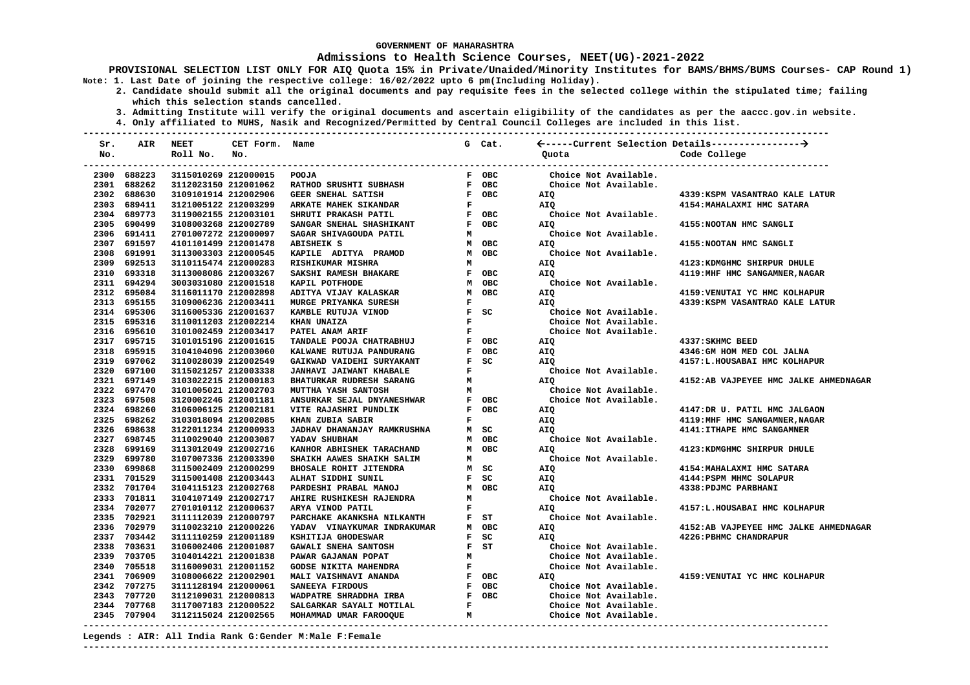### **Admissions to Health Science Courses, NEET(UG)-2021-2022**

**PROVISIONAL SELECTION LIST ONLY FOR AIQ Quota 15% in Private/Unaided/Minority Institutes for BAMS/BHMS/BUMS Courses- CAP Round 1) Note: 1. Last Date of joining the respective college: 16/02/2022 upto 6 pm(Including Holiday).**

 **2. Candidate should submit all the original documents and pay requisite fees in the selected college within the stipulated time; failing which this selection stands cancelled.**

 **3. Admitting Institute will verify the original documents and ascertain eligibility of the candidates as per the aaccc.gov.in website.**

 **4. Only affiliated to MUHS, Nasik and Recognized/Permitted by Central Council Colleges are included in this list.**

| Sr. | AIR         | <b>NEET</b>                                    | CET Form. Name |                                    |                | G Cat.                        |                       |                                       |
|-----|-------------|------------------------------------------------|----------------|------------------------------------|----------------|-------------------------------|-----------------------|---------------------------------------|
| No. |             | Roll No. No.                                   |                |                                    |                |                               | Quota                 | Code College                          |
|     | 2300 688223 | ----------------------<br>3115010269 212000015 |                | POOJA                              |                | F OBC                         | Choice Not Available. |                                       |
|     | 2301 688262 | 3112023150 212001062                           |                | RATHOD SRUSHTI SUBHASH             |                | F OBC                         | Choice Not Available. |                                       |
|     | 2302 688630 | 3109101914 212002906                           |                | GEER SNEHAL SATISH                 |                | F OBC                         | AIQ                   | 4339: KSPM VASANTRAO KALE LATUR       |
|     | 2303 689411 | 3121005122 212003299                           |                | ARKATE MAHEK SIKANDAR              | $\mathbf{F}$   |                               | AIQ                   | 4154: MAHALAXMI HMC SATARA            |
|     | 2304 689773 | 3119002155 212003101                           |                | SHRUTI PRAKASH PATIL               | F OBC          |                               | Choice Not Available. |                                       |
|     | 2305 690499 | 3108003268 212002789                           |                | SANGAR SNEHAL SHASHIKANT           |                | F OBC                         | AIO                   | 4155: NOOTAN HMC SANGLI               |
|     | 2306 691411 | 2701007272 212000097                           |                | SAGAR SHIVAGOUDA PATIL             | M              |                               | Choice Not Available. |                                       |
|     | 2307 691597 | 4101101499 212001478                           |                | <b>ABISHEIK S</b>                  |                | M OBC                         | AIO                   | 4155: NOOTAN HMC SANGLI               |
|     | 2308 691991 | 3113003303 212000545                           |                | KAPILE ADITYA PRAMOD               |                | M OBC                         | Choice Not Available. |                                       |
|     | 2309 692513 | 3110115474 212000283                           |                | RISHIKUMAR MISHRA                  | м              |                               | AIQ                   | 4123: KDMGHMC SHIRPUR DHULE           |
|     | 2310 693318 | 3113008086 212003267                           |                | SAKSHI RAMESH BHAKARE              |                | F OBC                         | <b>AIO</b>            | 4119: MHF HMC SANGAMNER, NAGAR        |
|     | 2311 694294 | 3003031080 212001518                           |                | KAPIL POTFHODE                     |                | M OBC                         | Choice Not Available. |                                       |
|     | 2312 695084 | 3116011170 212002898                           |                | <b>ADITYA VIJAY KALASKAR</b>       |                | M OBC                         | AIQ                   | 4159: VENUTAI YC HMC KOLHAPUR         |
|     | 2313 695155 | 3109006236 212003411                           |                | <b>MURGE PRIYANKA SURESH</b>       | F              |                               | AIQ                   | 4339: KSPM VASANTRAO KALE LATUR       |
|     | 2314 695306 | 3116005336 212001637                           |                | KAMBLE RUTUJA VINOD                |                | F SC                          | Choice Not Available. |                                       |
|     | 2315 695316 | 3110011203 212002214                           |                | KHAN UNAIZA                        |                | $\mathbf{F}$ and $\mathbf{F}$ | Choice Not Available. |                                       |
|     | 2316 695610 | 3101002459 212003417                           |                | PATEL ANAM ARIF                    | $\mathbf F$    |                               | Choice Not Available. |                                       |
|     | 2317 695715 | 3101015196 212001615                           |                | TANDALE POOJA CHATRABHUJ           |                | F OBC                         | AIQ                   | 4337: SKHMC BEED                      |
|     | 2318 695915 | 3104104096 212003060                           |                | KALWANE RUTUJA PANDURANG           |                | F OBC                         | AIQ                   | 4346:GM HOM MED COL JALNA             |
|     | 2319 697062 | 3110028039 212002549                           |                | GAIKWAD VAIDEHI SURYAKANT          |                | $F$ SC                        | AIO                   | 4157:L.HOUSABAI HMC KOLHAPUR          |
|     | 2320 697100 | 3115021257 212003338                           |                | <b>JANHAVI JAIWANT KHABALE</b>     | $\mathbf{F}$   |                               | Choice Not Available. |                                       |
|     | 2321 697149 | 3103022215 212000183                           |                | BHATURKAR RUDRESH SARANG           |                | $\overline{M}$                | <b>AIO</b>            | 4152:AB VAJPEYEE HMC JALKE AHMEDNAGAR |
|     | 2322 697470 | 3101005021 212002703                           |                | MUTTHA YASH SANTOSH                | M              |                               | Choice Not Available. |                                       |
|     | 2323 697508 | 3120002246 212001181                           |                | ANSURKAR SEJAL DNYANESHWAR         |                | F OBC                         | Choice Not Available. |                                       |
|     | 2324 698260 | 3106006125 212002181                           |                | VITE RAJASHRI PUNDLIK              |                | F OBC                         | AIQ                   | 4147:DR U. PATIL HMC JALGAON          |
|     | 2325 698262 | 3103018094 212002085                           |                | KHAN ZUBIA SABIR                   | F              |                               | AIQ                   | 4119: MHF HMC SANGAMNER, NAGAR        |
|     | 2326 698638 | 3122011234 212000933                           |                | <b>JADHAV DHANANJAY RAMKRUSHNA</b> |                | M SC                          | <b>AIO</b>            | 4141: ITHAPE HMC SANGAMNER            |
|     | 2327 698745 | 3110029040 212003087                           |                | YADAV SHUBHAM                      |                | M OBC                         | Choice Not Available. |                                       |
|     | 2328 699169 | 3113012049 212002716                           |                | KANHOR ABHISHEK TARACHAND          |                | M OBC                         | AIQ                   | 4123: KDMGHMC SHIRPUR DHULE           |
|     | 2329 699780 | 3107007336 212003390                           |                | SHAIKH AAWES SHAIKH SALIM          | M              |                               | Choice Not Available. |                                       |
|     | 2330 699868 | 3115002409 212000299                           |                | BHOSALE ROHIT JITENDRA             |                | M SC                          | AIO                   | 4154: MAHALAXMI HMC SATARA            |
|     | 2331 701529 | 3115001408 212003443                           |                | ALHAT SIDDHI SUNIL                 |                | F SC                          | AIQ                   | 4144: PSPM MHMC SOLAPUR               |
|     | 2332 701704 | 3104115123 212002768                           |                | PARDESHI PRABAL MANOJ              |                | M OBC                         | AIO                   | 4338: PDJMC PARBHANI                  |
|     | 2333 701811 | 3104107149 212002717                           |                | AHIRE RUSHIKESH RAJENDRA           | М              |                               | Choice Not Available. |                                       |
|     | 2334 702077 | 2701010112 212000637                           |                | ARYA VINOD PATIL                   |                | $\mathbf{F}$ and $\mathbf{F}$ | <b>AIO</b>            | 4157:L.HOUSABAI HMC KOLHAPUR          |
|     | 2335 702921 | 3111112039 212000797                           |                | PARCHAKE AKANKSHA NILKANTH         |                | $F$ $ST$                      | Choice Not Available. |                                       |
|     | 2336 702979 | 3110023210 212000226                           |                | YADAV VINAYKUMAR INDRAKUMAR        |                | M OBC                         | AIQ                   | 4152:AB VAJPEYEE HMC JALKE AHMEDNAGAR |
|     | 2337 703442 | 3111110259 212001189                           |                | KSHITIJA GHODESWAR                 |                | F SC                          | AIO                   | 4226: PBHMC CHANDRAPUR                |
|     | 2338 703631 | 3106002406 212001087                           |                | GAWALI SNEHA SANTOSH               |                | $F$ ST                        | Choice Not Available. |                                       |
|     | 2339 703705 | 3104014221 212001838                           |                | PAWAR GAJANAN POPAT                |                | $M$ and $M$                   | Choice Not Available. |                                       |
|     | 2340 705518 | 3116009031 212001152                           |                | <b>GODSE NIKITA MAHENDRA</b>       | $\mathbf{F}$   |                               | Choice Not Available. |                                       |
|     | 2341 706909 | 3108006622 212002901                           |                | MALI VAISHNAVI ANANDA              |                | F OBC                         | AIQ                   | 4159: VENUTAI YC HMC KOLHAPUR         |
|     | 2342 707275 | 3111128194 212000061                           |                | SANEEYA FIRDOUS                    |                | F OBC                         | Choice Not Available. |                                       |
|     | 2343 707720 | 3112109031 212000813                           |                | WADPATRE SHRADDHA IRBA             |                | F OBC                         | Choice Not Available. |                                       |
|     | 2344 707768 | 3117007183 212000522                           |                | SALGARKAR SAYALI MOTILAL           | $\mathbf{F}$ . |                               | Choice Not Available. |                                       |
|     | 2345 707904 | 3112115024 212002565                           |                | MOHAMMAD UMAR FAROOOUE             | M              |                               | Choice Not Available. |                                       |

#### **Legends : AIR: All India Rank G:Gender M:Male F:Female**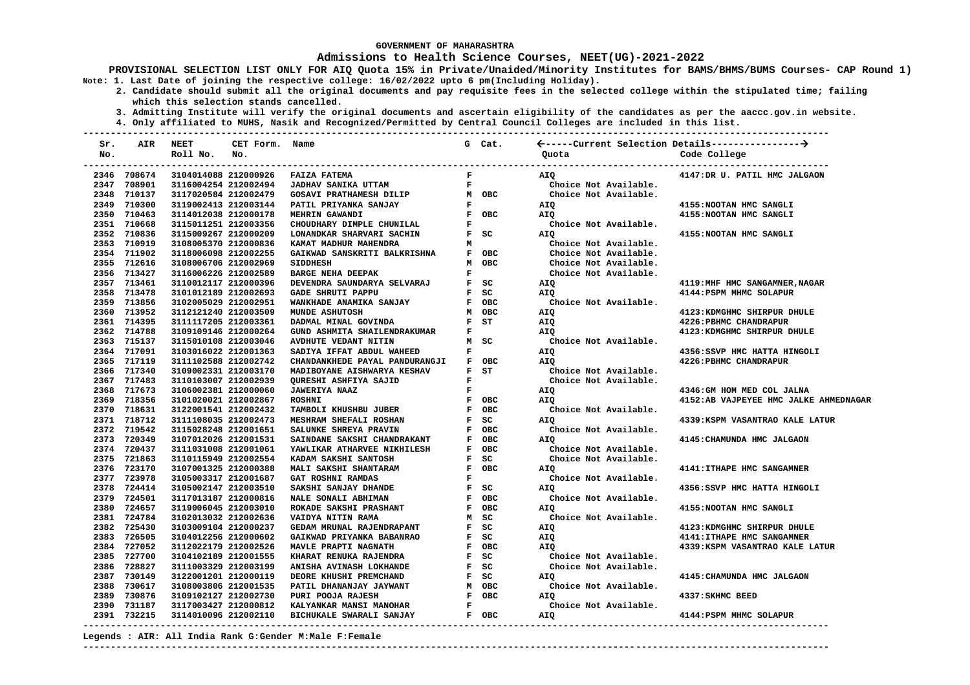#### **Admissions to Health Science Courses, NEET(UG)-2021-2022**

**PROVISIONAL SELECTION LIST ONLY FOR AIQ Quota 15% in Private/Unaided/Minority Institutes for BAMS/BHMS/BUMS Courses- CAP Round 1) Note: 1. Last Date of joining the respective college: 16/02/2022 upto 6 pm(Including Holiday).**

 **2. Candidate should submit all the original documents and pay requisite fees in the selected college within the stipulated time; failing which this selection stands cancelled.**

 **3. Admitting Institute will verify the original documents and ascertain eligibility of the candidates as per the aaccc.gov.in website.**

 **4. Only affiliated to MUHS, Nasik and Recognized/Permitted by Central Council Colleges are included in this list.**

**--------------------------------------------------------------------------------------------------------------------------------------- Sr. AIR NEET CET Form. Name G Cat. -----Current Selection Details---------------- No. Roll No. No. Quota Code College --------------------------------------------------------------------------------------------------------------------------------------- ---------------------------------------------------------------------------------------------------------------------------------------** 2346 708674 3104014088 212000926 FAIZA FATEMA **F REACH AIQ AIQ 4147:DR U. PATIL HMC JALGAON 2347 708901 3116004254 212002494 JADHAV SANIKA UTTAM F Choice Not Available. 2348 710137 3117020584 212002479 GOSAVI PRATHAMESH DILIP M OBC Choice Not Available. 2349 710300 3119002413 212003144 PATIL PRIYANKA SANJAY F AIQ 4155:NOOTAN HMC SANGLI 2350 710463 3114012038 212000178 MEHRIN GAWANDI F OBC AIQ AIQ**<br>2351 710668 3115011251 212003356 CHOUDHARY DIMPLE CHUNILAL F F Choice Not Available.  **2351 710668 3115011251 212003356 CHOUDHARY DIMPLE CHUNILAL F Choice Not Available. 2352 710836 3115009267 212000209 LONANDKAR SHARVARI SACHIN F SC AIQ 4155:NOOTAN HMC SANGLI 2353 710919 3108005370 212000836 KAMAT MADHUR MAHENDRA M Choice Not Available. 2354 711902 3118006098 212002255 GAIKWAD SANSKRITI BALKRISHNA F OBC Choice Not Available. 2355 712616 3108006706 212002969 SIDDHESH M OBC Choice Not Available. 2356 713427 3116006226 212002589 BARGE NEHA DEEPAK F Choice Not Available. 2357 713461 3110012117 212000396 DEVENDRA SAUNDARYA SELVARAJ F SC AIQ 4119:MHF HMC SANGAMNER,NAGAR 2358 713478 3101012189 212002693 GADE SHRUTI PAPPU F SC AIO 2359 713856 3102005029 212002951 WANKHADE ANAMIKA SANJAY F OBC Choice Not Available. 2360 713952 3112121240 212003509 MUNDE ASHUTOSH M OBC AIQ 4123:KDMGHMC SHIRPUR DHULE 2361 714395 3111117205 212003361 DADMAL MINAL GOVINDA F ST AIQ 4226:PBHMC CHANDRAPUR 2362 714788 3109109146 212000264 GUND ASHMITA SHAILENDRAKUMAR F F AIQ 412**<br>2363 715137 3115010108 212003046 AVDHUTE VEDANT NITIN M SC C  **2363 715137 3115010108 212003046 AVDHUTE VEDANT NITIN M SC Choice Not Available. 2364 717091 3103016022 212001363 SADIYA IFFAT ABDUL WAHEED F AIQ 4356:SSVP HMC HATTA HINGOLI 2365 717119 3111102588 212002742 CHANDANKHEDE PAYAL PANDURANGJI F OBC AIQ**<br>2366 717340 3109002331 212003170 MADIROVANE AISHWARYA KESHAV F ST Choice Not Available. 2366 717340 3109002331 212003170 MADIBOYANE AISHWARYA KESHAV  **2367 717483 3110103007 212002939 QURESHI ASHFIYA SAJID F Choice Not Available. 2368 717673 3106002381 212000060 JAWERIYA NAAZ F AIQ 4346:GM HOM MED COL JALNA 2369 718356 3101020021 212002867 ROSHNI F OBC AIQ 4152:AB VAJPEYEE HMC JALKE AHMEDNAGAR 2370 718631 3122001541 212002432 TAMBOLI KHUSHBU JUBER F OBC Choice Not Available. 2371 718712 3111108035 212002473 MESHRAM SHEFALI ROSHAN F SC AIQ 4339:KSPM VASANTRAO KALE LATUR 2372 719542 3115028248 212001651 SALUNKE SHREYA PRAVIN F OBC Choice Not Available. 2373 720349 3107012026 212001531 SAINDANE SAKSHI CHANDRAKANT F OBC AIQ 4145:CHAMUNDA HMC JALGAON 2374 720437 3111031008 212001061 YAWLIKAR ATHARVEE NIKHILESH F OBC Choice Not Available. 2375 721863 3110115949 212002554 KADAM SAKSHI SANTOSH F SC Choice Not Available. 2376 723170 3107001325 212000388 MALI SAKSHI SHANTARAM F OBC AIQ 4141:ITHAPE HMC SANGAMNER 2377 723978 3105003317 212001687 GAT ROSHNI RAMDAS F Choice Not Available. 2378 724414 3105002147 212003510 SAKSHI SANJAY DHANDE F SC AIQ 4356:SSVP HMC HATTA HINGOLI 2379 724501 3117013187 212000816 NALE SONALI ABHIMAN F OBC Choice Not Available. 2380 724657 3119006045 212003010 ROKADE SAKSHI PRASHANT F OBC AIQ 4155:NOOTAN HMC SANGLI 2381 724784 3102013032 212002636 VAIDYA NITIN RAMA M SC Choice Not Available. 2382 725430 3103009104 212000237 GEDAM MRUNAL RAJENDRAPANT F SC AIQ 4123:KDMGHMC SHIRPUR DHULE 2383 726505 3104012256 212000602 GAIKWAD PRIYANKA BABANRAO F SC AIQ 4141:ITHAPE HMC SANGAMNER**  2384 727052 3112022179 212002526  **2385 727700 3104102189 212001555 KHARAT RENUKA RAJENDRA F SC Choice Not Available. 2386 728827 3111003329 212003199 ANISHA AVINASH LOKHANDE F SC Choice Not Available. 2387 730149 3122001201 212000119 DEORE KHUSHI PREMCHAND F SC AIQ 4145:CHAMUNDA HMC JALGAON 2388 730617 3108003806 212001535 PATIL DHANANJAY JAYWANT M OBC Choice Not Available. 2389 730876 3109102127 212002730 PURI POOJA RAJESH F OBC AIQ 4337:SKHMC BEED 2390 731187 3117003427 212000812 KALYANKAR MANSI MANOHAR F Choice Not Available. 2391 732215 3114010096 212002110 BICHUKALE SWARALI SANJAY F OBC AIQ 4144:PSPM MHMC SOLAPUR** 

#### **Legends : AIR: All India Rank G:Gender M:Male F:Female**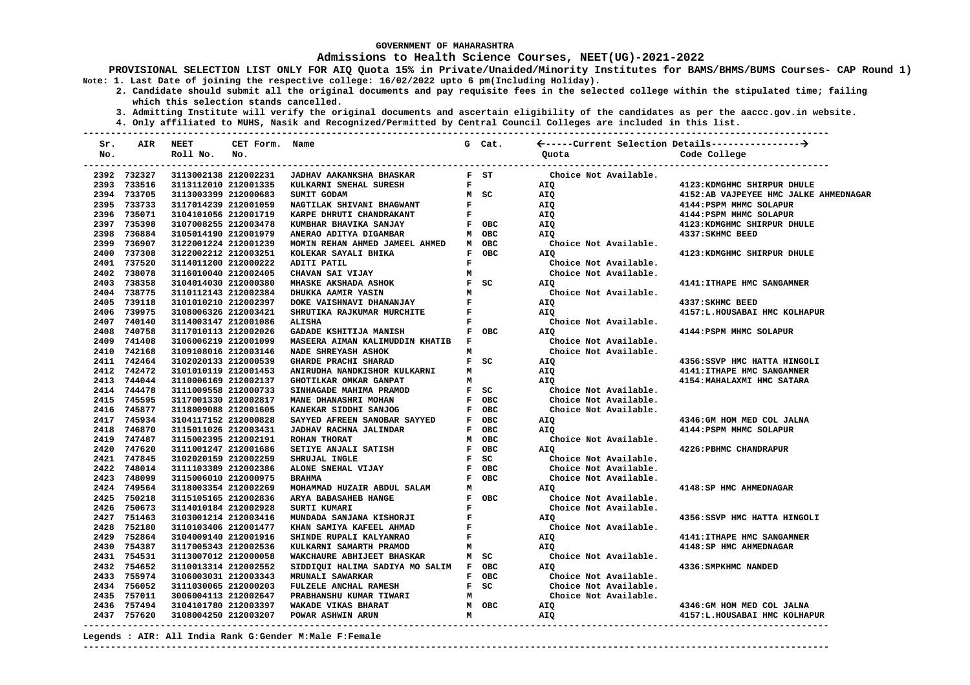#### **Admissions to Health Science Courses, NEET(UG)-2021-2022**

**PROVISIONAL SELECTION LIST ONLY FOR AIQ Quota 15% in Private/Unaided/Minority Institutes for BAMS/BHMS/BUMS Courses- CAP Round 1) Note: 1. Last Date of joining the respective college: 16/02/2022 upto 6 pm(Including Holiday).**

 **2. Candidate should submit all the original documents and pay requisite fees in the selected college within the stipulated time; failing which this selection stands cancelled.**

 **3. Admitting Institute will verify the original documents and ascertain eligibility of the candidates as per the aaccc.gov.in website.**

 **4. Only affiliated to MUHS, Nasik and Recognized/Permitted by Central Council Colleges are included in this list.**

**--------------------------------------------------------------------------------------------------------------------------------------- Sr. AIR NEET CET Form. Name G Cat. -----Current Selection Details---------------- No. Roll No. No. Quota Code College --------------------------------------------------------------------------------------------------------------------------------------- --------------------------------------------------------------------------------------------------------------------------------------- 2392 732327 3113002138 212002231 JADHAV AAKANKSHA BHASKAR F ST Choice Not Available. 2393 733516 3113112010 212001335 KULKARNI SNEHAL SURESH F AIQ 4123:KDMGHMC SHIRPUR DHULE 2394152:AB VAJPEYEE HMC JALKE AHMEDNAGAR** M SC  **2395 733733 3117014239 212001059 NAGTILAK SHIVANI BHAGWANT F AIQ 4144:PSPM MHMC SOLAPUR 2396 735071 3104101056 212001719 KARPE DHRUTI CHANDRAKANT F REAL PROPERTY AIO 2397 735398 3107008255 212003478 KUMBHAR BHAVIKA SANJAY F OBC AIQ 4123:KDMGHMC SHIRPUR DHULE 2398 736884 3105014190 212001979 ANERAO ADITYA DIGAMBAR M OBC AIQ 4337:SKHMC BEED 2399 736907 3122001224 212001239 MOMIN REHAN AHMED JAMEEL AHMED M OBC Choice Not Available. 2400 737308 3122002212 212003251 KOLEKAR SAYALI BHIKA F OBC AIQ 4123:KDMGHMC SHIRPUR DHULE 2401 737520 3114011200 212000222 ADITI PATIL F Choice Not Available. 2402 738078 3116010040 212002405 CHAVAN SAI VIJAY M Choice Not Available. 2403 738358 3104014030 212000380 MHASKE AKSHADA ASHOK F SC AIQ 4141:ITHAPE HMC SANGAMNER 2404 738775 3110112143 212002384 DHUKKA AAMIR YASIN M Choice Not Available. 2405 739118 3101010210 212002397 DOKE VAISHNAVI DHANANJAY F AIQ 4337:SKHMC BEED 2406 739975 3108006326 212003421 SHRUTIKA RAJKUMAR MURCHITE F F AIO 2407 740140 3114003147 212001086 ALISHA F Choice Not Available. 2408 740758 3117010113 212002026 GADADE KSHITIJA MANISH F OBC AIQ 4144:PSPM MHMC SOLAPUR MASEERA AIMAN KALIMUDDIN KHATIB F 2410 742168 3109108016 212003146 NADE SHREYASH ASHOK M M** Choice Not Available.<br> **2411 742464 3102020133 212000539 GHARDE PRACHI SHARAD R** SC AIO  **2411 742464 3102020133 212000539 GHARDE PRACHI SHARAD F SC AIQ 4356:SSVP HMC HATTA HINGOLI 2412 742472 3101010119 212001453 ANIRUDHA NANDKISHOR KULKARNI M 2413 744044 3110006169 212002137 GHOTILKAR OMKAR GANPAT M AIQ 4154:MAHALAXMI HMC SATARA 2414 744478 3111009558 212000733 SINHAGADE MAHIMA PRAMOD F SC Choice Not Available.**  2415 745595 3117001330 212002817  **2416 745877 3118009088 212001605 KANEKAR SIDDHI SANJOG F OBC Choice Not Available. 2417 745934 3104117152 212000828 SAYYED AFREEN SANOBAR SAYYED F OBC AIQ 4346:GM HOM MED COL JALNA 2418 746870 3115011026 212003431 JADHAV RACHNA JALINDAR BE OBC AIQ AIQ AIQ** AIQ AT ALISO AILSO 2395 212002191 ROHAN THORAT **MAG AT ALISO AT ALISO 2395 212002191** ROHAN THORAT AMERIC MOBC Choice Not Available. 2419 747487 3115002395 212002191  **2420 747620 3111001247 212001686 SETIYE ANJALI SATISH F OBC AIQ 4226:PBHMC CHANDRAPUR 2421 747845 3102020159 212002259 SHRUJAL INGLE F SC Choice Not Available. 2422 748014 3111103389 212002386 ALONE SNEHAL VIJAY F OBC Choice Not Available. 2423 748099 3115006010 212000975 BRAHMA F OBC Choice Not Available. 2424 749564 3118003354 212002269 MOHAMMAD HUZAIR ABDUL SALAM M AIQ 4148:SP HMC AHMEDNAGAR 2425 750218 3115105165 212002836 ARYA BABASAHEB HANGE F OBC Choice Not Available. 2426 750673 3114010184 212002928 SURTI KUMARI F Choice Not Available. 2427 751463 3103001214 212003416 MUNDADA SANJANA KISHORJI F AIQ 4356:SSVP HMC HATTA HINGOLI 2428 752180 3110103406 212001477 KHAN SAMIYA KAFEEL AHMAD F Choice Not Available. 2429 752864 3104009140 212001916 SHINDE RUPALI KALYANRAO F AIQ 4141:ITHAPE HMC SANGAMNER 2430 754387 3117005343 212002536 KULKARNI SAMARTH PRAMOD M AIQ 4148:SP HMC AHMEDNAGAR 2431 754531 3113007012 212000058 WAKCHAURE ABHIJEET BHASKAR M SC Choice Not Available. 2432 754652 3110013314 212002552 SIDDIQUI HALIMA SADIYA MO SALIM F OBC AIQ 4336:SMPKHMC NANDED 2433 755974 3106003031 212003343 MRUNALI SAWARKAR F OBC Choice Not Available. 2434 756052 3111030065 212000203 FULZELE ANCHAL RAMESH F SC Choice Not Available. 2435 757011 3006004113 212002647 PRABHANSHU KUMAR TIWARI M Choice Not Available. 2436 757494 3104101780 212003397 WAKADE VIKAS BHARAT M OBC AIQ 4346:GM HOM MED COL JALNA 2437 757620 3108004250 212003207 POWAR ASHWIN ARUN M AIQ 4157:L.HOUSABAI HMC KOLHAPUR** 

#### **Legends : AIR: All India Rank G:Gender M:Male F:Female**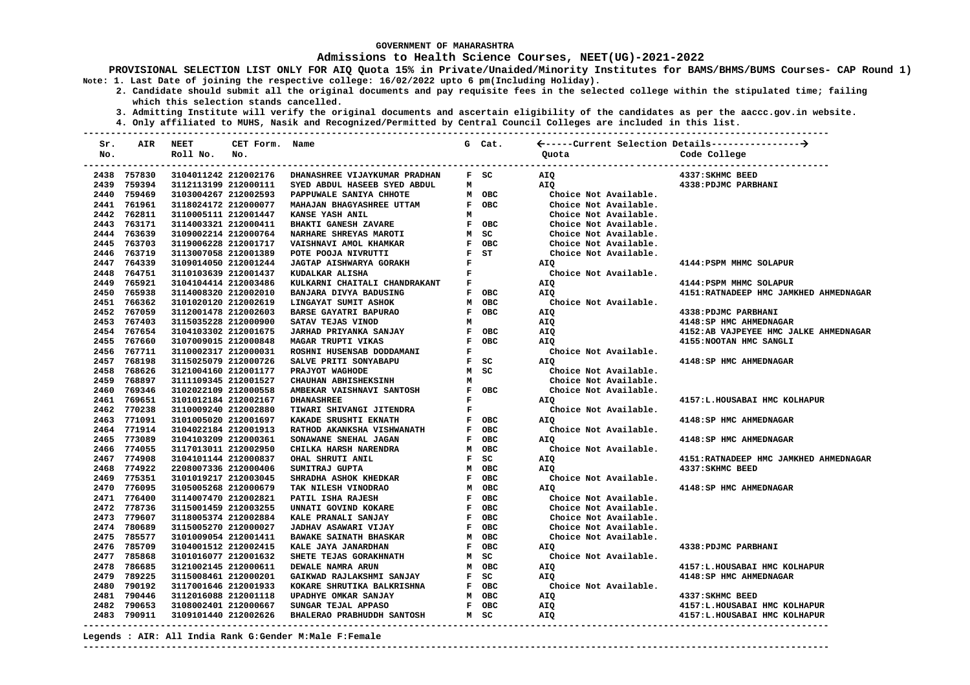#### **Admissions to Health Science Courses, NEET(UG)-2021-2022**

**PROVISIONAL SELECTION LIST ONLY FOR AIQ Quota 15% in Private/Unaided/Minority Institutes for BAMS/BHMS/BUMS Courses- CAP Round 1) Note: 1. Last Date of joining the respective college: 16/02/2022 upto 6 pm(Including Holiday).**

 **2. Candidate should submit all the original documents and pay requisite fees in the selected college within the stipulated time; failing which this selection stands cancelled.**

 **3. Admitting Institute will verify the original documents and ascertain eligibility of the candidates as per the aaccc.gov.in website.**

 **4. Only affiliated to MUHS, Nasik and Recognized/Permitted by Central Council Colleges are included in this list.**

**--------------------------------------------------------------------------------------------------------------------------------------- Sr. AIR NEET CET Form. Name G Cat. -----Current Selection Details---------------- No. Roll No. No. Quota Code College --------------------------------------------------------------------------------------------------------------------------------------- --------------------------------------------------------------------------------------------------------------------------------------- Legends : AIR: All India Rank G:Gender M:Male F:Female 2438 757830 3104011242 212002176 DHANASHREE VIJAYKUMAR PRADHAN F SC AIQ 4337:SKHMC BEED 2439 759394 3112113199 212000111 SYED ABDUL HASEEB SYED ABDUL M AIQ 4338:PDJMC PARBHANI 2440 759469 3103004267 212002593 PAPPUWALE SANIYA CHHOTE M OBC Choice Not Available. 2441 761961 3118024172 212000077 MAHAJAN BHAGYASHREE UTTAM F OBC Choice Not Available. 2442 762811 3110005111 212001447 KANSE YASH ANIL M Choice Not Available. 2443 763171 3114003321 212000411 BHAKTI GANESH ZAVARE F OBC Choice Not Available. 2444 763639 3109002214 212000764 NARHARE SHREYAS MAROTI M SC Choice Not Available. 2445 763703 3119006228 212001717 VAISHNAVI AMOL KHAMKAR F OBC Choice Not Available.**  2446 763719 3113007058 212001389  **2447 764339 3109014050 212001244 JAGTAP AISHWARYA GORAKH F AIQ 4144:PSPM MHMC SOLAPUR 2448 764751 3110103639 212001437 KUDALKAR ALISHA F Choice Not Available. 2449 765921 3104104414 212003486 KULKARNI CHAITALI CHANDRAKANT F AIQ 4144:PSPM MHMC SOLAPUR**  AIO 2000 2151:RATNADEEP HMC JAMKHED AHMEDNAGAR  **2451 766362 3101020120 212002619 LINGAYAT SUMIT ASHOK M OBC Choice Not Available. 2452 767059 3112001478 212002603 BARSE GAYATRI BAPURAO F OBC AIQ 4338:PDJMC PARBHANI 2453 767403 3115035228 212000900 SATAV TEJAS VINOD M AIQ 4148:SP HMC AHMEDNAGAR 2454 JARHAD PRIYANKA SANJAY 2152:AB VAJPEYEE HMC JALKE AHMEDNAGAR** JALKE AHMEDNAGAR AHMEDNAGAR JALKE AHMEDNAGAR JALKE AHMEDNAGAR POBC 2152:AB VAJPEYEE HMC SANGLI  **2455 767660 3107009015 212000848 MAGAR TRUPTI VIKAS F OBC AIQ 2456 767711 3110002317 212000031 ROSHNI HUSENSAB DODDAMANI F Choice Not Available. 2457 768198 3115025079 212000726 SALVE PRITI SONYABAPU F SC AIQ 4148:SP HMC AHMEDNAGAR 2458 768626 3121004160 212001177 PRAJYOT WAGHODE M SC Choice Not Available. 2459 768897 3111109345 212001527 CHAUHAN ABHISHEKSINH M Choice Not Available. 2460 769346 3102022109 212000558 AMBEKAR VAISHNAVI SANTOSH F OBC Choice Not Available. 2461 769651 3101012184 212002167 DHANASHREE F AIQ 4157:L.HOUSABAI HMC KOLHAPUR 2462 770238 3110009240 212002880 TIWARI SHIVANGI JITENDRA F Choice Not Available. 2463 771091 3101005020 212001697 KAKADE SRUSHTI EKNATH F OBC AIQ 4148:SP HMC AHMEDNAGAR 2464 771914 3104022184 212001913 RATHOD AKANKSHA VISHWANATH F OBC Choice Not Available. 2465 773089 3104103209 212000361 SONAWANE SNEHAL JAGAN F OBC AIQ 4148:SP HMC AHMEDNAGAR 2466 774055 3117013011 212002950 CHILKA HARSH NARENDRA M OBC Choice Not Available. 2467 774908 3104101144 212000837 OHAL SHRUTI ANIL F SC AIQ 4151:RATNADEEP HMC JAMKHED AHMEDNAGAR 2468 774922 2208007336 212000406 SUMITRAJ GUPTA M OBC AIQ 4337:SKHMC BEED 2469 775351 3101019217 212003045 SHRADHA ASHOK KHEDKAR F OBC Choice Not Available. 2470 776095 3105005268 212000679 TAK NILESH VINODRAO M OBC AIQ 4148:SP HMC AHMEDNAGAR 2471 776400 3114007470 212002821 PATIL ISHA RAJESH F OBC Choice Not Available. 2472 778736 3115001459 212003255 UNNATI GOVIND KOKARE F OBC**<br>2473 779607 3118005374 212002884 KALE PRANALI SANJAY F OBC  **2473 779607 3118005374 212002884 KALE PRANALI SANJAY F OBC Choice Not Available. 2474 780689 3115005270 212000027 JADHAV ASAWARI VIJAY F OBC Choice Not Available. 2475 785577 3101009054 212001411 BAWAKE SAINATH BHASKAR M OBC 2476 785709 3104001512 212002415 KALE JAYA JANARDHAN 2476 785709 3104001512 212002415 KALE JAYA JANARDHAN F OBC AIQ 4338:PDJMC PARBHANI 2477 785868 3101016077 212001632 SHETE TEJAS GORAKHNATH M SC Choice Not Available. 2478 786685 3121002145 212000611 DEWALE NAMRA ARUN M OBC AIQ 4157:L.HOUSABAI HMC KOLHAPUR 2479 789225 3115008461 212000201 GAIKWAD RAJLAKSHMI SANJAY F SC AIO 2480 790192 3117001646 212001933 KOKARE SHRUTIKA BALKRISHNA F OBC Choice Not Available. 2481 790446 3112016088 212001118 UPADHYE OMKAR SANJAY M OBC AIQ 4337:SKHMC BEED 2482 790653 3108002401 212000667 SUNGAR TEJAL APPASO F OBC AIQ 4157:L.HOUSABAI HMC KOLHAPUR 2483 790911 3109101440 212002626 BHALERAO PRABHUDDH SANTOSH M SC AIQ 4157:L.HOUSABAI HMC KOLHAPUR**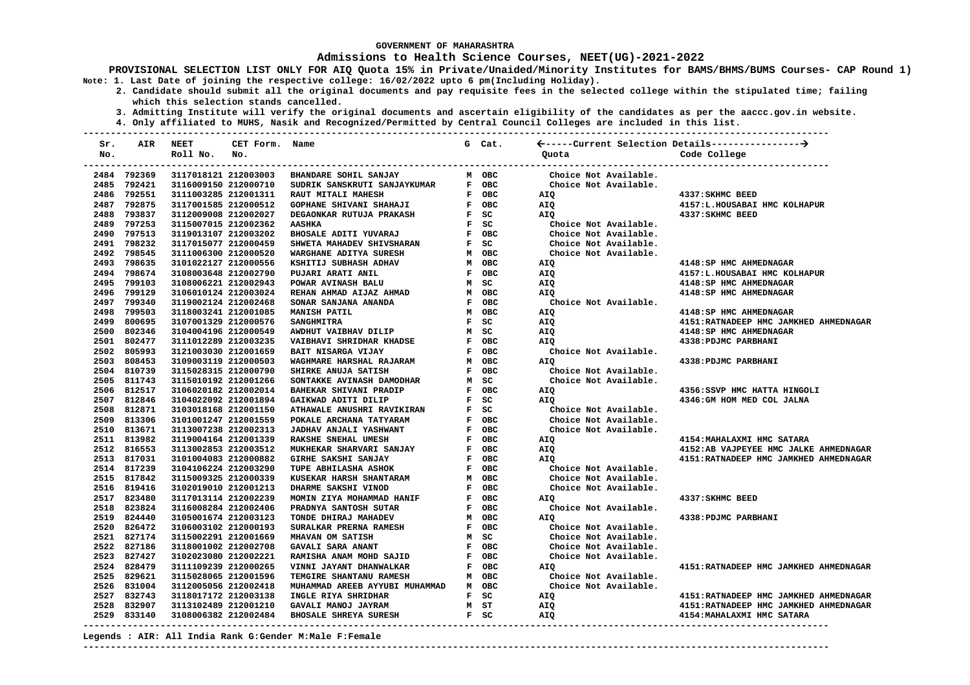#### **Admissions to Health Science Courses, NEET(UG)-2021-2022**

**PROVISIONAL SELECTION LIST ONLY FOR AIQ Quota 15% in Private/Unaided/Minority Institutes for BAMS/BHMS/BUMS Courses- CAP Round 1) Note: 1. Last Date of joining the respective college: 16/02/2022 upto 6 pm(Including Holiday).**

 **2. Candidate should submit all the original documents and pay requisite fees in the selected college within the stipulated time; failing which this selection stands cancelled.**

 **3. Admitting Institute will verify the original documents and ascertain eligibility of the candidates as per the aaccc.gov.in website.**

 **4. Only affiliated to MUHS, Nasik and Recognized/Permitted by Central Council Colleges are included in this list.**

**--------------------------------------------------------------------------------------------------------------------------------------- Sr. AIR NEET CET Form. Name G Cat. -----Current Selection Details---------------- No. Roll No. No. Quota Code College --------------------------------------------------------------------------------------------------------------------------------------- --------------------------------------------------------------------------------------------------------------------------------------- 2484 792369 3117018121 212003003 BHANDARE SOHIL SANJAY M OBC Choice Not Available. 2485 792421 3116009150 212000710 SUDRIK SANSKRUTI SANJAYKUMAR F OBC Choice Not Available. 2486 792551 3111003285 212001311 RAUT MITALI MAHESH F OBC AIQ 4337:SKHMC BEED 2487 792875 3117001585 212000512 GOPHANE SHIVANI SHAHAJI F OBC AIQ 4157:L.HOUSABAI HMC KOLHAPUR**  2488 793837 3112009008 212002027  **2489 797253 3115007015 212002362 AASHKA F SC Choice Not Available. 2490 797513 3119013107 212003202 BHOSALE ADITI YUVARAJ F OBC Choice Not Available. 2491 798232 3117015077 212000459 SHWETA MAHADEV SHIVSHARAN F SC Choice Not Available.**  2492 798545 3111006300 212000520  **2493 798635 3101022127 212000556 KSHITIJ SUBHASH ADHAV M OBC AIQ 4148:SP HMC AHMEDNAGAR 2494 798674 3108003648 212002790 PUJARI ARATI ANIL F OBC AIQ 4157:L.HOUSABAI HMC KOLHAPUR 2495 799103 3108006221 212002943 POWAR AVINASH BALU M SC AIQ 4148:SP HMC AHMEDNAGAR 2496 799129 3106010124 212003024 REHAN AHMAD AIJAZ AHMAD M OBC AIO 2497 799340 3119002124 212002468 SONAR SANJANA ANANDA F OBC Choice Not Available. 2498 799503 3118003241 212001085 MANISH PATIL M OBC AIQ 4148:SP HMC AHMEDNAGAR 2499 800695 3107001329 212000576 SANGHMITRA F SC AIQ 4151:RATNADEEP HMC JAMKHED AHMEDNAGAR 2500 802346 3104004196 212000549 AWDHUT VAIBHAV DILIP M SC AIQ 4148:SP HMC AHMEDNAGAR 2501 802477 3111012289 212003235 VAIBHAVI SHRIDHAR KHADSE F OBC AIQ 4338:PDJMC PARBHANI 2502 805993 3121003030 212001659 BAIT NISARGA VIJAY F OBC Choice Not Available. 2503 808453 3109003119 212000503 WAGHMARE HARSHAL RAJARAM M OBC AIQ 4338:PDJMC PARBHANI 2504 810739 3115028315 212000790 SHIRKE ANUJA SATISH F OBC Choice Not Available. 2505 811743 3115010192 212001266 SONTAKKE AVINASH DAMODHAR M SC Choice Not Available. 2506 812517 3106020182 212002014 BAHEKAR SHIVANI PRADIP F OBC AIQ 4356:SSVP HMC HATTA HINGOLI**  2507 812846 3104022092 212001894  **2508 812871 3103018168 212001150 ATHAWALE ANUSHRI RAVIKIRAN F SC Choice Not Available. 2509 813306 3101001247 212001559 POKALE ARCHANA TATYARAM F OBC Choice Not Available. 2510 813671 3113007238 212002313 JADHAV ANJALI YASHWANT F OBC Choice Not Available. 2511 813982 3119004164 212001339 RAKSHE SNEHAL UMESH F OBC AIQ 4154:MAHALAXMI HMC SATARA 2512 816553 3113002853 212003512 MUKHEKAR SHARVARI SANJAY F OBC AIQ 4152:AB VAJPEYEE HMC JALKE AHMEDNAGAR 2513 817031 3101004083 212000882 GIRHE SAKSHI SANJAY F OBC AIQ 4151:RATNADEEP HMC JAMKHED AHMEDNAGAR 2514 817239 3104106224 212003290 TUPE ABHILASHA ASHOK F OBC Choice Not Available. 2515 817842 3115009325 212000339 KUSEKAR HARSH SHANTARAM M OBC Choice Not Available. 2516 819416 3102019010 212001213 DHARME SAKSHI VINOD F OBC Choice Not Available. 2517 823480 3117013114 212002239 MOMIN ZIYA MOHAMMAD HANIF F OBC AIQ 4337:SKHMC BEED 2518 823824 3116008284 212002406 PRADNYA SANTOSH SUTAR F OBC Choice Not Available. 2519 824440 3105001674 212003123 TONDE DHIRAJ MAHADEV M OBC AIQ 4338:PDJMC PARBHANI 2520 826472 3106003102 212000193 SURALKAR PRERNA RAMESH F OBC Choice Not Available.**  2521 827174 3115002291 212001669 MHAVAN OM SATISH M SC Choice Not Available.<br>2522 827186 3118001002 212002708 GAVALISARA ANANT M FOBC Choice Not Available.  **2522 827186 3118001002 212002708 GAVALI SARA ANANT F OBC Choice Not Available. 2523 827427 3102023080 212002221 RAMISHA ANAM MOHD SAJID F OBC Choice Not Available. 2524 828479 3111109239 212000265 VINNI JAYANT DHANWALKAR F OBC AIQ 4151:RATNADEEP HMC JAMKHED AHMEDNAGAR 2525 829621 3115028065 212001596 TEMGIRE SHANTANU RAMESH M OBC Choice Not Available. 2526 831004 3112005056 212002418 MUHAMMAD AREEB AYYUBI MUHAMMAD M OBC Choice Not Available.**  AIO **2527 8327 84151:RATNADEEP HMC JAMKHED AHMEDNAGAR 2528 832907 3113102489 212001210 GAVALI MANOJ JAYRAM M ST AIQ 4151:RATNADEEP HMC JAMKHED AHMEDNAGAR 2529 833140 3108006382 212002484 BHOSALE SHREYA SURESH F SC AIQ 4154:MAHALAXMI HMC SATARA** 

#### **Legends : AIR: All India Rank G:Gender M:Male F:Female**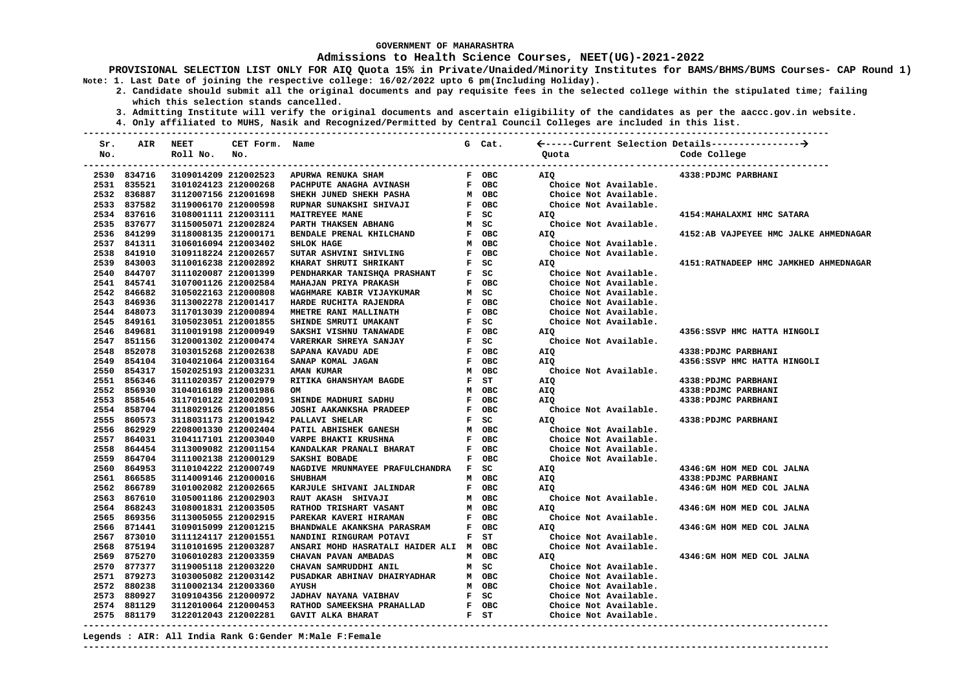### **Admissions to Health Science Courses, NEET(UG)-2021-2022**

**PROVISIONAL SELECTION LIST ONLY FOR AIQ Quota 15% in Private/Unaided/Minority Institutes for BAMS/BHMS/BUMS Courses- CAP Round 1) Note: 1. Last Date of joining the respective college: 16/02/2022 upto 6 pm(Including Holiday).**

 **2. Candidate should submit all the original documents and pay requisite fees in the selected college within the stipulated time; failing which this selection stands cancelled.**

 **3. Admitting Institute will verify the original documents and ascertain eligibility of the candidates as per the aaccc.gov.in website.**

 **4. Only affiliated to MUHS, Nasik and Recognized/Permitted by Central Council Colleges are included in this list.**

| Sr. | AIR         | NEET                 | CET Form. Name       |                                            | G Cat.   |                       |                                        |
|-----|-------------|----------------------|----------------------|--------------------------------------------|----------|-----------------------|----------------------------------------|
| No. |             | Roll No.             | No.                  |                                            |          | Quota                 | Code College                           |
|     | 2530 834716 | 3109014209 212002523 |                      | APURWA RENUKA SHAM                         | F OBC    | AIQ                   | 4338: PDJMC PARBHANI                   |
|     | 2531 835521 | 3101024123 212000268 |                      | PACHPUTE ANAGHA AVINASH                    | F OBC    | Choice Not Available. |                                        |
|     | 2532 836887 | 3112007156 212001698 |                      | SHEKH JUNED SHEKH PASHA                    | M OBC    | Choice Not Available. |                                        |
|     | 2533 837582 | 3119006170 212000598 |                      | RUPNAR SUNAKSHI SHIVAJI                    | F OBC    | Choice Not Available. |                                        |
|     | 2534 837616 | 3108001111 212003111 |                      | <b>MAITREYEE MANE</b>                      | F SC     | AIQ                   | 4154: MAHALAXMI HMC SATARA             |
|     | 2535 837677 | 3115005071 212002824 |                      | <b>PARTH THAKSEN ABHANG</b>                | M SC     | Choice Not Available. |                                        |
|     | 2536 841299 | 3118008135 212000171 |                      | BENDALE PRENAL KHILCHAND                   | F OBC    | AIO                   | 4152:AB VAJPEYEE HMC JALKE AHMEDNAGAR  |
|     | 2537 841311 | 3106016094 212003402 |                      | SHLOK HAGE                                 | M OBC    | Choice Not Available. |                                        |
|     | 2538 841910 | 3109118224 212002657 |                      | SUTAR ASHVINI SHIVLING                     | F OBC    | Choice Not Available. |                                        |
|     | 2539 843003 | 3110016238 212002892 |                      | KHARAT SHRUTI SHRIKANT                     | F SC     | AIQ                   | 4151: RATNADEEP HMC JAMKHED AHMEDNAGAR |
|     | 2540 844707 | 3111020087 212001399 |                      | PENDHARKAR TANISHQA PRASHANT               | F SC     | Choice Not Available. |                                        |
|     | 2541 845741 | 3107001126 212002584 |                      | MAHAJAN PRIYA PRAKASH                      | F OBC    | Choice Not Available. |                                        |
|     | 2542 846682 | 3105022163 212000808 |                      | WAGHMARE KABIR VIJAYKUMAR                  | M SC     | Choice Not Available. |                                        |
|     | 2543 846936 | 3113002278 212001417 |                      | HARDE RUCHITA RAJENDRA                     | F OBC    | Choice Not Available. |                                        |
|     | 2544 848073 | 3117013039 212000894 |                      | <b>MHETRE RANI MALLINATH</b>               | F OBC    | Choice Not Available. |                                        |
|     | 2545 849161 | 3105023051 212001855 |                      | SHINDE SMRUTI UMAKANT                      | $F$ SC   | Choice Not Available. |                                        |
|     | 2546 849681 | 3110019198 212000949 |                      | SAKSHI VISHNU TANAWADE                     | F OBC    | AIQ                   | 4356:SSVP HMC HATTA HINGOLI            |
|     | 2547 851156 | 3120001302 212000474 |                      | VARERKAR SHREYA SANJAY                     | F SC     | Choice Not Available. |                                        |
|     | 2548 852078 | 3103015268 212002638 |                      | SAPANA KAVADU ADE                          | F OBC    | AIQ                   | 4338: PDJMC PARBHANI                   |
|     | 2549 854104 | 3104021064 212003164 |                      | SANAP KOMAL JAGAN                          | F OBC    | AIQ                   | 4356:SSVP HMC HATTA HINGOLI            |
|     | 2550 854317 | 1502025193 212003231 |                      | AMAN KUMAR                                 | M OBC    | Choice Not Available. |                                        |
|     | 2551 856346 | 3111020357 212002979 |                      | RITIKA GHANSHYAM BAGDE                     | $F$ $ST$ | AIQ                   | 4338: PDJMC PARBHANI                   |
|     | 2552 856930 | 3104016189 212001986 |                      | OM                                         | M OBC    | AIQ                   | 4338: PDJMC PARBHANI                   |
|     | 2553 858546 | 3117010122 212002091 |                      | SHINDE MADHURI SADHU                       | F OBC    | <b>AIO</b>            | 4338: PDJMC PARBHANI                   |
|     | 2554 858704 | 3118029126 212001856 |                      | JOSHI AAKANKSHA PRADEEP                    | F OBC    | Choice Not Available. |                                        |
|     | 2555 860573 | 3118031173 212001942 |                      | PALLAVI SHELAR                             | F SC     | AIQ                   | 4338: PDJMC PARBHANI                   |
|     | 2556 862929 | 2208001330 212002404 |                      | PATIL ABHISHEK GANESH                      | M OBC    | Choice Not Available. |                                        |
|     | 2557 864031 | 3104117101 212003040 |                      | <b>VARPE BHAKTI KRUSHNA</b>                | F OBC    | Choice Not Available. |                                        |
|     | 2558 864454 | 3113009082 212001154 |                      | KANDALKAR PRANALI BHARAT                   | F OBC    | Choice Not Available. |                                        |
|     | 2559 864704 | 3111002138 212000129 |                      | SAKSHI BOBADE                              | F OBC    | Choice Not Available. |                                        |
|     | 2560 864953 | 3110104222 212000749 |                      | NAGDIVE MRUNMAYEE PRAFULCHANDRA F SC       |          | AIQ                   | 4346:GM HOM MED COL JALNA              |
|     | 2561 866585 | 3114009146 212000016 |                      | <b>SHUBHAM</b>                             | M OBC    | AIQ                   | 4338: PDJMC PARBHANI                   |
|     | 2562 866789 | 3101002082 212002665 |                      | KARJULE SHIVANI JALINDAR                   | F OBC    | AIQ                   | 4346: GM HOM MED COL JALNA             |
|     | 2563 867610 | 3105001186 212002903 |                      | RAUT AKASH SHIVAJI                         | M OBC    | Choice Not Available. |                                        |
|     | 2564 868243 | 3108001831 212003505 |                      | RATHOD TRISHART VASANT                     | M OBC    | AIO                   | 4346:GM HOM MED COL JALNA              |
|     | 2565 869356 | 3113005055 212002915 |                      | PAREKAR KAVERI HIRAMAN                     | F OBC    | Choice Not Available. |                                        |
|     | 2566 871441 | 3109015099 212001215 |                      | BHANDWALE AKANKSHA PARASRAM                | F OBC    | AIO                   | 4346:GM HOM MED COL JALNA              |
|     | 2567 873010 | 3111124117 212001551 |                      | NANDINI RINGURAM POTAVI                    | F ST     | Choice Not Available. |                                        |
|     | 2568 875194 | 3110101695 212003287 |                      | ANSARI MOHD HASRATALI HAIDER ALI M OBC     |          | Choice Not Available. |                                        |
|     | 2569 875270 | 3106010283 212003359 |                      | CHAVAN PAVAN AMBADAS                       | M OBC    | AIQ                   | 4346:GM HOM MED COL JALNA              |
|     | 2570 877377 | 3119005118 212003220 |                      | CHAVAN SAMRUDDHI ANIL                      | M SC     | Choice Not Available. |                                        |
|     | 2571 879273 | 3103005082 212003142 |                      | PUSADKAR ABHINAV DHAIRYADHAR               | M OBC    | Choice Not Available. |                                        |
|     | 2572 880238 | 3110002134 212003360 |                      | <b>AYUSH</b>                               | M OBC    | Choice Not Available. |                                        |
|     | 2573 880927 | 3109104356 212000972 |                      | JADHAV NAYANA VAIBHAV                      | F SC     | Choice Not Available. |                                        |
|     | 2574 881129 |                      | 3112010064 212000453 | RATHOD SAMEEKSHA PRAHALLAD<br><b>ALLAD</b> | F OBC    | Choice Not Available. |                                        |
|     | 2575 881179 |                      | 3122012043 212002281 | GAVIT ALKA BHARAT                          | F ST     | Choice Not Available. |                                        |

**Legends : AIR: All India Rank G:Gender M:Male F:Female**